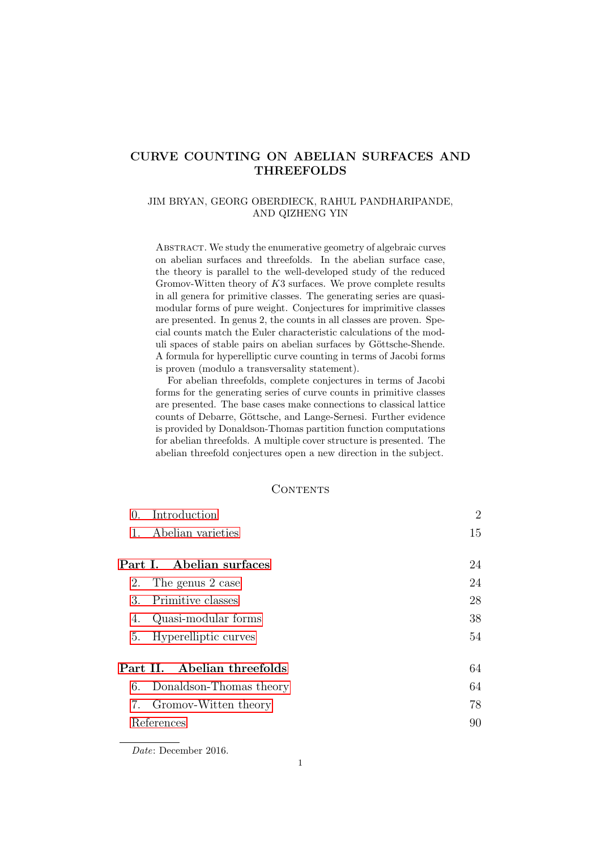## CURVE COUNTING ON ABELIAN SURFACES AND THREEFOLDS

#### JIM BRYAN, GEORG OBERDIECK, RAHUL PANDHARIPANDE, AND QIZHENG YIN

ABSTRACT. We study the enumerative geometry of algebraic curves on abelian surfaces and threefolds. In the abelian surface case, the theory is parallel to the well-developed study of the reduced Gromov-Witten theory of K3 surfaces. We prove complete results in all genera for primitive classes. The generating series are quasimodular forms of pure weight. Conjectures for imprimitive classes are presented. In genus 2, the counts in all classes are proven. Special counts match the Euler characteristic calculations of the moduli spaces of stable pairs on abelian surfaces by Göttsche-Shende. A formula for hyperelliptic curve counting in terms of Jacobi forms is proven (modulo a transversality statement).

For abelian threefolds, complete conjectures in terms of Jacobi forms for the generating series of curve counts in primitive classes are presented. The base cases make connections to classical lattice counts of Debarre, Göttsche, and Lange-Sernesi. Further evidence is provided by Donaldson-Thomas partition function computations for abelian threefolds. A multiple cover structure is presented. The abelian threefold conjectures open a new direction in the subject.

#### **CONTENTS**

| Introduction<br>$\Omega$ .       | $\overline{2}$ |  |  |  |  |  |  |  |
|----------------------------------|----------------|--|--|--|--|--|--|--|
| Abelian varieties<br>$1_{\cdot}$ | 15             |  |  |  |  |  |  |  |
| Part I. Abelian surfaces         | 24             |  |  |  |  |  |  |  |
| 2. The genus 2 case              |                |  |  |  |  |  |  |  |
| Primitive classes<br>3.          | 28             |  |  |  |  |  |  |  |
| Quasi-modular forms<br>4.        | 38             |  |  |  |  |  |  |  |
| Hyperelliptic curves<br>5.       | 54             |  |  |  |  |  |  |  |
| Part II. Abelian threefolds      | 64             |  |  |  |  |  |  |  |
| 6. Donaldson-Thomas theory       | 64             |  |  |  |  |  |  |  |
| 7. Gromov-Witten theory          | 78             |  |  |  |  |  |  |  |
| References                       |                |  |  |  |  |  |  |  |
|                                  |                |  |  |  |  |  |  |  |

Date: December 2016.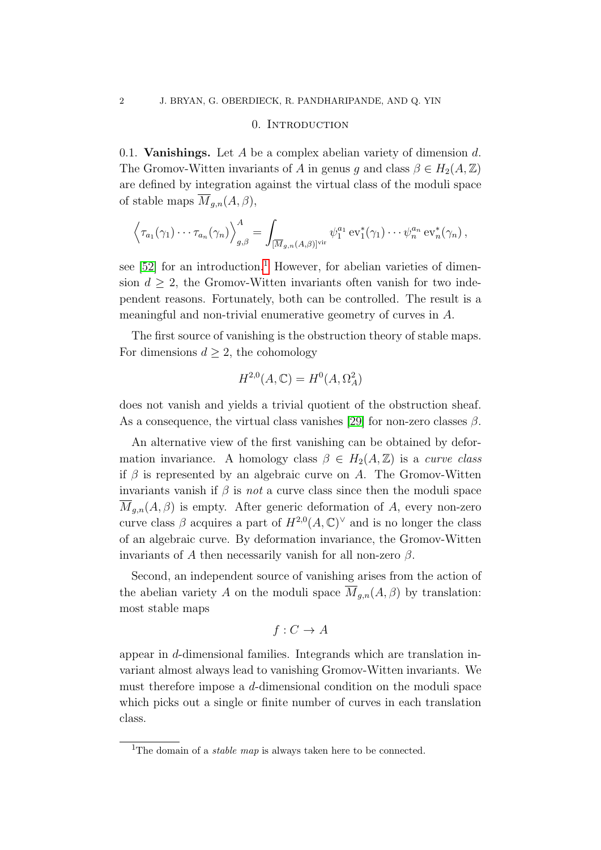#### 0. INTRODUCTION

<span id="page-1-0"></span>0.1. **Vanishings.** Let A be a complex abelian variety of dimension  $d$ . The Gromov-Witten invariants of A in genus q and class  $\beta \in H_2(A, \mathbb{Z})$ are defined by integration against the virtual class of the moduli space of stable maps  $\overline{M}_{q,n}(A, \beta),$ 

$$
\left\langle \tau_{a_1}(\gamma_1)\cdots\tau_{a_n}(\gamma_n)\right\rangle_{g,\beta}^A=\int_{[\overline{M}_{g,n}(A,\beta)]^{\text{vir}}} \psi_1^{a_1}\operatorname{ev}_1^*(\gamma_1)\cdots\psi_n^{a_n}\operatorname{ev}_n^*(\gamma_n),
$$

see  $[52]$  for an introduction.<sup>[1](#page-1-1)</sup> However, for abelian varieties of dimension  $d \geq 2$ , the Gromov-Witten invariants often vanish for two independent reasons. Fortunately, both can be controlled. The result is a meaningful and non-trivial enumerative geometry of curves in A.

The first source of vanishing is the obstruction theory of stable maps. For dimensions  $d \geq 2$ , the cohomology

$$
H^{2,0}(A,\mathbb{C})=H^0(A,\Omega_A^2)
$$

does not vanish and yields a trivial quotient of the obstruction sheaf. As a consequence, the virtual class vanishes [\[29\]](#page-90-0) for non-zero classes  $\beta$ .

An alternative view of the first vanishing can be obtained by deformation invariance. A homology class  $\beta \in H_2(A, \mathbb{Z})$  is a *curve class* if  $\beta$  is represented by an algebraic curve on A. The Gromov-Witten invariants vanish if  $\beta$  is *not* a curve class since then the moduli space  $\overline{M}_{g,n}(A,\beta)$  is empty. After generic deformation of A, every non-zero curve class  $\beta$  acquires a part of  $H^{2,0}(A,\mathbb{C})^{\vee}$  and is no longer the class of an algebraic curve. By deformation invariance, the Gromov-Witten invariants of A then necessarily vanish for all non-zero  $\beta$ .

Second, an independent source of vanishing arises from the action of the abelian variety A on the moduli space  $\overline{M}_{q,n}(A, \beta)$  by translation: most stable maps

$$
f: C \to A
$$

appear in d-dimensional families. Integrands which are translation invariant almost always lead to vanishing Gromov-Witten invariants. We must therefore impose a d-dimensional condition on the moduli space which picks out a single or finite number of curves in each translation class.

<span id="page-1-1"></span><sup>&</sup>lt;sup>1</sup>The domain of a *stable map* is always taken here to be connected.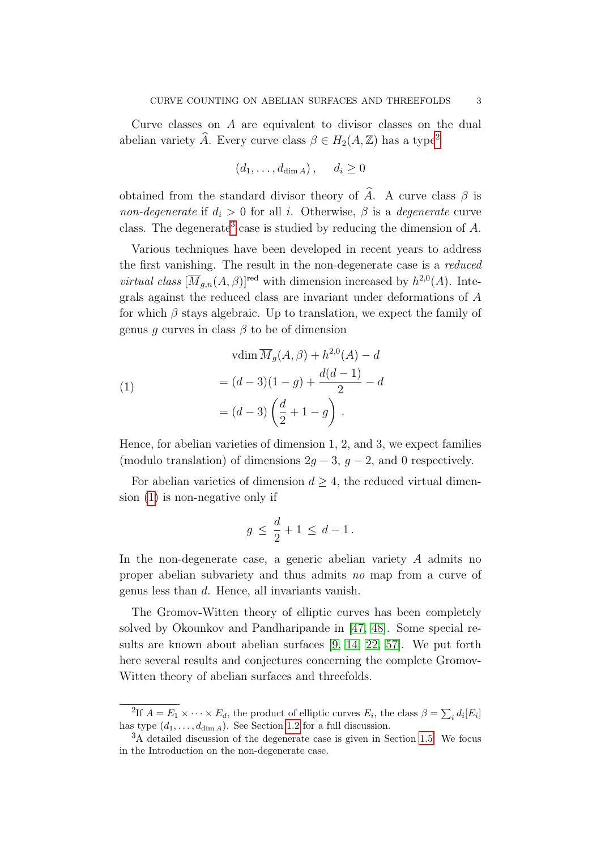Curve classes on A are equivalent to divisor classes on the dual abelian variety  $\widehat{A}$ . Every curve class  $\beta \in H_2(A, \mathbb{Z})$  $\beta \in H_2(A, \mathbb{Z})$  $\beta \in H_2(A, \mathbb{Z})$  has a type<sup>2</sup>

$$
(d_1, \ldots, d_{\dim A}), \quad d_i \ge 0
$$

obtained from the standard divisor theory of  $\hat{A}$ . A curve class  $\beta$  is non-degenerate if  $d_i > 0$  for all i. Otherwise,  $\beta$  is a degenerate curve class. The degenerate<sup>[3](#page-2-1)</sup> case is studied by reducing the dimension of  $A$ .

Various techniques have been developed in recent years to address the first vanishing. The result in the non-degenerate case is a reduced *virtual class*  $[\overline{M}_{g,n}(A, \beta)]^{\text{red}}$  with dimension increased by  $h^{2,0}(A)$ . Integrals against the reduced class are invariant under deformations of A for which  $\beta$  stays algebraic. Up to translation, we expect the family of genus q curves in class  $\beta$  to be of dimension

<span id="page-2-2"></span>(1)  
\n
$$
\text{vdim }\overline{M}_g(A,\beta) + h^{2,0}(A) - d
$$
\n
$$
= (d-3)(1-g) + \frac{d(d-1)}{2} - d
$$
\n
$$
= (d-3)\left(\frac{d}{2} + 1 - g\right).
$$

Hence, for abelian varieties of dimension 1, 2, and 3, we expect families (modulo translation) of dimensions  $2g - 3$ ,  $g - 2$ , and 0 respectively.

For abelian varieties of dimension  $d \geq 4$ , the reduced virtual dimension [\(1\)](#page-2-2) is non-negative only if

$$
g \leq \frac{d}{2} + 1 \leq d - 1.
$$

In the non-degenerate case, a generic abelian variety A admits no proper abelian subvariety and thus admits no map from a curve of genus less than d. Hence, all invariants vanish.

The Gromov-Witten theory of elliptic curves has been completely solved by Okounkov and Pandharipande in [\[47,](#page-91-1) [48\]](#page-91-2). Some special results are known about abelian surfaces [\[9,](#page-89-1) [14,](#page-89-2) [22,](#page-90-1) [57\]](#page-91-3). We put forth here several results and conjectures concerning the complete Gromov-Witten theory of abelian surfaces and threefolds.

<span id="page-2-0"></span><sup>&</sup>lt;sup>2</sup>If  $A = E_1 \times \cdots \times E_d$ , the product of elliptic curves  $E_i$ , the class  $\beta = \sum_i d_i [E_i]$ has type  $(d_1, \ldots, d_{\dim A})$ . See Section [1.2](#page-14-1) for a full discussion.

<span id="page-2-1"></span><sup>3</sup>A detailed discussion of the degenerate case is given in Section [1.5.](#page-19-0) We focus in the Introduction on the non-degenerate case.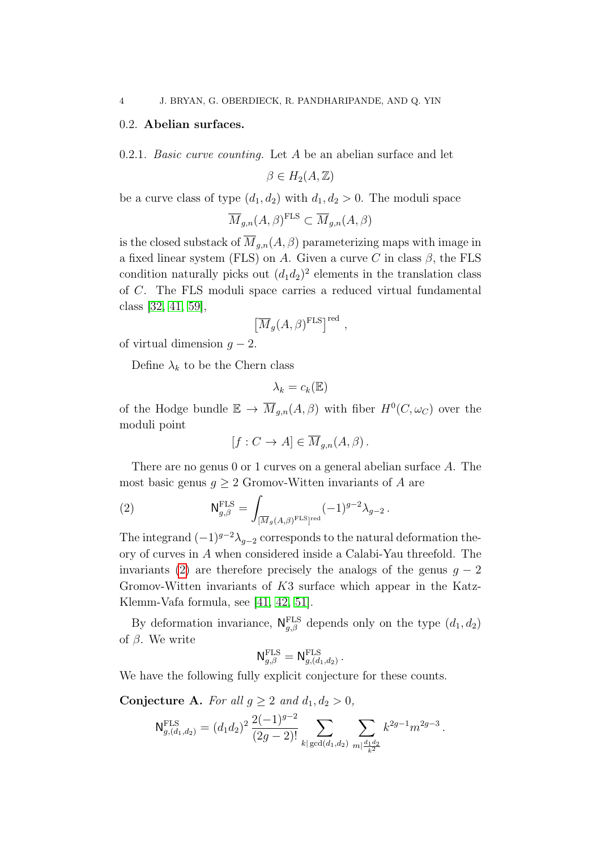### 0.2. Abelian surfaces.

<span id="page-3-2"></span>0.2.1. Basic curve counting. Let A be an abelian surface and let

 $\beta \in H_2(A, \mathbb{Z})$ 

be a curve class of type  $(d_1, d_2)$  with  $d_1, d_2 > 0$ . The moduli space

$$
\overline{M}_{g,n}(A,\beta)^{\text{FLS}} \subset \overline{M}_{g,n}(A,\beta)
$$

is the closed substack of  $\overline{M}_{g,n}(A, \beta)$  parameterizing maps with image in a fixed linear system (FLS) on A. Given a curve C in class  $\beta$ , the FLS condition naturally picks out  $(d_1 d_2)^2$  elements in the translation class of C. The FLS moduli space carries a reduced virtual fundamental class [\[32,](#page-90-2) [41,](#page-90-3) [59\]](#page-91-4),

$$
\left[\overline{M}_{g}(A,\beta)^{\rm FLS}\right]^{\rm red}\,,
$$

of virtual dimension  $g - 2$ .

Define  $\lambda_k$  to be the Chern class

$$
\lambda_k = c_k(\mathbb{E})
$$

of the Hodge bundle  $\mathbb{E} \to \overline{M}_{g,n}(A,\beta)$  with fiber  $H^0(C,\omega_C)$  over the moduli point

<span id="page-3-0"></span>
$$
[f: C \to A] \in \overline{M}_{g,n}(A, \beta).
$$

There are no genus 0 or 1 curves on a general abelian surface A. The most basic genus  $g \geq 2$  Gromov-Witten invariants of A are

(2) 
$$
\mathsf{N}_{g,\beta}^{\text{FLS}} = \int_{[\overline{M}_g(A,\beta)^{\text{FLS}}]^{\text{red}}} (-1)^{g-2} \lambda_{g-2}.
$$

The integrand  $(-1)^{g-2}\lambda_{g-2}$  corresponds to the natural deformation theory of curves in A when considered inside a Calabi-Yau threefold. The invariants [\(2\)](#page-3-0) are therefore precisely the analogs of the genus  $q - 2$ Gromov-Witten invariants of K3 surface which appear in the Katz-Klemm-Vafa formula, see [\[41,](#page-90-3) [42,](#page-90-4) [51\]](#page-91-5).

By deformation invariance,  $N_{g,\beta}^{\text{FLS}}$  depends only on the type  $(d_1, d_2)$ of  $\beta$ . We write

$$
\mathsf{N}^{\mathrm{FLS}}_{g,\beta}=\mathsf{N}^{\mathrm{FLS}}_{g,(d_1,d_2)}.
$$

We have the following fully explicit conjecture for these counts.

<span id="page-3-1"></span>Conjecture A. For all  $g \geq 2$  and  $d_1, d_2 > 0$ ,

$$
\mathsf{N}^{\mathrm{FLS}}_{g,(d_1,d_2)} = (d_1d_2)^2 \, \frac{2(-1)^{g-2}}{(2g-2)!} \sum_{k \mid \gcd(d_1,d_2)} \sum_{m \mid \frac{d_1d_2}{k^2}} k^{2g-1} m^{2g-3} \, .
$$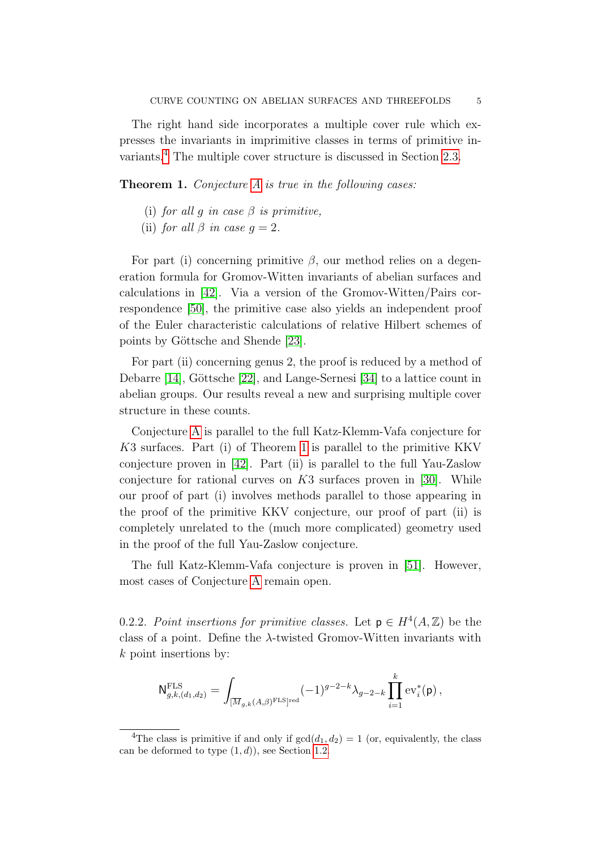The right hand side incorporates a multiple cover rule which expresses the invariants in imprimitive classes in terms of primitive invariants.[4](#page-4-0) The multiple cover structure is discussed in Section [2.3.](#page-26-0)

<span id="page-4-1"></span>Theorem 1. Conjecture [A](#page-3-1) is true in the following cases:

- (i) for all q in case  $\beta$  is primitive,
- (ii) for all  $\beta$  in case  $q=2$ .

For part (i) concerning primitive  $\beta$ , our method relies on a degeneration formula for Gromov-Witten invariants of abelian surfaces and calculations in [\[42\]](#page-90-4). Via a version of the Gromov-Witten/Pairs correspondence [\[50\]](#page-91-6), the primitive case also yields an independent proof of the Euler characteristic calculations of relative Hilbert schemes of points by Göttsche and Shende [\[23\]](#page-90-5).

For part (ii) concerning genus 2, the proof is reduced by a method of Debarre  $[14]$ , Göttsche  $[22]$ , and Lange-Sernesi  $[34]$  to a lattice count in abelian groups. Our results reveal a new and surprising multiple cover structure in these counts.

Conjecture [A](#page-3-1) is parallel to the full Katz-Klemm-Vafa conjecture for K3 surfaces. Part (i) of Theorem [1](#page-4-1) is parallel to the primitive KKV conjecture proven in [\[42\]](#page-90-4). Part (ii) is parallel to the full Yau-Zaslow conjecture for rational curves on  $K3$  surfaces proven in [\[30\]](#page-90-7). While our proof of part (i) involves methods parallel to those appearing in the proof of the primitive KKV conjecture, our proof of part (ii) is completely unrelated to the (much more complicated) geometry used in the proof of the full Yau-Zaslow conjecture.

The full Katz-Klemm-Vafa conjecture is proven in [\[51\]](#page-91-5). However, most cases of Conjecture [A](#page-3-1) remain open.

<span id="page-4-2"></span>0.2.2. Point insertions for primitive classes. Let  $p \in H^4(A, \mathbb{Z})$  be the class of a point. Define the  $\lambda$ -twisted Gromov-Witten invariants with k point insertions by:

$$
\mathsf{N}^{\mathrm{FLS}}_{g,k,(d_1,d_2)} = \int_{[\overline{M}_{g,k}(A,\beta)^{\mathrm{FLS}}]^{\mathrm{red}}} (-1)^{g-2-k} \lambda_{g-2-k} \prod_{i=1}^k \mathrm{ev}_i^*(\mathsf{p}) \,,
$$

<span id="page-4-0"></span><sup>&</sup>lt;sup>4</sup>The class is primitive if and only if  $gcd(d_1, d_2) = 1$  (or, equivalently, the class can be deformed to type  $(1, d)$ , see Section [1.2.](#page-14-1)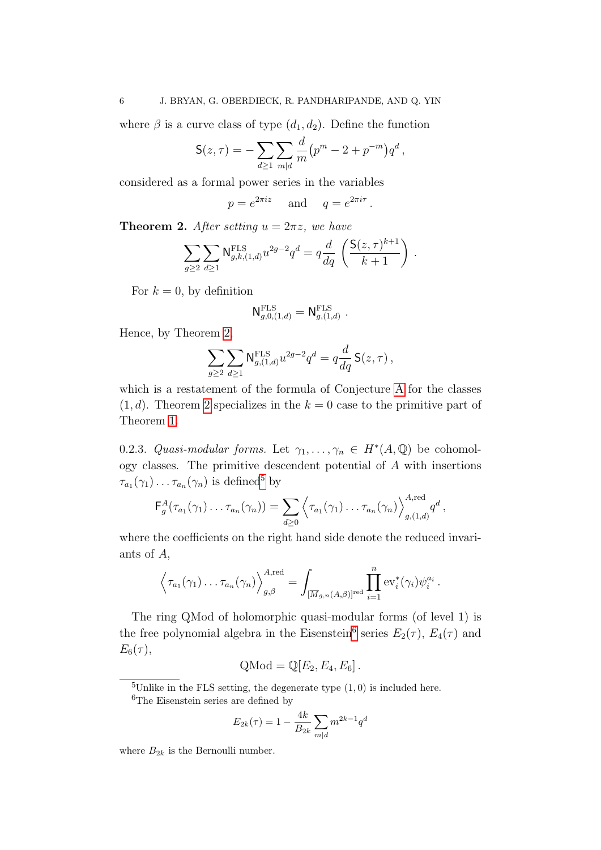where  $\beta$  is a curve class of type  $(d_1, d_2)$ . Define the function

$$
S(z,\tau) = -\sum_{d \ge 1} \sum_{m|d} \frac{d}{m} (p^m - 2 + p^{-m}) q^d,
$$

considered as a formal power series in the variables

 $p = e^{2\pi i z}$  and  $q = e^{2\pi i \tau}$ .

<span id="page-5-0"></span>**Theorem 2.** After setting  $u = 2\pi z$ , we have

$$
\sum_{g\geq 2} \sum_{d\geq 1} \mathsf{N}_{g,k,(1,d)}^{\text{FLS}} u^{2g-2} q^d = q \frac{d}{dq} \left( \frac{\mathsf{S}(z,\tau)^{k+1}}{k+1} \right)
$$

.

For  $k = 0$ , by definition

$$
\mathsf{N}^{\mathrm{FLS}}_{g,0,(1,d)}=\mathsf{N}^{\mathrm{FLS}}_{g,(1,d)}\ .
$$

Hence, by Theorem [2,](#page-5-0)

$$
\sum_{g\geq 2}\sum_{d\geq 1} \mathsf{N}^{\mathrm{FLS}}_{g,(1,d)} u^{2g-2} q^d = q \frac{d}{dq} \, \mathsf{S}(z,\tau) \,,
$$

which is a restatement of the formula of Conjecture [A](#page-3-1) for the classes  $(1, d)$ . Theorem [2](#page-5-0) specializes in the  $k = 0$  case to the primitive part of Theorem [1.](#page-4-1)

0.2.3. Quasi-modular forms. Let  $\gamma_1, \ldots, \gamma_n \in H^*(A, \mathbb{Q})$  be cohomology classes. The primitive descendent potential of A with insertions  $\tau_{a_1}(\gamma_1)\ldots\tau_{a_n}(\gamma_n)$  is defined<sup>[5](#page-5-1)</sup> by

$$
\mathsf{F}_g^A(\tau_{a_1}(\gamma_1)\ldots\tau_{a_n}(\gamma_n))=\sum_{d\geq 0}\left\langle\tau_{a_1}(\gamma_1)\ldots\tau_{a_n}(\gamma_n)\right\rangle_{g,(1,d)}^{A,\mathrm{red}}q^d,
$$

where the coefficients on the right hand side denote the reduced invariants of A,

$$
\left\langle \tau_{a_1}(\gamma_1)\dots\tau_{a_n}(\gamma_n) \right\rangle_{g,\beta}^{A,\text{red}} = \int_{\overline{[M_{g,n}(A,\beta)]}^{\text{red}}} \prod_{i=1}^n \text{ev}_i^*(\gamma_i) \psi_i^{a_i}.
$$

The ring QMod of holomorphic quasi-modular forms (of level 1) is the free polynomial algebra in the Eisenstein<sup>[6](#page-5-2)</sup> series  $E_2(\tau)$ ,  $E_4(\tau)$  and  $E_6(\tau),$ 

$$
Q\text{Mod} = \mathbb{Q}[E_2, E_4, E_6].
$$

<span id="page-5-1"></span><sup>5</sup>Unlike in the FLS setting, the degenerate type  $(1,0)$  is included here.

$$
E_{2k}(\tau) = 1 - \frac{4k}{B_{2k}} \sum_{m|d} m^{2k-1} q^d
$$

where  $B_{2k}$  is the Bernoulli number.

<span id="page-5-2"></span><sup>&</sup>lt;sup>6</sup>The Eisenstein series are defined by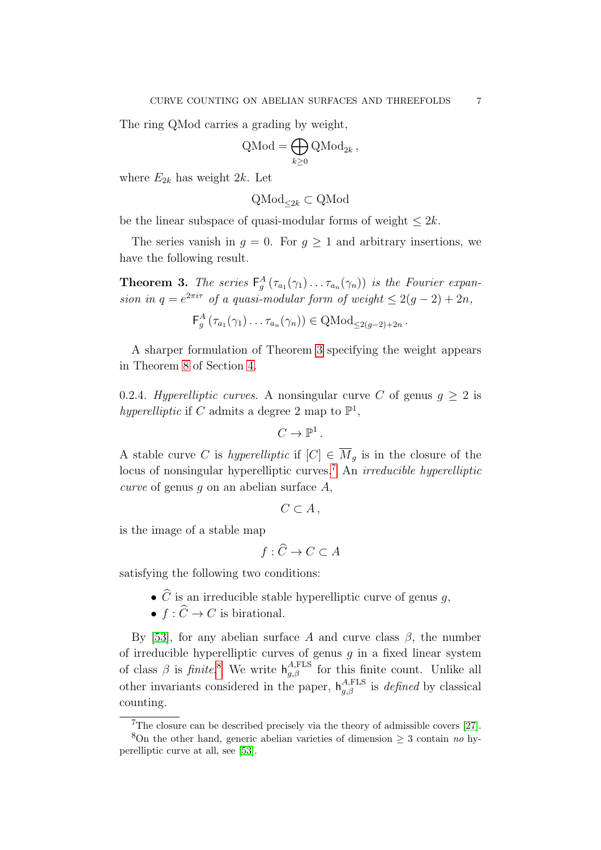The ring QMod carries a grading by weight,

$$
Q\text{Mod} = \bigoplus_{k \geq 0} Q\text{Mod}_{2k},
$$

where  $E_{2k}$  has weight 2k. Let

$$
\mathrm{QMod}_{\leq 2k} \subset \mathrm{QMod}
$$

be the linear subspace of quasi-modular forms of weight  $\leq 2k$ .

The series vanish in  $g = 0$ . For  $g \ge 1$  and arbitrary insertions, we have the following result.

<span id="page-6-0"></span>**Theorem 3.** The series  $F_g^A(\tau_{a_1}(\gamma_1) \dots \tau_{a_n}(\gamma_n))$  is the Fourier expansion in  $q = e^{2\pi i \tau}$  of a quasi-modular form of weight  $\leq 2(g-2) + 2n$ ,

$$
\mathsf{F}_{g}^{A}\left(\tau_{a_1}(\gamma_1)\ldots\tau_{a_n}(\gamma_n)\right) \in \mathrm{QMod}_{\leq 2(g-2)+2n}.
$$

A sharper formulation of Theorem [3](#page-6-0) specifying the weight appears in Theorem [8](#page-37-1) of Section [4.](#page-37-0)

<span id="page-6-3"></span>0.2.4. Hyperelliptic curves. A nonsingular curve C of genus  $g \geq 2$  is hyperelliptic if C admits a degree 2 map to  $\mathbb{P}^1$ ,

$$
C\to \mathbb{P}^1\,.
$$

A stable curve C is hyperelliptic if  $[C] \in \overline{M}_g$  is in the closure of the locus of nonsingular hyperelliptic curves.<sup>[7](#page-6-1)</sup> An *irreducible hyperelliptic* curve of genus q on an abelian surface  $A$ ,

$$
C\subset A\,,
$$

is the image of a stable map

$$
f: \widehat{C} \to C \subset A
$$

satisfying the following two conditions:

- $\bullet$   $\widehat{C}$  is an irreducible stable hyperelliptic curve of genus  $g,$
- $f : \widehat{C} \to C$  is birational.

By [\[53\]](#page-91-7), for any abelian surface A and curve class  $\beta$ , the number of irreducible hyperelliptic curves of genus  $q$  in a fixed linear system of class  $\beta$  is finite.<sup>[8](#page-6-2)</sup> We write  $h_{g,\beta}^{A,\text{FLS}}$  for this finite count. Unlike all other invariants considered in the paper,  $h_{g,\beta}^{A,\text{FLS}}$  is *defined* by classical counting.

<span id="page-6-2"></span><span id="page-6-1"></span> $7$ The closure can be described precisely via the theory of admissible covers [\[27\]](#page-90-8).

<sup>&</sup>lt;sup>8</sup>On the other hand, generic abelian varieties of dimension  $\geq$  3 contain no hyperelliptic curve at all, see [\[53\]](#page-91-7).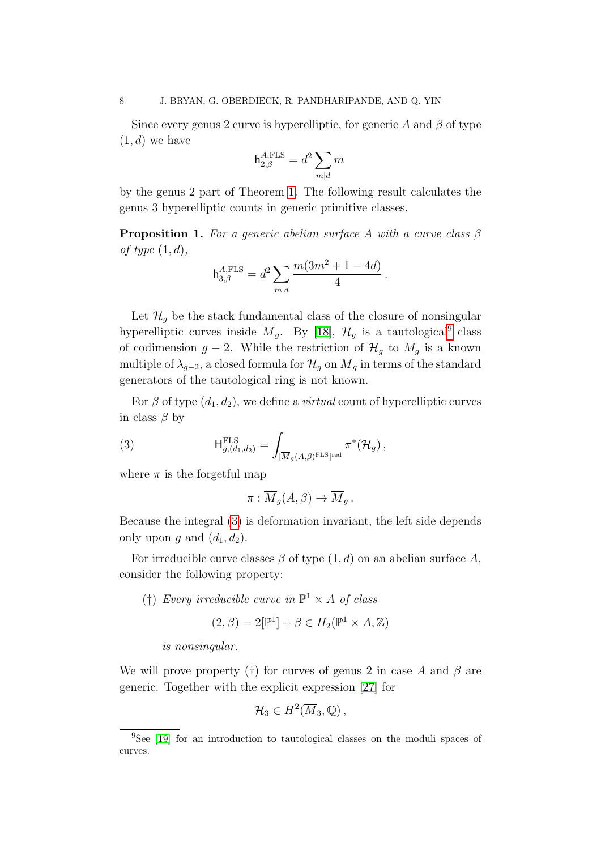Since every genus 2 curve is hyperelliptic, for generic A and  $\beta$  of type  $(1, d)$  we have

$$
\mathsf{h}_{2,\beta}^{A,\text{FLS}} = d^2 \sum_{m|d} m
$$

by the genus 2 part of Theorem [1.](#page-4-1) The following result calculates the genus 3 hyperelliptic counts in generic primitive classes.

<span id="page-7-2"></span>**Proposition 1.** For a generic abelian surface A with a curve class  $\beta$ of type  $(1, d)$ ,

$$
h_{3,\beta}^{A,\text{FLS}} = d^2 \sum_{m|d} \frac{m(3m^2 + 1 - 4d)}{4}.
$$

Let  $\mathcal{H}_q$  be the stack fundamental class of the closure of nonsingular hyperelliptic curves inside  $\overline{M}_g$ . By [\[18\]](#page-89-3),  $\mathcal{H}_g$  is a tautological<sup>[9](#page-7-0)</sup> class of codimension  $g - 2$ . While the restriction of  $\mathcal{H}_g$  to  $M_g$  is a known multiple of  $\lambda_{g-2}$ , a closed formula for  $\mathcal{H}_g$  on  $\overline{M}_g$  in terms of the standard generators of the tautological ring is not known.

For  $\beta$  of type  $(d_1, d_2)$ , we define a *virtual* count of hyperelliptic curves in class  $\beta$  by

(3) 
$$
\mathsf{H}_{g,(d_1,d_2)}^{\mathrm{FLS}} = \int_{[\overline{M}_g(A,\beta)^{\mathrm{FLS}}]^{\mathrm{red}}} \pi^*(\mathcal{H}_g),
$$

where  $\pi$  is the forgetful map

<span id="page-7-1"></span>
$$
\pi : \overline{M}_g(A, \beta) \to \overline{M}_g.
$$

Because the integral [\(3\)](#page-7-1) is deformation invariant, the left side depends only upon g and  $(d_1, d_2)$ .

For irreducible curve classes  $\beta$  of type  $(1, d)$  on an abelian surface A, consider the following property:

(†) Every irreducible curve in  $\mathbb{P}^1 \times A$  of class

$$
(2,\beta) = 2[\mathbb{P}^1] + \beta \in H_2(\mathbb{P}^1 \times A, \mathbb{Z})
$$

is nonsingular.

We will prove property (†) for curves of genus 2 in case A and  $\beta$  are generic. Together with the explicit expression [\[27\]](#page-90-8) for

$$
\mathcal{H}_3 \in H^2(\overline{M}_3,\mathbb{Q}),
$$

<span id="page-7-0"></span><sup>&</sup>lt;sup>9</sup>See [\[19\]](#page-89-4) for an introduction to tautological classes on the moduli spaces of curves.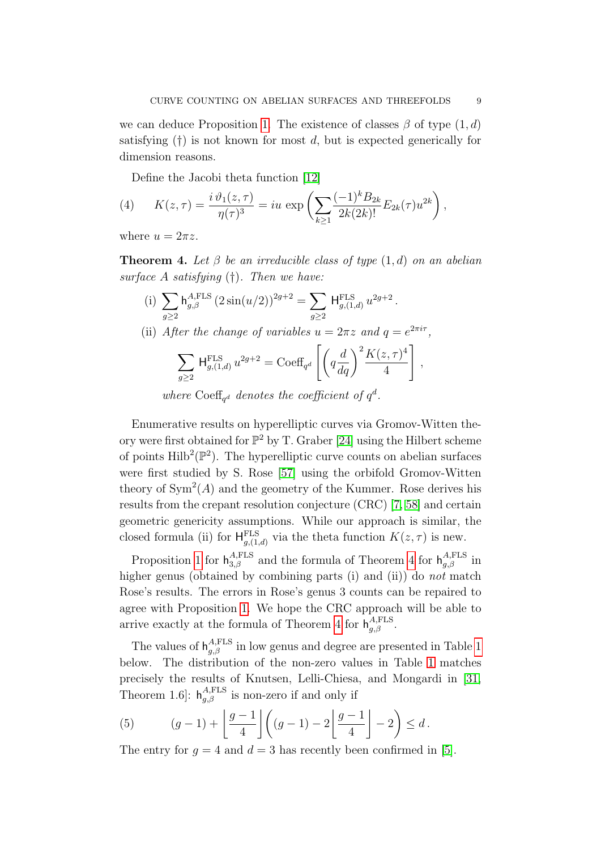we can deduce Proposition [1.](#page-7-2) The existence of classes  $\beta$  of type  $(1, d)$ satisfying  $(†)$  is not known for most d, but is expected generically for dimension reasons.

<span id="page-8-1"></span>Define the Jacobi theta function [\[12\]](#page-89-5)

(4) 
$$
K(z,\tau) = \frac{i \vartheta_1(z,\tau)}{\eta(\tau)^3} = iu \exp\left(\sum_{k\geq 1} \frac{(-1)^k B_{2k}}{2k(2k)!} E_{2k}(\tau) u^{2k}\right),
$$

where  $u = 2\pi z$ .

<span id="page-8-0"></span>**Theorem 4.** Let  $\beta$  be an irreducible class of type  $(1, d)$  on an abelian surface A satisfying  $(\dagger)$ . Then we have:

(i) 
$$
\sum_{g\geq 2} {\mathsf h}^{A,\text{FLS}}_{g,\beta} \left(2\sin(u/2)\right)^{2g+2} = \sum_{g\geq 2} {\mathsf H}^{\text{FLS}}_{g,(1,d)}\, u^{2g+2} \, .
$$

(ii) After the change of variables 
$$
u = 2\pi z
$$
 and  $q = e^{2\pi i \tau}$ ,

$$
\sum_{g\geq 2} \mathsf{H}_{g,(1,d)}^{\text{FLS}} u^{2g+2} = \text{Coeff}_{q^d} \left[ \left( q \frac{d}{dq} \right)^2 \frac{K(z,\tau)^4}{4} \right],
$$

where Coeff<sub>q</sub><sup>d</sup> denotes the coefficient of  $q^d$ .

Enumerative results on hyperelliptic curves via Gromov-Witten theory were first obtained for  $\mathbb{P}^2$  by T. Graber [\[24\]](#page-90-9) using the Hilbert scheme of points  $\text{Hilb}^2(\mathbb{P}^2)$ . The hyperelliptic curve counts on abelian surfaces were first studied by S. Rose [\[57\]](#page-91-3) using the orbifold Gromov-Witten theory of  $\text{Sym}^2(A)$  and the geometry of the Kummer. Rose derives his results from the crepant resolution conjecture (CRC) [\[7,](#page-89-6) [58\]](#page-91-8) and certain geometric genericity assumptions. While our approach is similar, the closed formula (ii) for  $H_{g,(1,d)}^{\text{FLS}}$  via the theta function  $K(z,\tau)$  is new.

Proposition [1](#page-7-2) for  $h_{3,\beta}^{A,\text{FLS}}$  and the formula of Theorem [4](#page-8-0) for  $h_{g,\beta}^{A,\text{FLS}}$  in higher genus (obtained by combining parts (i) and (ii)) do *not* match Rose's results. The errors in Rose's genus 3 counts can be repaired to agree with Proposition [1.](#page-7-2) We hope the CRC approach will be able to arrive exactly at the formula of Theorem [4](#page-8-0) for  $h_{g,\beta}^{A,\text{FLS}}$ .

The values of  $h_{g,\beta}^{A,\text{FLS}}$  in low genus and degree are presented in Table [1](#page-9-0) below. The distribution of the non-zero values in Table [1](#page-9-0) matches precisely the results of Knutsen, Lelli-Chiesa, and Mongardi in [\[31,](#page-90-10) Theorem 1.6]:  $h_{g,\beta}^{A,\text{FLS}}$  is non-zero if and only if

(5) 
$$
(g-1) + \left[ \frac{g-1}{4} \right] \left( (g-1) - 2 \left[ \frac{g-1}{4} \right] - 2 \right) \le d.
$$

The entry for  $q = 4$  and  $d = 3$  has recently been confirmed in [\[5\]](#page-89-7).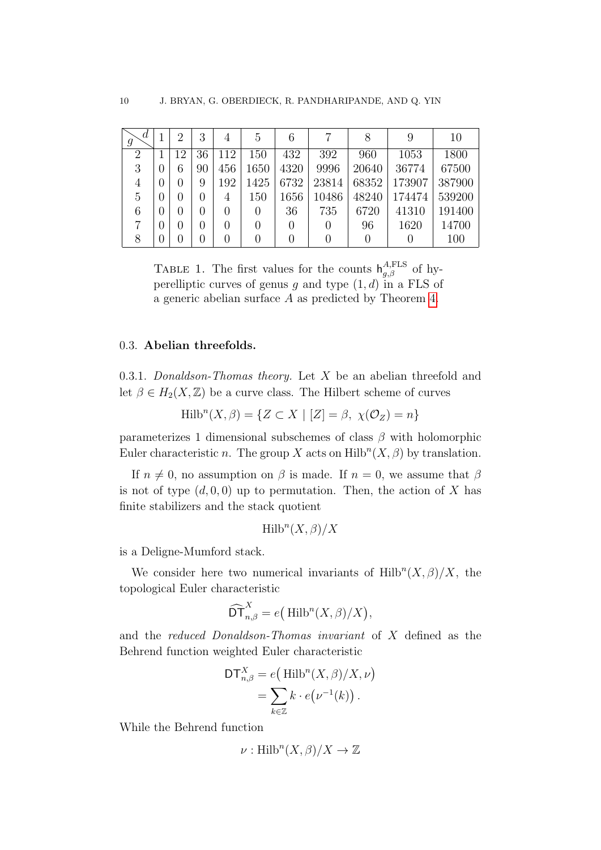<span id="page-9-0"></span>

| d<br>9         |                   | 2                | 3            | 4                | 5                 | 6    |       |       | 9      | 10     |
|----------------|-------------------|------------------|--------------|------------------|-------------------|------|-------|-------|--------|--------|
| $\overline{2}$ |                   | 12               | 36           | 112              | 150               | 432  | 392   | 960   | 1053   | 1800   |
| 3              | $\left( \right)$  | 6                | 90           | 456              | 1650              | 4320 | 9996  | 20640 | 36774  | 67500  |
| 4              | $\left( \right)$  | $\left( \right)$ | 9            | 192              | 1425              | 6732 | 23814 | 68352 | 173907 | 387900 |
| 5              | 0                 | $\theta$         | $\cup$       | 4                | 150               | 1656 | 10486 | 48240 | 174474 | 539200 |
| 6              | $\left( \right)$  | $\left( \right)$ |              | $\left( \right)$ | $\left( \right)$  | 36   | 735   | 6720  | 41310  | 191400 |
|                | 0                 | $\left( \right)$ | $\mathbf{0}$ | $\left( \right)$ | $\left( \right)$  |      |       | 96    | 1620   | 14700  |
|                | $\mathbf{\Omega}$ | $\mathbf{0}$     |              | 0                | $\mathbf{\Omega}$ |      |       |       |        | 100    |

TABLE 1. The first values for the counts  $h_{g,\beta}^{A,\text{FLS}}$  of hyperelliptic curves of genus g and type  $(1, d)$  in a FLS of a generic abelian surface A as predicted by Theorem [4.](#page-8-0)

#### 0.3. Abelian threefolds.

0.3.1. Donaldson-Thomas theory. Let  $X$  be an abelian threefold and let  $\beta \in H_2(X,\mathbb{Z})$  be a curve class. The Hilbert scheme of curves

$$
\text{Hilb}^n(X, \beta) = \{ Z \subset X \mid [Z] = \beta, \ \chi(\mathcal{O}_Z) = n \}
$$

parameterizes 1 dimensional subschemes of class  $\beta$  with holomorphic Euler characteristic *n*. The group X acts on  $\text{Hilb}^n(X, \beta)$  by translation.

If  $n \neq 0$ , no assumption on  $\beta$  is made. If  $n = 0$ , we assume that  $\beta$ is not of type  $(d, 0, 0)$  up to permutation. Then, the action of X has finite stabilizers and the stack quotient

$$
\text{Hilb}^n(X,\beta)/X
$$

is a Deligne-Mumford stack.

We consider here two numerical invariants of  $Hilb^{n}(X, \beta)/X$ , the topological Euler characteristic

$$
\widehat{\mathrm{DT}}_{n,\beta}^X = e\big(\,\mathrm{Hilb}^n(X,\beta)/X\big),\,
$$

and the reduced Donaldson-Thomas invariant of X defined as the Behrend function weighted Euler characteristic

$$
DT_{n,\beta}^X = e\left(\text{Hilb}^n(X,\beta)/X,\nu\right)
$$

$$
= \sum_{k \in \mathbb{Z}} k \cdot e\left(\nu^{-1}(k)\right).
$$

While the Behrend function

$$
\nu: \text{Hilb}^n(X, \beta)/X \to \mathbb{Z}
$$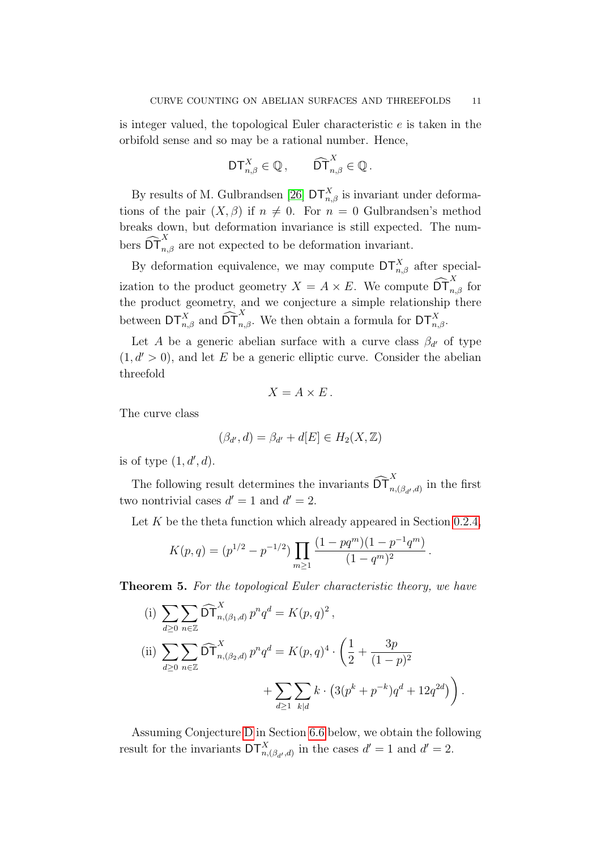is integer valued, the topological Euler characteristic e is taken in the orbifold sense and so may be a rational number. Hence,

$$
\mathsf{DT}_{n,\beta}^X \in \mathbb{Q}, \qquad \widehat{\mathsf{DT}}_{n,\beta}^X \in \mathbb{Q}.
$$

By results of M. Gulbrandsen [\[26\]](#page-90-11)  $DT_{n,\beta}^X$  is invariant under deformations of the pair  $(X, \beta)$  if  $n \neq 0$ . For  $n = 0$  Gulbrandsen's method breaks down, but deformation invariance is still expected. The numbers  $\widehat{\text{DT}}_{n,\beta}^X$  are not expected to be deformation invariant.

By deformation equivalence, we may compute  $DT_{n,\beta}^X$  after specialization to the product geometry  $X = A \times E$ . We compute  $\widehat{\text{DT}}_{n,\beta}^X$  for the product geometry, and we conjecture a simple relationship there between  $DT_{n,\beta}^X$  and  $\widehat{DT}_{n,\beta}^X$ . We then obtain a formula for  $DT_{n,\beta}^X$ .

Let A be a generic abelian surface with a curve class  $\beta_{d'}$  of type  $(1, d' > 0)$ , and let E be a generic elliptic curve. Consider the abelian threefold

$$
X = A \times E.
$$

The curve class

$$
(\beta_{d'}, d) = \beta_{d'} + d[E] \in H_2(X, \mathbb{Z})
$$

is of type  $(1, d', d)$ .

The following result determines the invariants  $\widehat{\text{DT}}_{n,(\beta_{d'},d)}^{X}$  in the first two nontrivial cases  $d' = 1$  and  $d' = 2$ .

Let  $K$  be the theta function which already appeared in Section [0.2.4,](#page-6-3)

$$
K(p,q) = (p^{1/2} - p^{-1/2}) \prod_{m \ge 1} \frac{(1 - pq^m)(1 - p^{-1}q^m)}{(1 - q^m)^2}.
$$

<span id="page-10-0"></span>**Theorem 5.** For the topological Euler characteristic theory, we have

(i) 
$$
\sum_{d\geq 0} \sum_{n\in\mathbb{Z}} \widehat{\mathrm{DT}}_{n,(\beta_1,d)}^X p^n q^d = K(p,q)^2,
$$
  
\n(ii) 
$$
\sum_{d\geq 0} \sum_{n\in\mathbb{Z}} \widehat{\mathrm{DT}}_{n,(\beta_2,d)}^X p^n q^d = K(p,q)^4 \cdot \left(\frac{1}{2} + \frac{3p}{(1-p)^2} + \sum_{d\geq 1} \sum_{k|d} k \cdot \left(3(p^k + p^{-k})q^d + 12q^{2d}\right)\right).
$$

Assuming Conjecture [D](#page-74-0) in Section [6.6](#page-74-1) below, we obtain the following result for the invariants  $DT^X_{n,(\beta_{d'},d)}$  in the cases  $d'=1$  and  $d'=2$ .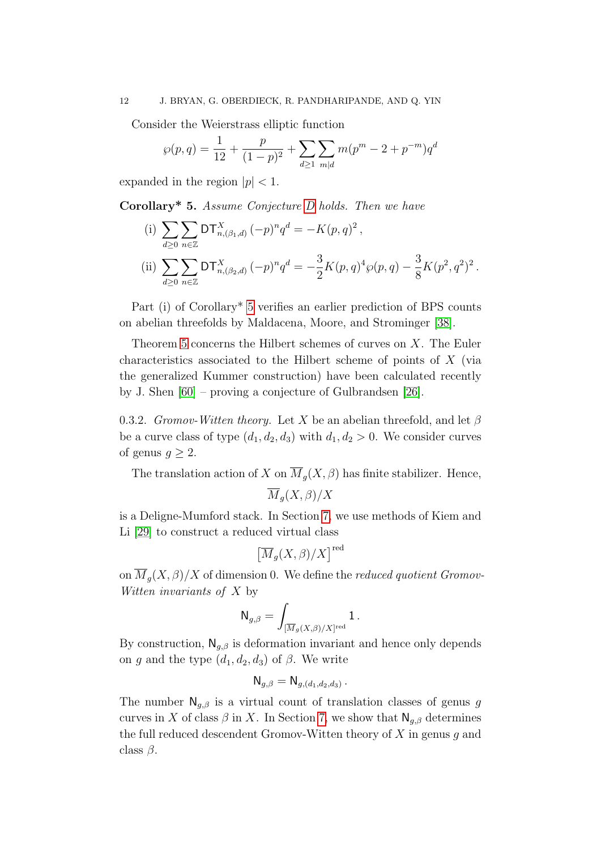Consider the Weierstrass elliptic function

$$
\wp(p,q) = \frac{1}{12} + \frac{p}{(1-p)^2} + \sum_{d \ge 1} \sum_{m|d} m(p^m - 2 + p^{-m})q^d
$$

expanded in the region  $|p|$  < 1.

 $d \geq 0$ 

n∈Z

<span id="page-11-0"></span>Corollary\* 5. Assume Conjecture [D](#page-74-0) holds. Then we have

 $(i) \sum$  $d \geq 0$  $\sum$ n∈Z  $DT_{n,(\beta_1,d)}^X(-p)^n q^d = -K(p,q)^2,$  $(ii) \sum$  $\sum$  $DT_{n, (\beta_2, d)}^X(-p)^n q^d = -\frac{3}{2}$ 2  $K(p,q)^4 \wp(p,q) - \frac{3}{8}$ 8  $K(p^2, q^2)^2$ .

Part (i) of Corollary\* [5](#page-11-0) verifies an earlier prediction of BPS counts on abelian threefolds by Maldacena, Moore, and Strominger [\[38\]](#page-90-12).

Theorem [5](#page-10-0) concerns the Hilbert schemes of curves on  $X$ . The Euler characteristics associated to the Hilbert scheme of points of X (via the generalized Kummer construction) have been calculated recently by J. Shen [\[60\]](#page-91-9) – proving a conjecture of Gulbrandsen [\[26\]](#page-90-11).

0.3.2. Gromov-Witten theory. Let X be an abelian threefold, and let  $\beta$ be a curve class of type  $(d_1, d_2, d_3)$  with  $d_1, d_2 > 0$ . We consider curves of genus  $q \geq 2$ .

The translation action of X on  $\overline{M}_q(X,\beta)$  has finite stabilizer. Hence,  $\overline{M}_q(X,\beta)/X$ 

is a Deligne-Mumford stack. In Section [7,](#page-77-0) we use methods of Kiem and Li [\[29\]](#page-90-0) to construct a reduced virtual class

$$
\left[\overline{M}_g(X,\beta)/X\right]^{\text{red}}
$$

on  $\overline{M}_q(X,\beta)/X$  of dimension 0. We define the *reduced quotient Gromov*-Witten invariants of X by

$$
\mathsf{N}_{g,\beta} = \int_{[\overline{M}_g(X,\beta)/X]^{\rm red}} 1 \,.
$$

By construction,  $\mathsf{N}_{g,\beta}$  is deformation invariant and hence only depends on g and the type  $(d_1, d_2, d_3)$  of  $\beta$ . We write

$$
\mathsf{N}_{g,\beta} = \mathsf{N}_{g,(d_1,d_2,d_3)}.
$$

The number  $\mathsf{N}_{q,\beta}$  is a virtual count of translation classes of genus g curves in X of class  $\beta$  in X. In Section [7,](#page-77-0) we show that  $\mathsf{N}_{g,\beta}$  determines the full reduced descendent Gromov-Witten theory of  $X$  in genus q and class  $\beta$ .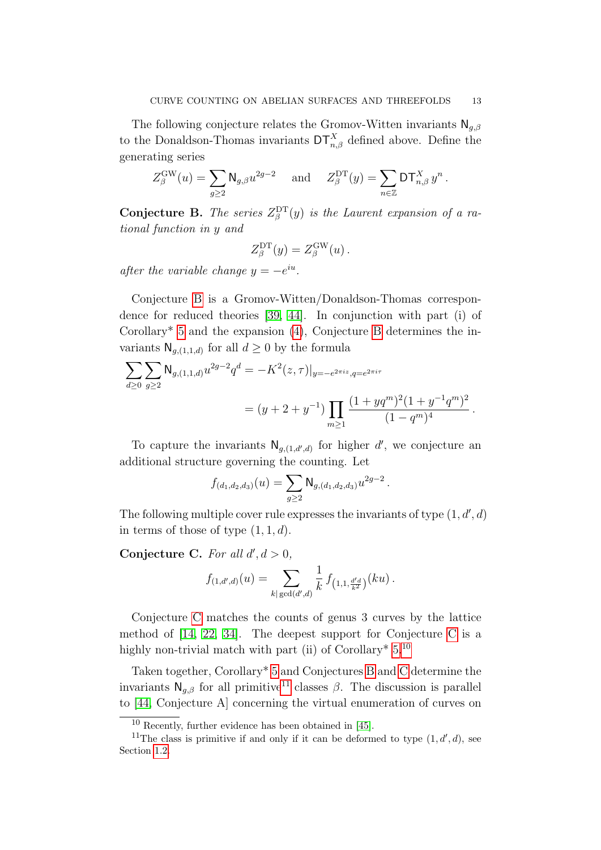The following conjecture relates the Gromov-Witten invariants  $\mathsf{N}_{q,\beta}$ to the Donaldson-Thomas invariants  $DT_{n,\beta}^X$  defined above. Define the generating series

$$
Z_{\beta}^{\text{GW}}(u) = \sum_{g \ge 2} \mathsf{N}_{g,\beta} u^{2g-2} \quad \text{ and } \quad Z_{\beta}^{\text{DT}}(y) = \sum_{n \in \mathbb{Z}} \mathsf{DT}_{n,\beta}^{X} y^{n}.
$$

<span id="page-12-0"></span>**Conjecture B.** The series  $Z_{\beta}^{\text{DT}}(y)$  is the Laurent expansion of a rational function in y and

$$
Z_{\beta}^{\mathrm{DT}}(y) = Z_{\beta}^{\mathrm{GW}}(u) \,.
$$

after the variable change  $y = -e^{iu}$ .

Conjecture [B](#page-12-0) is a Gromov-Witten/Donaldson-Thomas correspondence for reduced theories [\[39,](#page-90-13) [44\]](#page-91-10). In conjunction with part (i) of Corollary\* [5](#page-11-0) and the expansion [\(4\)](#page-8-1), Conjecture [B](#page-12-0) determines the invariants  $\mathsf{N}_{g,(1,1,d)}$  for all  $d \geq 0$  by the formula

$$
\begin{split} \sum_{d\geq 0}\sum_{g\geq 2}\mathsf{N}_{g,(1,1,d)}u^{2g-2}q^d&=-K^2(z,\tau)|_{y=-e^{2\pi i z},q=e^{2\pi i \tau}}\\ &=\big(y+2+y^{-1}\big)\prod_{m\geq 1}\frac{(1+yq^m)^2(1+y^{-1}q^m)^2}{(1-q^m)^4}\,. \end{split}
$$

To capture the invariants  $N_{g,(1,d',d)}$  for higher d', we conjecture an additional structure governing the counting. Let

$$
f_{(d_1,d_2,d_3)}(u) = \sum_{g \ge 2} \mathsf{N}_{g,(d_1,d_2,d_3)} u^{2g-2}.
$$

The following multiple cover rule expresses the invariants of type  $(1, d', d)$ in terms of those of type  $(1, 1, d)$ .

<span id="page-12-1"></span>Conjecture C. For all  $d', d > 0$ ,

$$
f_{(1,d',d)}(u) = \sum_{k | \gcd(d',d)} \frac{1}{k} f_{(1,1,\frac{d'd}{k^2})}(ku).
$$

Conjecture [C](#page-12-1) matches the counts of genus 3 curves by the lattice method of [\[14,](#page-89-2) [22,](#page-90-1) [34\]](#page-90-6). The deepest support for Conjecture [C](#page-12-1) is a highly non-trivial match with part (ii) of Corollary<sup>\*</sup> [5.](#page-11-0)<sup>[10](#page-12-2)</sup>

Taken together, Corollary\* [5](#page-11-0) and Conjectures [B](#page-12-0) and [C](#page-12-1) determine the invariants  $\mathsf{N}_{a,\beta}$  for all primitive<sup>[11](#page-12-3)</sup> classes  $\beta$ . The discussion is parallel to [\[44,](#page-91-10) Conjecture A] concerning the virtual enumeration of curves on

<span id="page-12-3"></span><span id="page-12-2"></span> $10$  Recently, further evidence has been obtained in [\[45\]](#page-91-11).

<sup>&</sup>lt;sup>11</sup>The class is primitive if and only if it can be deformed to type  $(1, d', d)$ , see Section [1.2.](#page-14-1)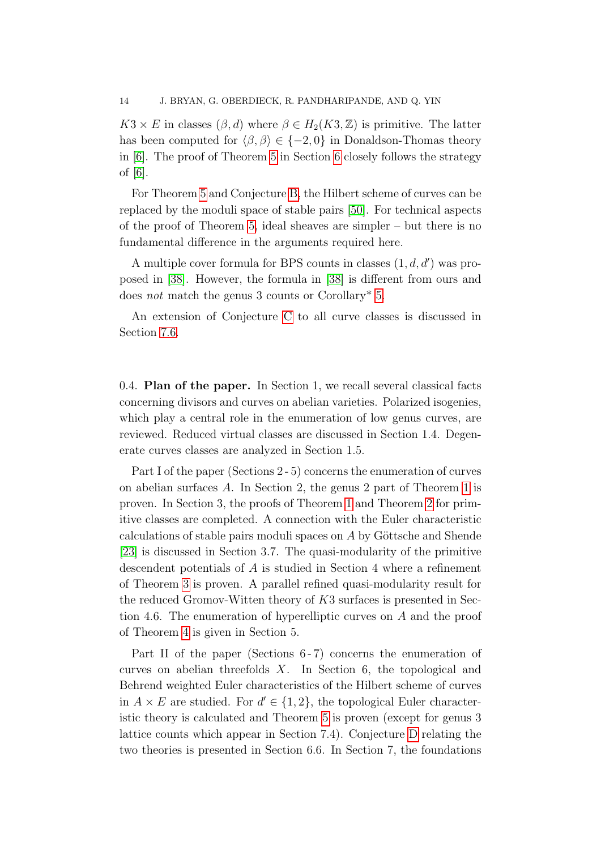$K3 \times E$  in classes  $(\beta, d)$  where  $\beta \in H_2(K3, \mathbb{Z})$  is primitive. The latter has been computed for  $\langle \beta, \beta \rangle \in \{-2, 0\}$  in Donaldson-Thomas theory in [\[6\]](#page-89-8). The proof of Theorem [5](#page-10-0) in Section [6](#page-63-1) closely follows the strategy of [\[6\]](#page-89-8).

For Theorem [5](#page-10-0) and Conjecture [B,](#page-12-0) the Hilbert scheme of curves can be replaced by the moduli space of stable pairs [\[50\]](#page-91-6). For technical aspects of the proof of Theorem [5,](#page-10-0) ideal sheaves are simpler – but there is no fundamental difference in the arguments required here.

A multiple cover formula for BPS counts in classes  $(1, d, d')$  was proposed in [\[38\]](#page-90-12). However, the formula in [\[38\]](#page-90-12) is different from ours and does not match the genus 3 counts or Corollary\* [5.](#page-11-0)

An extension of Conjecture [C](#page-12-1) to all curve classes is discussed in Section [7.6.](#page-88-0)

0.4. Plan of the paper. In Section 1, we recall several classical facts concerning divisors and curves on abelian varieties. Polarized isogenies, which play a central role in the enumeration of low genus curves, are reviewed. Reduced virtual classes are discussed in Section 1.4. Degenerate curves classes are analyzed in Section 1.5.

Part I of the paper (Sections 2 - 5) concerns the enumeration of curves on abelian surfaces A. In Section 2, the genus 2 part of Theorem [1](#page-4-1) is proven. In Section 3, the proofs of Theorem [1](#page-4-1) and Theorem [2](#page-5-0) for primitive classes are completed. A connection with the Euler characteristic calculations of stable pairs moduli spaces on  $A$  by Göttsche and Shende [\[23\]](#page-90-5) is discussed in Section 3.7. The quasi-modularity of the primitive descendent potentials of A is studied in Section 4 where a refinement of Theorem [3](#page-6-0) is proven. A parallel refined quasi-modularity result for the reduced Gromov-Witten theory of K3 surfaces is presented in Section 4.6. The enumeration of hyperelliptic curves on A and the proof of Theorem [4](#page-8-0) is given in Section 5.

Part II of the paper (Sections 6-7) concerns the enumeration of curves on abelian threefolds X. In Section 6, the topological and Behrend weighted Euler characteristics of the Hilbert scheme of curves in  $A \times E$  are studied. For  $d' \in \{1, 2\}$ , the topological Euler characteristic theory is calculated and Theorem [5](#page-10-0) is proven (except for genus 3 lattice counts which appear in Section 7.4). Conjecture [D](#page-74-0) relating the two theories is presented in Section 6.6. In Section 7, the foundations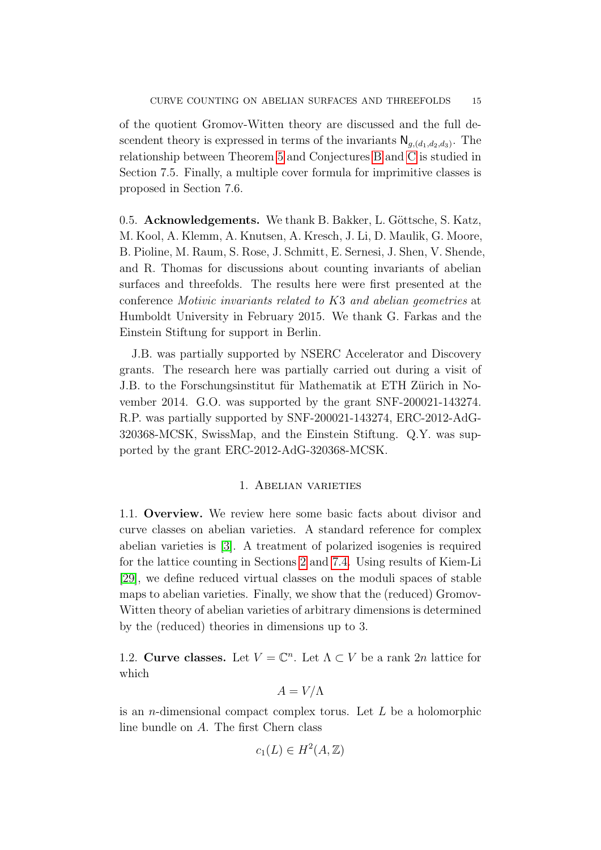of the quotient Gromov-Witten theory are discussed and the full descendent theory is expressed in terms of the invariants  $\mathsf{N}_{g,(d_1,d_2,d_3)}$ . The relationship between Theorem [5](#page-10-0) and Conjectures [B](#page-12-0) and [C](#page-12-1) is studied in Section 7.5. Finally, a multiple cover formula for imprimitive classes is proposed in Section 7.6.

0.5. Acknowledgements. We thank B. Bakker, L. Göttsche, S. Katz, M. Kool, A. Klemm, A. Knutsen, A. Kresch, J. Li, D. Maulik, G. Moore, B. Pioline, M. Raum, S. Rose, J. Schmitt, E. Sernesi, J. Shen, V. Shende, and R. Thomas for discussions about counting invariants of abelian surfaces and threefolds. The results here were first presented at the conference Motivic invariants related to K3 and abelian geometries at Humboldt University in February 2015. We thank G. Farkas and the Einstein Stiftung for support in Berlin.

J.B. was partially supported by NSERC Accelerator and Discovery grants. The research here was partially carried out during a visit of J.B. to the Forschungsinstitut für Mathematik at ETH Zürich in November 2014. G.O. was supported by the grant SNF-200021-143274. R.P. was partially supported by SNF-200021-143274, ERC-2012-AdG-320368-MCSK, SwissMap, and the Einstein Stiftung. Q.Y. was supported by the grant ERC-2012-AdG-320368-MCSK.

#### 1. Abelian varieties

<span id="page-14-0"></span>1.1. Overview. We review here some basic facts about divisor and curve classes on abelian varieties. A standard reference for complex abelian varieties is [\[3\]](#page-89-9). A treatment of polarized isogenies is required for the lattice counting in Sections [2](#page-23-1) and [7.4.](#page-83-0) Using results of Kiem-Li [\[29\]](#page-90-0), we define reduced virtual classes on the moduli spaces of stable maps to abelian varieties. Finally, we show that the (reduced) Gromov-Witten theory of abelian varieties of arbitrary dimensions is determined by the (reduced) theories in dimensions up to 3.

<span id="page-14-1"></span>1.2. Curve classes. Let  $V = \mathbb{C}^n$ . Let  $\Lambda \subset V$  be a rank 2n lattice for which

$$
A = V/\Lambda
$$

is an *n*-dimensional compact complex torus. Let  $L$  be a holomorphic line bundle on A. The first Chern class

$$
c_1(L) \in H^2(A, \mathbb{Z})
$$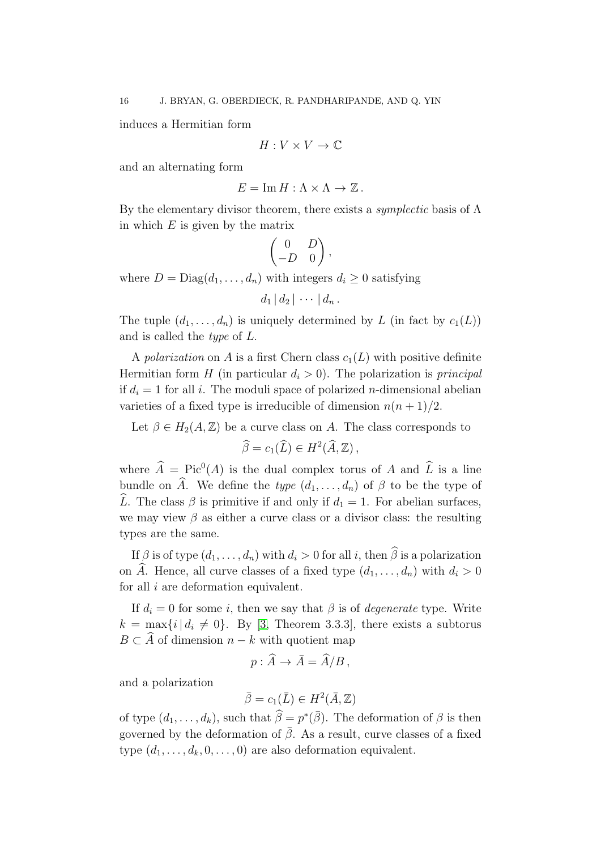induces a Hermitian form

$$
H:V\times V\rightarrow \mathbb{C}
$$

and an alternating form

$$
E = \operatorname{Im} H : \Lambda \times \Lambda \to \mathbb{Z}.
$$

By the elementary divisor theorem, there exists a symplectic basis of Λ in which  $E$  is given by the matrix

$$
\begin{pmatrix} 0 & D \\ -D & 0 \end{pmatrix},
$$

where  $D = \text{Diag}(d_1, \ldots, d_n)$  with integers  $d_i \geq 0$  satisfying

$$
d_1 | d_2 | \cdots | d_n.
$$

The tuple  $(d_1, \ldots, d_n)$  is uniquely determined by L (in fact by  $c_1(L)$ ) and is called the type of L.

A polarization on A is a first Chern class  $c_1(L)$  with positive definite Hermitian form H (in particular  $d_i > 0$ ). The polarization is *principal* if  $d_i = 1$  for all i. The moduli space of polarized *n*-dimensional abelian varieties of a fixed type is irreducible of dimension  $n(n+1)/2$ .

# Let  $\beta \in H_2(A, \mathbb{Z})$  be a curve class on A. The class corresponds to  $\widehat{\beta} = c_1(\widehat{L}) \in H^2(\widehat{A}, \mathbb{Z}),$

where  $\widehat{A} = \text{Pic}^0(A)$  is the dual complex torus of A and  $\widehat{L}$  is a line bundle on  $\widehat{A}$ . We define the type  $(d_1, \ldots, d_n)$  of  $\beta$  to be the type of L. The class  $\beta$  is primitive if and only if  $d_1 = 1$ . For abelian surfaces, we may view  $\beta$  as either a curve class or a divisor class: the resulting types are the same.

If  $\beta$  is of type  $(d_1, \ldots, d_n)$  with  $d_i > 0$  for all i, then  $\widehat{\beta}$  is a polarization on  $\widehat{A}$ . Hence, all curve classes of a fixed type  $(d_1, \ldots, d_n)$  with  $d_i > 0$ for all  $i$  are deformation equivalent.

If  $d_i = 0$  for some i, then we say that  $\beta$  is of *degenerate* type. Write  $k = \max\{i \mid d_i \neq 0\}$ . By [\[3,](#page-89-9) Theorem 3.3.3], there exists a subtorus  $B \subset \widehat{A}$  of dimension  $n - k$  with quotient map

$$
p: \widehat{A} \to \overline{A} = \widehat{A}/B,
$$

and a polarization

$$
\bar{\beta} = c_1(\bar{L}) \in H^2(\bar{A}, \mathbb{Z})
$$

of type  $(d_1, \ldots, d_k)$ , such that  $\widehat{\beta} = p^*(\overline{\beta})$ . The deformation of  $\beta$  is then governed by the deformation of  $\overline{\beta}$ . As a result, curve classes of a fixed type  $(d_1, \ldots, d_k, 0, \ldots, 0)$  are also deformation equivalent.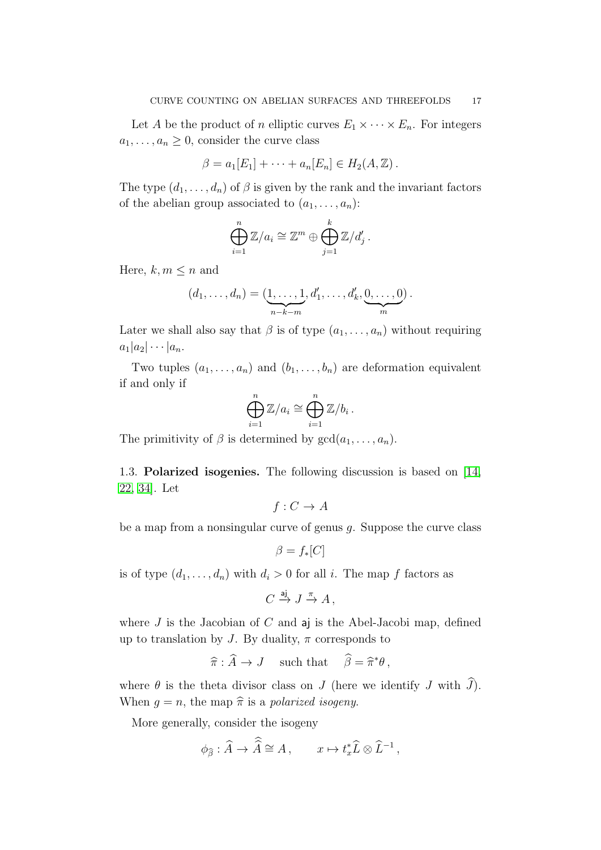Let A be the product of n elliptic curves  $E_1 \times \cdots \times E_n$ . For integers  $a_1, \ldots, a_n \geq 0$ , consider the curve class

$$
\beta = a_1[E_1] + \cdots + a_n[E_n] \in H_2(A, \mathbb{Z}).
$$

The type  $(d_1, \ldots, d_n)$  of  $\beta$  is given by the rank and the invariant factors of the abelian group associated to  $(a_1, \ldots, a_n)$ :

$$
\bigoplus_{i=1}^n \mathbb{Z}/a_i \cong \mathbb{Z}^m \oplus \bigoplus_{j=1}^k \mathbb{Z}/d'_j.
$$

Here,  $k, m \leq n$  and

$$
(d_1,\ldots,d_n)=(\underbrace{1,\ldots,1}_{n-k-m},d'_1,\ldots,d'_k,\underbrace{0,\ldots,0}_{m}).
$$

Later we shall also say that  $\beta$  is of type  $(a_1, \ldots, a_n)$  without requiring  $a_1|a_2|\cdots|a_n.$ 

Two tuples  $(a_1, \ldots, a_n)$  and  $(b_1, \ldots, b_n)$  are deformation equivalent if and only if

$$
\bigoplus_{i=1}^n \mathbb{Z}/a_i \cong \bigoplus_{i=1}^n \mathbb{Z}/b_i.
$$

The primitivity of  $\beta$  is determined by  $gcd(a_1, \ldots, a_n)$ .

<span id="page-16-0"></span>1.3. Polarized isogenies. The following discussion is based on [\[14,](#page-89-2) [22,](#page-90-1) [34\]](#page-90-6). Let

 $f: C \to A$ 

be a map from a nonsingular curve of genus  $q$ . Suppose the curve class

 $\beta = f_*[C]$ 

is of type  $(d_1, \ldots, d_n)$  with  $d_i > 0$  for all i. The map f factors as

 $C \stackrel{\mathsf{aj}}{\to} J \stackrel{\pi}{\to} A$ ,

where  $J$  is the Jacobian of  $C$  and  $a$ j is the Abel-Jacobi map, defined up to translation by J. By duality,  $\pi$  corresponds to

$$
\widehat{\pi} : \widehat{A} \to J \quad \text{ such that } \quad \widehat{\beta} = \widehat{\pi}^* \theta \,,
$$

where  $\theta$  is the theta divisor class on J (here we identify J with  $\widehat{J}$ ). When  $q = n$ , the map  $\hat{\pi}$  is a polarized isogeny.

More generally, consider the isogeny

$$
\phi_{\widehat{\beta}} : \widehat{A} \to \widehat{A} \cong A \,, \qquad x \mapsto t_x^* \widehat{L} \otimes \widehat{L}^{-1} \,,
$$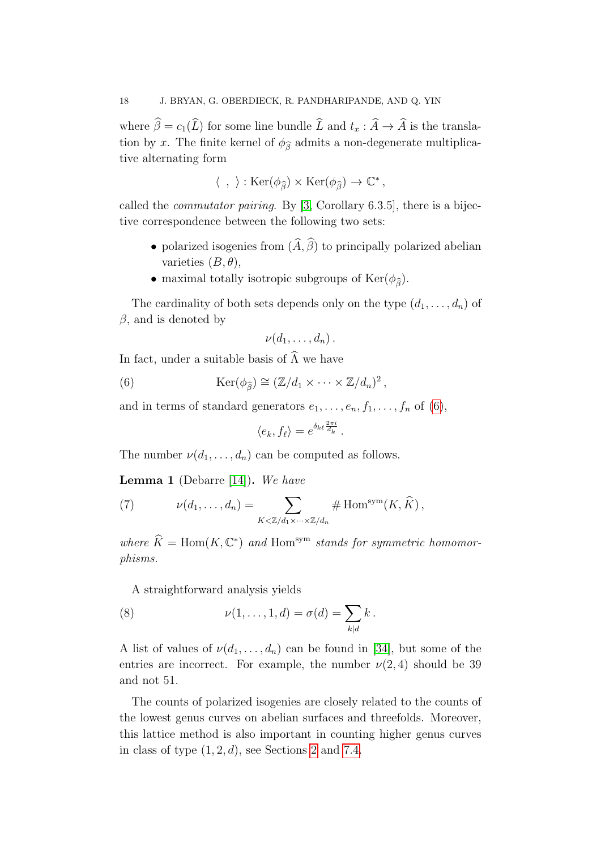where  $\hat{\beta} = c_1(\hat{L})$  for some line bundle  $\hat{L}$  and  $t_x : \hat{A} \to \hat{A}$  is the translation by x. The finite kernel of  $\phi_{\hat{\beta}}$  admits a non-degenerate multiplicative alternating form

$$
\langle\ ,\ \rangle: {\rm Ker}(\phi_{\widehat{\beta}})\times {\rm Ker}(\phi_{\widehat{\beta}})\to \mathbb C^*\,,
$$

called the *commutator pairing*. By [\[3,](#page-89-9) Corollary 6.3.5], there is a bijective correspondence between the following two sets:

- polarized isogenies from  $(\widehat{A}, \widehat{\beta})$  to principally polarized abelian varieties  $(B, \theta)$ ,
- maximal totally isotropic subgroups of  $\text{Ker}(\phi_{\widehat{\beta}})$ .

The cardinality of both sets depends only on the type  $(d_1, \ldots, d_n)$  of  $\beta$ , and is denoted by

<span id="page-17-0"></span>
$$
\nu(d_1,\ldots,d_n)\,.
$$

In fact, under a suitable basis of  $\widehat{\Lambda}$  we have

(6) 
$$
\operatorname{Ker}(\phi_{\widehat{\beta}}) \cong (\mathbb{Z}/d_1 \times \cdots \times \mathbb{Z}/d_n)^2,
$$

and in terms of standard generators  $e_1, \ldots, e_n, f_1, \ldots, f_n$  of [\(6\)](#page-17-0),

$$
\langle e_k, f_\ell \rangle = e^{\delta_{k\ell} \frac{2\pi i}{d_k}}.
$$

The number  $\nu(d_1, \ldots, d_n)$  can be computed as follows.

**Lemma 1** (Debarre [\[14\]](#page-89-2)). We have

<span id="page-17-2"></span>(7) 
$$
\nu(d_1,\ldots,d_n) = \sum_{K \leq \mathbb{Z}/d_1 \times \cdots \times \mathbb{Z}/d_n} \# \operatorname{Hom}^{\operatorname{sym}}(K,\widehat{K}),
$$

where  $\widehat{K} = \text{Hom}(K, \mathbb{C}^*)$  and  $\text{Hom}^{\text{sym}}$  stands for symmetric homomorphisms.

<span id="page-17-1"></span>A straightforward analysis yields

(8) 
$$
\nu(1,\ldots,1,d)=\sigma(d)=\sum_{k|d}k.
$$

A list of values of  $\nu(d_1, \ldots, d_n)$  can be found in [\[34\]](#page-90-6), but some of the entries are incorrect. For example, the number  $\nu(2, 4)$  should be 39 and not 51.

The counts of polarized isogenies are closely related to the counts of the lowest genus curves on abelian surfaces and threefolds. Moreover, this lattice method is also important in counting higher genus curves in class of type  $(1, 2, d)$  $(1, 2, d)$  $(1, 2, d)$ , see Sections 2 and [7.4.](#page-83-0)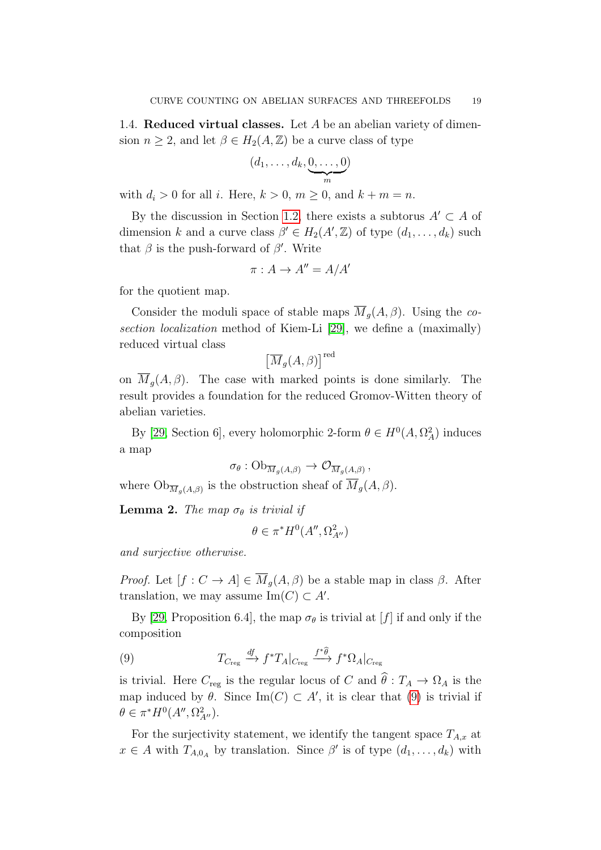1.4. Reduced virtual classes. Let A be an abelian variety of dimension  $n \geq 2$ , and let  $\beta \in H_2(A, \mathbb{Z})$  be a curve class of type

$$
(d_1,\ldots,d_k,\underbrace{0,\ldots,0}_{m})
$$

with  $d_i > 0$  for all i. Here,  $k > 0$ ,  $m \ge 0$ , and  $k + m = n$ .

By the discussion in Section [1.2,](#page-14-1) there exists a subtorus  $A' \subset A$  of dimension k and a curve class  $\beta' \in H_2(A', \mathbb{Z})$  of type  $(d_1, \ldots, d_k)$  such that  $\beta$  is the push-forward of  $\beta'$ . Write

$$
\pi: A \to A'' = A/A'
$$

for the quotient map.

Consider the moduli space of stable maps  $\overline{M}_q(A,\beta)$ . Using the cosection localization method of Kiem-Li [\[29\]](#page-90-0), we define a (maximally) reduced virtual class

$$
\left[\overline{M}_g(A,\beta)\right]^{\text{red}}
$$

on  $\overline{M}_q(A,\beta)$ . The case with marked points is done similarly. The result provides a foundation for the reduced Gromov-Witten theory of abelian varieties.

By [\[29,](#page-90-0) Section 6], every holomorphic 2-form  $\theta \in H^0(A, \Omega_A^2)$  induces a map

$$
\sigma_{\theta}: \mathrm{Ob}_{\overline{M}_g(A,\beta)} \to \mathcal{O}_{\overline{M}_g(A,\beta)},
$$

where  $\mathrm{Ob}_{\overline{M}_g(A,\beta)}$  is the obstruction sheaf of  $\overline{M}_g(A,\beta)$ .

**Lemma 2.** The map  $\sigma_{\theta}$  is trivial if

$$
\theta \in \pi^* H^0(A'', \Omega^2_{A''})
$$

and surjective otherwise.

*Proof.* Let  $[f: C \to A] \in \overline{M}_q(A, \beta)$  be a stable map in class  $\beta$ . After translation, we may assume  $\text{Im}(C) \subset A'$ .

By [\[29,](#page-90-0) Proposition 6.4], the map  $\sigma_{\theta}$  is trivial at [f] if and only if the composition

<span id="page-18-0"></span>(9) 
$$
T_{C_{\text{reg}}} \xrightarrow{df} f^* T_A |_{C_{\text{reg}}} \xrightarrow{f^* \hat{\theta}} f^* \Omega_A |_{C_{\text{reg}}}
$$

is trivial. Here  $C_{reg}$  is the regular locus of C and  $\hat{\theta}$  :  $T_A \rightarrow \Omega_A$  is the map induced by  $\theta$ . Since Im(C)  $\subset A'$ , it is clear that [\(9\)](#page-18-0) is trivial if  $\theta \in \pi^* H^0(A'', \Omega^2_{A''}).$ 

For the surjectivity statement, we identify the tangent space  $T_{A,x}$  at  $x \in A$  with  $T_{A,0_A}$  by translation. Since  $\beta'$  is of type  $(d_1,\ldots,d_k)$  with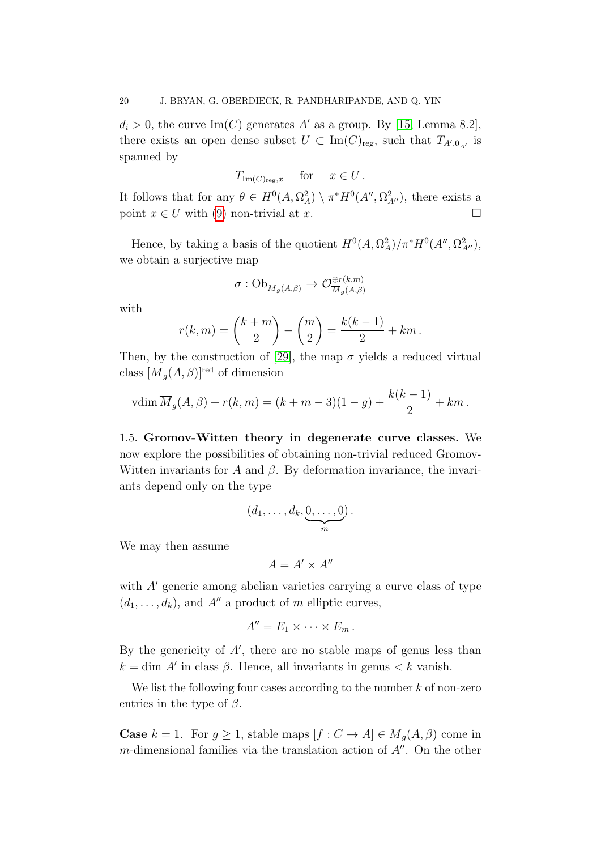$d_i > 0$ , the curve Im(C) generates A' as a group. By [\[15,](#page-89-10) Lemma 8.2], there exists an open dense subset  $U \subset \text{Im}(C)_{\text{reg}}$ , such that  $T_{A',0_{A'}}$  is spanned by

$$
T_{\mathrm{Im}(C)_{\mathrm{reg}},x} \quad \text{for} \quad x \in U.
$$

It follows that for any  $\theta \in H^0(A, \Omega_A^2) \setminus \pi^* H^0(A'', \Omega_{A''}^2)$ , there exists a point  $x \in U$  with [\(9\)](#page-18-0) non-trivial at x.

Hence, by taking a basis of the quotient  $H^0(A, \Omega_A^2)/\pi^*H^0(A'', \Omega_{A''}^2)$ , we obtain a surjective map

$$
\sigma: \mathrm{Ob}_{\overline{M}_g(A,\beta)} \to \mathcal{O}_{\overline{M}_g(A,\beta)}^{\oplus r(k,m)}
$$

with

$$
r(k,m) = {k+m \choose 2} - {m \choose 2} = \frac{k(k-1)}{2} + km.
$$

Then, by the construction of [\[29\]](#page-90-0), the map  $\sigma$  yields a reduced virtual class  $[\overline{M}_g(A,\beta)]^{\text{red}}$  of dimension

$$
v\dim \overline{M}_g(A,\beta) + r(k,m) = (k+m-3)(1-g) + \frac{k(k-1)}{2} + km.
$$

<span id="page-19-0"></span>1.5. Gromov-Witten theory in degenerate curve classes. We now explore the possibilities of obtaining non-trivial reduced Gromov-Witten invariants for A and  $\beta$ . By deformation invariance, the invariants depend only on the type

$$
(d_1,\ldots,d_k,\underbrace{0,\ldots,0}_{m}).
$$

We may then assume

$$
A=A'\times A''
$$

with  $A'$  generic among abelian varieties carrying a curve class of type  $(d_1, \ldots, d_k)$ , and A'' a product of m elliptic curves,

$$
A''=E_1\times\cdots\times E_m.
$$

By the genericity of  $A'$ , there are no stable maps of genus less than  $k = \dim A'$  in class  $\beta$ . Hence, all invariants in genus  $\lt k$  vanish.

We list the following four cases according to the number  $k$  of non-zero entries in the type of  $\beta$ .

**Case**  $k = 1$ . For  $g \ge 1$ , stable maps  $[f : C \to A] \in \overline{M}_g(A, \beta)$  come in m-dimensional families via the translation action of  $A''$ . On the other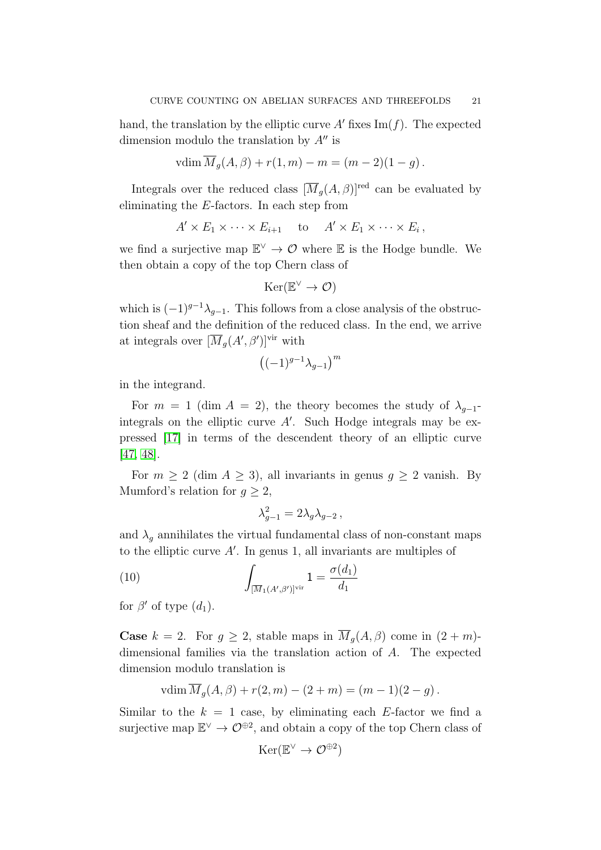hand, the translation by the elliptic curve A' fixes  $\text{Im}(f)$ . The expected dimension modulo the translation by  $A''$  is

$$
vdim \overline{M}_g(A,\beta) + r(1,m) - m = (m-2)(1-g).
$$

Integrals over the reduced class  $[\overline{M}_g(A, \beta)]^{\text{red}}$  can be evaluated by eliminating the E-factors. In each step from

$$
A' \times E_1 \times \cdots \times E_{i+1} \quad \text{to} \quad A' \times E_1 \times \cdots \times E_i,
$$

we find a surjective map  $\mathbb{E}^{\vee} \to \mathcal{O}$  where  $\mathbb E$  is the Hodge bundle. We then obtain a copy of the top Chern class of

$$
\mathrm{Ker}(\mathbb{E}^{\vee} \to \mathcal{O})
$$

which is  $(-1)^{g-1}\lambda_{g-1}$ . This follows from a close analysis of the obstruction sheaf and the definition of the reduced class. In the end, we arrive at integrals over  $[\overline{M}_g(A', \beta')]^{vir}$  with

$$
\left((-1)^{g-1}\lambda_{g-1}\right)^m
$$

in the integrand.

For  $m = 1$  (dim  $A = 2$ ), the theory becomes the study of  $\lambda_{g-1}$ integrals on the elliptic curve  $A'$ . Such Hodge integrals may be expressed [\[17\]](#page-89-11) in terms of the descendent theory of an elliptic curve [\[47,](#page-91-1) [48\]](#page-91-2).

For  $m \geq 2$  (dim  $A \geq 3$ ), all invariants in genus  $g \geq 2$  vanish. By Mumford's relation for  $q > 2$ ,

<span id="page-20-0"></span>
$$
\lambda_{g-1}^2 = 2 \lambda_g \lambda_{g-2} \,,
$$

and  $\lambda_q$  annihilates the virtual fundamental class of non-constant maps to the elliptic curve  $A'$ . In genus 1, all invariants are multiples of

(10) 
$$
\int_{\left[\overline{M}_1(A',\beta')\right]^{\text{vir}}} 1 = \frac{\sigma(d_1)}{d_1}
$$

for  $\beta'$  of type  $(d_1)$ .

**Case**  $k = 2$ . For  $g \geq 2$ , stable maps in  $\overline{M}_g(A, \beta)$  come in  $(2+m)$ dimensional families via the translation action of A. The expected dimension modulo translation is

$$
vdim \overline{M}_g(A, \beta) + r(2, m) - (2 + m) = (m - 1)(2 - g).
$$

Similar to the  $k = 1$  case, by eliminating each E-factor we find a surjective map  $\mathbb{E}^{\vee} \to \mathcal{O}^{\oplus 2}$ , and obtain a copy of the top Chern class of

$$
\mathrm{Ker}(\mathbb{E}^{\vee} \to \mathcal{O}^{\oplus 2})
$$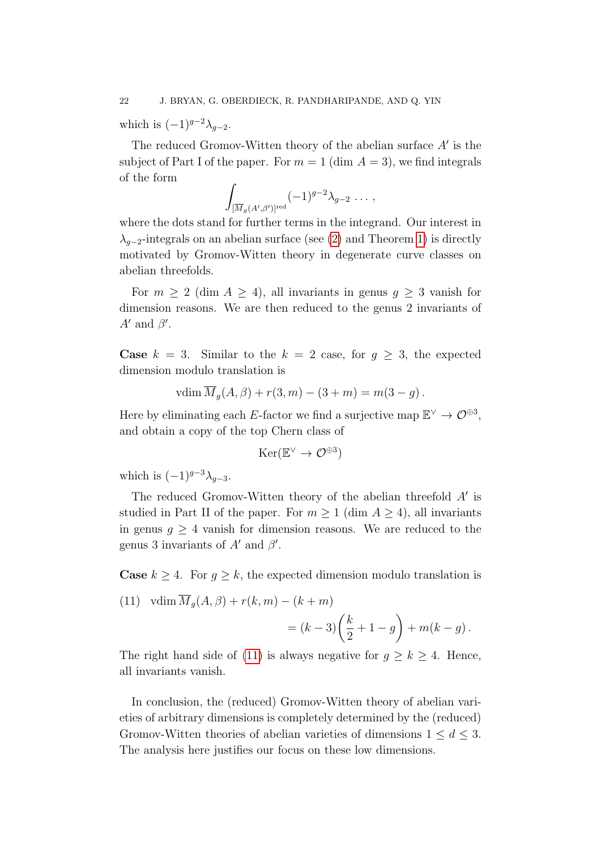which is  $(-1)^{g-2}\lambda_{g-2}$ .

The reduced Gromov-Witten theory of the abelian surface  $A'$  is the subject of Part I of the paper. For  $m = 1$  (dim  $A = 3$ ), we find integrals of the form

$$
\int_{[\overline{M}_g(A',\beta')]^{red}} (-1)^{g-2} \lambda_{g-2} \ldots ,
$$

where the dots stand for further terms in the integrand. Our interest in  $\lambda_{q-2}$ -integrals on an abelian surface (see [\(2\)](#page-3-0) and Theorem [1\)](#page-4-1) is directly motivated by Gromov-Witten theory in degenerate curve classes on abelian threefolds.

For  $m \geq 2$  (dim  $A \geq 4$ ), all invariants in genus  $g \geq 3$  vanish for dimension reasons. We are then reduced to the genus 2 invariants of  $A'$  and  $\beta'$ .

**Case**  $k = 3$ . Similar to the  $k = 2$  case, for  $q \geq 3$ , the expected dimension modulo translation is

$$
v\dim \overline{M}_g(A,\beta) + r(3,m) - (3+m) = m(3-g).
$$

Here by eliminating each E-factor we find a surjective map  $\mathbb{E}^{\vee} \to \mathcal{O}^{\oplus 3}$ , and obtain a copy of the top Chern class of

$$
\mathrm{Ker}(\mathbb{E}^{\vee} \to \mathcal{O}^{\oplus 3})
$$

which is  $(-1)^{g-3}\lambda_{g-3}$ .

The reduced Gromov-Witten theory of the abelian threefold  $A'$  is studied in Part II of the paper. For  $m \geq 1$  (dim  $A \geq 4$ ), all invariants in genus  $g \geq 4$  vanish for dimension reasons. We are reduced to the genus 3 invariants of  $A'$  and  $\beta'$ .

**Case**  $k \geq 4$ . For  $g \geq k$ , the expected dimension modulo translation is

<span id="page-21-0"></span>(11) 
$$
\operatorname{vdim} \overline{M}_g(A, \beta) + r(k, m) - (k + m)
$$

$$
= (k - 3) \left(\frac{k}{2} + 1 - g\right) + m(k - g).
$$

The right hand side of [\(11\)](#page-21-0) is always negative for  $g \geq k \geq 4$ . Hence, all invariants vanish.

In conclusion, the (reduced) Gromov-Witten theory of abelian varieties of arbitrary dimensions is completely determined by the (reduced) Gromov-Witten theories of abelian varieties of dimensions  $1 \leq d \leq 3$ . The analysis here justifies our focus on these low dimensions.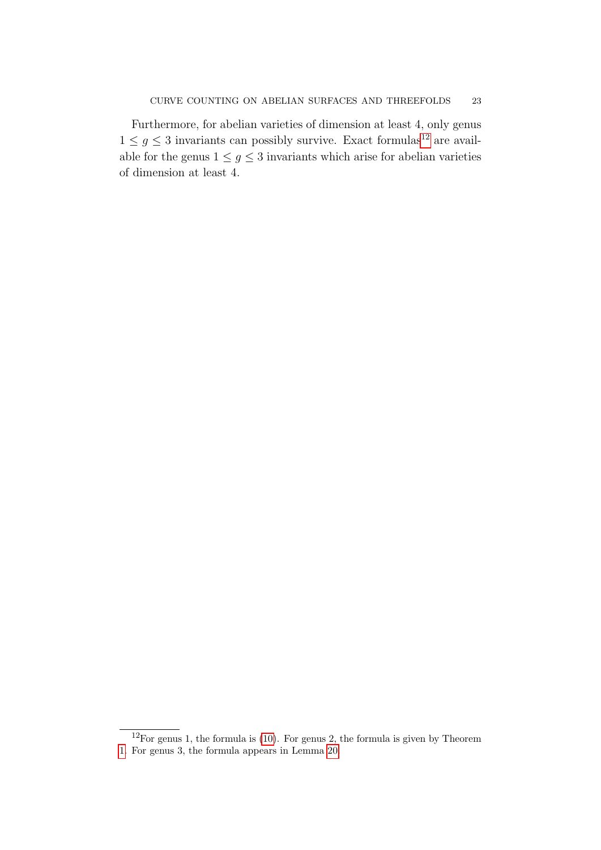Furthermore, for abelian varieties of dimension at least 4, only genus  $1\leq g\leq 3$  invariants can possibly survive. Exact formulas<br>[12](#page-22-0) are available for the genus  $1 \leq g \leq 3$  invariants which arise for abelian varieties of dimension at least 4.

<span id="page-22-0"></span> $12$ For genus 1, the formula is [\(10\)](#page-20-0). For genus 2, the formula is given by Theorem

[<sup>1.</sup>](#page-4-1) For genus 3, the formula appears in Lemma [20.](#page-83-1)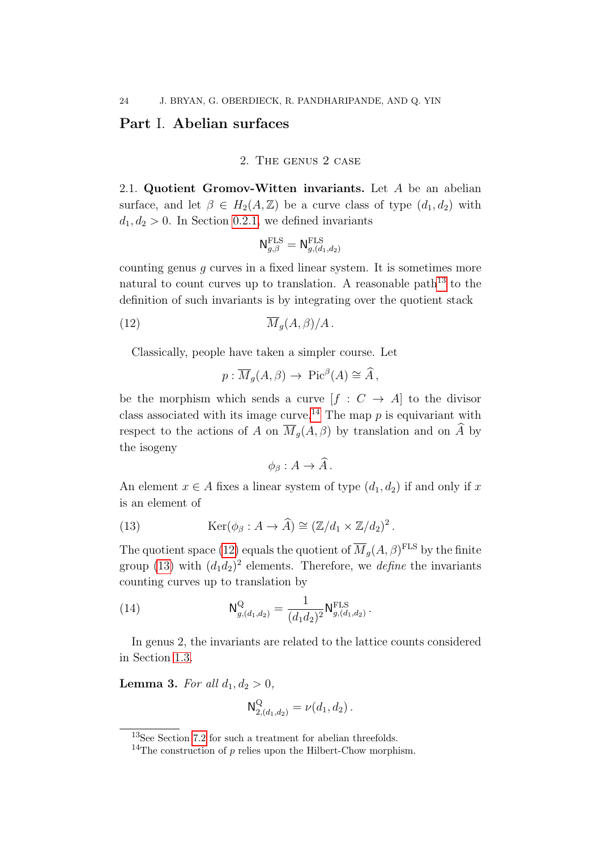## <span id="page-23-1"></span><span id="page-23-0"></span>Part I. Abelian surfaces

#### 2. The genus 2 case

2.1. Quotient Gromov-Witten invariants. Let A be an abelian surface, and let  $\beta \in H_2(A, \mathbb{Z})$  be a curve class of type  $(d_1, d_2)$  with  $d_1, d_2 > 0$ . In Section [0.2.1,](#page-3-2) we defined invariants

$$
\mathsf{N}^{\mathrm{FLS}}_{g,\beta}=\mathsf{N}^{\mathrm{FLS}}_{g,(d_1,d_2)}
$$

counting genus  $g$  curves in a fixed linear system. It is sometimes more natural to count curves up to translation. A reasonable path<sup>[13](#page-23-2)</sup> to the definition of such invariants is by integrating over the quotient stack

$$
\overline{M}_g(A,\beta)/A.
$$

Classically, people have taken a simpler course. Let

<span id="page-23-4"></span>
$$
p: \overline{M}_g(A, \beta) \to Pic^{\beta}(A) \cong \widehat{A},
$$

be the morphism which sends a curve  $[f: C \rightarrow A]$  to the divisor class associated with its image curve.<sup>[14](#page-23-3)</sup> The map  $p$  is equivariant with respect to the actions of A on  $\overline{M}_g(A,\beta)$  by translation and on  $\widehat{A}$  by the isogeny

<span id="page-23-5"></span>
$$
\phi_{\beta}: A \to \widehat{A}.
$$

An element  $x \in A$  fixes a linear system of type  $(d_1, d_2)$  if and only if x is an element of

(13) 
$$
\operatorname{Ker}(\phi_{\beta}: A \to \widehat{A}) \cong (\mathbb{Z}/d_1 \times \mathbb{Z}/d_2)^2.
$$

The quotient space [\(12\)](#page-23-4) equals the quotient of  $\overline{M}_g(A,\beta)^{\text{FLS}}$  by the finite group [\(13\)](#page-23-5) with  $(d_1d_2)^2$  elements. Therefore, we *define* the invariants counting curves up to translation by

(14) 
$$
\mathsf{N}_{g,(d_1,d_2)}^{\mathsf{Q}} = \frac{1}{(d_1d_2)^2} \mathsf{N}_{g,(d_1,d_2)}^{\text{FLS}}.
$$

In genus 2, the invariants are related to the lattice counts considered in Section [1.3.](#page-16-0)

<span id="page-23-6"></span>Lemma 3. For all  $d_1, d_2 > 0$ ,

<span id="page-23-7"></span>
$$
\mathsf{N}_{2,(d_1,d_2)}^{\mathsf{Q}} = \nu(d_1,d_2) \,.
$$

<span id="page-23-2"></span><sup>13</sup>See Section [7.2](#page-78-0) for such a treatment for abelian threefolds.

<span id="page-23-3"></span><sup>&</sup>lt;sup>14</sup>The construction of  $p$  relies upon the Hilbert-Chow morphism.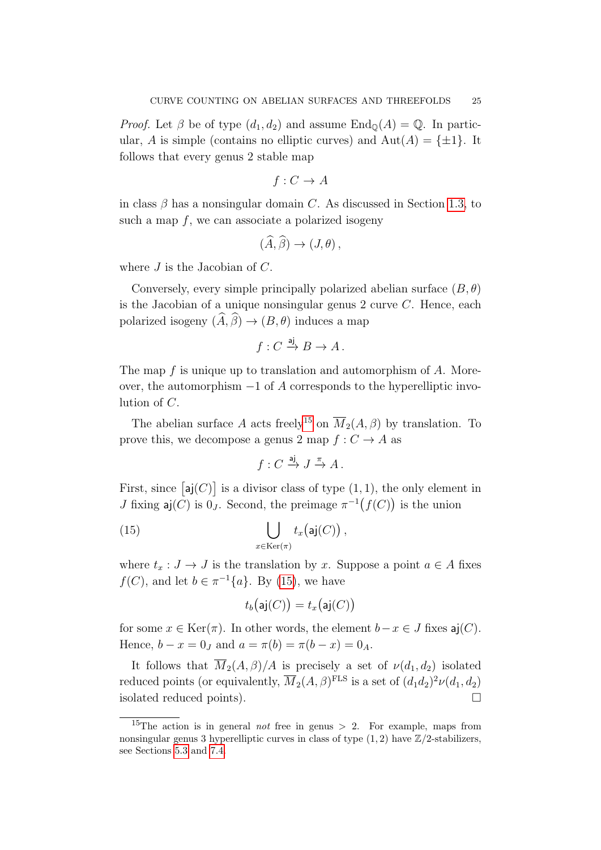*Proof.* Let  $\beta$  be of type  $(d_1, d_2)$  and assume  $\text{End}_{\mathbb{Q}}(A) = \mathbb{Q}$ . In particular, A is simple (contains no elliptic curves) and  $Aut(A) = \{\pm 1\}$ . It follows that every genus 2 stable map

$$
f: C \to A
$$

in class  $\beta$  has a nonsingular domain C. As discussed in Section [1.3,](#page-16-0) to such a map  $f$ , we can associate a polarized isogeny

$$
(\widehat{A}, \widehat{\beta}) \to (J, \theta) \,,
$$

where  $J$  is the Jacobian of  $C$ .

Conversely, every simple principally polarized abelian surface  $(B, \theta)$ is the Jacobian of a unique nonsingular genus 2 curve C. Hence, each polarized isogeny  $(\widehat{A}, \widehat{\beta}) \to (B, \theta)$  induces a map

$$
f: C \xrightarrow{\text{aj}} B \to A.
$$

The map f is unique up to translation and automorphism of A. Moreover, the automorphism  $-1$  of A corresponds to the hyperelliptic involution of C.

The abelian surface A acts freely<sup>[15](#page-24-0)</sup> on  $\overline{M}_2(A, \beta)$  by translation. To prove this, we decompose a genus 2 map  $f: C \to A$  as

<span id="page-24-1"></span>
$$
f: C \xrightarrow{\text{aj}} J \xrightarrow{\pi} A.
$$

First, since  $[aj(C)]$  is a divisor class of type  $(1, 1)$ , the only element in *J* fixing  $\mathsf{aj}(C)$  is  $0_J$ . Second, the preimage  $\pi^{-1}(f(C))$  is the union

(15) 
$$
\bigcup_{x \in \text{Ker}(\pi)} t_x(\mathsf{aj}(C)),
$$

where  $t_x : J \to J$  is the translation by x. Suppose a point  $a \in A$  fixes  $f(C)$ , and let  $b \in \pi^{-1}\{a\}$ . By [\(15\)](#page-24-1), we have

$$
t_b\bigl(\mathsf{aj}(C)\bigr) = t_x\bigl(\mathsf{aj}(C)\bigr)
$$

for some  $x \in \text{Ker}(\pi)$ . In other words, the element  $b-x \in J$  fixes  $a_i(C)$ . Hence,  $b - x = 0$  and  $a = \pi(b) = \pi(b - x) = 0$ <sub>A</sub>.

It follows that  $\overline{M}_2(A, \beta)/A$  is precisely a set of  $\nu(d_1, d_2)$  isolated reduced points (or equivalently,  $\overline{M}_2(A, \beta)^{\text{FLS}}$  is a set of  $(d_1d_2)^2\nu(d_1, d_2)$ isolated reduced points).

<span id="page-24-0"></span><sup>&</sup>lt;sup>15</sup>The action is in general *not* free in genus  $> 2$ . For example, maps from nonsingular genus 3 hyperelliptic curves in class of type  $(1, 2)$  have  $\mathbb{Z}/2$ -stabilizers, see Sections [5.3](#page-56-0) and [7.4.](#page-83-0)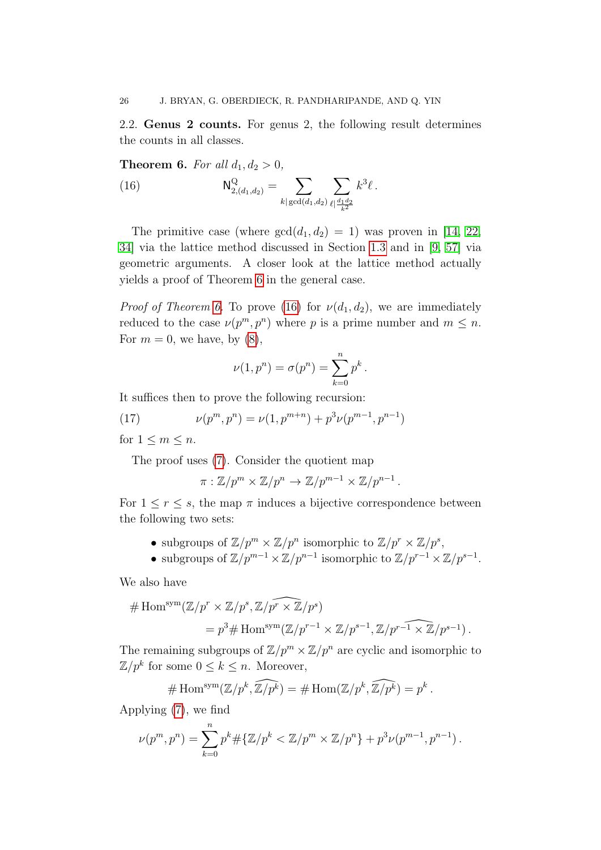2.2. Genus 2 counts. For genus 2, the following result determines the counts in all classes.

<span id="page-25-0"></span>**Theorem 6.** For all  $d_1, d_2 > 0$ ,

<span id="page-25-1"></span>(16) 
$$
\mathsf{N}_{2,(d_1,d_2)}^{\mathcal{Q}} = \sum_{k | \gcd(d_1,d_2)} \sum_{\ell | \frac{d_1 d_2}{k^2}} k^3 \ell.
$$

The primitive case (where  $gcd(d_1, d_2) = 1$ ) was proven in [\[14,](#page-89-2) [22,](#page-90-1) [34\]](#page-90-6) via the lattice method discussed in Section [1.3](#page-16-0) and in [\[9,](#page-89-1) [57\]](#page-91-3) via geometric arguments. A closer look at the lattice method actually yields a proof of Theorem [6](#page-25-0) in the general case.

*Proof of Theorem [6.](#page-25-0)* To prove [\(16\)](#page-25-1) for  $\nu(d_1, d_2)$ , we are immediately reduced to the case  $\nu(p^m, p^n)$  where p is a prime number and  $m \leq n$ . For  $m = 0$ , we have, by  $(8)$ ,

<span id="page-25-2"></span>
$$
\nu(1,p^n) = \sigma(p^n) = \sum_{k=0}^n p^k.
$$

It suffices then to prove the following recursion:

(17) 
$$
\nu(p^m, p^n) = \nu(1, p^{m+n}) + p^3 \nu(p^{m-1}, p^{n-1})
$$
for  $1 \le m \le n$ 

for  $1 \leq m \leq n$ .

The proof uses [\(7\)](#page-17-2). Consider the quotient map

$$
\pi : \mathbb{Z}/p^m \times \mathbb{Z}/p^n \to \mathbb{Z}/p^{m-1} \times \mathbb{Z}/p^{n-1}.
$$

For  $1 \leq r \leq s$ , the map  $\pi$  induces a bijective correspondence between the following two sets:

- subgroups of  $\mathbb{Z}/p^m \times \mathbb{Z}/p^n$  isomorphic to  $\mathbb{Z}/p^r \times \mathbb{Z}/p^s$ ,
- subgroups of  $\mathbb{Z}/p^{m-1} \times \mathbb{Z}/p^{n-1}$  isomorphic to  $\mathbb{Z}/p^{r-1} \times \mathbb{Z}/p^{s-1}$ .

We also have

$$
# Homsym(\mathbb{Z}/pr \times \mathbb{Z}/ps, \mathbb{Z}/pr \times \mathbb{Z}/ps)
$$
  
=  $p3# Homsym(\mathbb{Z}/pr-1 \times \mathbb{Z}/ps-1, \mathbb{Z}/ps-1 \times \mathbb{Z}/ps-1).$ 

The remaining subgroups of  $\mathbb{Z}/p^m \times \mathbb{Z}/p^n$  are cyclic and isomorphic to  $\mathbb{Z}/p^k$  for some  $0 \leq k \leq n$ . Moreover,

# Hom<sup>sym</sup>(
$$
\mathbb{Z}/p^k
$$
,  $\widehat{\mathbb{Z}/p^k}$ ) = # Hom( $\mathbb{Z}/p^k$ ,  $\widehat{\mathbb{Z}/p^k}$ ) =  $p^k$ .

Applying [\(7\)](#page-17-2), we find

$$
\nu(p^m, p^n) = \sum_{k=0}^n p^k \# \{ \mathbb{Z}/p^k < \mathbb{Z}/p^m \times \mathbb{Z}/p^n \} + p^3 \nu(p^{m-1}, p^{n-1}).
$$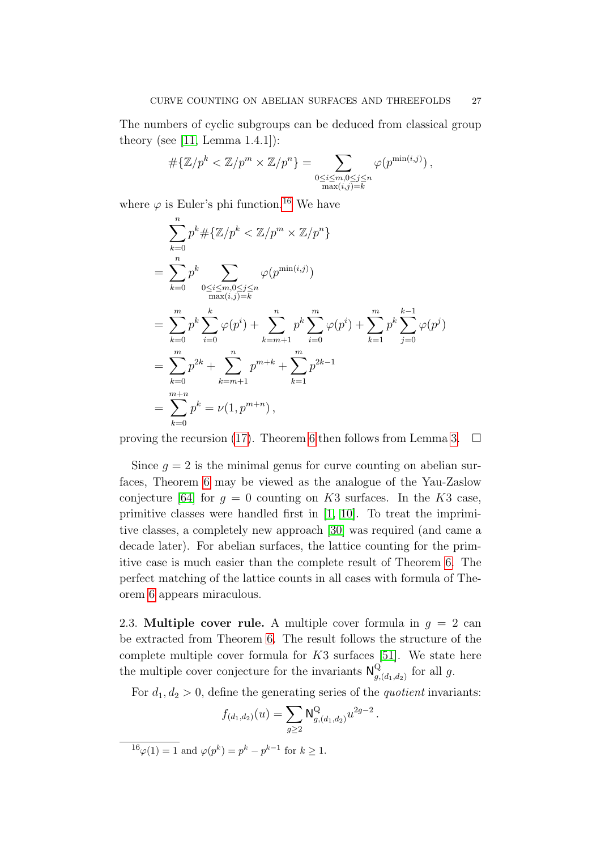The numbers of cyclic subgroups can be deduced from classical group theory (see [\[11,](#page-89-12) Lemma 1.4.1]):

$$
\#\{\mathbb{Z}/p^k < \mathbb{Z}/p^m \times \mathbb{Z}/p^n\} = \sum_{\substack{0 \le i \le m, 0 \le j \le n \\ \max(i,j)=k}} \varphi(p^{\min(i,j)}) \,,
$$

where  $\varphi$  is Euler's phi function.<sup>[16](#page-26-1)</sup> We have

$$
\sum_{k=0}^{n} p^{k} \# \{ \mathbb{Z}/p^{k} < \mathbb{Z}/p^{m} \} \newline = \sum_{k=0}^{n} p^{k} \sum_{0 \le i \le m, 0 \le j \le n} \varphi(p^{\min(i,j)}) \newline = \sum_{k=0}^{m} p^{k} \sum_{i=0}^{k} \varphi(p^{i}) + \sum_{k=m+1}^{n} p^{k} \sum_{i=0}^{m} \varphi(p^{i}) + \sum_{k=1}^{m} p^{k} \sum_{j=0}^{k-1} \varphi(p^{j}) \newline = \sum_{k=0}^{m} p^{2k} + \sum_{k=m+1}^{n} p^{m+k} + \sum_{k=1}^{m} p^{2k-1} \newline = \sum_{k=0}^{m+n} p^{k} = \nu(1, p^{m+n}),
$$

proving the recursion [\(17\)](#page-25-2). Theorem [6](#page-25-0) then follows from Lemma [3.](#page-23-6)  $\Box$ 

Since  $q = 2$  is the minimal genus for curve counting on abelian surfaces, Theorem [6](#page-25-0) may be viewed as the analogue of the Yau-Zaslow conjecture [\[64\]](#page-91-12) for  $q = 0$  counting on K3 surfaces. In the K3 case, primitive classes were handled first in [\[1,](#page-89-13) [10\]](#page-89-14). To treat the imprimitive classes, a completely new approach [\[30\]](#page-90-7) was required (and came a decade later). For abelian surfaces, the lattice counting for the primitive case is much easier than the complete result of Theorem [6.](#page-25-0) The perfect matching of the lattice counts in all cases with formula of Theorem [6](#page-25-0) appears miraculous.

<span id="page-26-0"></span>2.3. Multiple cover rule. A multiple cover formula in  $q = 2$  can be extracted from Theorem [6.](#page-25-0) The result follows the structure of the complete multiple cover formula for  $K3$  surfaces [\[51\]](#page-91-5). We state here the multiple cover conjecture for the invariants  $\mathsf{N}_{q}^{\mathsf{Q}}$  $\mathcal{Q}_{g,(d_1,d_2)}$  for all g.

For  $d_1, d_2 > 0$ , define the generating series of the *quotient* invariants:

$$
f_{(d_1,d_2)}(u) = \sum_{g \ge 2} \mathsf{N}^{\mathsf{Q}}_{g,(d_1,d_2)} u^{2g-2}.
$$

<span id="page-26-1"></span> $1^6\varphi(1) = 1$  and  $\varphi(p^k) = p^k - p^{k-1}$  for  $k \ge 1$ .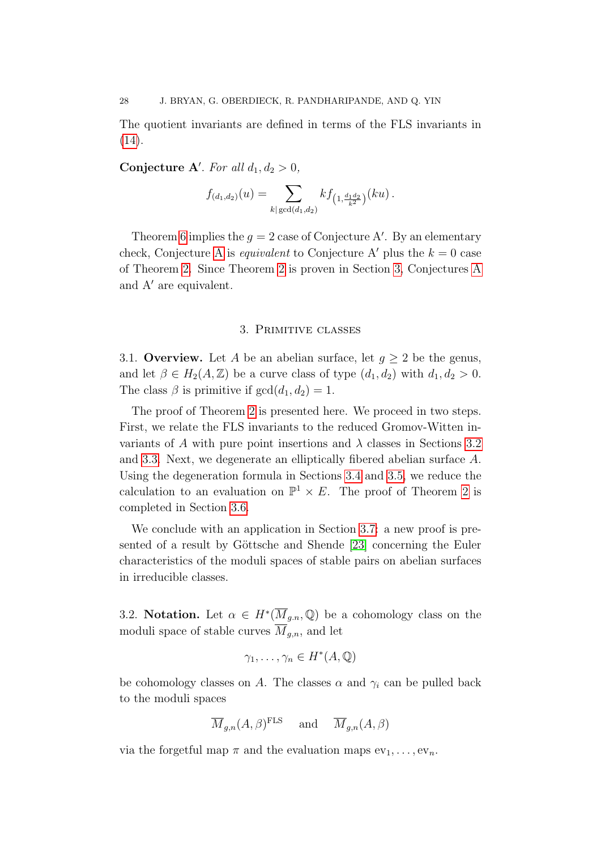The quotient invariants are defined in terms of the FLS invariants in [\(14\)](#page-23-7).

Conjecture A'. For all  $d_1, d_2 > 0$ ,

$$
f_{(d_1,d_2)}(u) = \sum_{k | \gcd(d_1,d_2)} k f_{(1,\frac{d_1d_2}{k^2})}(ku).
$$

Theorem [6](#page-25-0) implies the  $g = 2$  case of Conjecture A'. By an elementary check, Conjecture [A](#page-3-1) is *equivalent* to Conjecture A' plus the  $k = 0$  case of Theorem [2.](#page-5-0) Since Theorem [2](#page-5-0) is proven in Section [3,](#page-27-0) Conjectures [A](#page-3-1) and  $A'$  are equivalent.

#### 3. Primitive classes

<span id="page-27-0"></span>3.1. Overview. Let A be an abelian surface, let  $g \geq 2$  be the genus, and let  $\beta \in H_2(A, \mathbb{Z})$  be a curve class of type  $(d_1, d_2)$  with  $d_1, d_2 > 0$ . The class  $\beta$  is primitive if  $gcd(d_1, d_2) = 1$ .

The proof of Theorem [2](#page-5-0) is presented here. We proceed in two steps. First, we relate the FLS invariants to the reduced Gromov-Witten invariants of A with pure point insertions and  $\lambda$  classes in Sections [3.2](#page-27-1) and [3.3.](#page-29-0) Next, we degenerate an elliptically fibered abelian surface A. Using the degeneration formula in Sections [3.4](#page-31-0) and [3.5,](#page-32-0) we reduce the calculation to an evaluation on  $\mathbb{P}^1 \times E$ . The proof of Theorem [2](#page-5-0) is completed in Section [3.6.](#page-34-0)

We conclude with an application in Section [3.7:](#page-35-0) a new proof is pre-sented of a result by Göttsche and Shende [\[23\]](#page-90-5) concerning the Euler characteristics of the moduli spaces of stable pairs on abelian surfaces in irreducible classes.

<span id="page-27-1"></span>3.2. Notation. Let  $\alpha \in H^*(\overline{M}_{g,n}, \mathbb{Q})$  be a cohomology class on the moduli space of stable curves  $M_{g,n}$ , and let

$$
\gamma_1,\ldots,\gamma_n\in H^*(A,\mathbb{Q})
$$

be cohomology classes on A. The classes  $\alpha$  and  $\gamma_i$  can be pulled back to the moduli spaces

$$
\overline{M}_{g,n}(A,\beta)^{\text{FLS}} \quad \text{ and } \quad \overline{M}_{g,n}(A,\beta)
$$

via the forgetful map  $\pi$  and the evaluation maps  $ev_1, \ldots, ev_n$ .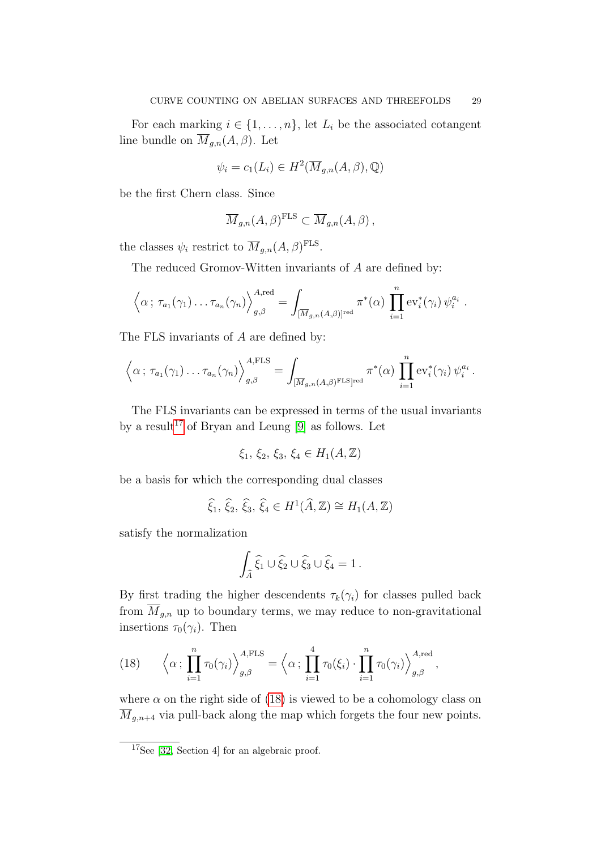For each marking  $i \in \{1, \ldots, n\}$ , let  $L_i$  be the associated cotangent line bundle on  $\overline{M}_{g,n}(A, \beta)$ . Let

$$
\psi_i = c_1(L_i) \in H^2(\overline{M}_{g,n}(A,\beta), \mathbb{Q})
$$

be the first Chern class. Since

$$
\overline{M}_{g,n}(A,\beta)^{\text{FLS}} \subset \overline{M}_{g,n}(A,\beta),
$$

the classes  $\psi_i$  restrict to  $\overline{M}_{g,n}(A,\beta)^{\text{FLS}}$ .

The reduced Gromov-Witten invariants of A are defined by:

$$
\left\langle \alpha \, ; \, \tau_{a_1}(\gamma_1) \ldots \tau_{a_n}(\gamma_n) \right\rangle_{g,\beta}^{A,\text{red}} = \int_{[\overline{M}_{g,n}(A,\beta)]^{\text{red}}} \pi^*(\alpha) \, \prod_{i=1}^n \text{ev}_i^*(\gamma_i) \, \psi_i^{a_i} \, .
$$

The FLS invariants of A are defined by:

$$
\left\langle \alpha \, ; \, \tau_{a_1}(\gamma_1) \ldots \tau_{a_n}(\gamma_n) \right\rangle_{g,\beta}^{A,\text{FLS}} = \int_{[\overline{M}_{g,n}(A,\beta)^{\text{FLS}}]^{\text{red}}} \pi^*(\alpha) \, \prod_{i=1}^n \text{ev}_i^*(\gamma_i) \, \psi_i^{a_i} \, .
$$

The FLS invariants can be expressed in terms of the usual invariants by a result<sup>[17](#page-28-0)</sup> of Bryan and Leung [\[9\]](#page-89-1) as follows. Let

$$
\xi_1, \, \xi_2, \, \xi_3, \, \xi_4 \in H_1(A, \mathbb{Z})
$$

be a basis for which the corresponding dual classes

$$
\widehat{\xi}_1, \widehat{\xi}_2, \widehat{\xi}_3, \widehat{\xi}_4 \in H^1(\widehat{A}, \mathbb{Z}) \cong H_1(A, \mathbb{Z})
$$

satisfy the normalization

$$
\int_{\widehat{A}} \widehat{\xi}_1 \cup \widehat{\xi}_2 \cup \widehat{\xi}_3 \cup \widehat{\xi}_4 = 1.
$$

By first trading the higher descendents  $\tau_k(\gamma_i)$  for classes pulled back from  $\overline{M}_{g,n}$  up to boundary terms, we may reduce to non-gravitational insertions  $\tau_0(\gamma_i)$ . Then

<span id="page-28-1"></span>(18) 
$$
\left\langle \alpha \, ; \, \prod_{i=1}^n \tau_0(\gamma_i) \right\rangle_{g,\beta}^{A,\text{FLS}} = \left\langle \alpha \, ; \, \prod_{i=1}^4 \tau_0(\xi_i) \cdot \prod_{i=1}^n \tau_0(\gamma_i) \right\rangle_{g,\beta}^{A,\text{red}},
$$

where  $\alpha$  on the right side of [\(18\)](#page-28-1) is viewed to be a cohomology class on  $\overline{M}_{q,n+4}$  via pull-back along the map which forgets the four new points.

<span id="page-28-0"></span><sup>&</sup>lt;sup>17</sup>See [\[32,](#page-90-2) Section 4] for an algebraic proof.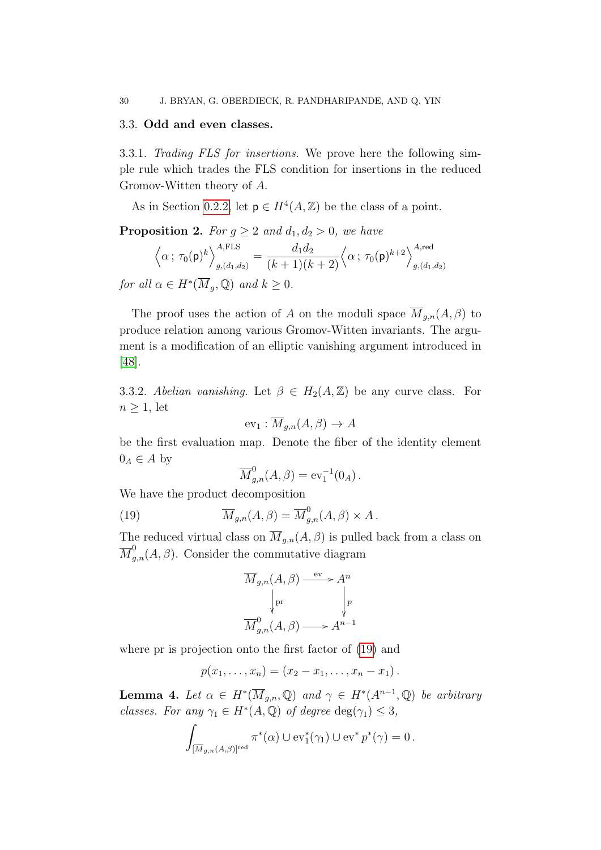#### <span id="page-29-0"></span>3.3. Odd and even classes.

3.3.1. Trading FLS for insertions. We prove here the following simple rule which trades the FLS condition for insertions in the reduced Gromov-Witten theory of A.

As in Section [0.2.2,](#page-4-2) let  $p \in H^4(A, \mathbb{Z})$  be the class of a point.

<span id="page-29-2"></span>**Proposition 2.** For  $g \geq 2$  and  $d_1, d_2 > 0$ , we have

$$
\left\langle \alpha \, ; \, \tau_0(\mathsf{p})^k \right\rangle_{g,(d_1,d_2)}^{A,\text{FLS}} = \frac{d_1 d_2}{(k+1)(k+2)} \left\langle \alpha \, ; \, \tau_0(\mathsf{p})^{k+2} \right\rangle_{g,(d_1,d_2)}^{A,\text{red}}
$$

for all  $\alpha \in H^*(\overline{M}_g, \mathbb{Q})$  and  $k \geq 0$ .

The proof uses the action of A on the moduli space  $\overline{M}_{q,n}(A,\beta)$  to produce relation among various Gromov-Witten invariants. The argument is a modification of an elliptic vanishing argument introduced in [\[48\]](#page-91-2).

<span id="page-29-3"></span>3.3.2. Abelian vanishing. Let  $\beta \in H_2(A, \mathbb{Z})$  be any curve class. For  $n \geq 1$ , let

$$
ev_1: \overline{M}_{g,n}(A,\beta) \to A
$$

be the first evaluation map. Denote the fiber of the identity element  $0_A \in A$  by

<span id="page-29-1"></span>
$$
\overline{M}_{g,n}^0(A,\beta) = \text{ev}_1^{-1}(0_A).
$$

We have the product decomposition

(19) 
$$
\overline{M}_{g,n}(A,\beta) = \overline{M}_{g,n}^0(A,\beta) \times A.
$$

The reduced virtual class on  $\overline{M}_{g,n}(A, \beta)$  is pulled back from a class on  $\overline{M}_{g,n}^0(A,\beta)$ . Consider the commutative diagram

$$
\overline{M}_{g,n}(A,\beta) \xrightarrow{\text{ev}} A^n
$$
\n
$$
\downarrow^{\text{pr}} \qquad \qquad \downarrow^{\text{p}}_{g,n}(A,\beta) \longrightarrow A^{n-1}
$$

where pr is projection onto the first factor of [\(19\)](#page-29-1) and

$$
p(x_1,...,x_n) = (x_2 - x_1,...,x_n - x_1).
$$

<span id="page-29-4"></span>**Lemma 4.** Let  $\alpha \in H^*(\overline{M}_{g,n}, \mathbb{Q})$  and  $\gamma \in H^*(A^{n-1}, \mathbb{Q})$  be arbitrary classes. For any  $\gamma_1 \in H^*(A, \mathbb{Q})$  of degree  $\deg(\gamma_1) \leq 3$ ,

$$
\int_{[\overline{M}_{g,n}(A,\beta)]^{\text{red}}} \pi^*(\alpha) \cup \text{ev}_1^*(\gamma_1) \cup \text{ev}^* p^*(\gamma) = 0.
$$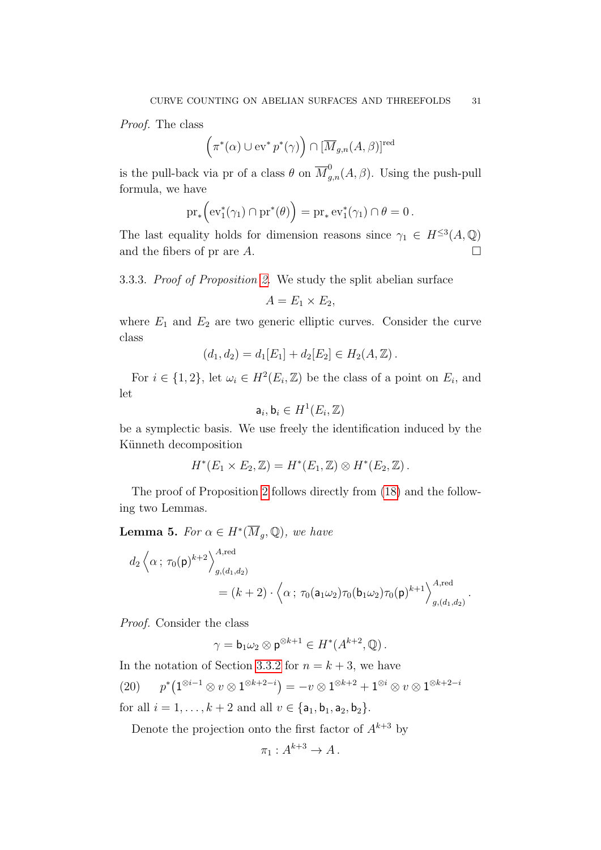Proof. The class

$$
(\pi^*(\alpha) \cup \text{ev}^* p^*(\gamma)) \cap [\overline{M}_{g,n}(A,\beta)]^{\text{red}}
$$

is the pull-back via pr of a class  $\theta$  on  $\overline{M}_{g,n}^0(A,\beta)$ . Using the push-pull formula, we have

$$
\mathrm{pr}_* \Big(\mathrm{ev}_1^*(\gamma_1) \cap \mathrm{pr}^*(\theta) \Big) = \mathrm{pr}_* \mathrm{ev}_1^*(\gamma_1) \cap \theta = 0 \, .
$$

The last equality holds for dimension reasons since  $\gamma_1 \in H^{\leq 3}(A, \mathbb{Q})$ and the fibers of pr are  $A$ .

3.3.3. Proof of Proposition [2.](#page-29-2) We study the split abelian surface

$$
A=E_1\times E_2,
$$

where  $E_1$  and  $E_2$  are two generic elliptic curves. Consider the curve class

$$
(d_1, d_2) = d_1[E_1] + d_2[E_2] \in H_2(A, \mathbb{Z}).
$$

For  $i \in \{1,2\}$ , let  $\omega_i \in H^2(E_i, \mathbb{Z})$  be the class of a point on  $E_i$ , and let

$$
\mathsf{a}_i,\mathsf{b}_i\in H^1(E_i,\mathbb{Z})
$$

be a symplectic basis. We use freely the identification induced by the Künneth decomposition

$$
H^*(E_1 \times E_2, \mathbb{Z}) = H^*(E_1, \mathbb{Z}) \otimes H^*(E_2, \mathbb{Z}).
$$

The proof of Proposition [2](#page-29-2) follows directly from [\(18\)](#page-28-1) and the following two Lemmas.

<span id="page-30-1"></span>**Lemma 5.** For  $\alpha \in H^*(\overline{M}_g, \mathbb{Q})$ , we have

$$
d_2 \left\langle \alpha ; \tau_0(\mathbf{p})^{k+2} \right\rangle_{g,(d_1,d_2)}^{A,\text{red}}
$$
  
=  $(k+2) \cdot \left\langle \alpha ; \tau_0(a_1 \omega_2) \tau_0(b_1 \omega_2) \tau_0(\mathbf{p})^{k+1} \right\rangle_{g,(d_1,d_2)}^{A,\text{red}}.$ 

Proof. Consider the class

$$
\gamma = \mathsf{b}_1 \omega_2 \otimes \mathsf{p}^{\otimes k+1} \in H^*(A^{k+2}, \mathbb{Q})\,.
$$

<span id="page-30-0"></span>In the notation of Section [3.3.2](#page-29-3) for  $n = k + 3$ , we have  $(20)$  $\mathcal{O}^*(1^{\otimes i-1} \otimes v \otimes 1^{\otimes k+2-i}) = -v \otimes 1^{\otimes k+2} + 1^{\otimes i} \otimes v \otimes 1^{\otimes k+2-i}$ for all  $i = 1, ..., k + 2$  and all  $v \in \{a_1, b_1, a_2, b_2\}.$ 

Denote the projection onto the first factor of  $A^{k+3}$  by

$$
\pi_1: A^{k+3} \to A.
$$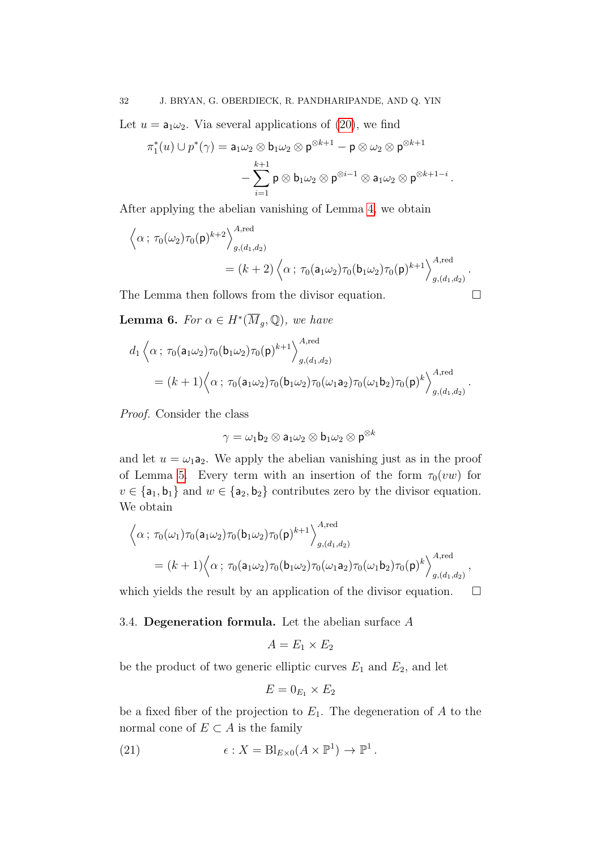Let  $u = a_1 \omega_2$ . Via several applications of [\(20\)](#page-30-0), we find

$$
\pi_1^*(u) \cup p^*(\gamma) = \mathsf{a}_1 \omega_2 \otimes \mathsf{b}_1 \omega_2 \otimes \mathsf{p}^{\otimes k+1} - \mathsf{p} \otimes \omega_2 \otimes \mathsf{p}^{\otimes k+1} - \sum_{i=1}^{k+1} \mathsf{p} \otimes \mathsf{b}_1 \omega_2 \otimes \mathsf{p}^{\otimes i-1} \otimes \mathsf{a}_1 \omega_2 \otimes \mathsf{p}^{\otimes k+1-i} .
$$

After applying the abelian vanishing of Lemma [4,](#page-29-4) we obtain

$$
\langle \alpha; \tau_0(\omega_2) \tau_0(\mathsf{p})^{k+2} \rangle_{g,(d_1,d_2)}^{A,\text{red}}
$$
  
=  $(k+2) \langle \alpha; \tau_0(\mathsf{a}_1 \omega_2) \tau_0(\mathsf{b}_1 \omega_2) \tau_0(\mathsf{p})^{k+1} \rangle_{g,(d_1,d_2)}^{A,\text{red}}.$ 

The Lemma then follows from the divisor equation.

**Lemma 6.** For  $\alpha \in H^*(\overline{M}_g, \mathbb{Q})$ , we have

$$
d_1 \left\langle \alpha \, ; \, \tau_0(\mathsf{a}_1 \omega_2) \tau_0(\mathsf{b}_1 \omega_2) \tau_0(\mathsf{p})^{k+1} \right\rangle_{g,(d_1,d_2)}^{A,\text{red}}
$$
  
= 
$$
(k+1) \left\langle \alpha \, ; \, \tau_0(\mathsf{a}_1 \omega_2) \tau_0(\mathsf{b}_1 \omega_2) \tau_0(\omega_1 \mathsf{a}_2) \tau_0(\omega_1 \mathsf{b}_2) \tau_0(\mathsf{p})^k \right\rangle_{g,(d_1,d_2)}^{A,\text{red}}.
$$

Proof. Consider the class

$$
\gamma = \omega_1 \mathsf{b}_2 \otimes \mathsf{a}_1 \omega_2 \otimes \mathsf{b}_1 \omega_2 \otimes \mathsf{p}^{\otimes k}
$$

and let  $u = \omega_1 a_2$ . We apply the abelian vanishing just as in the proof of Lemma [5.](#page-30-1) Every term with an insertion of the form  $\tau_0(vw)$  for  $v \in {\mathsf{a}_1, \mathsf{b}_1}$  and  $w \in {\mathsf{a}_2, \mathsf{b}_2}$  contributes zero by the divisor equation. We obtain

$$
\langle \alpha \, ; \, \tau_0(\omega_1) \tau_0(\mathsf{a}_1 \omega_2) \tau_0(\mathsf{b}_1 \omega_2) \tau_0(\mathsf{p})^{k+1} \rangle_{g,(d_1,d_2)}^{A,\text{red}}
$$
  
=  $(k+1) \langle \alpha \, ; \, \tau_0(\mathsf{a}_1 \omega_2) \tau_0(\mathsf{b}_1 \omega_2) \tau_0(\omega_1 \mathsf{a}_2) \tau_0(\omega_1 \mathsf{b}_2) \tau_0(\mathsf{p})^k \rangle_{g,(d_1,d_2)}^{A,\text{red}},$ 

which yields the result by an application of the divisor equation.  $\Box$ 

<span id="page-31-0"></span>3.4. Degeneration formula. Let the abelian surface  $A$ 

$$
A = E_1 \times E_2
$$

be the product of two generic elliptic curves  $E_1$  and  $E_2$ , and let

<span id="page-31-1"></span>
$$
E=0_{E_1}\times E_2
$$

be a fixed fiber of the projection to  $E_1$ . The degeneration of A to the normal cone of  $E \subset A$  is the family

(21) 
$$
\epsilon: X = \mathrm{Bl}_{E \times 0}(A \times \mathbb{P}^1) \to \mathbb{P}^1.
$$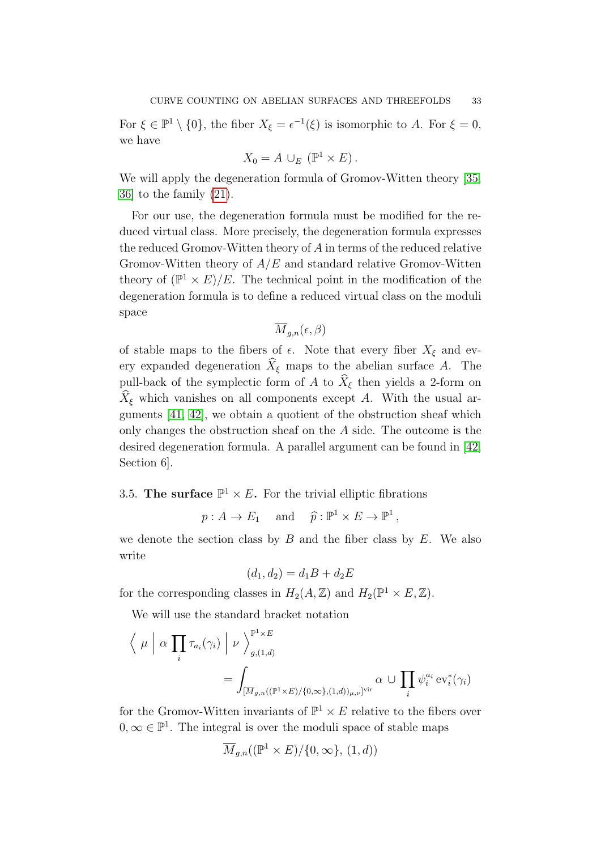For  $\xi \in \mathbb{P}^1 \setminus \{0\}$ , the fiber  $X_{\xi} = \epsilon^{-1}(\xi)$  is isomorphic to A. For  $\xi = 0$ , we have

$$
X_0 = A \cup_E (\mathbb{P}^1 \times E).
$$

We will apply the degeneration formula of Gromov-Witten theory [\[35,](#page-90-14) [36\]](#page-90-15) to the family [\(21\)](#page-31-1).

For our use, the degeneration formula must be modified for the reduced virtual class. More precisely, the degeneration formula expresses the reduced Gromov-Witten theory of A in terms of the reduced relative Gromov-Witten theory of  $A/E$  and standard relative Gromov-Witten theory of  $(\mathbb{P}^1 \times E)/E$ . The technical point in the modification of the degeneration formula is to define a reduced virtual class on the moduli space

$$
\overline{M}_{g,n}(\epsilon,\beta)
$$

of stable maps to the fibers of  $\epsilon$ . Note that every fiber  $X_{\xi}$  and every expanded degeneration  $\widehat{X}_{\xi}$  maps to the abelian surface A. The pull-back of the symplectic form of A to  $\widehat{X}_{\xi}$  then yields a 2-form on  $\widehat{X}_{\xi}$  which vanishes on all components except A. With the usual arguments [\[41,](#page-90-3) [42\]](#page-90-4), we obtain a quotient of the obstruction sheaf which only changes the obstruction sheaf on the A side. The outcome is the desired degeneration formula. A parallel argument can be found in [\[42,](#page-90-4) Section 6].

<span id="page-32-0"></span>3.5. The surface  $\mathbb{P}^1 \times E$ . For the trivial elliptic fibrations

 $p : A \to E_1$  and  $\hat{p} : \mathbb{P}^1 \times E \to \mathbb{P}^1$ ,

we denote the section class by  $B$  and the fiber class by  $E$ . We also write

$$
(d_1, d_2) = d_1B + d_2E
$$

for the corresponding classes in  $H_2(A, \mathbb{Z})$  and  $H_2(\mathbb{P}^1 \times E, \mathbb{Z})$ .

We will use the standard bracket notation

$$
\langle \mu | \alpha \prod_i \tau_{a_i}(\gamma_i) | \nu \rangle_{g,(1,d)}^{\mathbb{P}^1 \times E} = \int_{[\overline{M}_{g,n}((\mathbb{P}^1 \times E)/\{0,\infty\},(1,d))_{\mu,\nu}]^{\text{vir}}} \alpha \cup \prod_i \psi_i^{a_i} \text{ev}_i^*(\gamma_i)
$$

for the Gromov-Witten invariants of  $\mathbb{P}^1 \times E$  relative to the fibers over  $0, \infty \in \mathbb{P}^1$ . The integral is over the moduli space of stable maps

$$
\overline{M}_{g,n}((\mathbb{P}^1 \times E)/\{0,\infty\},\,(1,d))
$$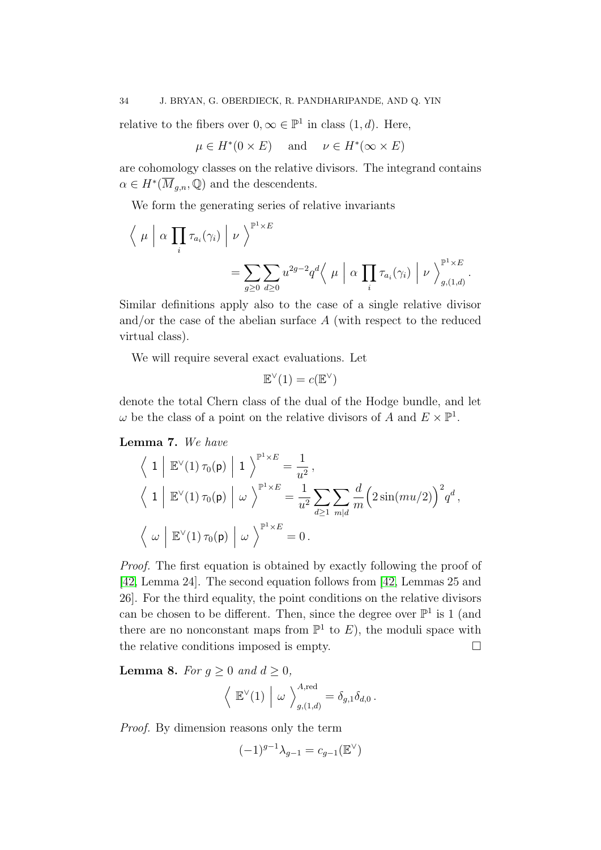relative to the fibers over  $0, \infty \in \mathbb{P}^1$  in class  $(1, d)$ . Here,

$$
\mu \in H^*(0 \times E)
$$
 and  $\nu \in H^*(\infty \times E)$ 

are cohomology classes on the relative divisors. The integrand contains  $\alpha \in H^*(\overline{M}_{g,n}, \mathbb{Q})$  and the descendents.

We form the generating series of relative invariants

$$
\langle \mu | \alpha \prod_i \tau_{a_i}(\gamma_i) | \nu \rangle^{p^1 \times E}
$$
  
= 
$$
\sum_{g \geq 0} \sum_{d \geq 0} u^{2g-2} q^d \langle \mu | \alpha \prod_i \tau_{a_i}(\gamma_i) | \nu \rangle^{p^1 \times E}_{g,(1,d)}.
$$

Similar definitions apply also to the case of a single relative divisor and/or the case of the abelian surface A (with respect to the reduced virtual class).

We will require several exact evaluations. Let

$$
\mathbb{E}^\vee(1)=c(\mathbb{E}^\vee)
$$

denote the total Chern class of the dual of the Hodge bundle, and let  $\omega$  be the class of a point on the relative divisors of A and  $E \times \mathbb{P}^1$ .

<span id="page-33-1"></span>Lemma 7. We have

$$
\left\langle 1 \middle| \mathbb{E}^{\vee}(1) \tau_0(\mathsf{p}) \middle| 1 \right\rangle^{\mathbb{P}^1 \times E} = \frac{1}{u^2},
$$
  

$$
\left\langle 1 \middle| \mathbb{E}^{\vee}(1) \tau_0(\mathsf{p}) \middle| \omega \right\rangle^{\mathbb{P}^1 \times E} = \frac{1}{u^2} \sum_{d \ge 1} \sum_{m|d} \frac{d}{m} \left( 2 \sin(mu/2) \right)^2 q^d,
$$
  

$$
\left\langle \omega \middle| \mathbb{E}^{\vee}(1) \tau_0(\mathsf{p}) \middle| \omega \right\rangle^{\mathbb{P}^1 \times E} = 0.
$$

Proof. The first equation is obtained by exactly following the proof of [\[42,](#page-90-4) Lemma 24]. The second equation follows from [\[42,](#page-90-4) Lemmas 25 and 26]. For the third equality, the point conditions on the relative divisors can be chosen to be different. Then, since the degree over  $\mathbb{P}^1$  is 1 (and there are no nonconstant maps from  $\mathbb{P}^1$  to E), the moduli space with the relative conditions imposed is empty.

<span id="page-33-0"></span>**Lemma 8.** For  $g \geq 0$  and  $d \geq 0$ ,

$$
\left\langle \begin{array}{c} \mathbb{E}^{\vee}(1) \end{array} \middle| \begin{array}{c} \omega \end{array} \right\rangle^{A,\text{red}}_{g,(1,d)} = \delta_{g,1} \delta_{d,0} \, .
$$

Proof. By dimension reasons only the term

$$
(-1)^{g-1}\lambda_{g-1}=c_{g-1}(\mathbb{E}^{\vee})
$$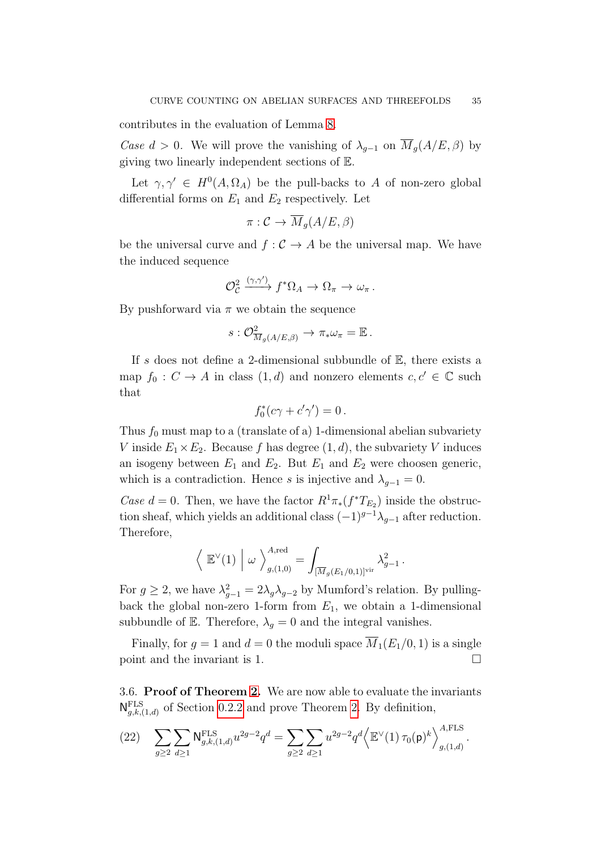contributes in the evaluation of Lemma [8.](#page-33-0)

Case  $d > 0$ . We will prove the vanishing of  $\lambda_{q-1}$  on  $\overline{M}_q(A/E, \beta)$  by giving two linearly independent sections of E.

Let  $\gamma, \gamma' \in H^0(A, \Omega_A)$  be the pull-backs to A of non-zero global differential forms on  $E_1$  and  $E_2$  respectively. Let

$$
\pi: \mathcal{C} \to \overline{M}_g(A/E, \beta)
$$

be the universal curve and  $f : C \to A$  be the universal map. We have the induced sequence

$$
\mathcal{O}_{\mathcal{C}}^2 \xrightarrow{(\gamma,\gamma')} f^* \Omega_A \to \Omega_\pi \to \omega_\pi.
$$

By pushforward via  $\pi$  we obtain the sequence

$$
s: \mathcal{O}_{\overline{M}_g(A/E,\beta)}^2 \to \pi_* \omega_{\pi} = \mathbb{E}.
$$

If s does not define a 2-dimensional subbundle of  $E$ , there exists a map  $f_0 : C \to A$  in class  $(1, d)$  and nonzero elements  $c, c' \in \mathbb{C}$  such that

$$
f_0^*(c\gamma + c'\gamma') = 0.
$$

Thus  $f_0$  must map to a (translate of a) 1-dimensional abelian subvariety V inside  $E_1 \times E_2$ . Because f has degree  $(1, d)$ , the subvariety V induces an isogeny between  $E_1$  and  $E_2$ . But  $E_1$  and  $E_2$  were choosen generic, which is a contradiction. Hence s is injective and  $\lambda_{q-1} = 0$ .

Case  $d = 0$ . Then, we have the factor  $R^1 \pi_*(f^*T_{E_2})$  inside the obstruction sheaf, which yields an additional class  $(-1)^{g-1}\lambda_{g-1}$  after reduction. Therefore,

$$
\left\langle \mathbb{E}^{\vee}(1) \middle| \omega \right\rangle_{g,(1,0)}^{A,\text{red}} = \int_{[\overline{M}_g(E_1/0,1)]^{\text{vir}}} \lambda_{g-1}^2.
$$

For  $g \geq 2$ , we have  $\lambda_{g-1}^2 = 2\lambda_g \lambda_{g-2}$  by Mumford's relation. By pullingback the global non-zero 1-form from  $E_1$ , we obtain a 1-dimensional subbundle of E. Therefore,  $\lambda_q = 0$  and the integral vanishes.

Finally, for  $g = 1$  and  $d = 0$  the moduli space  $\overline{M}_1(E_1/0, 1)$  is a single point and the invariant is 1.

<span id="page-34-0"></span>3.6. Proof of Theorem [2.](#page-5-0) We are now able to evaluate the invariants  $N_{g,k,(1,d)}^{\text{FLS}}$  of Section [0.2.2](#page-4-2) and prove Theorem [2.](#page-5-0) By definition,

<span id="page-34-1"></span>
$$
(22) \quad \sum_{g\geq 2} \sum_{d\geq 1} \mathsf{N}^{\text{FLS}}_{g,k,(1,d)} u^{2g-2} q^d = \sum_{g\geq 2} \sum_{d\geq 1} u^{2g-2} q^d \left\langle \mathbb{E}^{\vee}(1) \, \tau_0(\mathsf{p})^k \right\rangle_{g,(1,d)}^{A,\text{FLS}}.
$$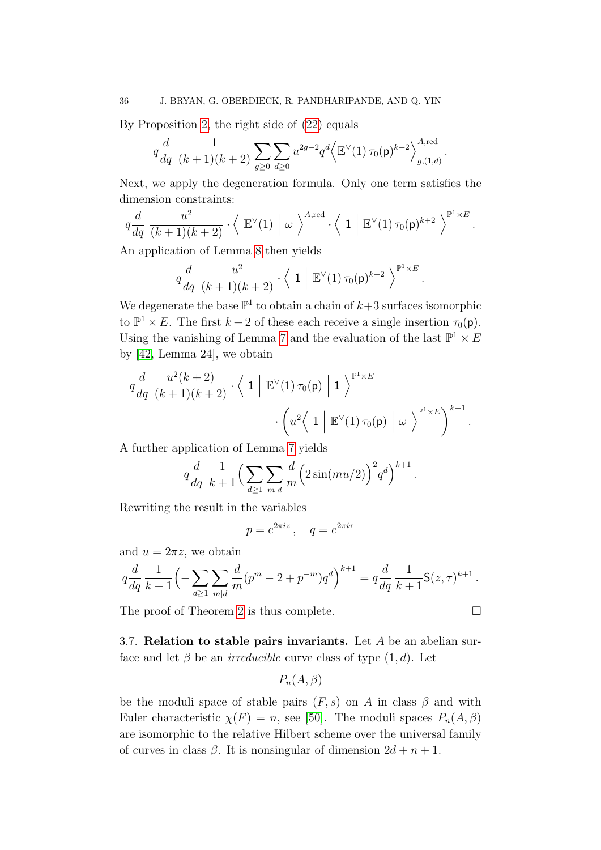By Proposition [2,](#page-29-2) the right side of [\(22\)](#page-34-1) equals

$$
q\frac{d}{dq}\frac{1}{(k+1)(k+2)}\sum_{g\geq 0}\sum_{d\geq 0}u^{2g-2}q^d\Big\langle \mathbb{E}^{\vee}(1)\,\tau_0(\mathsf{p})^{k+2}\Big\rangle_{g,(1,d)}^{A,\text{red}}.
$$

Next, we apply the degeneration formula. Only one term satisfies the dimension constraints:

$$
q\frac{d}{dq}\frac{u^2}{(k+1)(k+2)}\cdot\left\langle E^{\vee}(1) \middle| \omega \right\rangle^{A,\mathrm{red}}\cdot\left\langle 1 \middle| E^{\vee}(1)\,\tau_0(\mathsf{p})^{k+2} \right\rangle^{p^1\times E}.
$$

An application of Lemma [8](#page-33-0) then yields

$$
q\frac{d}{dq}\frac{u^2}{(k+1)(k+2)}\cdot\left\langle 1\right|\mathbb{E}^{\vee}(1)\,\tau_0(\mathsf{p})^{k+2}\left.\right\rangle^{\mathbb{P}^1\times E}.
$$

We degenerate the base  $\mathbb{P}^1$  to obtain a chain of  $k+3$  surfaces isomorphic to  $\mathbb{P}^1 \times E$ . The first  $k + 2$  of these each receive a single insertion  $\tau_0(\mathsf{p})$ . Using the vanishing of Lemma [7](#page-33-1) and the evaluation of the last  $\mathbb{P}^1 \times E$ by [\[42,](#page-90-4) Lemma 24], we obtain

$$
q\frac{d}{dq}\frac{u^2(k+2)}{(k+1)(k+2)} \cdot \left\langle 1 \middle| \mathbb{E}^{\vee}(1) \tau_0(\mathsf{p}) \middle| 1 \right\rangle^{\mathbb{P}^1 \times E} \cdot \left( u^2 \left\langle 1 \middle| \mathbb{E}^{\vee}(1) \tau_0(\mathsf{p}) \middle| \omega \right\rangle^{\mathbb{P}^1 \times E} \right)^{k+1}.
$$

A further application of Lemma [7](#page-33-1) yields

$$
q\frac{d}{dq}\frac{1}{k+1}\Big(\sum_{d\geq 1}\sum_{m|d}\frac{d}{m}\Big(2\sin(mu/2)\Big)^2q^d\Big)^{k+1}.
$$

Rewriting the result in the variables

$$
p = e^{2\pi i z}, \quad q = e^{2\pi i \tau}
$$

and  $u = 2\pi z$ , we obtain

$$
q\frac{d}{dq}\frac{1}{k+1}\left(-\sum_{d\geq 1}\sum_{m|d}\frac{d}{m}(p^m-2+p^{-m})q^d\right)^{k+1}=q\frac{d}{dq}\frac{1}{k+1}\mathsf{S}(z,\tau)^{k+1}.
$$

The proof of Theorem [2](#page-5-0) is thus complete.

<span id="page-35-0"></span>3.7. Relation to stable pairs invariants. Let  $A$  be an abelian surface and let  $\beta$  be an *irreducible* curve class of type  $(1, d)$ . Let

$$
P_n(A,\beta)
$$

be the moduli space of stable pairs  $(F, s)$  on A in class  $\beta$  and with Euler characteristic  $\chi(F) = n$ , see [\[50\]](#page-91-6). The moduli spaces  $P_n(A, \beta)$ are isomorphic to the relative Hilbert scheme over the universal family of curves in class  $\beta$ . It is nonsingular of dimension  $2d + n + 1$ .

$$
\Box
$$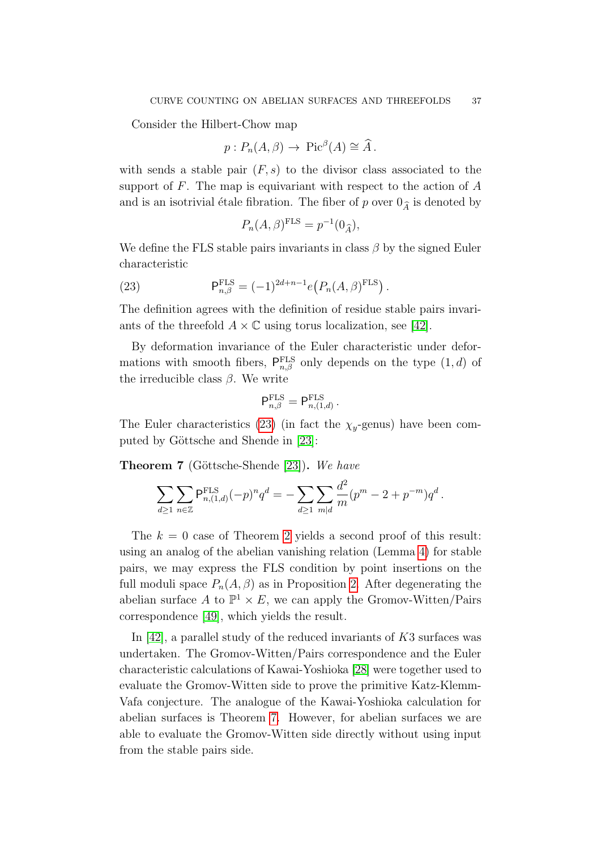Consider the Hilbert-Chow map

$$
p: P_n(A, \beta) \to Pic^{\beta}(A) \cong \widehat{A}
$$
.

with sends a stable pair  $(F, s)$  to the divisor class associated to the support of  $F$ . The map is equivariant with respect to the action of  $A$ and is an isotrivial étale fibration. The fiber of p over  $0_{\widehat{A}}$  is denoted by

<span id="page-36-0"></span>
$$
P_n(A,\beta)^{\text{FLS}} = p^{-1}(0_{\widehat{A}}),
$$

We define the FLS stable pairs invariants in class  $\beta$  by the signed Euler characteristic

(23) 
$$
\mathsf{P}_{n,\beta}^{\text{FLS}} = (-1)^{2d+n-1} e(P_n(A,\beta)^{\text{FLS}}).
$$

The definition agrees with the definition of residue stable pairs invariants of the threefold  $A \times \mathbb{C}$  using torus localization, see [\[42\]](#page-90-0).

By deformation invariance of the Euler characteristic under deformations with smooth fibers,  $P_{n,\beta}^{\text{FLS}}$  only depends on the type  $(1, d)$  of the irreducible class  $\beta$ . We write

$$
\mathsf{P}^{\mathrm{FLS}}_{n,\beta}=\mathsf{P}^{\mathrm{FLS}}_{n,(1,d)}\,.
$$

The Euler characteristics [\(23\)](#page-36-0) (in fact the  $\chi_y$ -genus) have been com-puted by Göttsche and Shende in [\[23\]](#page-90-1):

<span id="page-36-1"></span>**Theorem 7** (Göttsche-Shende [\[23\]](#page-90-1)). We have

$$
\sum_{d\geq 1}\sum_{n\in\mathbb{Z}}\mathsf{P}^{\text{FLS}}_{n,(1,d)}(-p)^n q^d = -\sum_{d\geq 1}\sum_{m|d}\frac{d^2}{m}(p^m - 2 + p^{-m})q^d.
$$

The  $k = 0$  case of Theorem [2](#page-5-0) yields a second proof of this result: using an analog of the abelian vanishing relation (Lemma [4\)](#page-29-0) for stable pairs, we may express the FLS condition by point insertions on the full moduli space  $P_n(A, \beta)$  as in Proposition [2.](#page-29-1) After degenerating the abelian surface A to  $\mathbb{P}^1 \times E$ , we can apply the Gromov-Witten/Pairs correspondence [\[49\]](#page-91-0), which yields the result.

In [\[42\]](#page-90-0), a parallel study of the reduced invariants of  $K3$  surfaces was undertaken. The Gromov-Witten/Pairs correspondence and the Euler characteristic calculations of Kawai-Yoshioka [\[28\]](#page-90-2) were together used to evaluate the Gromov-Witten side to prove the primitive Katz-Klemm-Vafa conjecture. The analogue of the Kawai-Yoshioka calculation for abelian surfaces is Theorem [7.](#page-36-1) However, for abelian surfaces we are able to evaluate the Gromov-Witten side directly without using input from the stable pairs side.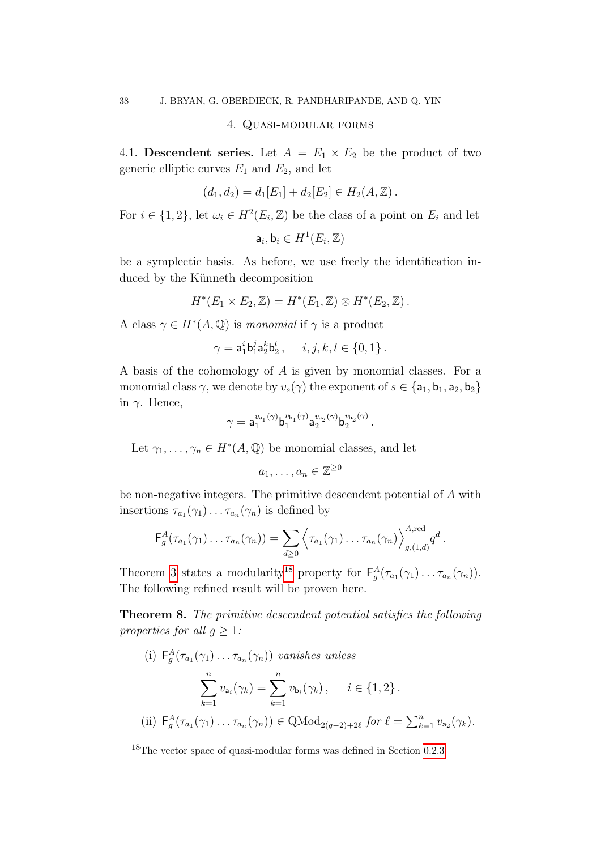#### 4. Quasi-modular forms

<span id="page-37-3"></span><span id="page-37-2"></span>4.1. Descendent series. Let  $A = E_1 \times E_2$  be the product of two generic elliptic curves  $E_1$  and  $E_2$ , and let

$$
(d_1, d_2) = d_1[E_1] + d_2[E_2] \in H_2(A, \mathbb{Z}).
$$

For  $i \in \{1, 2\}$ , let  $\omega_i \in H^2(E_i, \mathbb{Z})$  be the class of a point on  $E_i$  and let

 $\mathsf{a}_i, \mathsf{b}_i \in H^1(E_i,\mathbb{Z})$ 

be a symplectic basis. As before, we use freely the identification induced by the Künneth decomposition

$$
H^*(E_1 \times E_2, \mathbb{Z}) = H^*(E_1, \mathbb{Z}) \otimes H^*(E_2, \mathbb{Z}).
$$

A class  $\gamma \in H^*(A, \mathbb{Q})$  is monomial if  $\gamma$  is a product

$$
\gamma=\mathsf{a}_1^i\mathsf{b}_1^j\mathsf{a}_2^k\mathsf{b}_2^l\,,\quad i,j,k,l\in\{0,1\}\,.
$$

A basis of the cohomology of A is given by monomial classes. For a monomial class  $\gamma$ , we denote by  $v_s(\gamma)$  the exponent of  $s \in \{a_1, b_1, a_2, b_2\}$ in  $γ$ . Hence,

$$
\gamma = \mathsf{a}_1^{v_{\mathsf{a}_1}(\gamma)} \mathsf{b}_1^{v_{\mathsf{b}_1}(\gamma)} \mathsf{a}_2^{v_{\mathsf{a}_2}(\gamma)} \mathsf{b}_2^{v_{\mathsf{b}_2}(\gamma)}
$$

.

Let  $\gamma_1, \ldots, \gamma_n \in H^*(A, \mathbb{Q})$  be monomial classes, and let

$$
a_1,\ldots,a_n\in\mathbb{Z}^{\geq 0}
$$

be non-negative integers. The primitive descendent potential of A with insertions  $\tau_{a_1}(\gamma_1)\ldots\tau_{a_n}(\gamma_n)$  is defined by

$$
\mathsf{F}_g^A(\tau_{a_1}(\gamma_1)\ldots\tau_{a_n}(\gamma_n))=\sum_{d\geq 0}\left\langle\tau_{a_1}(\gamma_1)\ldots\tau_{a_n}(\gamma_n)\right\rangle_{g,(1,d)}^{A,\mathrm{red}}q^d.
$$

Theorem [3](#page-6-0) states a modularity<sup>[18](#page-37-0)</sup> property for  $F_g^A(\tau_{a_1}(\gamma_1)\ldots\tau_{a_n}(\gamma_n)).$ The following refined result will be proven here.

<span id="page-37-1"></span>Theorem 8. The primitive descendent potential satisfies the following properties for all  $q \geq 1$ :

(i)  $F_g^A(\tau_{a_1}(\gamma_1)\ldots\tau_{a_n}(\gamma_n))$  vanishes unless  $\sum_{n=1}^{\infty}$  $k=1$  $v_{a_i}(\gamma_k) = \sum_{i=1}^{n}$  $k=1$  $v_{\mathsf{b}_i}(\gamma_k), \quad i \in \{1, 2\}.$ (ii)  $F_g^A(\tau_{a_1}(\gamma_1)\dots\tau_{a_n}(\gamma_n)) \in \text{QMod}_{2(g-2)+2\ell} \text{ for } \ell = \sum_{k=1}^n v_{a_2}(\gamma_k).$ 

<span id="page-37-0"></span><sup>&</sup>lt;sup>18</sup>The vector space of quasi-modular forms was defined in Section [0.2.3.](#page-5-1)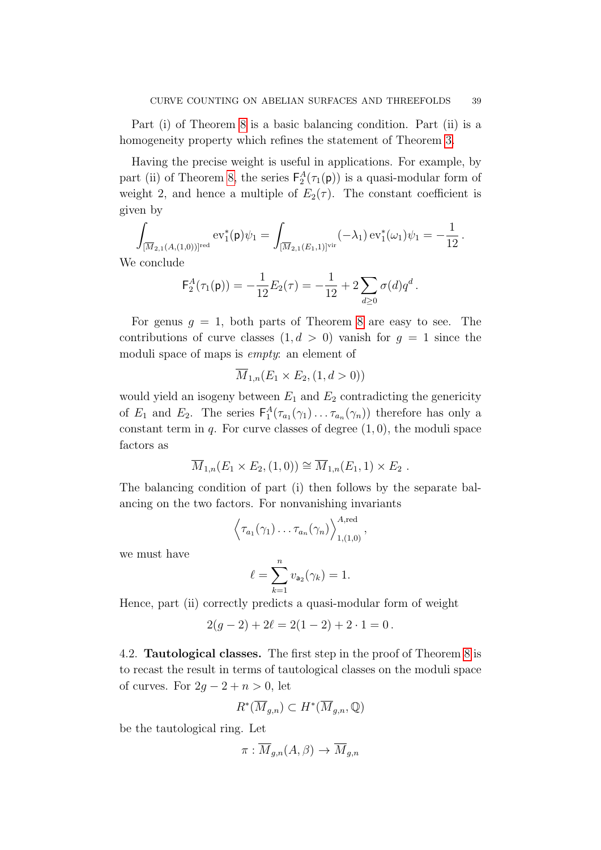Part (i) of Theorem [8](#page-37-1) is a basic balancing condition. Part (ii) is a homogeneity property which refines the statement of Theorem [3.](#page-6-0)

Having the precise weight is useful in applications. For example, by part (ii) of Theorem [8,](#page-37-1) the series  $F_2^A(\tau_1(\mathbf{p}))$  is a quasi-modular form of weight 2, and hence a multiple of  $E_2(\tau)$ . The constant coefficient is given by

$$
\int_{[\overline{M}_{2,1}(A,(1,0))]^{\rm red}} \mathrm{ev}_1^*(\mathsf{p})\psi_1 = \int_{[\overline{M}_{2,1}(E_1,1)]^{\rm vir}} (-\lambda_1) \, \mathrm{ev}_1^*(\omega_1)\psi_1 = -\frac{1}{12} \, .
$$

We conclude

$$
\mathsf{F}_2^A(\tau_1(\mathsf{p})) = -\frac{1}{12}E_2(\tau) = -\frac{1}{12} + 2\sum_{d\geq 0} \sigma(d)q^d.
$$

For genus  $g = 1$ , both parts of Theorem [8](#page-37-1) are easy to see. The contributions of curve classes  $(1, d > 0)$  vanish for  $q = 1$  since the moduli space of maps is *empty*: an element of

$$
\overline{M}_{1,n}(E_1 \times E_2, (1, d > 0))
$$

would yield an isogeny between  $E_1$  and  $E_2$  contradicting the genericity of  $E_1$  and  $E_2$ . The series  $\mathsf{F}_1^A(\tau_{a_1}(\gamma_1)\ldots\tau_{a_n}(\gamma_n))$  therefore has only a constant term in  $q$ . For curve classes of degree  $(1, 0)$ , the moduli space factors as

$$
\overline{M}_{1,n}(E_1 \times E_2, (1,0)) \cong \overline{M}_{1,n}(E_1, 1) \times E_2
$$
.

The balancing condition of part (i) then follows by the separate balancing on the two factors. For nonvanishing invariants

$$
\left\langle \tau_{a_1}(\gamma_1)\ldots\tau_{a_n}(\gamma_n)\right\rangle_{1,(1,0)}^{A,\text{red}},
$$

we must have

$$
\ell = \sum_{k=1}^n v_{\mathsf{a}_2}(\gamma_k) = 1.
$$

Hence, part (ii) correctly predicts a quasi-modular form of weight

$$
2(g-2) + 2\ell = 2(1-2) + 2 \cdot 1 = 0.
$$

4.2. Tautological classes. The first step in the proof of Theorem [8](#page-37-1) is to recast the result in terms of tautological classes on the moduli space of curves. For  $2g - 2 + n > 0$ , let

$$
R^*(\overline{M}_{g,n}) \subset H^*(\overline{M}_{g,n}, \mathbb{Q})
$$

be the tautological ring. Let

$$
\pi: \overline{M}_{g,n}(A,\beta) \to \overline{M}_{g,n}
$$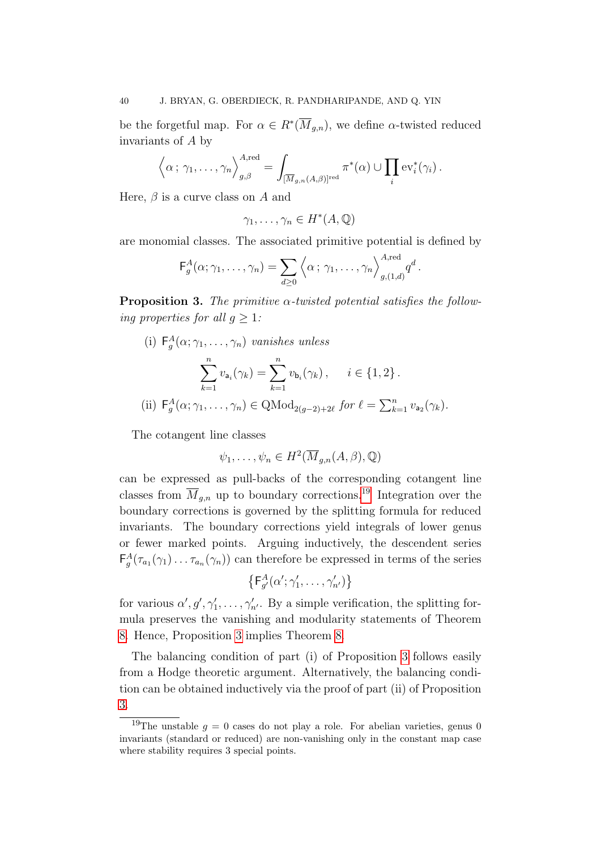be the forgetful map. For  $\alpha \in R^*(\overline{M}_{g,n})$ , we define  $\alpha$ -twisted reduced invariants of A by

$$
\left\langle \alpha; \gamma_1, \ldots, \gamma_n \right\rangle_{g, \beta}^{A, \text{red}} = \int_{\left[\overline{M}_{g,n}(A,\beta)\right]^{\text{red}}} \pi^*(\alpha) \cup \prod_i \text{ev}_i^*(\gamma_i).
$$

Here,  $\beta$  is a curve class on A and

 $\gamma_1, \ldots, \gamma_n \in H^*(A, \mathbb{Q})$ 

are monomial classes. The associated primitive potential is defined by

$$
\mathsf{F}_g^A(\alpha;\gamma_1,\ldots,\gamma_n)=\sum_{d\geq 0}\left\langle \alpha\,;\,\gamma_1,\ldots,\gamma_n\right\rangle_{g,(1,d)}^{A,\text{red}}q^d.
$$

<span id="page-39-1"></span>**Proposition 3.** The primitive  $\alpha$ -twisted potential satisfies the following properties for all  $q \geq 1$ :

(i)  $F_g^A(\alpha; \gamma_1, \ldots, \gamma_n)$  vanishes unless

$$
\sum_{k=1}^{n} v_{a_i}(\gamma_k) = \sum_{k=1}^{n} v_{b_i}(\gamma_k), \quad i \in \{1, 2\}.
$$
  
(ii)  $F_g^A(\alpha; \gamma_1, ..., \gamma_n) \in \text{QMod}_{2(g-2)+2\ell} \text{ for } \ell = \sum_{k=1}^{n} v_{a_2}(\gamma_k).$ 

The cotangent line classes

$$
\psi_1, \dots, \psi_n \in H^2(\overline{M}_{g,n}(A,\beta), \mathbb{Q})
$$

can be expressed as pull-backs of the corresponding cotangent line classes from  $\overline{M}_{g,n}$  up to boundary corrections.<sup>[19](#page-39-0)</sup> Integration over the boundary corrections is governed by the splitting formula for reduced invariants. The boundary corrections yield integrals of lower genus or fewer marked points. Arguing inductively, the descendent series  $\mathsf{F}^A_g(\tau_{a_1}(\gamma_1)\dots\tau_{a_n}(\gamma_n))$  can therefore be expressed in terms of the series

$$
\left\{ \mathsf{F}_{g'}^A(\alpha';\gamma'_1,\ldots,\gamma'_{n'})\right\}
$$

for various  $\alpha', g', \gamma'_1, \ldots, \gamma'_{n'}$ . By a simple verification, the splitting formula preserves the vanishing and modularity statements of Theorem [8.](#page-37-1) Hence, Proposition [3](#page-39-1) implies Theorem [8.](#page-37-1)

The balancing condition of part (i) of Proposition [3](#page-39-1) follows easily from a Hodge theoretic argument. Alternatively, the balancing condition can be obtained inductively via the proof of part (ii) of Proposition [3.](#page-39-1)

<span id="page-39-0"></span><sup>&</sup>lt;sup>19</sup>The unstable  $g = 0$  cases do not play a role. For abelian varieties, genus 0 invariants (standard or reduced) are non-vanishing only in the constant map case where stability requires 3 special points.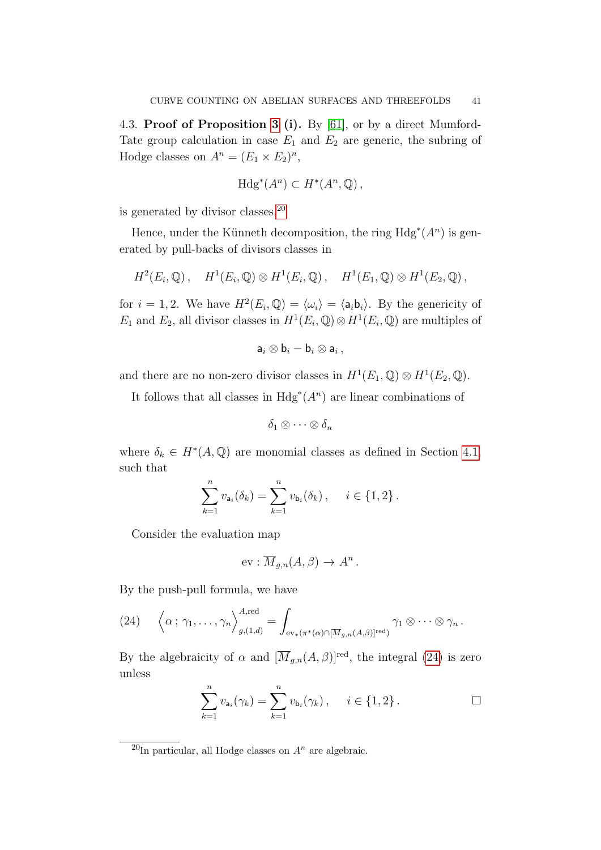4.3. Proof of Proposition [3](#page-39-1) (i). By [\[61\]](#page-91-1), or by a direct Mumford-Tate group calculation in case  $E_1$  and  $E_2$  are generic, the subring of Hodge classes on  $A^n = (E_1 \times E_2)^n$ ,

$$
\mathrm{Hdg}^*(A^n) \subset H^*(A^n, \mathbb{Q})\,,
$$

is generated by divisor classes.[20](#page-40-0)

Hence, under the Künneth decomposition, the ring  $Hdg^*(A^n)$  is generated by pull-backs of divisors classes in

$$
H^2(E_i,\mathbb{Q}),\quad H^1(E_i,\mathbb{Q})\otimes H^1(E_i,\mathbb{Q}),\quad H^1(E_1,\mathbb{Q})\otimes H^1(E_2,\mathbb{Q}),
$$

for  $i = 1, 2$ . We have  $H^2(E_i, \mathbb{Q}) = \langle \omega_i \rangle = \langle \mathsf{a}_i \mathsf{b}_i \rangle$ . By the genericity of E<sub>1</sub> and E<sub>2</sub>, all divisor classes in  $H^1(E_i, \mathbb{Q}) \otimes H^1(E_i, \mathbb{Q})$  are multiples of

$$
\mathsf{a}_i\otimes\mathsf{b}_i-\mathsf{b}_i\otimes\mathsf{a}_i\,,
$$

and there are no non-zero divisor classes in  $H^1(E_1, \mathbb{Q}) \otimes H^1(E_2, \mathbb{Q})$ .

It follows that all classes in  $Hdg^*(A^n)$  are linear combinations of

$$
\delta_1\otimes\cdots\otimes\delta_n
$$

where  $\delta_k \in H^*(A, \mathbb{Q})$  are monomial classes as defined in Section [4.1,](#page-37-2) such that

$$
\sum_{k=1}^{n} v_{a_i}(\delta_k) = \sum_{k=1}^{n} v_{b_i}(\delta_k), \quad i \in \{1, 2\}.
$$

Consider the evaluation map

$$
ev: \overline{M}_{g,n}(A,\beta) \to A^n.
$$

By the push-pull formula, we have

<span id="page-40-1"></span>(24) 
$$
\left\langle \alpha; \gamma_1, \ldots, \gamma_n \right\rangle_{g,(1,d)}^{A, \text{red}} = \int_{\text{ev}_*(\pi^*(\alpha) \cap [\overline{M}_{g,n}(A,\beta)]^{\text{red}})} \gamma_1 \otimes \cdots \otimes \gamma_n.
$$

By the algebraicity of  $\alpha$  and  $[\overline{M}_{g,n}(A,\beta)]^{\text{red}}$ , the integral [\(24\)](#page-40-1) is zero unless

$$
\sum_{k=1}^{n} v_{a_i}(\gamma_k) = \sum_{k=1}^{n} v_{b_i}(\gamma_k), \quad i \in \{1, 2\}.
$$

<span id="page-40-0"></span> $\overline{^{20}$ In particular, all Hodge classes on  $A^n$  are algebraic.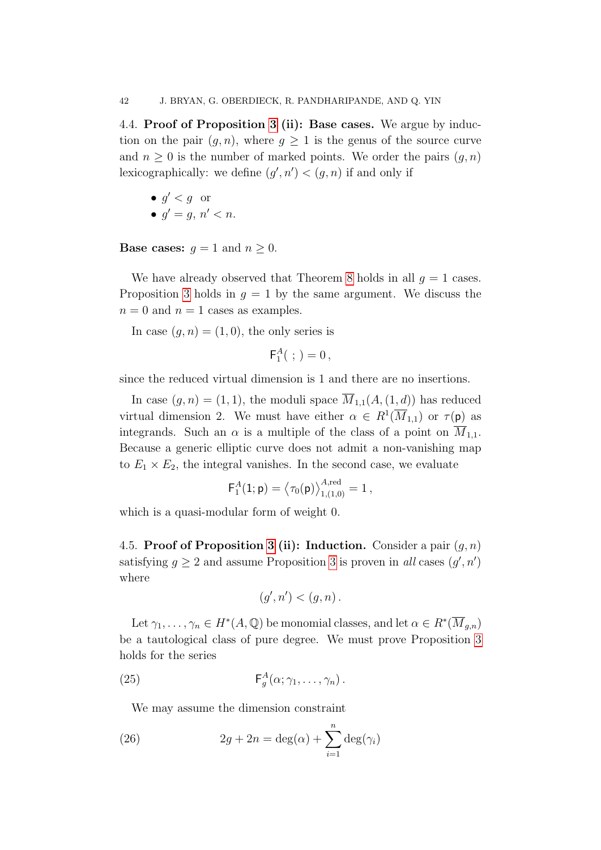4.4. Proof of Proposition [3](#page-39-1) (ii): Base cases. We argue by induction on the pair  $(g, n)$ , where  $g \geq 1$  is the genus of the source curve and  $n \geq 0$  is the number of marked points. We order the pairs  $(g, n)$ lexicographically: we define  $(g', n') < (g, n)$  if and only if

 $\bullet$  g' < g or •  $g' = g, n' < n$ .

**Base cases:**  $g = 1$  and  $n \geq 0$ .

We have already observed that Theorem [8](#page-37-1) holds in all  $q = 1$  cases. Proposition [3](#page-39-1) holds in  $q = 1$  by the same argument. We discuss the  $n = 0$  and  $n = 1$  cases as examples.

In case  $(q, n) = (1, 0)$ , the only series is

$$
\mathsf{F}_1^A(\ ;\,)=0\,,
$$

since the reduced virtual dimension is 1 and there are no insertions.

In case  $(g, n) = (1, 1)$ , the moduli space  $\overline{M}_{1,1}(A,(1,d))$  has reduced virtual dimension 2. We must have either  $\alpha \in R^1(\overline{M}_{1,1})$  or  $\tau(\mathfrak{p})$  as integrands. Such an  $\alpha$  is a multiple of the class of a point on  $M_{1,1}$ . Because a generic elliptic curve does not admit a non-vanishing map to  $E_1 \times E_2$ , the integral vanishes. In the second case, we evaluate

$$
\mathsf{F}_1^A(1;\mathsf{p}) = \left\langle \tau_0(\mathsf{p}) \right\rangle_{1,(1,0)}^{A,\mathrm{red}} = 1\,,
$$

which is a quasi-modular form of weight 0.

4.5. Proof of Proposition [3](#page-39-1) (ii): Induction. Consider a pair  $(g, n)$ satisfying  $g \ge 2$  and assume Proposition [3](#page-39-1) is proven in all cases  $(g', n')$ where

<span id="page-41-0"></span>
$$
(g',n') < (g,n) .
$$

Let  $\gamma_1, \ldots, \gamma_n \in H^*(A, \mathbb{Q})$  be monomial classes, and let  $\alpha \in R^*(\overline{M}_{g,n})$ be a tautological class of pure degree. We must prove Proposition [3](#page-39-1) holds for the series

(25) 
$$
\mathsf{F}_g^A(\alpha;\gamma_1,\ldots,\gamma_n).
$$

<span id="page-41-1"></span>We may assume the dimension constraint

(26) 
$$
2g + 2n = \deg(\alpha) + \sum_{i=1}^{n} \deg(\gamma_i)
$$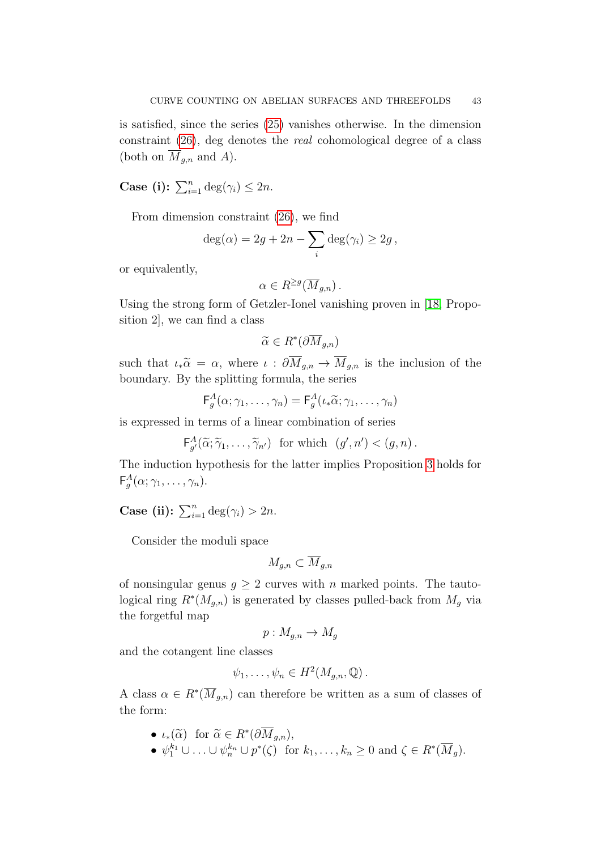is satisfied, since the series [\(25\)](#page-41-0) vanishes otherwise. In the dimension constraint [\(26\)](#page-41-1), deg denotes the real cohomological degree of a class (both on  $\overline{M}_{g,n}$  and A).

**Case (i):**  $\sum_{i=1}^{n} \deg(\gamma_i) \leq 2n$ .

From dimension constraint [\(26\)](#page-41-1), we find

$$
deg(\alpha) = 2g + 2n - \sum_{i} deg(\gamma_i) \ge 2g,
$$

or equivalently,

$$
\alpha \in R^{\geq g}(\overline{M}_{g,n})\,.
$$

Using the strong form of Getzler-Ionel vanishing proven in [\[18,](#page-89-0) Proposition 2], we can find a class

$$
\widetilde{\alpha}\in R^*(\partial \overline{M}_{g,n})
$$

such that  $\iota_*\widetilde{\alpha} = \alpha$ , where  $\iota : \partial M_{g,n} \to M_{g,n}$  is the inclusion of the boundary. By the splitting formula, the series

$$
\mathsf{F}_{g}^{A}(\alpha;\gamma_{1},\ldots,\gamma_{n})=\mathsf{F}_{g}^{A}(\iota_{*}\widetilde{\alpha};\gamma_{1},\ldots,\gamma_{n})
$$

is expressed in terms of a linear combination of series

$$
\mathsf{F}_{g'}^A(\widetilde{\alpha}; \widetilde{\gamma}_1, \ldots, \widetilde{\gamma}_{n'}) \ \text{ for which } \ (g', n') < (g, n) \, .
$$

The induction hypothesis for the latter implies Proposition [3](#page-39-1) holds for  $\mathsf{F}^{A}_{g}(\alpha;\gamma_{1},\ldots,\gamma_{n}).$ 

Case (ii):  $\sum_{i=1}^n \deg(\gamma_i) > 2n$ .

Consider the moduli space

$$
M_{g,n}\subset \overline{M}_{g,n}
$$

of nonsingular genus  $g \geq 2$  curves with n marked points. The tautological ring  $R^*(M_{g,n})$  is generated by classes pulled-back from  $M_g$  via the forgetful map

$$
p: M_{g,n} \to M_g
$$

and the cotangent line classes

$$
\psi_1, \ldots, \psi_n \in H^2(M_{g,n}, \mathbb{Q})\,.
$$

A class  $\alpha \in R^*(\overline{M}_{g,n})$  can therefore be written as a sum of classes of the form:

\n- $$
\iota_*(\widetilde{\alpha})
$$
 for  $\widetilde{\alpha} \in R^*(\partial \overline{M}_{g,n}),$
\n- $\psi_1^{k_1} \cup \ldots \cup \psi_n^{k_n} \cup p^*(\zeta)$  for  $k_1, \ldots, k_n \geq 0$  and  $\zeta \in R^*(\overline{M}_g).$
\n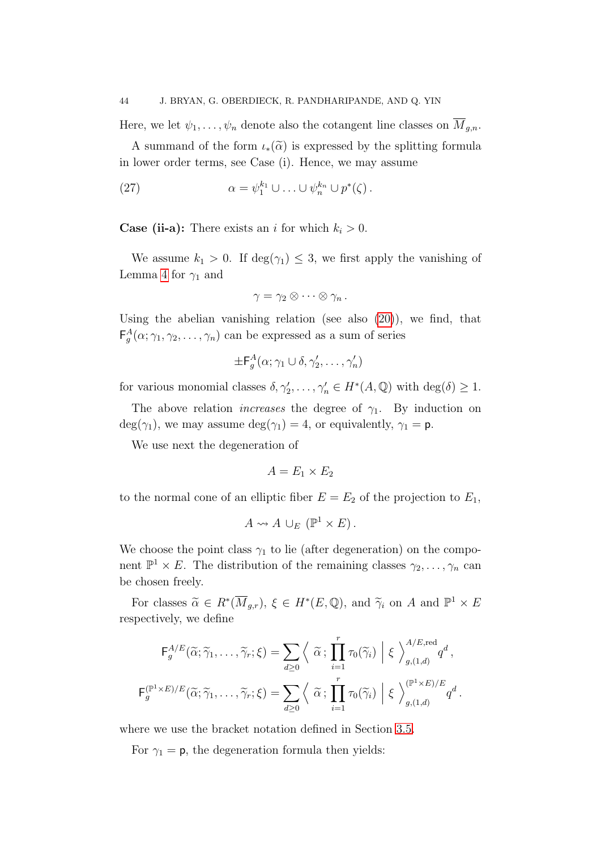Here, we let  $\psi_1, \ldots, \psi_n$  denote also the cotangent line classes on  $\overline{M}_{g,n}$ .

A summand of the form  $\iota_*(\widetilde{\alpha})$  is expressed by the splitting formula in lower order terms, see Case (i). Hence, we may assume

<span id="page-43-0"></span>(27) 
$$
\alpha = \psi_1^{k_1} \cup \ldots \cup \psi_n^{k_n} \cup p^*(\zeta).
$$

**Case (ii-a):** There exists an i for which  $k_i > 0$ .

We assume  $k_1 > 0$ . If  $\deg(\gamma_1) \leq 3$ , we first apply the vanishing of Lemma [4](#page-29-0) for  $\gamma_1$  and

$$
\gamma = \gamma_2 \otimes \cdots \otimes \gamma_n.
$$

Using the abelian vanishing relation (see also [\(20\)](#page-30-0)), we find, that  $\mathsf{F}^A_g(\alpha;\gamma_1,\gamma_2,\ldots,\gamma_n)$  can be expressed as a sum of series

$$
\pm \mathsf{F}^A_g(\alpha;\gamma_1\cup\delta,\gamma_2',\ldots,\gamma_n')
$$

for various monomial classes  $\delta, \gamma'_2, \ldots, \gamma'_n \in H^*(A, \mathbb{Q})$  with  $\deg(\delta) \geq 1$ .

The above relation *increases* the degree of  $\gamma_1$ . By induction on  $deg(\gamma_1)$ , we may assume  $deg(\gamma_1) = 4$ , or equivalently,  $\gamma_1 = p$ .

We use next the degeneration of

$$
A = E_1 \times E_2
$$

to the normal cone of an elliptic fiber  $E = E_2$  of the projection to  $E_1$ ,

$$
A \leadsto A \cup_E (\mathbb{P}^1 \times E).
$$

We choose the point class  $\gamma_1$  to lie (after degeneration) on the component  $\mathbb{P}^1 \times E$ . The distribution of the remaining classes  $\gamma_2, \ldots, \gamma_n$  can be chosen freely.

For classes  $\widetilde{\alpha} \in R^*(\overline{M}_{g,r}), \xi \in H^*(E, \mathbb{Q})$ , and  $\widetilde{\gamma}_i$  on A and  $\mathbb{P}^1 \times E$ respectively, we define

$$
\mathsf{F}_{g}^{A/E}(\widetilde{\alpha}; \widetilde{\gamma}_{1}, \ldots, \widetilde{\gamma}_{r}; \xi) = \sum_{d \geq 0} \left\langle \widetilde{\alpha} ; \prod_{i=1}^{r} \tau_{0}(\widetilde{\gamma}_{i}) \middle| \xi \right\rangle_{g,(1,d)}^{A/E, \text{red}} q^{d},
$$

$$
\mathsf{F}_{g}^{(\mathbb{P}^{1} \times E)/E}(\widetilde{\alpha}; \widetilde{\gamma}_{1}, \ldots, \widetilde{\gamma}_{r}; \xi) = \sum_{d \geq 0} \left\langle \widetilde{\alpha} ; \prod_{i=1}^{r} \tau_{0}(\widetilde{\gamma}_{i}) \middle| \xi \right\rangle_{g,(1,d)}^{(\mathbb{P}^{1} \times E)/E} q^{d}.
$$

where we use the bracket notation defined in Section [3.5.](#page-32-0)

For  $\gamma_1 = \mathsf{p}$ , the degeneration formula then yields: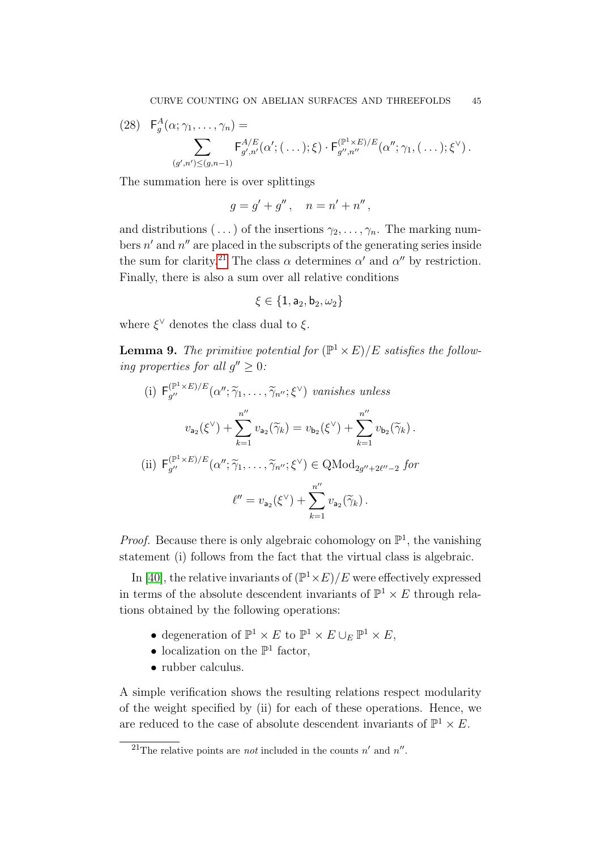<span id="page-44-2"></span>(28) 
$$
\mathsf{F}_{g}^{A}(\alpha; \gamma_{1}, \ldots, \gamma_{n}) = \sum_{(g',n') \leq (g,n-1)} \mathsf{F}_{g',n'}^{A/E}(\alpha'; (\ldots); \xi) \cdot \mathsf{F}_{g'',n''}^{(\mathbb{P}^{1} \times E)/E}(\alpha''; \gamma_{1}, (\ldots); \xi^{\vee}).
$$

The summation here is over splittings

$$
g = g' + g'' , \quad n = n' + n'' ,
$$

and distributions  $(\ldots)$  of the insertions  $\gamma_2, \ldots, \gamma_n$ . The marking numbers  $n'$  and  $n''$  are placed in the subscripts of the generating series inside the sum for clarity.<sup>[21](#page-44-0)</sup> The class  $\alpha$  determines  $\alpha'$  and  $\alpha''$  by restriction. Finally, there is also a sum over all relative conditions

$$
\xi\in\{1,\mathsf{a}_2,\mathsf{b}_2,\omega_2\}
$$

where  $\xi^{\vee}$  denotes the class dual to  $\xi$ .

<span id="page-44-1"></span>**Lemma 9.** The primitive potential for  $(\mathbb{P}^1 \times E)/E$  satisfies the following properties for all  $g'' \geq 0$ :

(i) 
$$
F_{g''}^{(\mathbb{P}^1 \times E)/E}(\alpha''; \tilde{\gamma}_1, \dots, \tilde{\gamma}_{n''}; \xi^{\vee})
$$
 vanishes unless  
\n
$$
v_{a_2}(\xi^{\vee}) + \sum_{k=1}^{n''} v_{a_2}(\tilde{\gamma}_k) = v_{b_2}(\xi^{\vee}) + \sum_{k=1}^{n''} v_{b_2}(\tilde{\gamma}_k).
$$
\n(ii)  $F_{g''}^{(\mathbb{P}^1 \times E)/E}(\alpha''; \tilde{\gamma}_1, \dots, \tilde{\gamma}_{n''}; \xi^{\vee}) \in \text{QMod}_{2g'' + 2\ell'' - 2}$  for  
\n
$$
\ell'' = v_{a_2}(\xi^{\vee}) + \sum_{k=1}^{n''} v_{a_2}(\tilde{\gamma}_k).
$$

*Proof.* Because there is only algebraic cohomology on  $\mathbb{P}^1$ , the vanishing statement (i) follows from the fact that the virtual class is algebraic.

In [\[40\]](#page-90-3), the relative invariants of  $(\mathbb{P}^1 \times E)/E$  were effectively expressed in terms of the absolute descendent invariants of  $\mathbb{P}^1 \times E$  through relations obtained by the following operations:

- degeneration of  $\mathbb{P}^1 \times E$  to  $\mathbb{P}^1 \times E \cup_E \mathbb{P}^1 \times E$ ,
- localization on the  $\mathbb{P}^1$  factor,
- rubber calculus.

A simple verification shows the resulting relations respect modularity of the weight specified by (ii) for each of these operations. Hence, we are reduced to the case of absolute descendent invariants of  $\mathbb{P}^1 \times E$ .

<span id="page-44-0"></span><sup>&</sup>lt;sup>21</sup>The relative points are *not* included in the counts n' and n''.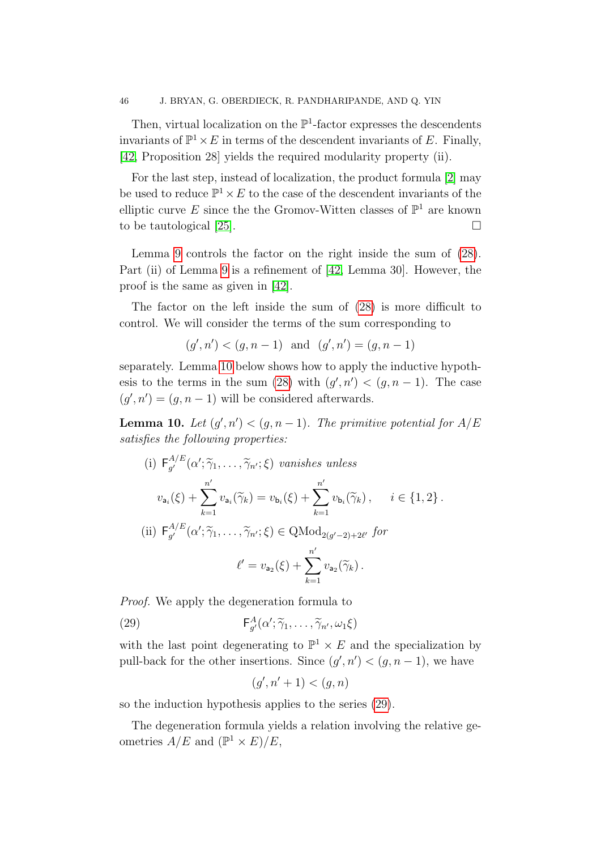Then, virtual localization on the  $\mathbb{P}^1$ -factor expresses the descendents invariants of  $\mathbb{P}^1 \times E$  in terms of the descendent invariants of E. Finally, [\[42,](#page-90-0) Proposition 28] yields the required modularity property (ii).

For the last step, instead of localization, the product formula [\[2\]](#page-89-1) may be used to reduce  $\mathbb{P}^1 \times E$  to the case of the descendent invariants of the elliptic curve E since the the Gromov-Witten classes of  $\mathbb{P}^1$  are known to be tautological [\[25\]](#page-90-4).

Lemma [9](#page-44-1) controls the factor on the right inside the sum of [\(28\)](#page-44-2). Part (ii) of Lemma [9](#page-44-1) is a refinement of [\[42,](#page-90-0) Lemma 30]. However, the proof is the same as given in [\[42\]](#page-90-0).

The factor on the left inside the sum of [\(28\)](#page-44-2) is more difficult to control. We will consider the terms of the sum corresponding to

$$
(g', n') < (g, n-1)
$$
 and  $(g', n') = (g, n-1)$ 

separately. Lemma [10](#page-45-0) below shows how to apply the inductive hypoth-esis to the terms in the sum [\(28\)](#page-44-2) with  $(g', n') < (g, n-1)$ . The case  $(g', n') = (g, n - 1)$  will be considered afterwards.

<span id="page-45-0"></span>**Lemma 10.** Let  $(g', n') < (g, n-1)$ . The primitive potential for  $A/E$ satisfies the following properties:

(i) 
$$
F_{g'}^{A/E}(\alpha'; \tilde{\gamma}_1, ..., \tilde{\gamma}_{n'}; \xi)
$$
 vanishes unless  
\n
$$
v_{a_i}(\xi) + \sum_{k=1}^{n'} v_{a_i}(\tilde{\gamma}_k) = v_{b_i}(\xi) + \sum_{k=1}^{n'} v_{b_i}(\tilde{\gamma}_k), \quad i \in \{1, 2\}.
$$
\n(ii)  $F_{g'}^{A/E}(\alpha'; \tilde{\gamma}_1, ..., \tilde{\gamma}_{n'}; \xi) \in \text{QMod}_{2(g'-2)+2\ell'}$  for  
\n
$$
\ell' = v_{a_2}(\xi) + \sum_{k=1}^{n'} v_{a_2}(\tilde{\gamma}_k).
$$

Proof. We apply the degeneration formula to

(29) 
$$
\mathsf{F}_{g'}^A(\alpha'; \widetilde{\gamma}_1, \ldots, \widetilde{\gamma}_{n'}, \omega_1 \xi)
$$

with the last point degenerating to  $\mathbb{P}^1 \times E$  and the specialization by pull-back for the other insertions. Since  $(g', n') < (g, n-1)$ , we have

<span id="page-45-1"></span>
$$
(g', n' + 1) < (g, n)
$$

so the induction hypothesis applies to the series [\(29\)](#page-45-1).

The degeneration formula yields a relation involving the relative geometries  $A/E$  and  $(\mathbb{P}^1 \times E)/E$ ,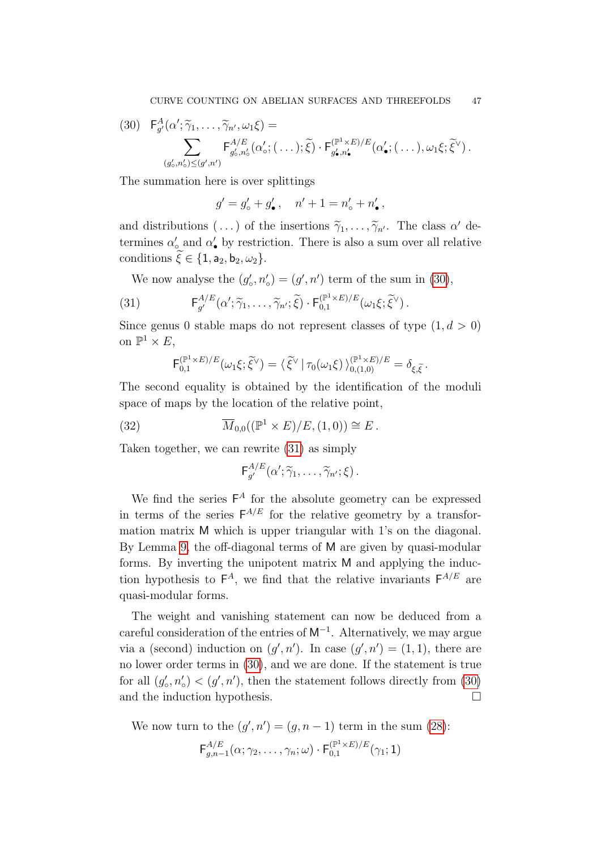<span id="page-46-0"></span>
$$
(30) \quad \mathsf{F}_{g'}^A(\alpha'; \widetilde{\gamma}_1, \ldots, \widetilde{\gamma}_{n'}, \omega_1 \xi) = \\ \sum_{(g'_o, n'_o) \le (g', n')} \mathsf{F}_{g'_o, n'_o}^{A/E}(\alpha'_o; (\ldots); \widetilde{\xi}) \cdot \mathsf{F}_{g'_\bullet, n'_\bullet}^{(\mathbb{P}^1 \times E)/E}(\alpha'_\bullet; (\ldots), \omega_1 \xi; \widetilde{\xi}^\vee).
$$

The summation here is over splittings

 $g' = g'_{o} + g'_{\bullet}$ ,  $n' + 1 = n'_{o} + n'_{\bullet}$ ,

and distributions  $(\ldots)$  of the insertions  $\widetilde{\gamma}_1, \ldots, \widetilde{\gamma}_{n'}$ . The class  $\alpha'$  determines  $\alpha'_{\circ}$  and  $\alpha'_{\bullet}$  by restriction. There is also a sum over all relative conditions  $\xi \in \{1, a_2, b_2, \omega_2\}.$ 

<span id="page-46-1"></span>We now analyse the  $(g'_{\circ}, n'_{\circ}) = (g', n')$  term of the sum in [\(30\)](#page-46-0),

(31) 
$$
\mathsf{F}_{g'}^{A/E}(\alpha'; \widetilde{\gamma}_1, \ldots, \widetilde{\gamma}_{n'}; \widetilde{\xi}) \cdot \mathsf{F}_{0,1}^{(\mathbb{P}^1 \times E)/E}(\omega_1 \xi; \widetilde{\xi}^{\vee}).
$$

Since genus 0 stable maps do not represent classes of type  $(1, d > 0)$ on  $\mathbb{P}^1 \times E$ ,

$$
\mathsf{F}_{0,1}^{(\mathbb{P}^1\times E)/E}(\omega_1\xi;\tilde{\xi}^{\vee})=\langle\,\tilde{\xi}^{\vee}\,|\,\tau_0(\omega_1\xi)\,\rangle_{0,(1,0)}^{(\mathbb{P}^1\times E)/E}=\delta_{\xi,\tilde{\xi}}.
$$

The second equality is obtained by the identification of the moduli space of maps by the location of the relative point,

(32) 
$$
\overline{M}_{0,0}((\mathbb{P}^1 \times E)/E,(1,0)) \cong E.
$$

Taken together, we can rewrite [\(31\)](#page-46-1) as simply

<span id="page-46-2"></span>
$$
\mathsf{F}_{g'}^{A/E}(\alpha';\widetilde{\gamma}_1,\ldots,\widetilde{\gamma}_{n'};\xi).
$$

We find the series  $F^A$  for the absolute geometry can be expressed in terms of the series  $F^{A/E}$  for the relative geometry by a transformation matrix M which is upper triangular with 1's on the diagonal. By Lemma [9,](#page-44-1) the off-diagonal terms of M are given by quasi-modular forms. By inverting the unipotent matrix M and applying the induction hypothesis to  $\mathsf{F}^A$ , we find that the relative invariants  $\mathsf{F}^{A/E}$  are quasi-modular forms.

The weight and vanishing statement can now be deduced from a careful consideration of the entries of  $M^{-1}$ . Alternatively, we may argue via a (second) induction on  $(g', n')$ . In case  $(g', n') = (1, 1)$ , there are no lower order terms in [\(30\)](#page-46-0), and we are done. If the statement is true for all  $(g'_{\circ}, n'_{\circ}) < (g', n')$ , then the statement follows directly from [\(30\)](#page-46-0) and the induction hypothesis.

We now turn to the  $(g', n') = (g, n-1)$  term in the sum [\(28\)](#page-44-2):

$$
\mathsf{F}^{A/E}_{g,n-1}(\alpha;\gamma_2,\ldots,\gamma_n;\omega)\cdot\mathsf{F}^{(\mathbb{P}^1\times E)/E}_{0,1}(\gamma_1;1)
$$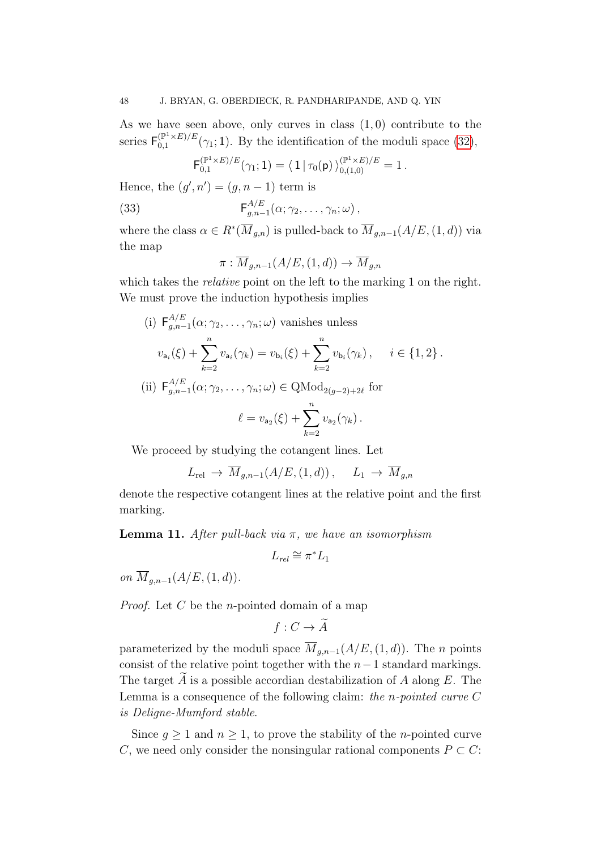As we have seen above, only curves in class  $(1,0)$  contribute to the series  $\mathsf{F}_{0.1}^{(\mathbb{P}^1 \times E)/E}$  $\binom{p+{\times}E}{0,1}$  ( $\gamma_1$ ; 1). By the identification of the moduli space [\(32\)](#page-46-2),

<span id="page-47-1"></span>
$$
F_{0,1}^{(\mathbb{P}^1 \times E)/E}(\gamma_1; 1) = \langle 1 | \tau_0(\mathsf{p}) \rangle_{0,(1,0)}^{(\mathbb{P}^1 \times E)/E} = 1.
$$

Hence, the  $(g', n') = (g, n-1)$  term is

(33) 
$$
\mathsf{F}_{g,n-1}^{A/E}(\alpha;\gamma_2,\ldots,\gamma_n;\omega),
$$

where the class  $\alpha \in R^*(\overline{M}_{g,n})$  is pulled-back to  $\overline{M}_{g,n-1}(A/E,(1,d))$  via the map

$$
\pi: \overline{M}_{g,n-1}(A/E, (1,d)) \to \overline{M}_{g,n}
$$

which takes the *relative* point on the left to the marking 1 on the right. We must prove the induction hypothesis implies

(i) 
$$
\mathsf{F}_{g,n-1}^{A/E}(\alpha; \gamma_2, \dots, \gamma_n; \omega) \text{ vanishes unless}
$$
\n
$$
v_{\mathsf{a}_i}(\xi) + \sum_{k=2}^n v_{\mathsf{a}_i}(\gamma_k) = v_{\mathsf{b}_i}(\xi) + \sum_{k=2}^n v_{\mathsf{b}_i}(\gamma_k), \quad i \in \{1, 2\}.
$$
\n(ii) 
$$
\mathsf{F}_{g,n-1}^{A/E}(\alpha; \gamma_2, \dots, \gamma_n; \omega) \in \text{QMod}_{2(g-2)+2\ell} \text{ for}
$$
\n
$$
\ell = v_{\mathsf{a}_2}(\xi) + \sum_{k=2}^n v_{\mathsf{a}_2}(\gamma_k).
$$

We proceed by studying the cotangent lines. Let

$$
L_{\text{rel}} \to \overline{M}_{g,n-1}(A/E,(1,d)), \quad L_1 \to \overline{M}_{g,n}
$$

 $k=2$ 

denote the respective cotangent lines at the relative point and the first marking.

<span id="page-47-0"></span>**Lemma 11.** After pull-back via π, we have an isomorphism

$$
L_{rel} \cong \pi^* L_1
$$

on  $\overline{M}_{a,n-1}(A/E,(1,d)).$ 

*Proof.* Let  $C$  be the *n*-pointed domain of a map

$$
f: C \to A
$$

parameterized by the moduli space  $\overline{M}_{q,n-1}(A/E,(1,d))$ . The n points consist of the relative point together with the  $n-1$  standard markings. The target  $\ddot{A}$  is a possible accordian destabilization of  $A$  along  $E$ . The Lemma is a consequence of the following claim: the n-pointed curve C is Deligne-Mumford stable.

Since  $g \geq 1$  and  $n \geq 1$ , to prove the stability of the *n*-pointed curve C, we need only consider the nonsingular rational components  $P \subset C$ :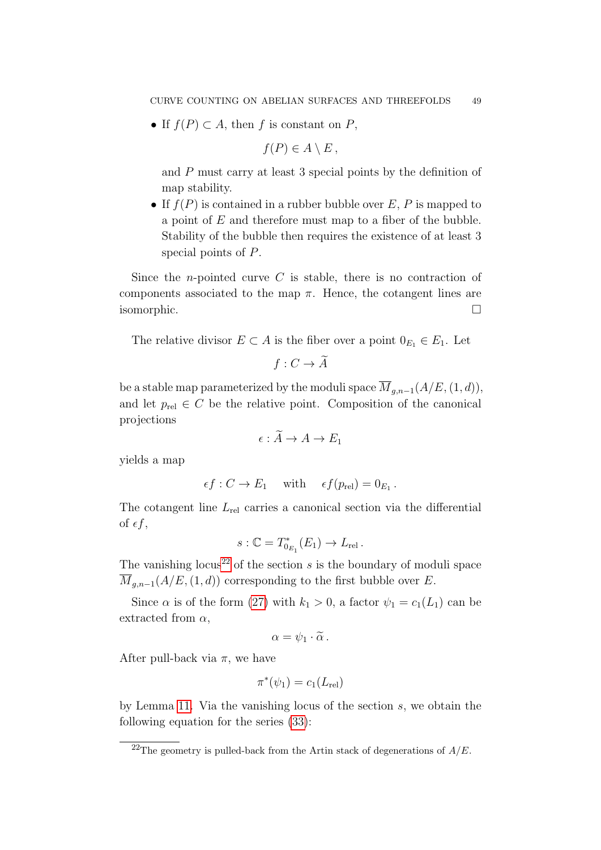• If  $f(P) \subset A$ , then f is constant on P,

$$
f(P) \in A \setminus E \, ,
$$

and P must carry at least 3 special points by the definition of map stability.

• If  $f(P)$  is contained in a rubber bubble over E, P is mapped to a point of  $E$  and therefore must map to a fiber of the bubble. Stability of the bubble then requires the existence of at least 3 special points of P.

Since the *n*-pointed curve  $C$  is stable, there is no contraction of components associated to the map  $\pi$ . Hence, the cotangent lines are isomorphic.

The relative divisor  $E \subset A$  is the fiber over a point  $0_{E_1} \in E_1$ . Let

$$
f: C \to A
$$

be a stable map parameterized by the moduli space  $\overline{M}_{q,n-1}(A/E,(1,d)),$ and let  $p_{rel} \in C$  be the relative point. Composition of the canonical projections

$$
\epsilon: A \to A \to E_1
$$

yields a map

$$
\epsilon f : C \to E_1
$$
 with  $\epsilon f(p_{rel}) = 0_{E_1}$ .

The cotangent line  $L_{rel}$  carries a canonical section via the differential of  $\epsilon f$ ,

$$
s:\mathbb{C}=T^*_{0_{E_1}}(E_1)\to L_{\text{rel}}.
$$

The vanishing locus<sup>[22](#page-48-0)</sup> of the section s is the boundary of moduli space  $\overline{M}_{a,n-1}(A/E,(1,d))$  corresponding to the first bubble over E.

Since  $\alpha$  is of the form [\(27\)](#page-43-0) with  $k_1 > 0$ , a factor  $\psi_1 = c_1(L_1)$  can be extracted from  $\alpha$ ,

$$
\alpha=\psi_1\cdot\widetilde{\alpha}\,.
$$

After pull-back via  $\pi$ , we have

$$
\pi^*(\psi_1) = c_1(L_{\text{rel}})
$$

by Lemma [11.](#page-47-0) Via the vanishing locus of the section s, we obtain the following equation for the series [\(33\)](#page-47-1):

<span id="page-48-0"></span><sup>&</sup>lt;sup>22</sup>The geometry is pulled-back from the Artin stack of degenerations of  $A/E$ .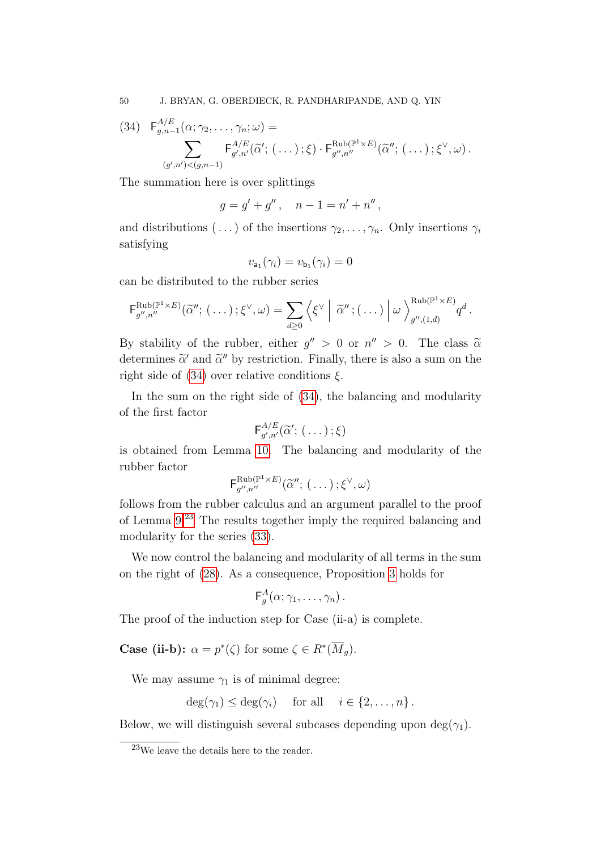50 J. BRYAN, G. OBERDIECK, R. PANDHARIPANDE, AND Q. YIN

<span id="page-49-0"></span>
$$
(34) \quad \mathsf{F}^{A/E}_{g,n-1}(\alpha;\gamma_2,\ldots,\gamma_n;\omega) =
$$
  

$$
\sum_{(g',n')<(g,n-1)} \mathsf{F}^{A/E}_{g',n'}(\widetilde{\alpha}';(\ldots);\xi) \cdot \mathsf{F}^{\text{Rub}(\mathbb{P}^1\times E)}_{g'',n''}(\widetilde{\alpha}'';(\ldots);\xi^{\vee},\omega).
$$

The summation here is over splittings

$$
g = g' + g'' , \quad n - 1 = n' + n'' ,
$$

and distributions  $(\ldots)$  of the insertions  $\gamma_2, \ldots, \gamma_n$ . Only insertions  $\gamma_i$ satisfying

$$
v_{\mathsf{a}_1}(\gamma_i) = v_{\mathsf{b}_1}(\gamma_i) = 0
$$

can be distributed to the rubber series

$$
\mathsf{F}_{g'',n''}^{\mathrm{Rub}(\mathbb{P}^1\times E)}(\widetilde{\alpha}'';\ (\dots);\xi^\vee,\omega)=\sum_{d\geq 0}\left\langle \xi^\vee\left| \ \widetilde{\alpha}'';(\dots)\left| \ \omega \ \right\rangle_{g'',(1,d)}^{\mathrm{Rub}(\mathbb{P}^1\times E)}q^d \right. \right. .
$$

By stability of the rubber, either  $g'' > 0$  or  $n'' > 0$ . The class  $\tilde{\alpha}$ determines  $\tilde{\alpha}'$  and  $\tilde{\alpha}''$  by restriction. Finally, there is also a sum on the right side of [\(34\)](#page-49-0) over relative conditions  $\xi$ .

In the sum on the right side of [\(34\)](#page-49-0), the balancing and modularity of the first factor

$$
\mathsf{F}^{A/E}_{g',n'}(\widetilde{\alpha}';\ (\ldots)\ ;\xi)
$$

is obtained from Lemma [10.](#page-45-0) The balancing and modularity of the rubber factor

$$
\mathsf{F}_{g'',n''}^{\mathrm{Rub}(\mathbb{P}^1\times E)}(\widetilde{\alpha}'';(\ldots);\xi^{\vee},\omega)
$$

follows from the rubber calculus and an argument parallel to the proof of Lemma [9.](#page-44-1)[23](#page-49-1) The results together imply the required balancing and modularity for the series [\(33\)](#page-47-1).

We now control the balancing and modularity of all terms in the sum on the right of [\(28\)](#page-44-2). As a consequence, Proposition [3](#page-39-1) holds for

$$
\mathsf{F}^A_g(\alpha;\gamma_1,\ldots,\gamma_n)\,.
$$

The proof of the induction step for Case (ii-a) is complete.

**Case (ii-b):**  $\alpha = p^*(\zeta)$  for some  $\zeta \in R^*(\overline{M}_g)$ .

We may assume  $\gamma_1$  is of minimal degree:

$$
\deg(\gamma_1) \le \deg(\gamma_i) \quad \text{ for all } \quad i \in \{2, \dots, n\}.
$$

Below, we will distinguish several subcases depending upon  $\deg(\gamma_1)$ .

<span id="page-49-1"></span><sup>23</sup>We leave the details here to the reader.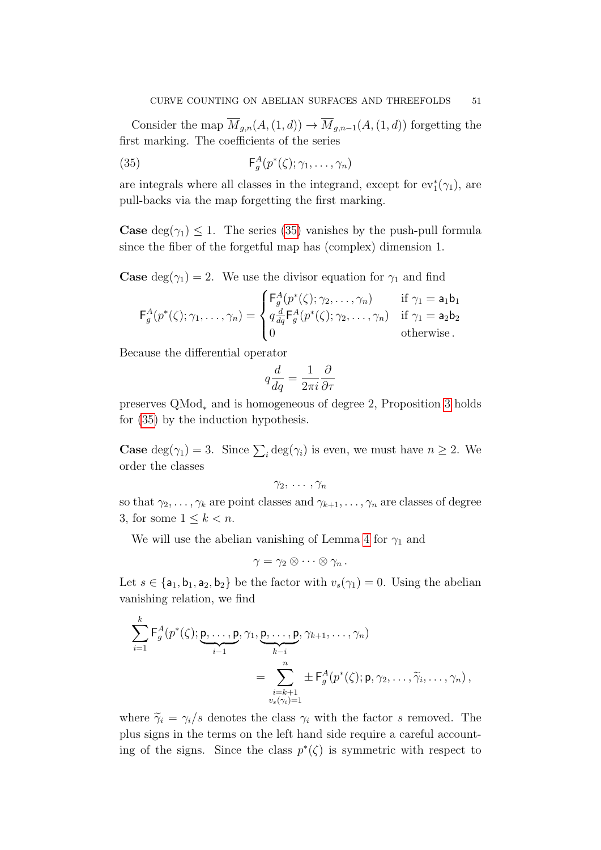Consider the map  $\overline{M}_{g,n}(A,(1,d)) \to \overline{M}_{g,n-1}(A,(1,d))$  forgetting the first marking. The coefficients of the series

<span id="page-50-0"></span>(35) 
$$
\mathsf{F}_g^A(p^*(\zeta); \gamma_1, \ldots, \gamma_n)
$$

are integrals where all classes in the integrand, except for  $ev_1^*(\gamma_1)$ , are pull-backs via the map forgetting the first marking.

**Case** deg( $\gamma_1$ )  $\leq$  1. The series [\(35\)](#page-50-0) vanishes by the push-pull formula since the fiber of the forgetful map has (complex) dimension 1.

**Case** deg( $\gamma_1$ ) = 2. We use the divisor equation for  $\gamma_1$  and find

$$
\mathsf{F}_{g}^{A}(p^{*}(\zeta);\gamma_{1},\ldots,\gamma_{n}) = \begin{cases} \mathsf{F}_{g}^{A}(p^{*}(\zeta);\gamma_{2},\ldots,\gamma_{n}) & \text{if } \gamma_{1} = \mathsf{a}_{1}\mathsf{b}_{1} \\ q\frac{d}{dq}\mathsf{F}_{g}^{A}(p^{*}(\zeta);\gamma_{2},\ldots,\gamma_{n}) & \text{if } \gamma_{1} = \mathsf{a}_{2}\mathsf{b}_{2} \\ 0 & \text{otherwise.} \end{cases}
$$

Because the differential operator

$$
q\frac{d}{dq} = \frac{1}{2\pi i} \frac{\partial}{\partial \tau}
$$

preserves QMod<sup>∗</sup> and is homogeneous of degree 2, Proposition [3](#page-39-1) holds for [\(35\)](#page-50-0) by the induction hypothesis.

**Case** deg( $\gamma_1$ ) = 3. Since  $\sum_i \deg(\gamma_i)$  is even, we must have  $n \geq 2$ . We order the classes

$$
\gamma_2, \ldots, \gamma_n
$$

so that  $\gamma_2, \ldots, \gamma_k$  are point classes and  $\gamma_{k+1}, \ldots, \gamma_n$  are classes of degree 3, for some  $1 \leq k < n$ .

We will use the abelian vanishing of Lemma [4](#page-29-0) for  $\gamma_1$  and

$$
\gamma = \gamma_2 \otimes \cdots \otimes \gamma_n.
$$

Let  $s \in \{a_1, b_1, a_2, b_2\}$  be the factor with  $v_s(\gamma_1) = 0$ . Using the abelian vanishing relation, we find

$$
\sum_{i=1}^{k} \mathsf{F}_{g}^{A}(p^{*}(\zeta); \underbrace{\mathsf{p}, \ldots, \mathsf{p}}_{i-1}, \gamma_{1}, \underbrace{\mathsf{p}, \ldots, \mathsf{p}}_{k-i}, \gamma_{k+1}, \ldots, \gamma_{n})
$$
\n
$$
= \sum_{\substack{i=k+1 \\ v_{s}(\gamma_{i})=1}}^{n} \pm \mathsf{F}_{g}^{A}(p^{*}(\zeta); \mathsf{p}, \gamma_{2}, \ldots, \widetilde{\gamma}_{i}, \ldots, \gamma_{n}),
$$

where  $\tilde{\gamma}_i = \gamma_i/s$  denotes the class  $\gamma_i$  with the factor s removed. The plus signs in the terms on the left hand side require a careful accounting of the signs. Since the class  $p^*(\zeta)$  is symmetric with respect to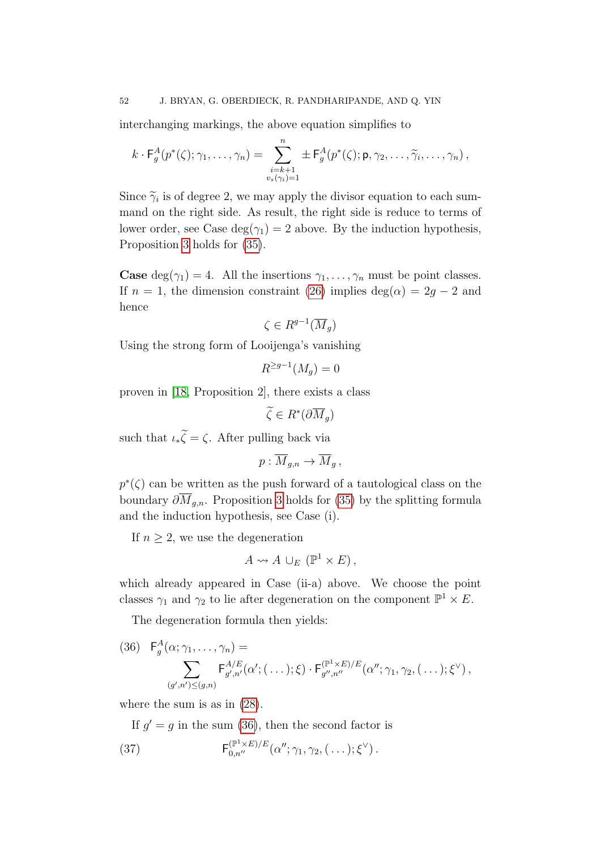interchanging markings, the above equation simplifies to

$$
k \cdot \mathsf{F}_{g}^{A}(p^{*}(\zeta); \gamma_{1}, \ldots, \gamma_{n}) = \sum_{\substack{i=k+1 \\ v_{s}(\gamma_{i})=1}}^{n} \pm \mathsf{F}_{g}^{A}(p^{*}(\zeta); \mathsf{p}, \gamma_{2}, \ldots, \widetilde{\gamma}_{i}, \ldots, \gamma_{n}),
$$

Since  $\widetilde{\gamma}_i$  is of degree 2, we may apply the divisor equation to each summand on the right side. As result, the right side is reduce to terms of lower order, see Case deg( $\gamma_1$ ) = 2 above. By the induction hypothesis, Proposition [3](#page-39-1) holds for [\(35\)](#page-50-0).

**Case** deg( $\gamma_1$ ) = 4. All the insertions  $\gamma_1, \ldots, \gamma_n$  must be point classes. If  $n = 1$ , the dimension constraint [\(26\)](#page-41-1) implies deg( $\alpha$ ) = 2g – 2 and hence

$$
\zeta \in R^{g-1}(\overline{M}_g)
$$

Using the strong form of Looijenga's vanishing

$$
R^{\geq g-1}(M_g) = 0
$$

proven in [\[18,](#page-89-0) Proposition 2], there exists a class

 $\widetilde{\zeta} \in R^*(\partial \overline{M}_g)$ 

such that  $\iota_*\widetilde{\zeta} = \zeta$ . After pulling back via

$$
p:\overline{M}_{g,n}\to \overline{M}_g,
$$

 $p^*(\zeta)$  can be written as the push forward of a tautological class on the boundary  $\partial M_{g,n}$ . Proposition [3](#page-39-1) holds for [\(35\)](#page-50-0) by the splitting formula and the induction hypothesis, see Case (i).

If  $n \geq 2$ , we use the degeneration

$$
A \leadsto A \cup_E (\mathbb{P}^1 \times E),
$$

which already appeared in Case (ii-a) above. We choose the point classes  $\gamma_1$  and  $\gamma_2$  to lie after degeneration on the component  $\mathbb{P}^1 \times E$ .

The degeneration formula then yields:

<span id="page-51-0"></span>(36) 
$$
\mathsf{F}_{g}^{A}(\alpha; \gamma_{1}, \ldots, \gamma_{n}) = \sum_{(g', n') \leq (g,n)} \mathsf{F}_{g', n'}^{A/E}(\alpha'; (\ldots); \xi) \cdot \mathsf{F}_{g'', n''}^{(\mathbb{P}^{1} \times E)/E}(\alpha''; \gamma_{1}, \gamma_{2}, (\ldots); \xi^{\vee}),
$$

where the sum is as in [\(28\)](#page-44-2).

<span id="page-51-1"></span>If  $g' = g$  in the sum [\(36\)](#page-51-0), then the second factor is

(37) 
$$
\mathsf{F}_{0,n''}^{(\mathbb{P}^1 \times E)/E}(\alpha''; \gamma_1, \gamma_2, (\ldots); \xi^{\vee}).
$$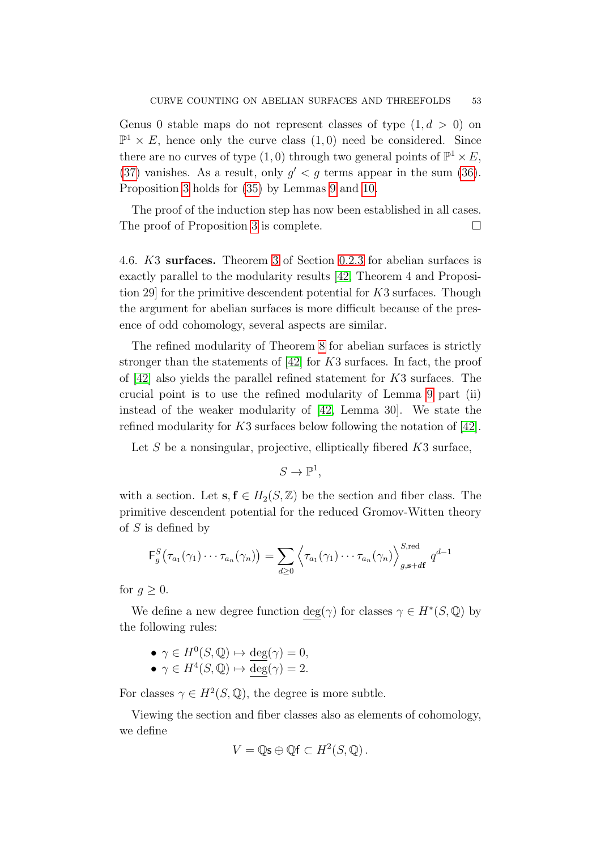Genus 0 stable maps do not represent classes of type  $(1, d > 0)$  on  $\mathbb{P}^1 \times E$ , hence only the curve class  $(1,0)$  need be considered. Since there are no curves of type  $(1,0)$  through two general points of  $\mathbb{P}^1 \times E$ , [\(37\)](#page-51-1) vanishes. As a result, only  $g' < g$  terms appear in the sum [\(36\)](#page-51-0). Proposition [3](#page-39-1) holds for [\(35\)](#page-50-0) by Lemmas [9](#page-44-1) and [10.](#page-45-0)

The proof of the induction step has now been established in all cases. The proof of Proposition [3](#page-39-1) is complete.  $\Box$ 

4.6. K3 surfaces. Theorem [3](#page-6-0) of Section [0.2.3](#page-5-1) for abelian surfaces is exactly parallel to the modularity results [\[42,](#page-90-0) Theorem 4 and Proposition 29] for the primitive descendent potential for K3 surfaces. Though the argument for abelian surfaces is more difficult because of the presence of odd cohomology, several aspects are similar.

The refined modularity of Theorem [8](#page-37-1) for abelian surfaces is strictly stronger than the statements of [\[42\]](#page-90-0) for K3 surfaces. In fact, the proof of [\[42\]](#page-90-0) also yields the parallel refined statement for K3 surfaces. The crucial point is to use the refined modularity of Lemma [9](#page-44-1) part (ii) instead of the weaker modularity of [\[42,](#page-90-0) Lemma 30]. We state the refined modularity for K3 surfaces below following the notation of [\[42\]](#page-90-0).

Let S be a nonsingular, projective, elliptically fibered  $K3$  surface,

 $S \to \mathbb{P}^1$ ,

with a section. Let  $s, f \in H_2(S, \mathbb{Z})$  be the section and fiber class. The primitive descendent potential for the reduced Gromov-Witten theory of  $S$  is defined by

$$
\mathsf{F}_{g}^{S}\big(\tau_{a_1}(\gamma_1)\cdots\tau_{a_n}(\gamma_n)\big)=\sum_{d\geq 0}\left\langle\tau_{a_1}(\gamma_1)\cdots\tau_{a_n}(\gamma_n)\right\rangle_{g,\mathbf{s}+d\mathbf{f}}^{S,\mathrm{red}}q^{d-1}
$$

for  $q \geq 0$ .

We define a new degree function  $deg(\gamma)$  for classes  $\gamma \in H^*(S, \mathbb{Q})$  by the following rules:

- $\gamma \in H^0(S, \mathbb{Q}) \mapsto \deg(\gamma) = 0,$
- $\gamma \in H^4(S, \mathbb{Q}) \mapsto \overline{\deg}(\gamma) = 2.$

For classes  $\gamma \in H^2(S, \mathbb{Q})$ , the degree is more subtle.

Viewing the section and fiber classes also as elements of cohomology, we define

$$
V = \mathbb{Q}\mathsf{s} \oplus \mathbb{Q}\mathsf{f} \subset H^2(S, \mathbb{Q})\,.
$$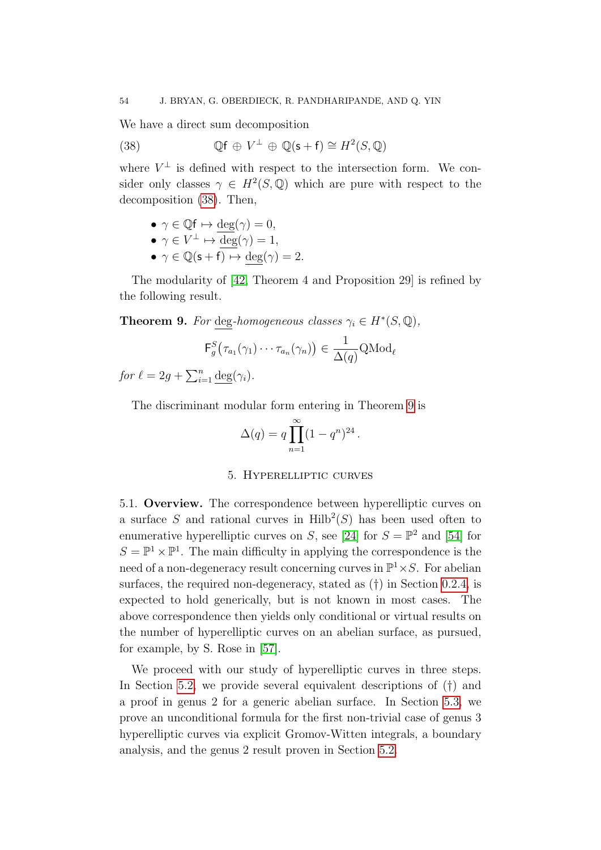We have a direct sum decomposition

<span id="page-53-0"></span>(38) 
$$
\mathbb{Q}f \oplus V^{\perp} \oplus \mathbb{Q}(\mathsf{s}+\mathsf{f}) \cong H^2(S,\mathbb{Q})
$$

where  $V^{\perp}$  is defined with respect to the intersection form. We consider only classes  $\gamma \in H^2(S, \mathbb{Q})$  which are pure with respect to the decomposition [\(38\)](#page-53-0). Then,

• 
$$
\gamma \in \mathbb{Q}f \mapsto \deg(\gamma) = 0,
$$

• 
$$
\gamma \in V^{\perp} \mapsto \deg(\gamma) = 1
$$
,

•  $\gamma \in \mathbb{Q}(\mathsf{s} + \mathsf{f}) \mapsto \deg(\gamma) = 2.$ 

The modularity of [\[42,](#page-90-0) Theorem 4 and Proposition 29] is refined by the following result.

<span id="page-53-1"></span>**Theorem 9.** For deg-homogeneous classes  $\gamma_i \in H^*(S, \mathbb{Q}),$ 

$$
\mathsf{F}_g^S(\tau_{a_1}(\gamma_1)\cdots\tau_{a_n}(\gamma_n))\in\frac{1}{\Delta(q)}\mathrm{QMod}_\ell
$$

for  $\ell = 2g + \sum_{i=1}^n \underline{\deg}(\gamma_i)$ .

The discriminant modular form entering in Theorem [9](#page-53-1) is

$$
\Delta(q) = q \prod_{n=1}^{\infty} (1 - q^n)^{24}.
$$

### 5. Hyperelliptic curves

5.1. Overview. The correspondence between hyperelliptic curves on a surface S and rational curves in  $\mathrm{Hilb}^2(S)$  has been used often to enumerative hyperelliptic curves on S, see [\[24\]](#page-90-5) for  $S = \mathbb{P}^2$  and [\[54\]](#page-91-2) for  $S = \mathbb{P}^1 \times \mathbb{P}^1$ . The main difficulty in applying the correspondence is the need of a non-degeneracy result concerning curves in  $\mathbb{P}^1 \times S$ . For abelian surfaces, the required non-degeneracy, stated as (†) in Section [0.2.4,](#page-6-1) is expected to hold generically, but is not known in most cases. The above correspondence then yields only conditional or virtual results on the number of hyperelliptic curves on an abelian surface, as pursued, for example, by S. Rose in [\[57\]](#page-91-3).

We proceed with our study of hyperelliptic curves in three steps. In Section [5.2,](#page-54-0) we provide several equivalent descriptions of (†) and a proof in genus 2 for a generic abelian surface. In Section [5.3,](#page-56-0) we prove an unconditional formula for the first non-trivial case of genus 3 hyperelliptic curves via explicit Gromov-Witten integrals, a boundary analysis, and the genus 2 result proven in Section [5.2.](#page-54-0)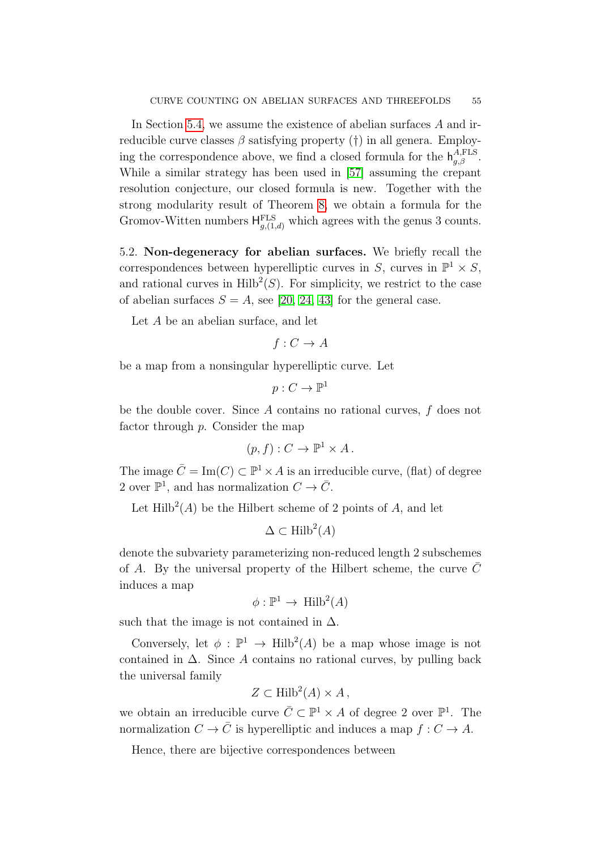In Section [5.4,](#page-57-0) we assume the existence of abelian surfaces A and irreducible curve classes  $\beta$  satisfying property (†) in all genera. Employing the correspondence above, we find a closed formula for the  $h_{g,\beta}^{A,\text{FLS}}$ . While a similar strategy has been used in [\[57\]](#page-91-3) assuming the crepant resolution conjecture, our closed formula is new. Together with the strong modularity result of Theorem [8,](#page-37-1) we obtain a formula for the Gromov-Witten numbers  $H_{g,(1,d)}^{\text{FLS}}$  which agrees with the genus 3 counts.

<span id="page-54-0"></span>5.2. Non-degeneracy for abelian surfaces. We briefly recall the correspondences between hyperelliptic curves in S, curves in  $\mathbb{P}^1 \times S$ , and rational curves in  $\text{Hilb}^2(S)$ . For simplicity, we restrict to the case of abelian surfaces  $S = A$ , see [\[20,](#page-89-2) [24,](#page-90-5) [43\]](#page-90-6) for the general case.

Let A be an abelian surface, and let

$$
f: C \to A
$$

be a map from a nonsingular hyperelliptic curve. Let

$$
p:C\to \mathbb{P}^1
$$

be the double cover. Since A contains no rational curves, f does not factor through p. Consider the map

$$
(p, f) : C \to \mathbb{P}^1 \times A.
$$

The image  $\overline{C} = \text{Im}(C) \subset \mathbb{P}^1 \times A$  is an irreducible curve, (flat) of degree 2 over  $\mathbb{P}^1$ , and has normalization  $C \to \overline{C}$ .

Let  $Hilb<sup>2</sup>(A)$  be the Hilbert scheme of 2 points of A, and let

$$
\Delta \subset \text{Hilb}^2(A)
$$

denote the subvariety parameterizing non-reduced length 2 subschemes of A. By the universal property of the Hilbert scheme, the curve  $\overline{C}$ induces a map

$$
\phi: \mathbb{P}^1 \to \text{Hilb}^2(A)
$$

such that the image is not contained in  $\Delta$ .

Conversely, let  $\phi : \mathbb{P}^1 \to \text{Hilb}^2(A)$  be a map whose image is not contained in  $\Delta$ . Since A contains no rational curves, by pulling back the universal family

$$
Z \subset \text{Hilb}^2(A) \times A \,,
$$

we obtain an irreducible curve  $\overline{C} \subset \mathbb{P}^1 \times A$  of degree 2 over  $\mathbb{P}^1$ . The normalization  $C \to \overline{C}$  is hyperelliptic and induces a map  $f : C \to A$ .

Hence, there are bijective correspondences between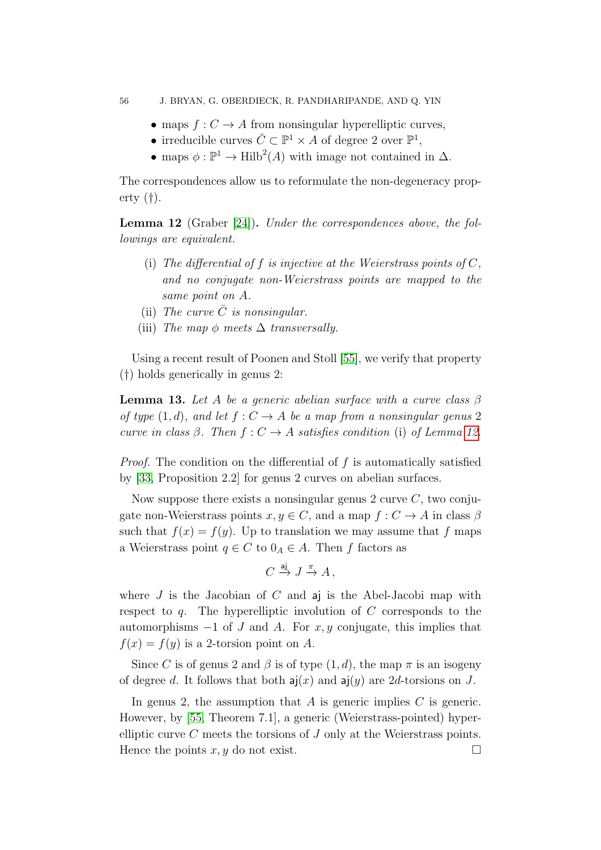- maps  $f: C \to A$  from nonsingular hyperelliptic curves,
- irreducible curves  $\overline{C} \subset \mathbb{P}^1 \times A$  of degree 2 over  $\mathbb{P}^1$ ,
- maps  $\phi : \mathbb{P}^1 \to \text{Hilb}^2(A)$  with image not contained in  $\Delta$ .

The correspondences allow us to reformulate the non-degeneracy property (†).

<span id="page-55-0"></span>Lemma 12 (Graber [\[24\]](#page-90-5)). Under the correspondences above, the followings are equivalent.

- (i) The differential of f is injective at the Weierstrass points of  $C$ , and no conjugate non-Weierstrass points are mapped to the same point on A.
- (ii) The curve  $\overline{C}$  is nonsingular.
- (iii) The map  $\phi$  meets  $\Delta$  transversally.

Using a recent result of Poonen and Stoll [\[55\]](#page-91-4), we verify that property (†) holds generically in genus 2:

<span id="page-55-1"></span>**Lemma 13.** Let A be a generic abelian surface with a curve class  $\beta$ of type  $(1, d)$ , and let  $f : C \to A$  be a map from a nonsingular genus 2 curve in class  $\beta$ . Then  $f: C \to A$  satisfies condition (i) of Lemma [12.](#page-55-0)

*Proof.* The condition on the differential of  $f$  is automatically satisfied by [\[33,](#page-90-7) Proposition 2.2] for genus 2 curves on abelian surfaces.

Now suppose there exists a nonsingular genus 2 curve  $C$ , two conjugate non-Weierstrass points  $x, y \in C$ , and a map  $f: C \to A$  in class  $\beta$ such that  $f(x) = f(y)$ . Up to translation we may assume that f maps a Weierstrass point  $q \in C$  to  $0_A \in A$ . Then f factors as

$$
C \xrightarrow{\text{aj}} J \xrightarrow{\pi} A,
$$

where  $J$  is the Jacobian of  $C$  and  $a$  is the Abel-Jacobi map with respect to  $q$ . The hyperelliptic involution of C corresponds to the automorphisms  $-1$  of J and A. For  $x, y$  conjugate, this implies that  $f(x) = f(y)$  is a 2-torsion point on A.

Since C is of genus 2 and  $\beta$  is of type  $(1, d)$ , the map  $\pi$  is an isogeny of degree d. It follows that both  $a(x)$  and  $a(y)$  are 2d-torsions on J.

In genus 2, the assumption that  $A$  is generic implies  $C$  is generic. However, by [\[55,](#page-91-4) Theorem 7.1], a generic (Weierstrass-pointed) hyperelliptic curve  $C$  meets the torsions of  $J$  only at the Weierstrass points. Hence the points  $x, y$  do not exist.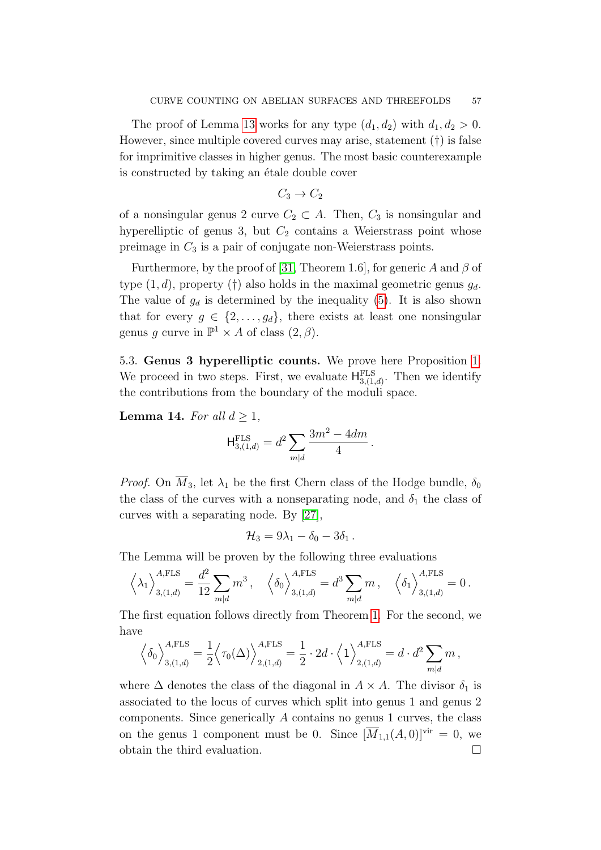The proof of Lemma [13](#page-55-1) works for any type  $(d_1, d_2)$  with  $d_1, d_2 > 0$ . However, since multiple covered curves may arise, statement (†) is false for imprimitive classes in higher genus. The most basic counterexample is constructed by taking an étale double cover

$$
C_3 \to C_2
$$

of a nonsingular genus 2 curve  $C_2 \subset A$ . Then,  $C_3$  is nonsingular and hyperelliptic of genus 3, but  $C_2$  contains a Weierstrass point whose preimage in  $C_3$  is a pair of conjugate non-Weierstrass points.

Furthermore, by the proof of [\[31,](#page-90-8) Theorem 1.6], for generic A and  $\beta$  of type  $(1, d)$ , property (†) also holds in the maximal geometric genus  $g_d$ . The value of  $g_d$  is determined by the inequality [\(5\)](#page-8-0). It is also shown that for every  $g \in \{2, \ldots, g_d\}$ , there exists at least one nonsingular genus g curve in  $\mathbb{P}^1 \times A$  of class  $(2, \beta)$ .

<span id="page-56-0"></span>5.3. Genus 3 hyperelliptic counts. We prove here Proposition [1.](#page-7-0) We proceed in two steps. First, we evaluate  $H_{3,(1,d)}^{\text{FLS}}$ . Then we identify the contributions from the boundary of the moduli space.

**Lemma 14.** For all  $d \geq 1$ ,

$$
H_{3,(1,d)}^{\text{FLS}} = d^2 \sum_{m|d} \frac{3m^2 - 4dm}{4}.
$$

*Proof.* On  $\overline{M}_3$ , let  $\lambda_1$  be the first Chern class of the Hodge bundle,  $\delta_0$ the class of the curves with a nonseparating node, and  $\delta_1$  the class of curves with a separating node. By [\[27\]](#page-90-9),

$$
\mathcal{H}_3=9\lambda_1-\delta_0-3\delta_1.
$$

The Lemma will be proven by the following three evaluations

$$
\left<\lambda_1\right>_{3,(1,d)}^{A,\text{FLS}} = \frac{d^2}{12} \sum_{m|d} m^3 \,, \quad \left<\delta_0\right>_{3,(1,d)}^{A,\text{FLS}} = d^3 \sum_{m|d} m \,, \quad \left<\delta_1\right>_{3,(1,d)}^{A,\text{FLS}} = 0 \,.
$$

The first equation follows directly from Theorem [1.](#page-4-0) For the second, we have

$$
\left\langle \delta_0 \right\rangle_{3,(1,d)}^{A,\text{FLS}} = \frac{1}{2} \left\langle \tau_0(\Delta) \right\rangle_{2,(1,d)}^{A,\text{FLS}} = \frac{1}{2} \cdot 2d \cdot \left\langle 1 \right\rangle_{2,(1,d)}^{A,\text{FLS}} = d \cdot d^2 \sum_{m|d} m,
$$

where  $\Delta$  denotes the class of the diagonal in  $A \times A$ . The divisor  $\delta_1$  is associated to the locus of curves which split into genus 1 and genus 2 components. Since generically A contains no genus 1 curves, the class on the genus 1 component must be 0. Since  $[\overline{M}_{1,1}(A, 0)]^{\text{vir}} = 0$ , we obtain the third evaluation.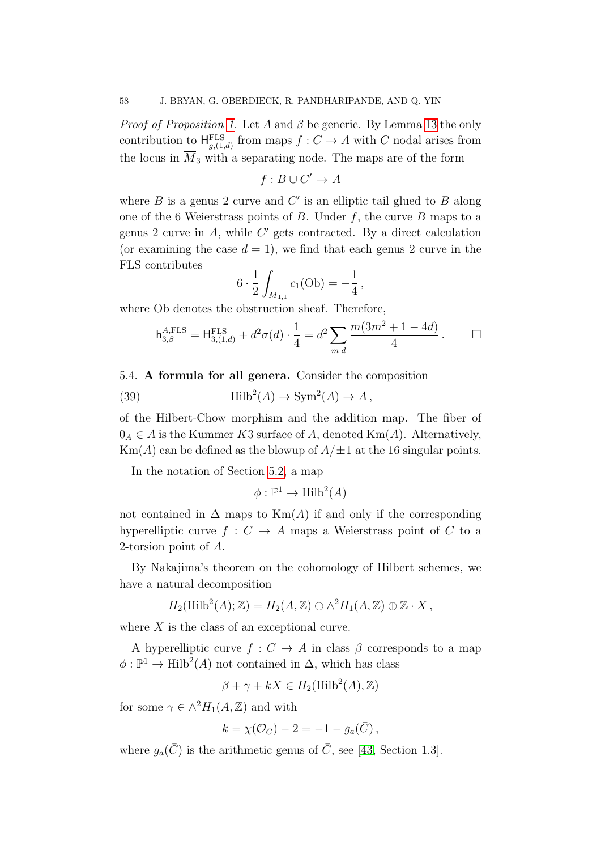*Proof of Proposition [1.](#page-7-0)* Let A and  $\beta$  be generic. By Lemma [13](#page-55-1) the only contribution to  $\mathsf{H}_{g,(1,d)}^{\text{FLS}}$  from maps  $f: C \to A$  with C nodal arises from the locus in  $\overline{M}_3$  with a separating node. The maps are of the form

$$
f: B \cup C' \to A
$$

where  $B$  is a genus 2 curve and  $C'$  is an elliptic tail glued to  $B$  along one of the 6 Weierstrass points of  $B$ . Under  $f$ , the curve  $B$  maps to a genus 2 curve in  $A$ , while  $C'$  gets contracted. By a direct calculation (or examining the case  $d = 1$ ), we find that each genus 2 curve in the FLS contributes

$$
6 \cdot \frac{1}{2} \int_{\overline{M}_{1,1}} c_1(\text{Ob}) = -\frac{1}{4},
$$

where Ob denotes the obstruction sheaf. Therefore,

<span id="page-57-1"></span>
$$
\mathsf{h}_{3,\beta}^{A,\text{FLS}} = \mathsf{H}_{3,(1,d)}^{\text{FLS}} + d^2 \sigma(d) \cdot \frac{1}{4} = d^2 \sum_{m|d} \frac{m(3m^2 + 1 - 4d)}{4} \,. \qquad \Box
$$

<span id="page-57-0"></span>5.4. A formula for all genera. Consider the composition

(39) 
$$
\text{Hilb}^2(A) \to \text{Sym}^2(A) \to A,
$$

of the Hilbert-Chow morphism and the addition map. The fiber of  $0_A \in A$  is the Kummer K3 surface of A, denoted Km(A). Alternatively,  $\text{Km}(A)$  can be defined as the blowup of  $A/\pm 1$  at the 16 singular points.

In the notation of Section [5.2,](#page-54-0) a map

$$
\phi: \mathbb{P}^1 \to \text{Hilb}^2(A)
$$

not contained in  $\Delta$  maps to  $\text{Km}(A)$  if and only if the corresponding hyperelliptic curve  $f: C \to A$  maps a Weierstrass point of C to a 2-torsion point of A.

By Nakajima's theorem on the cohomology of Hilbert schemes, we have a natural decomposition

$$
H_2(\mathrm{Hilb}^2(A); \mathbb{Z}) = H_2(A, \mathbb{Z}) \oplus \wedge^2 H_1(A, \mathbb{Z}) \oplus \mathbb{Z} \cdot X,
$$

where X is the class of an exceptional curve.

A hyperelliptic curve  $f: C \to A$  in class  $\beta$  corresponds to a map  $\phi: \mathbb{P}^1 \to \text{Hilb}^2(A)$  not contained in  $\Delta$ , which has class

$$
\beta + \gamma + kX \in H_2(\text{Hilb}^2(A), \mathbb{Z})
$$

for some  $\gamma \in \wedge^2 H_1(A, \mathbb{Z})$  and with

$$
k = \chi(\mathcal{O}_{\bar{C}}) - 2 = -1 - g_a(\bar{C}),
$$

where  $q_a(\bar{C})$  is the arithmetic genus of  $\bar{C}$ , see [\[43,](#page-90-6) Section 1.3].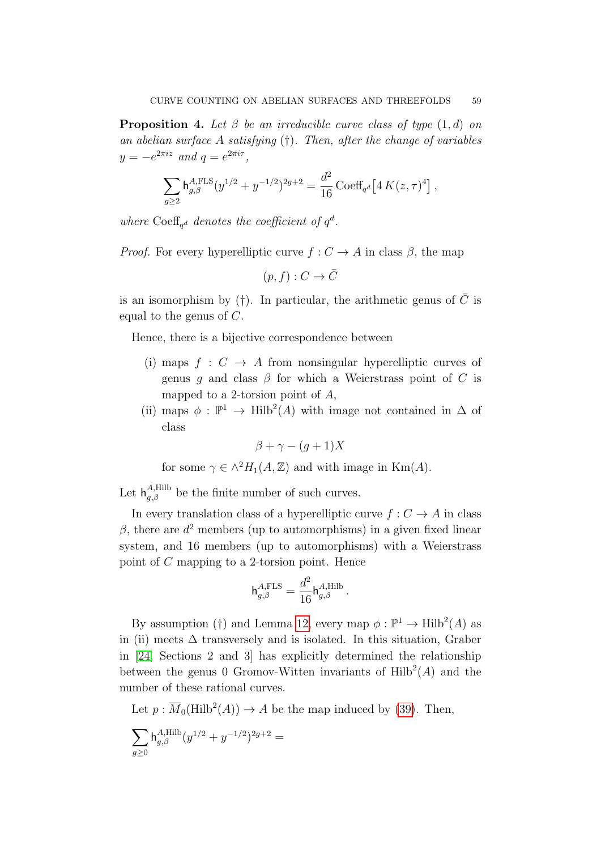<span id="page-58-0"></span>**Proposition 4.** Let  $\beta$  be an irreducible curve class of type  $(1, d)$  on an abelian surface A satisfying (†). Then, after the change of variables  $y = -e^{2\pi i z}$  and  $q = e^{2\pi i \tau}$ ,

$$
\sum_{g\geq 2} {\rm h}^{A,{\rm FLS}}_{g,\beta}(y^{1/2}+y^{-1/2})^{2g+2} = \frac{d^2}{16}\, {\rm Coeff}_{q^d}\big[4\, {\cal K}(z,\tau)^4\big]\,,
$$

where Coeff<sub>q</sub><sup>d</sup> denotes the coefficient of  $q^d$ .

*Proof.* For every hyperelliptic curve  $f: C \to A$  in class  $\beta$ , the map

 $(p, f) : C \to \overline{C}$ 

is an isomorphism by (†). In particular, the arithmetic genus of  $\overline{C}$  is equal to the genus of C.

Hence, there is a bijective correspondence between

- (i) maps  $f: C \rightarrow A$  from nonsingular hyperelliptic curves of genus q and class  $\beta$  for which a Weierstrass point of C is mapped to a 2-torsion point of A,
- (ii) maps  $\phi : \mathbb{P}^1 \to \text{Hilb}^2(A)$  with image not contained in  $\Delta$  of class

$$
\beta + \gamma - (g+1)X
$$

for some  $\gamma \in \wedge^2 H_1(A, \mathbb{Z})$  and with image in Km(A).

Let  $h_{g,\beta}^{A,Hilb}$  be the finite number of such curves.

In every translation class of a hyperelliptic curve  $f: C \to A$  in class  $\beta$ , there are  $d^2$  members (up to automorphisms) in a given fixed linear system, and 16 members (up to automorphisms) with a Weierstrass point of C mapping to a 2-torsion point. Hence

$$
\mathsf{h}_{g,\beta}^{A,\text{FLS}} = \frac{d^2}{16} \mathsf{h}_{g,\beta}^{A,\text{Hilb}}.
$$

By assumption (†) and Lemma [12,](#page-55-0) every map  $\phi : \mathbb{P}^1 \to \text{Hilb}^2(A)$  as in (ii) meets  $\Delta$  transversely and is isolated. In this situation, Graber in [\[24,](#page-90-5) Sections 2 and 3] has explicitly determined the relationship between the genus 0 Gromov-Witten invariants of  $\text{Hilb}^2(A)$  and the number of these rational curves.

Let  $p : \overline{M}_0(\text{Hilb}^2(A)) \to A$  be the map induced by [\(39\)](#page-57-1). Then,

$$
\sum_{g\geq 0} {\rm h}^{A,{\rm Hilb}}_{g,\beta}(y^{1/2}+y^{-1/2})^{2g+2}=
$$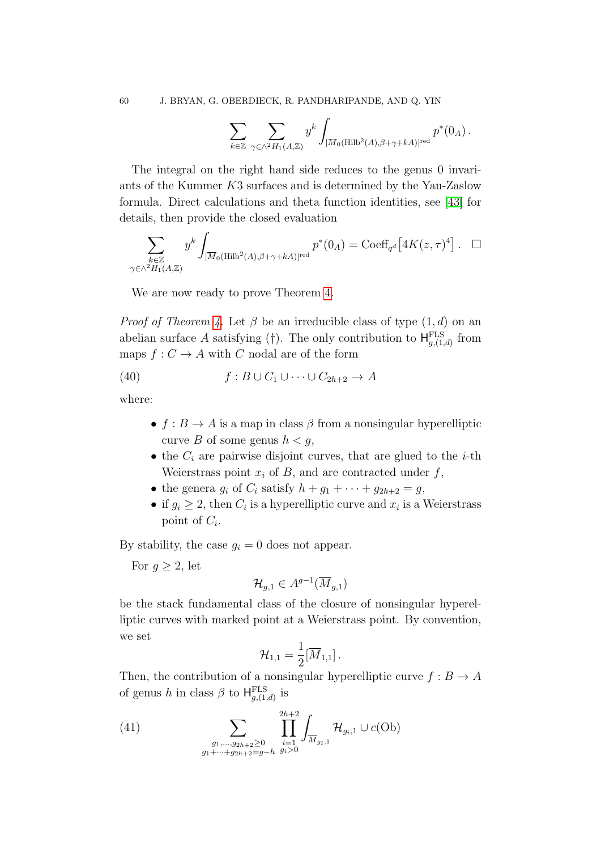$$
\sum_{k\in\mathbb{Z}}\sum_{\gamma\in\wedge^2 H_1(A,\mathbb{Z})}y^k\int_{[\overline{M}_0(\text{Hilb}^2(A),\beta+\gamma+kA)]^{\text{red}}}p^*(0_A)\,.
$$

The integral on the right hand side reduces to the genus 0 invariants of the Kummer K3 surfaces and is determined by the Yau-Zaslow formula. Direct calculations and theta function identities, see [\[43\]](#page-90-6) for details, then provide the closed evaluation

$$
\sum_{\substack{k \in \mathbb{Z} \\ \gamma \in \wedge^2 H_1(A, \mathbb{Z})}} y^k \int_{[\overline{M}_0(\text{Hilb}^2(A), \beta + \gamma + kA)]^{\text{red}}} p^*(0_A) = \text{Coeff}_{q^d} [4K(z, \tau)^4]. \quad \Box
$$

We are now ready to prove Theorem [4.](#page-8-1)

*Proof of Theorem [4.](#page-8-1)* Let  $\beta$  be an irreducible class of type  $(1, d)$  on an abelian surface A satisfying (†). The only contribution to  $H_{g,(1,d)}^{\text{FLS}}$  from maps  $f: C \to A$  with C nodal are of the form

(40) 
$$
f: B \cup C_1 \cup \cdots \cup C_{2h+2} \to A
$$

where:

- <span id="page-59-1"></span>•  $f : B \to A$  is a map in class  $\beta$  from a nonsingular hyperelliptic curve B of some genus  $h < q$ ,
- the  $C_i$  are pairwise disjoint curves, that are glued to the *i*-th Weierstrass point  $x_i$  of B, and are contracted under f,
- the genera  $g_i$  of  $C_i$  satisfy  $h + g_1 + \cdots + g_{2h+2} = g$ ,
- if  $g_i \geq 2$ , then  $C_i$  is a hyperelliptic curve and  $x_i$  is a Weierstrass point of  $C_i$ .

By stability, the case  $q_i = 0$  does not appear.

For  $g \geq 2$ , let

$$
\mathcal{H}_{g,1} \in A^{g-1}(\overline{M}_{g,1})
$$

be the stack fundamental class of the closure of nonsingular hyperelliptic curves with marked point at a Weierstrass point. By convention, we set

$$
\mathcal{H}_{1,1}=\frac{1}{2}[\overline{M}_{1,1}]\,.
$$

Then, the contribution of a nonsingular hyperelliptic curve  $f : B \to A$ of genus h in class  $\beta$  to  $H_{g,(1,d)}^{\text{FLS}}$  is

<span id="page-59-0"></span>(41) 
$$
\sum_{\substack{g_1,\ldots,g_{2h+2}\geq 0\\g_1+\cdots+g_{2h+2}=g-h}} \prod_{i=1}^{2h+2} \int_{\overline{M}_{g_i,1}} \mathcal{H}_{g_i,1} \cup c(\text{Ob})
$$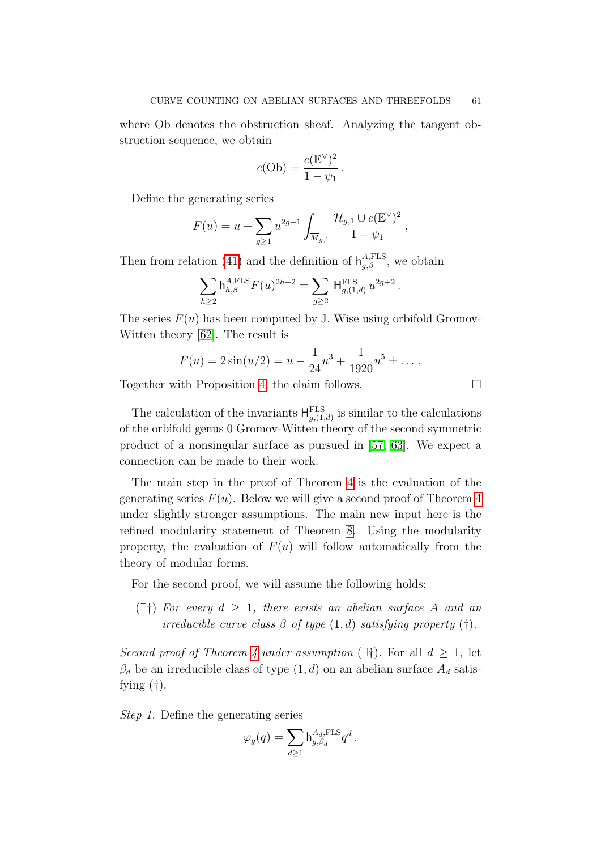where Ob denotes the obstruction sheaf. Analyzing the tangent obstruction sequence, we obtain

$$
c(\mathrm{Ob}) = \frac{c(\mathbb{E}^{\vee})^2}{1 - \psi_1}.
$$

Define the generating series

$$
F(u) = u + \sum_{g \ge 1} u^{2g+1} \int_{\overline{M}_{g,1}} \frac{\mathcal{H}_{g,1} \cup c(\mathbb{E}^{\vee})^2}{1 - \psi_1},
$$

Then from relation [\(41\)](#page-59-0) and the definition of  $h_{g,\beta}^{A,\text{FLS}}$ , we obtain

$$
\sum_{h\geq 2} {\rm h}^{A,{\rm FLS}}_{h,\beta} F(u)^{2h+2} = \sum_{g\geq 2}\, {\rm H}^{\rm FLS}_{g,(1,d)}\, u^{2g+2}\, .
$$

The series  $F(u)$  has been computed by J. Wise using orbifold Gromov-Witten theory [\[62\]](#page-91-5). The result is

$$
F(u) = 2\sin(u/2) = u - \frac{1}{24}u^3 + \frac{1}{1920}u^5 \pm \dots
$$

Together with Proposition [4,](#page-58-0) the claim follows.

The calculation of the invariants  $H_{g,(1,d)}^{\text{FLS}}$  is similar to the calculations of the orbifold genus 0 Gromov-Witten theory of the second symmetric product of a nonsingular surface as pursued in [\[57,](#page-91-3) [63\]](#page-91-6). We expect a connection can be made to their work.

The main step in the proof of Theorem [4](#page-8-1) is the evaluation of the generating series  $F(u)$ . Below we will give a second proof of Theorem [4](#page-8-1) under slightly stronger assumptions. The main new input here is the refined modularity statement of Theorem [8.](#page-37-1) Using the modularity property, the evaluation of  $F(u)$  will follow automatically from the theory of modular forms.

For the second proof, we will assume the following holds:

 $(\exists \dagger)$  For every  $d \geq 1$ , there exists an abelian surface A and an irreducible curve class  $\beta$  of type  $(1, d)$  satisfying property  $(\dagger)$ .

Second proof of Theorem [4](#page-8-1) under assumption  $(\exists \dagger)$ . For all  $d \geq 1$ , let  $\beta_d$  be an irreducible class of type  $(1, d)$  on an abelian surface  $A_d$  satisfying  $(†)$ .

Step 1. Define the generating series

$$
\varphi_g(q) = \sum_{d \geq 1} \mathbf{h}_{g,\beta_d}^{A_d,\mathrm{FLS}} q^d \,.
$$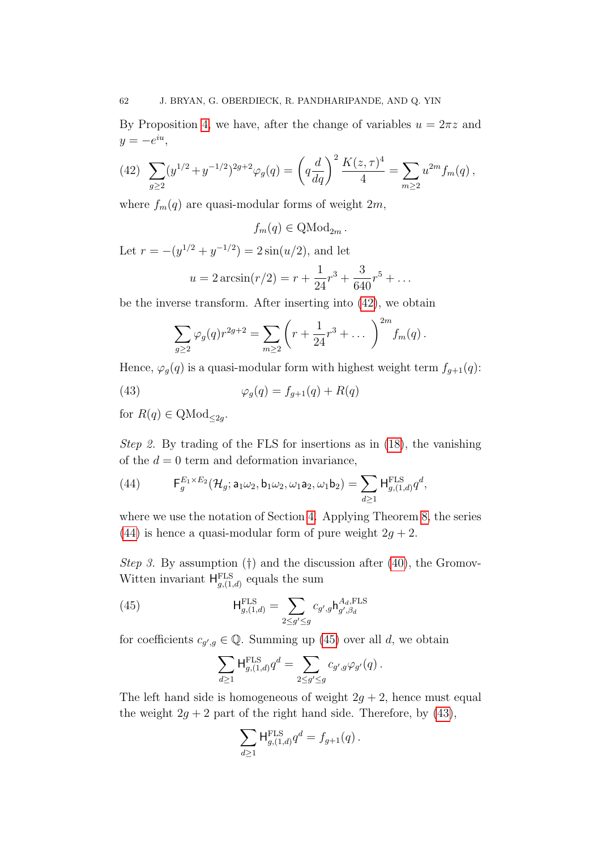By Proposition [4,](#page-58-0) we have, after the change of variables  $u = 2\pi z$  and  $y = -e^{iu},$ 

<span id="page-61-0"></span>(42) 
$$
\sum_{g\geq 2} (y^{1/2} + y^{-1/2})^{2g+2} \varphi_g(q) = \left( q \frac{d}{dq} \right)^2 \frac{K(z, \tau)^4}{4} = \sum_{m\geq 2} u^{2m} f_m(q) ,
$$

where  $f_m(q)$  are quasi-modular forms of weight  $2m$ ,

$$
f_m(q) \in \mathrm{QMod}_{2m}.
$$

Let  $r = -(y^{1/2} + y^{-1/2}) = 2\sin(u/2)$ , and let

$$
u = 2 \arcsin(r/2) = r + \frac{1}{24}r^3 + \frac{3}{640}r^5 + \dots
$$

be the inverse transform. After inserting into [\(42\)](#page-61-0), we obtain

<span id="page-61-3"></span>
$$
\sum_{g\geq 2} \varphi_g(q) r^{2g+2} = \sum_{m\geq 2} \left( r + \frac{1}{24} r^3 + \dots \right)^{2m} f_m(q) .
$$

Hence,  $\varphi_q(q)$  is a quasi-modular form with highest weight term  $f_{q+1}(q)$ :

(43) 
$$
\varphi_g(q) = f_{g+1}(q) + R(q)
$$

for  $R(q) \in \text{QMod}_{\leq 2g}$ .

Step 2. By trading of the FLS for insertions as in [\(18\)](#page-28-0), the vanishing of the  $d = 0$  term and deformation invariance,

<span id="page-61-1"></span>(44) 
$$
\mathsf{F}_g^{E_1 \times E_2}(\mathcal{H}_g; \mathsf{a}_1 \omega_2, \mathsf{b}_1 \omega_2, \omega_1 \mathsf{a}_2, \omega_1 \mathsf{b}_2) = \sum_{d \geq 1} \mathsf{H}_{g,(1,d)}^{\mathrm{FLS}} q^d,
$$

where we use the notation of Section [4.](#page-37-3) Applying Theorem [8,](#page-37-1) the series [\(44\)](#page-61-1) is hence a quasi-modular form of pure weight  $2g + 2$ .

Step 3. By assumption  $(†)$  and the discussion after  $(40)$ , the Gromov-Witten invariant  $H_{g,(1,d)}^{\text{FLS}}$  equals the sum

(45) 
$$
\mathsf{H}_{g,(1,d)}^{\text{FLS}} = \sum_{2 \le g' \le g} c_{g',g} \mathsf{h}_{g',\beta_d}^{A_d,\text{FLS}}
$$

for coefficients  $c_{g',g} \in \mathbb{Q}$ . Summing up [\(45\)](#page-61-2) over all d, we obtain

<span id="page-61-2"></span>
$$
\sum_{d\geq 1}\mathsf{H}^{\mathrm{FLS}}_{g,(1,d)}q^d=\sum_{2\leq g'\leq g}c_{g',g}\varphi_{g'}(q)\,.
$$

The left hand side is homogeneous of weight  $2g + 2$ , hence must equal the weight  $2g + 2$  part of the right hand side. Therefore, by [\(43\)](#page-61-3),

$$
\sum_{d\geq 1} \mathsf{H}^{\text{FLS}}_{g,(1,d)} q^d = f_{g+1}(q) \, .
$$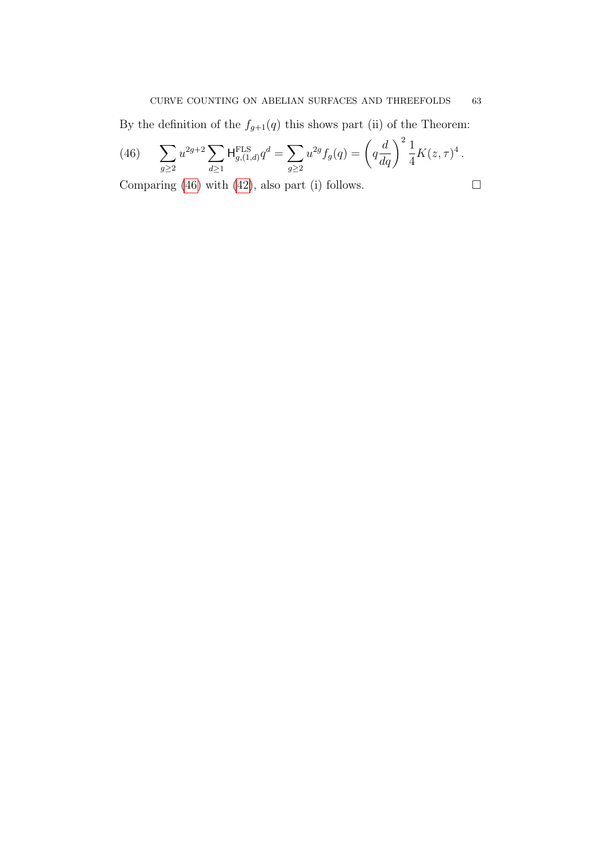By the definition of the  $f_{g+1}(q)$  this shows part (ii) of the Theorem:

<span id="page-62-0"></span>(46) 
$$
\sum_{g\geq 2} u^{2g+2} \sum_{d\geq 1} \mathsf{H}^{\text{FLS}}_{g,(1,d)} q^d = \sum_{g\geq 2} u^{2g} f_g(q) = \left( q \frac{d}{dq} \right)^2 \frac{1}{4} K(z,\tau)^4.
$$

Comparing [\(46\)](#page-62-0) with [\(42\)](#page-61-0), also part (i) follows.  $\Box$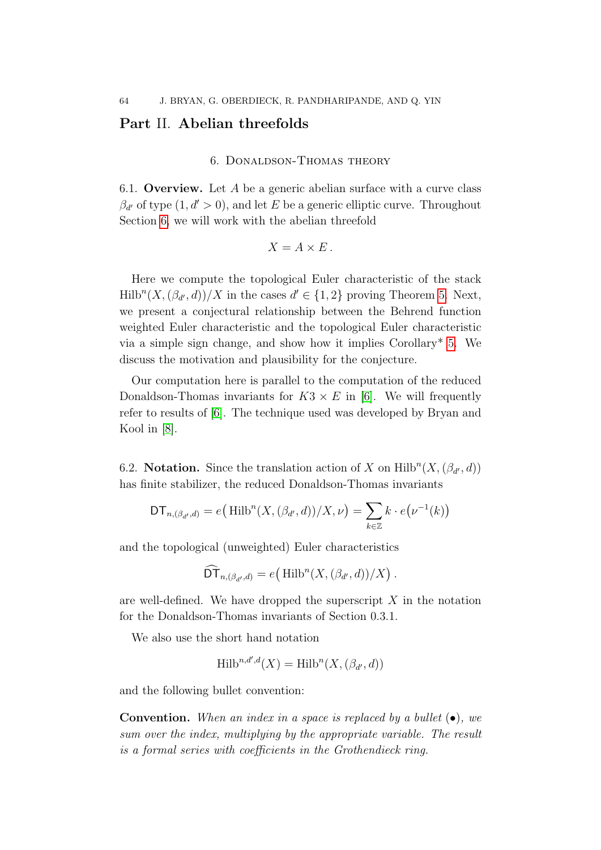# <span id="page-63-0"></span>Part II. Abelian threefolds

## 6. Donaldson-Thomas theory

6.1. **Overview.** Let A be a generic abelian surface with a curve class  $\beta_{d'}$  of type  $(1, d' > 0)$ , and let E be a generic elliptic curve. Throughout Section [6,](#page-63-0) we will work with the abelian threefold

$$
X = A \times E.
$$

Here we compute the topological Euler characteristic of the stack  $\text{Hilb}^n(X, (\beta_{d'}, d))/X$  in the cases  $d' \in \{1, 2\}$  proving Theorem [5.](#page-10-0) Next, we present a conjectural relationship between the Behrend function weighted Euler characteristic and the topological Euler characteristic via a simple sign change, and show how it implies Corollary\* [5.](#page-11-0) We discuss the motivation and plausibility for the conjecture.

Our computation here is parallel to the computation of the reduced Donaldson-Thomas invariants for  $K3 \times E$  in [\[6\]](#page-89-3). We will frequently refer to results of [\[6\]](#page-89-3). The technique used was developed by Bryan and Kool in [\[8\]](#page-89-4).

6.2. Notation. Since the translation action of X on  $\text{Hilb}^n(X, (\beta_{d'}, d))$ has finite stabilizer, the reduced Donaldson-Thomas invariants

$$
\mathsf{DT}_{n,(\beta_{d'},d)} = e\big(\operatorname{Hilb}^n(X,(\beta_{d'},d))/X,\nu\big) = \sum_{k \in \mathbb{Z}} k \cdot e\big(\nu^{-1}(k)\big)
$$

and the topological (unweighted) Euler characteristics

$$
\widehat{\mathsf{DT}}_{n,(\beta_{d'},d)} = e\big(\operatorname{Hilb}^n(X,(\beta_{d'},d))/X\big).
$$

are well-defined. We have dropped the superscript  $X$  in the notation for the Donaldson-Thomas invariants of Section 0.3.1.

We also use the short hand notation

$$
\operatorname{Hilb}^{n,d',d}(X) = \operatorname{Hilb}^n(X, (\beta_{d'}, d))
$$

and the following bullet convention:

**Convention.** When an index in a space is replaced by a bullet  $(\bullet)$ , we sum over the index, multiplying by the appropriate variable. The result is a formal series with coefficients in the Grothendieck ring.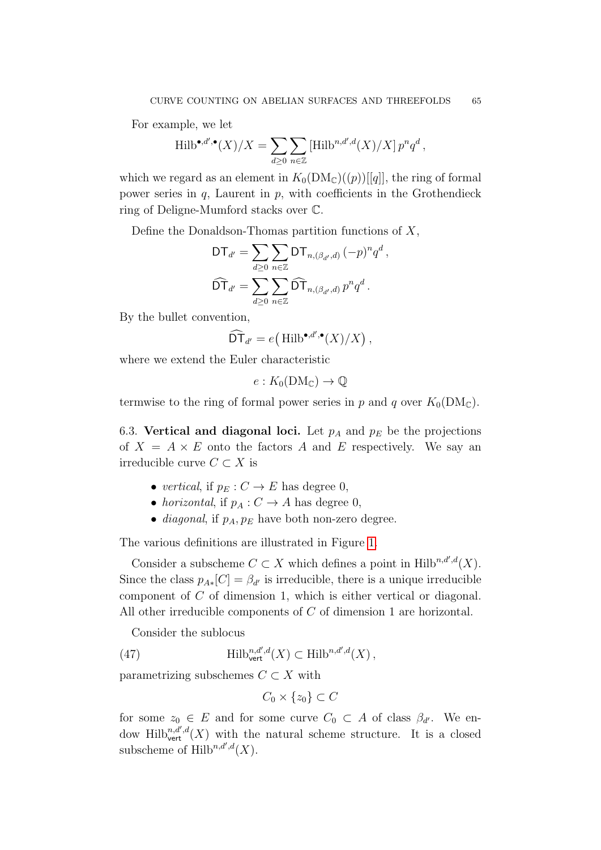For example, we let

$$
\operatorname{Hilb}^{\bullet, d', \bullet}(X)/X = \sum_{d \geq 0} \sum_{n \in \mathbb{Z}} \left[ \operatorname{Hilb}^{n, d', d}(X)/X \right] p^n q^d,
$$

which we regard as an element in  $K_0(DM_{\mathbb{C}})(p))[[q]]$ , the ring of formal power series in  $q$ , Laurent in  $p$ , with coefficients in the Grothendieck ring of Deligne-Mumford stacks over C.

Define the Donaldson-Thomas partition functions of  $X$ ,

$$
\mathsf{DT}_{d'} = \sum_{d \geq 0} \sum_{n \in \mathbb{Z}} \mathsf{DT}_{n,(\beta_{d'},d)} (-p)^n q^d,
$$
  

$$
\widehat{\mathsf{DT}}_{d'} = \sum_{d \geq 0} \sum_{n \in \mathbb{Z}} \widehat{\mathsf{DT}}_{n,(\beta_{d'},d)} p^n q^d.
$$

By the bullet convention,

$$
\widehat{\mathsf{DT}}_{d'}=e\big(\operatorname{Hilb}^{\bullet,d'\bullet}(X)/X\big)\,,
$$

where we extend the Euler characteristic

$$
e: K_0(\mathrm{DM}_{\mathbb{C}}) \to \mathbb{Q}
$$

termwise to the ring of formal power series in p and q over  $K_0(DM_{\mathbb{C}})$ .

6.3. Vertical and diagonal loci. Let  $p_A$  and  $p_E$  be the projections of  $X = A \times E$  onto the factors A and E respectively. We say an irreducible curve  $C \subset X$  is

- vertical, if  $p_E : C \to E$  has degree 0,
- horizontal, if  $p_A : C \to A$  has degree 0,
- *diagonal*, if  $p_A, p_E$  have both non-zero degree.

The various definitions are illustrated in Figure [1.](#page-65-0)

Consider a subscheme  $C \subset X$  which defines a point in Hilb<sup>n,d',d</sup>(X). Since the class  $p_{A*}[C] = \beta_{d'}$  is irreducible, there is a unique irreducible component of C of dimension 1, which is either vertical or diagonal. All other irreducible components of C of dimension 1 are horizontal.

Consider the sublocus

(47) 
$$
\text{Hilb}_{\text{vert}}^{n,d',d}(X) \subset \text{Hilb}^{n,d',d}(X),
$$

parametrizing subschemes  $C \subset X$  with

<span id="page-64-0"></span>
$$
C_0 \times \{z_0\} \subset C
$$

for some  $z_0 \in E$  and for some curve  $C_0 \subset A$  of class  $\beta_{d'}$ . We endow Hilb $\chi^{n,d'}(X)$  with the natural scheme structure. It is a closed subscheme of  $\text{Hilb}^{n,d',d}(X)$ .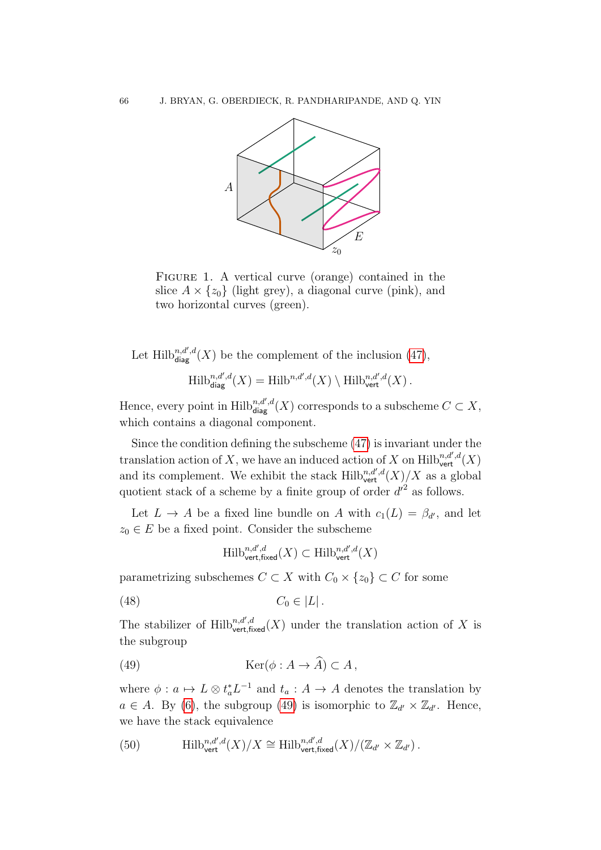<span id="page-65-0"></span>

FIGURE 1. A vertical curve (orange) contained in the slice  $A \times \{z_0\}$  (light grey), a diagonal curve (pink), and two horizontal curves (green).

Let Hilb $n,d',d(X)$  be the complement of the inclusion [\(47\)](#page-64-0),

$$
\operatorname{Hilb}_{\operatorname{diag}}^{n,d',d}(X)=\operatorname{Hilb}^{n,d',d}(X)\setminus \operatorname{Hilb}_{\operatorname{vert}}^{n,d',d}(X)\,.
$$

Hence, every point in  $\mathrm{Hilb}_{\mathsf{diag}}^{n,d',d}(X)$  corresponds to a subscheme  $C \subset X$ , which contains a diagonal component.

Since the condition defining the subscheme [\(47\)](#page-64-0) is invariant under the translation action of X, we have an induced action of X on  $\text{Hilb}_{\text{vert}}^{n,d',d}(X)$ and its complement. We exhibit the stack  $\mathrm{Hilb}^{n,d',d}_{\mathrm{vert}}(X)/X$  as a global quotient stack of a scheme by a finite group of order  $d'^2$  as follows.

Let  $L \to A$  be a fixed line bundle on A with  $c_1(L) = \beta_{d'}$ , and let  $z_0 \in E$  be a fixed point. Consider the subscheme

<span id="page-65-3"></span><span id="page-65-1"></span>
$$
\mathrm{Hilb}_{\mathrm{vert, fixed}}^{n, d', d}(X) \subset \mathrm{Hilb}_{\mathrm{vert}}^{n, d', d}(X)
$$

parametrizing subschemes  $C \subset X$  with  $C_0 \times \{z_0\} \subset C$  for some

$$
(48) \tC_0 \in |L|.
$$

The stabilizer of  $\text{Hilb}_{\text{vert,fixed}}^{n,d',d}(X)$  under the translation action of X is the subgroup

(49) 
$$
\text{Ker}(\phi: A \to A) \subset A,
$$

where  $\phi: a \mapsto L \otimes t_a^* L^{-1}$  and  $t_a: A \to A$  denotes the translation by  $a \in A$ . By [\(6\)](#page-17-0), the subgroup [\(49\)](#page-65-1) is isomorphic to  $\mathbb{Z}_{d'} \times \mathbb{Z}_{d'}$ . Hence, we have the stack equivalence

<span id="page-65-2"></span>(50) 
$$
\text{Hilb}_{\text{vert}}^{n,d',d}(X)/X \cong \text{Hilb}_{\text{vert,fixed}}^{n,d',d}(X)/(\mathbb{Z}_{d'} \times \mathbb{Z}_{d'})\,.
$$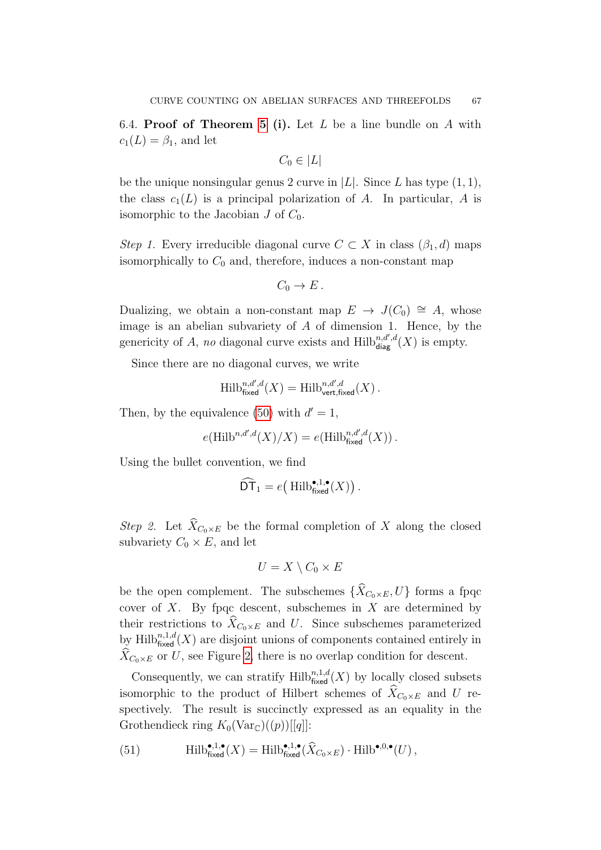6.4. Proof of Theorem [5](#page-10-0) (i). Let  $L$  be a line bundle on  $A$  with  $c_1(L) = \beta_1$ , and let

$$
C_0 \in |L|
$$

be the unique nonsingular genus 2 curve in  $|L|$ . Since L has type  $(1, 1)$ , the class  $c_1(L)$  is a principal polarization of A. In particular, A is isomorphic to the Jacobian  $J$  of  $C_0$ .

Step 1. Every irreducible diagonal curve  $C \subset X$  in class  $(\beta_1, d)$  maps isomorphically to  $C_0$  and, therefore, induces a non-constant map

$$
C_0 \to E.
$$

Dualizing, we obtain a non-constant map  $E \to J(C_0) \cong A$ , whose image is an abelian subvariety of  $A$  of dimension 1. Hence, by the genericity of A, no diagonal curve exists and  $\text{Hilb}_{\text{diag}}^{n,d',d}(X)$  is empty.

Since there are no diagonal curves, we write

$$
\operatorname{Hilb}_{\operatorname{fixed}}^{n,d',d}(X)=\operatorname{Hilb}_{\operatorname{vert,fixed}}^{n,d',d}(X)\,.
$$

Then, by the equivalence [\(50\)](#page-65-2) with  $d' = 1$ ,

$$
e(\operatorname{Hilb}^{n,d',d}(X)/X) = e(\operatorname{Hilb}_{\operatorname{fixed}}^{n,d',d}(X))\,.
$$

Using the bullet convention, we find

$$
\widehat{\mathsf{DT}}_1 = e\big(\operatorname{Hilb}_{\operatorname{fixed}}^{\bullet,1,\bullet}(X)\big).
$$

Step 2. Let  $\widehat{X}_{C_0\times E}$  be the formal completion of X along the closed subvariety  $C_0 \times E$ , and let

$$
U = X \setminus C_0 \times E
$$

be the open complement. The subschemes  $\{\widehat{X}_{C_0\times E}, U\}$  forms a fpqc cover of  $X$ . By fpqc descent, subschemes in  $X$  are determined by their restrictions to  $\widehat{X}_{C_0\times E}$  and U. Since subschemes parameterized by  $\text{Hilb}^{n,1,d}_{\text{fixed}}(X)$  are disjoint unions of components contained entirely in  $X_{C_0\times E}$  or U, see Figure [2,](#page-67-0) there is no overlap condition for descent.

Consequently, we can stratify  $\mathrm{Hilb}_{\text{fixed}}^{n,1,d}(X)$  by locally closed subsets isomorphic to the product of Hilbert schemes of  $\widehat{X}_{C_0\times E}$  and U respectively. The result is succinctly expressed as an equality in the Grothendieck ring  $K_0(\text{Var}_{\mathbb{C}})(p))[[q]]$ :

<span id="page-66-0"></span>(51) 
$$
\operatorname{Hilb}_{\operatorname{fixed}}^{\bullet,1,\bullet}(X) = \operatorname{Hilb}_{\operatorname{fixed}}^{\bullet,1,\bullet}(\widehat{X}_{C_0\times E}) \cdot \operatorname{Hilb}^{\bullet,0,\bullet}(U),
$$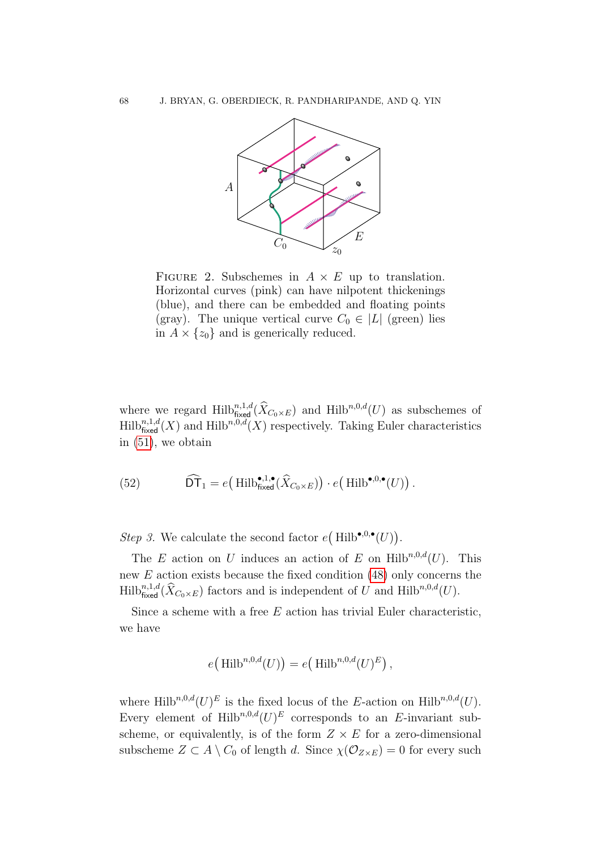<span id="page-67-0"></span>

FIGURE 2. Subschemes in  $A \times E$  up to translation. Horizontal curves (pink) can have nilpotent thickenings (blue), and there can be embedded and floating points (gray). The unique vertical curve  $C_0 \in |L|$  (green) lies in  $A \times \{z_0\}$  and is generically reduced.

where we regard  $\text{Hilb}_{\text{fixed}}^{n,1,d}(\hat{X}_{C_0\times E})$  and  $\text{Hilb}_{n,0,d}(U)$  as subschemes of  $\text{Hilb}_{\text{fixed}}^{n,1,d}(X)$  and  $\text{Hilb}^{n,0,d}(X)$  respectively. Taking Euler characteristics in [\(51\)](#page-66-0), we obtain

<span id="page-67-1"></span>(52) 
$$
\widehat{\mathsf{DT}}_1 = e\big(\operatorname{Hilb}_{\text{fixed}}^{\bullet,1,\bullet}(\widehat{X}_{C_0\times E})\big) \cdot e\big(\operatorname{Hilb}^{\bullet,0,\bullet}(U)\big) \, .
$$

Step 3. We calculate the second factor  $e(Hilb^{\bullet,0,\bullet}(U)).$ 

The E action on U induces an action of E on Hilb<sup>n,0,d</sup>(U). This new  $E$  action exists because the fixed condition  $(48)$  only concerns the  $\text{Hilb}_{\text{fixed}}^{n,1,d}(\hat{X}_{C_0\times E})$  factors and is independent of U and  $\text{Hilb}^{n,0,d}(U)$ .

Since a scheme with a free  $E$  action has trivial Euler characteristic, we have

$$
e\big(\operatorname{Hilb}^{n,0,d}(U)\big) = e\big(\operatorname{Hilb}^{n,0,d}(U)^E\big)\,,
$$

where Hilb<sup>n,0,d</sup> $(U)^E$  is the fixed locus of the E-action on Hilb<sup>n,0,d</sup> $(U)$ . Every element of Hilb<sup>n,0,d</sup> $(U)^E$  corresponds to an E-invariant subscheme, or equivalently, is of the form  $Z \times E$  for a zero-dimensional subscheme  $Z \subset A \setminus C_0$  of length d. Since  $\chi(\mathcal{O}_{Z \times E}) = 0$  for every such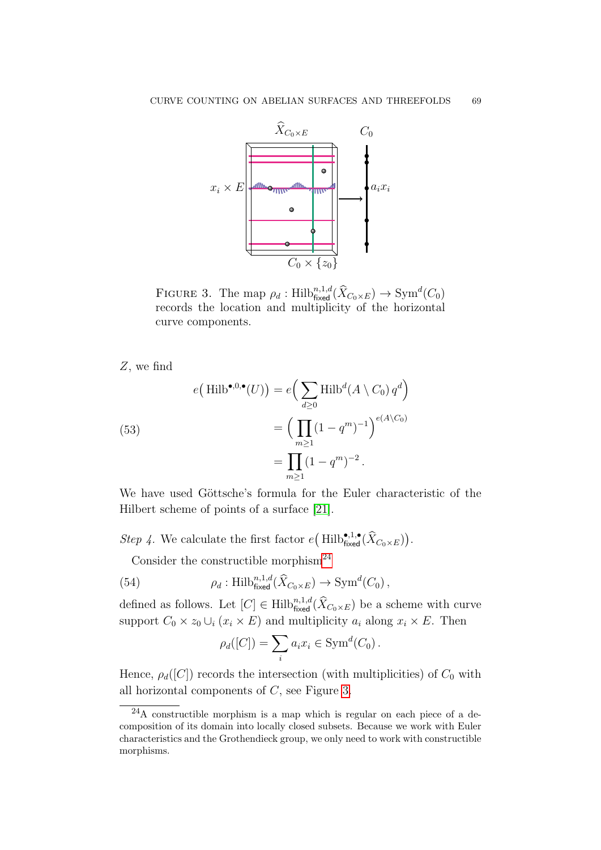<span id="page-68-1"></span>

FIGURE 3. The map  $\rho_d$ : Hilb $_{\text{fixed}}^{n,1,d}(\hat{X}_{C_0\times E}) \to \text{Sym}^d(C_0)$ records the location and multiplicity of the horizontal curve components.

Z, we find

<span id="page-68-2"></span>(53)  

$$
e\left(\text{Hilb}^{\bullet,0,\bullet}(U)\right) = e\left(\sum_{d\geq 0} \text{Hilb}^d(A \setminus C_0) q^d\right)
$$

$$
= \left(\prod_{m\geq 1} (1 - q^m)^{-1}\right)^{e(A \setminus C_0)}
$$

$$
= \prod_{m\geq 1} (1 - q^m)^{-2}.
$$

We have used Göttsche's formula for the Euler characteristic of the Hilbert scheme of points of a surface [\[21\]](#page-89-5).

Step 4. We calculate the first factor  $e(\text{Hilb}_{\text{fixed}}^{\bullet,1,\bullet}(\hat{X}_{C_0\times E}))$ .

Consider the constructible morphism<sup>[24](#page-68-0)</sup>

(54) 
$$
\rho_d: \mathrm{Hilb}_{\mathrm{fixed}}^{n,1,d}(\widehat{X}_{C_0\times E})\to \mathrm{Sym}^d(C_0),
$$

defined as follows. Let  $[C] \in \text{Hilb}_{\text{fixed}}^{n,1,d}(\hat{X}_{C_0 \times E})$  be a scheme with curve support  $C_0 \times z_0 \cup_i (x_i \times E)$  and multiplicity  $a_i$  along  $x_i \times E$ . Then

<span id="page-68-3"></span>
$$
\rho_d([C]) = \sum_i a_i x_i \in \text{Sym}^d(C_0).
$$

Hence,  $\rho_d([C])$  records the intersection (with multiplicities) of  $C_0$  with all horizontal components of C, see Figure [3.](#page-68-1)

<span id="page-68-0"></span><sup>24</sup>A constructible morphism is a map which is regular on each piece of a decomposition of its domain into locally closed subsets. Because we work with Euler characteristics and the Grothendieck group, we only need to work with constructible morphisms.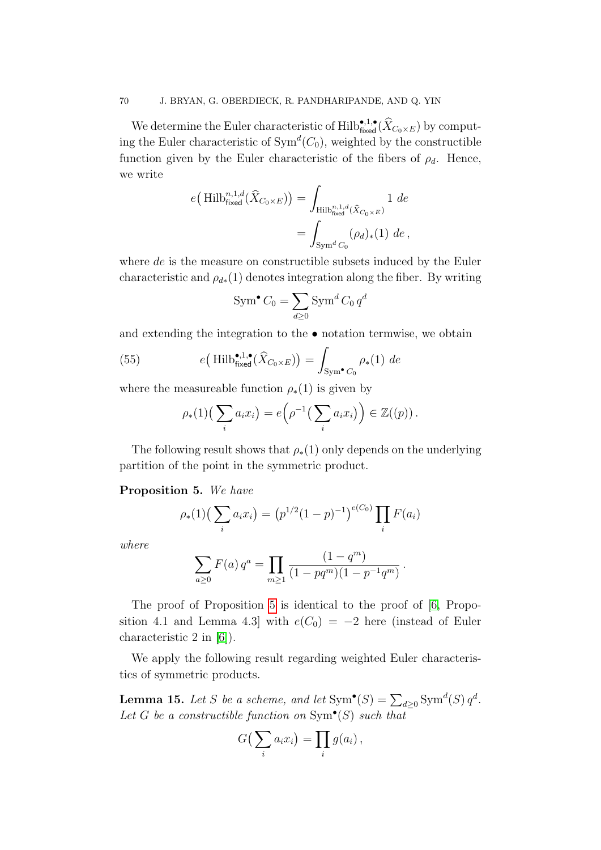We determine the Euler characteristic of  $\text{Hilb}_{\text{fixed}}^{\bullet,1,\bullet}(\hat{X}_{C_0\times E})$  by computing the Euler characteristic of  $Sym^d(C_0)$ , weighted by the constructible function given by the Euler characteristic of the fibers of  $\rho_d$ . Hence, we write

$$
e\left(\text{Hilb}_{\text{fixed}}^{n,1,d}(\widehat{X}_{C_0\times E})\right) = \int_{\text{Hilb}_{\text{fixed}}^{n,1,d}(\widehat{X}_{C_0\times E})} 1 \, de
$$
  
= 
$$
\int_{\text{Sym}^d C_0} (\rho_d)_*(1) \, de
$$
,

where de is the measure on constructible subsets induced by the Euler characteristic and  $\rho_{d*}(1)$  denotes integration along the fiber. By writing

$$
\operatorname{Sym}^{\bullet} C_0 = \sum_{d \ge 0} \operatorname{Sym}^d C_0 q^d
$$

and extending the integration to the • notation termwise, we obtain

(55) 
$$
e\left(\text{Hilb}_{\text{fixed}}^{\bullet,1,\bullet}(\widehat{X}_{C_0\times E})\right) = \int_{\text{Sym}^{\bullet}C_0} \rho_*(1) \, de
$$

where the measureable function  $\rho_*(1)$  is given by

<span id="page-69-2"></span>
$$
\rho_*(1)\left(\sum_i a_i x_i\right) = e\left(\rho^{-1}\left(\sum_i a_i x_i\right)\right) \in \mathbb{Z}((p)).
$$

The following result shows that  $\rho_*(1)$  only depends on the underlying partition of the point in the symmetric product.

# <span id="page-69-0"></span>Proposition 5. We have

$$
\rho_*(1) \left( \sum_i a_i x_i \right) = \left( p^{1/2} (1-p)^{-1} \right)^{e(C_0)} \prod_i F(a_i)
$$

where

$$
\sum_{a\geq 0} F(a) q^a = \prod_{m\geq 1} \frac{(1-q^m)}{(1-pq^m)(1-p^{-1}q^m)}.
$$

The proof of Proposition [5](#page-69-0) is identical to the proof of [\[6,](#page-89-3) Proposition 4.1 and Lemma 4.3] with  $e(C_0) = -2$  here (instead of Euler characteristic 2 in [\[6\]](#page-89-3)).

We apply the following result regarding weighted Euler characteristics of symmetric products.

<span id="page-69-1"></span>**Lemma 15.** Let S be a scheme, and let  $\text{Sym}^{\bullet}(S) = \sum_{d \geq 0} \text{Sym}^d(S) q^d$ . Let G be a constructible function on  $\text{Sym}^{\bullet}(S)$  such that

$$
G\big(\sum_i a_i x_i\big) = \prod_i g(a_i)\,,
$$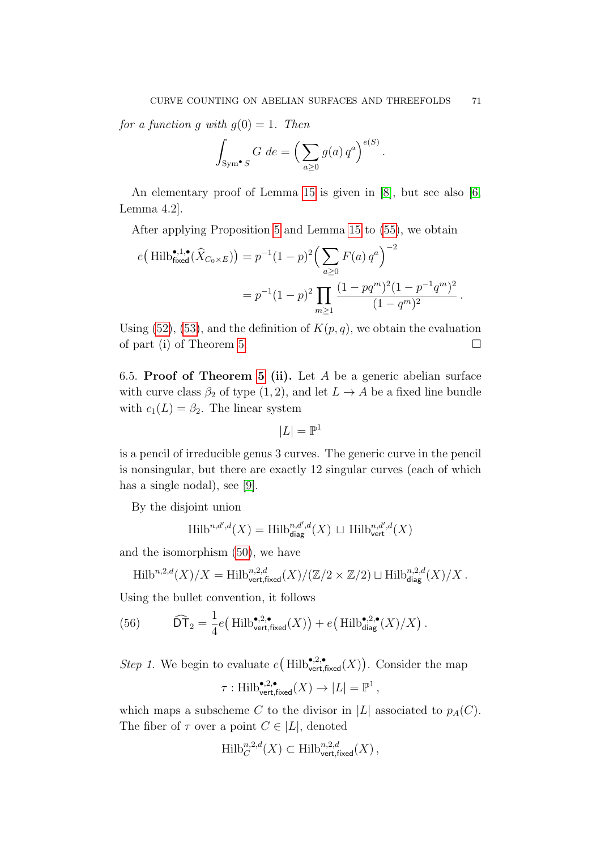for a function q with  $q(0) = 1$ . Then

$$
\int_{\text{Sym}^{\bullet} S} G \, de = \left( \sum_{a \ge 0} g(a) \, q^a \right)^{e(S)}.
$$

An elementary proof of Lemma [15](#page-69-1) is given in [\[8\]](#page-89-4), but see also [\[6,](#page-89-3) Lemma 4.2].

After applying Proposition [5](#page-69-0) and Lemma [15](#page-69-1) to [\(55\)](#page-69-2), we obtain

$$
e\left(\text{Hilb}_{\text{fixed}}^{\bullet,1,\bullet}(\hat{X}_{C_0\times E})\right) = p^{-1}(1-p)^2 \left(\sum_{a\geq 0} F(a) q^a\right)^{-2}
$$

$$
= p^{-1}(1-p)^2 \prod_{m\geq 1} \frac{(1-pq^m)^2(1-p^{-1}q^m)^2}{(1-q^m)^2}.
$$

Using [\(52\)](#page-67-1), [\(53\)](#page-68-2), and the definition of  $K(p, q)$ , we obtain the evaluation of part (i) of Theorem [5.](#page-10-0)

6.5. Proof of Theorem [5](#page-10-0) (ii). Let A be a generic abelian surface with curve class  $\beta_2$  of type  $(1, 2)$ , and let  $L \rightarrow A$  be a fixed line bundle with  $c_1(L) = \beta_2$ . The linear system

$$
|L| = \mathbb{P}^1
$$

is a pencil of irreducible genus 3 curves. The generic curve in the pencil is nonsingular, but there are exactly 12 singular curves (each of which has a single nodal), see [\[9\]](#page-89-6).

By the disjoint union

$$
\operatorname{Hilb}^{n,d',d}(X) = \operatorname{Hilb}^{n,d',d}_{\text{diag}}(X) \, \sqcup \, \operatorname{Hilb}^{n,d',d}_{\text{vert}}(X)
$$

and the isomorphism [\(50\)](#page-65-2), we have

$$
\operatorname{Hilb}^{n,2,d}(X)/X = \operatorname{Hilb}^{n,2,d}_{\operatorname{vert,fixed}}(X)/(\mathbb{Z}/2 \times \mathbb{Z}/2) \sqcup \operatorname{Hilb}^{n,2,d}_{\operatorname{diag}}(X)/X \, .
$$

Using the bullet convention, it follows

(56) 
$$
\widehat{\mathsf{DT}}_2 = \frac{1}{4}e\big(\operatorname{Hilb}_{\text{vert,fixed}}^{\bullet,2,\bullet}(X)\big) + e\big(\operatorname{Hilb}_{\text{diag}}^{\bullet,2,\bullet}(X)/X\big).
$$

*Step 1*. We begin to evaluate  $e\left(Hilb_{\text{vert,fixed}}^{\bullet,2,\bullet}(X)\right)$ . Consider the map

$$
\tau: \operatorname{Hilb}_{\operatorname{vert,fixed}}^{\bullet,2,\bullet}(X) \to |L| = \mathbb{P}^1 \,,
$$

which maps a subscheme C to the divisor in  $|L|$  associated to  $p_A(C)$ . The fiber of  $\tau$  over a point  $C \in |L|$ , denoted

$$
\text{Hilb}_{C}^{n,2,d}(X) \subset \text{Hilb}_{\text{vert,fixed}}^{n,2,d}(X),
$$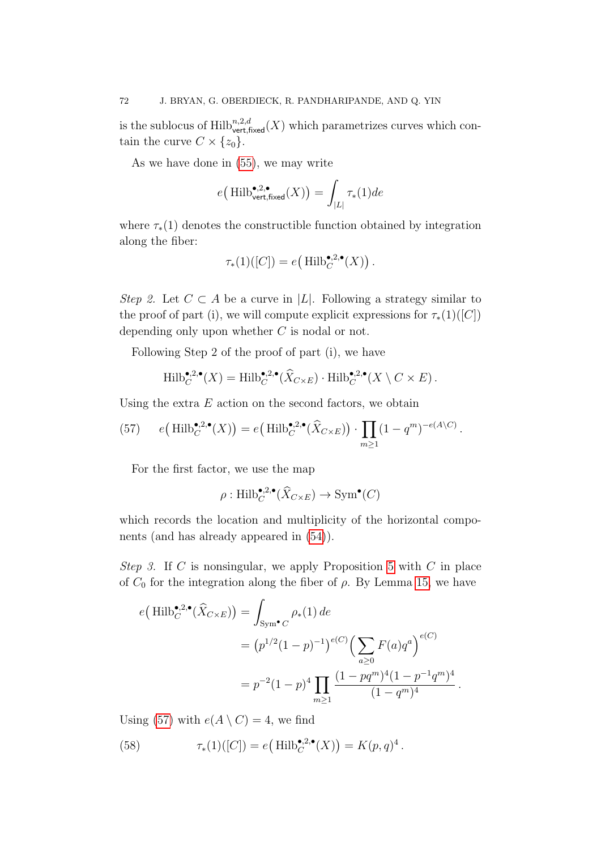is the sublocus of  $\mathrm{Hilb}_{\mathsf{vert,fixed}}^{n,2,d}(X)$  which parametrizes curves which contain the curve  $C \times \{z_0\}$ .

As we have done in [\(55\)](#page-69-2), we may write

$$
e\big(\operatorname{Hilb}_{\mathsf{vert,fixed}}^{\bullet,2,\bullet}(X)\big) = \int_{|L|} \tau_*(1) de
$$

where  $\tau_*(1)$  denotes the constructible function obtained by integration along the fiber:

$$
\tau_*(1)([C]) = e\big(\operatorname{Hilb}^{\bullet,2,\bullet}_C(X)\big)\,.
$$

Step 2. Let  $C \subset A$  be a curve in |L|. Following a strategy similar to the proof of part (i), we will compute explicit expressions for  $\tau_*(1)([C])$ depending only upon whether C is nodal or not.

Following Step 2 of the proof of part (i), we have

$$
\operatorname{Hilb}^{\bullet,2,\bullet}_{C}(X) = \operatorname{Hilb}^{\bullet,2,\bullet}_{C}(\widehat{X}_{C\times E}) \cdot \operatorname{Hilb}^{\bullet,2,\bullet}_{C}(X \setminus C \times E).
$$

Using the extra  $E$  action on the second factors, we obtain

<span id="page-71-0"></span>(57) 
$$
e\left(\mathrm{Hilb}_{C}^{\bullet,2,\bullet}(X)\right)=e\left(\mathrm{Hilb}_{C}^{\bullet,2,\bullet}(\widehat{X}_{C\times E})\right)\cdot\prod_{m\geq 1}(1-q^{m})^{-e(A\setminus C)}.
$$

For the first factor, we use the map

$$
\rho: \operatorname{Hilb}^{\bullet,2,\bullet}_{C}(\widehat{X}_{C\times E}) \to \operatorname{Sym}^{\bullet}(C)
$$

which records the location and multiplicity of the horizontal components (and has already appeared in [\(54\)](#page-68-3)).

Step 3. If C is nonsingular, we apply Proposition [5](#page-69-0) with C in place of  $C_0$  for the integration along the fiber of  $\rho$ . By Lemma [15,](#page-69-1) we have

$$
e\left(\text{Hilb}_{C}^{\bullet,2,\bullet}(\hat{X}_{C\times E})\right) = \int_{\text{Sym}^{\bullet}C} \rho_{*}(1) \, de
$$
  
= 
$$
\left(p^{1/2}(1-p)^{-1}\right)^{e(C)} \left(\sum_{a\geq 0} F(a)q^{a}\right)^{e(C)}
$$
  
= 
$$
p^{-2}(1-p)^{4} \prod_{m\geq 1} \frac{(1-pq^{m})^{4}(1-p^{-1}q^{m})^{4}}{(1-q^{m})^{4}}.
$$

Using [\(57\)](#page-71-0) with  $e(A \setminus C) = 4$ , we find

(58) 
$$
\tau_*(1)([C]) = e\left(\text{Hilb}_C^{\bullet,2,\bullet}(X)\right) = K(p,q)^4.
$$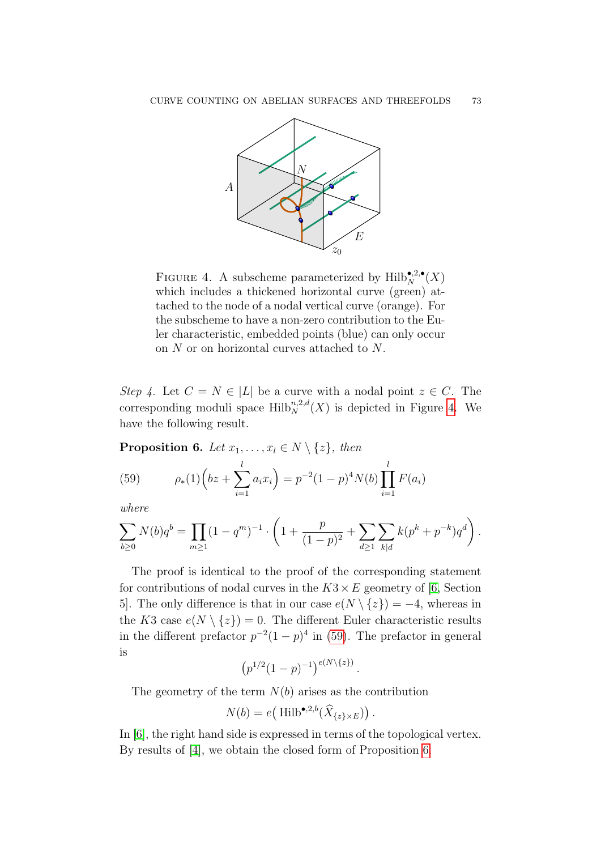<span id="page-72-0"></span>

FIGURE 4. A subscheme parameterized by  $\mathrm{Hilb}_N^{\bullet,2,\bullet}(X)$ which includes a thickened horizontal curve (green) attached to the node of a nodal vertical curve (orange). For the subscheme to have a non-zero contribution to the Euler characteristic, embedded points (blue) can only occur on N or on horizontal curves attached to N.

Step 4. Let  $C = N \in |L|$  be a curve with a nodal point  $z \in C$ . The corresponding moduli space  $\mathrm{Hilb}_N^{n,2,d}(X)$  is depicted in Figure [4.](#page-72-0) We have the following result.

<span id="page-72-2"></span>**Proposition 6.** Let  $x_1, \ldots, x_l \in N \setminus \{z\}$ , then

<span id="page-72-1"></span>(59) 
$$
\rho_*(1)\left(bz+\sum_{i=1}^l a_i x_i\right)=p^{-2}(1-p)^4N(b)\prod_{i=1}^l F(a_i)
$$

where

$$
\sum_{b\geq 0} N(b)q^b = \prod_{m\geq 1} (1-q^m)^{-1} \cdot \left(1+\frac{p}{(1-p)^2}+\sum_{d\geq 1} \sum_{k|d} k(p^k+p^{-k})q^d\right).
$$

The proof is identical to the proof of the corresponding statement for contributions of nodal curves in the  $K3 \times E$  geometry of [\[6,](#page-89-0) Section 5. The only difference is that in our case  $e(N \setminus \{z\}) = -4$ , whereas in the K3 case  $e(N \setminus \{z\}) = 0$ . The different Euler characteristic results in the different prefactor  $p^{-2}(1-p)^4$  in [\(59\)](#page-72-1). The prefactor in general is

$$
(p^{1/2}(1-p)^{-1})^{e(N\setminus\{z\})}.
$$

The geometry of the term  $N(b)$  arises as the contribution

$$
N(b) = e\big(\operatorname{Hilb}^{\bullet,2,b}(\widehat{X}_{\{z\}\times E})\big).
$$

In [\[6\]](#page-89-0), the right hand side is expressed in terms of the topological vertex. By results of [\[4\]](#page-89-1), we obtain the closed form of Proposition [6.](#page-72-2)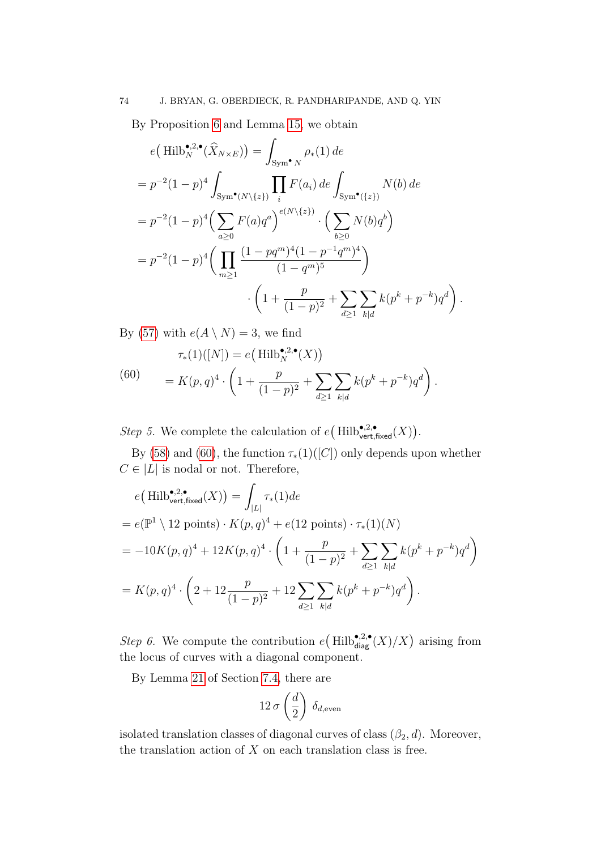By Proposition [6](#page-72-2) and Lemma [15,](#page-69-0) we obtain

$$
e\left(\text{Hilb}_{N}^{\bullet,2,\bullet}(\hat{X}_{N\times E})\right) = \int_{\text{Sym}^{\bullet}N} \rho_{*}(1) \, de
$$
\n
$$
= p^{-2}(1-p)^{4} \int_{\text{Sym}^{\bullet}(N\backslash\{z\})} \prod_{i} F(a_{i}) \, de \int_{\text{Sym}^{\bullet}(\{z\})} N(b) \, de
$$
\n
$$
= p^{-2}(1-p)^{4} \Big(\sum_{a\geq 0} F(a)q^{a}\Big)^{e(N\backslash\{z\})} \cdot \Big(\sum_{b\geq 0} N(b)q^{b}\Big)
$$
\n
$$
= p^{-2}(1-p)^{4} \Big(\prod_{m\geq 1} \frac{(1-pq^{m})^{4}(1-p^{-1}q^{m})^{4}}{(1-q^{m})^{5}}\Big)
$$
\n
$$
\cdot \Big(1+\frac{p}{(1-p)^{2}} + \sum_{d\geq 1} \sum_{k|d} k(p^{k}+p^{-k})q^{d}\Big).
$$

By [\(57\)](#page-71-0) with  $e(A \setminus N) = 3$ , we find

<span id="page-73-0"></span>(60) 
$$
\tau_*(1)([N]) = e\left(\text{Hilb}_N^{\bullet,2,\bullet}(X)\right)
$$

$$
= K(p,q)^4 \cdot \left(1 + \frac{p}{(1-p)^2} + \sum_{d \ge 1} \sum_{k|d} k(p^k + p^{-k})q^d\right).
$$

Step 5. We complete the calculation of  $e\left(\text{Hilb}_{\text{vert,fixed}}^{\bullet,2,\bullet}(X)\right)$ .

By [\(58\)](#page-71-1) and [\(60\)](#page-73-0), the function  $\tau_*(1)([C])$  only depends upon whether  $C \in |L|$  is nodal or not. Therefore,

$$
e\left(\text{Hilb}_{\text{vert,fixed}}^{*,2,\bullet}(X)\right) = \int_{|L|} \tau_*(1) de
$$
  
=  $e(\mathbb{P}^1 \setminus 12 \text{ points}) \cdot K(p,q)^4 + e(12 \text{ points}) \cdot \tau_*(1)(N)$   
=  $-10K(p,q)^4 + 12K(p,q)^4 \cdot \left(1 + \frac{p}{(1-p)^2} + \sum_{d \ge 1} \sum_{k|d} k(p^k + p^{-k})q^d\right)$   
=  $K(p,q)^4 \cdot \left(2 + 12 \frac{p}{(1-p)^2} + 12 \sum_{d \ge 1} \sum_{k|d} k(p^k + p^{-k})q^d\right).$ 

*Step 6*. We compute the contribution  $e(Hilb_{\text{diag}}^{\bullet,2,\bullet}(X)/X)$  arising from the locus of curves with a diagonal component.

By Lemma [21](#page-84-0) of Section [7.4,](#page-83-0) there are

$$
12 \sigma \left(\frac{d}{2}\right) \delta_{d, \text{even}}
$$

isolated translation classes of diagonal curves of class  $(\beta_2, d)$ . Moreover, the translation action of  $X$  on each translation class is free.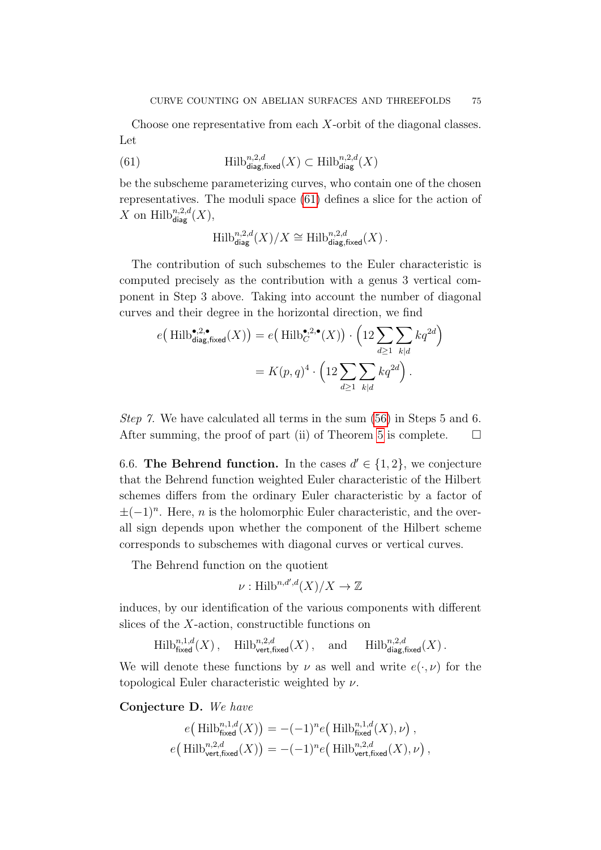Choose one representative from each X-orbit of the diagonal classes. Let

(61) 
$$
\text{Hilb}_{\text{diag,fixed}}^{n,2,d}(X) \subset \text{Hilb}_{\text{diag}}^{n,2,d}(X)
$$

be the subscheme parameterizing curves, who contain one of the chosen representatives. The moduli space [\(61\)](#page-74-0) defines a slice for the action of X on  $\text{Hilb}_{\text{diag}}^{n,2,d}(X)$ ,

<span id="page-74-0"></span>
$$
\operatorname{Hilb}_{\operatorname{diag}}^{n,2,d}(X)/X \cong \operatorname{Hilb}_{\operatorname{diag},\operatorname{fixed}}^{n,2,d}(X)\,.
$$

The contribution of such subschemes to the Euler characteristic is computed precisely as the contribution with a genus 3 vertical component in Step 3 above. Taking into account the number of diagonal curves and their degree in the horizontal direction, we find

$$
e\left(\text{Hilb}_{\text{diag,fixed}}^{\bullet,2,\bullet}(X)\right) = e\left(\text{Hilb}_{C}^{\bullet,2,\bullet}(X)\right) \cdot \left(12 \sum_{d \ge 1} \sum_{k|d} kq^{2d}\right)
$$

$$
= K(p,q)^{4} \cdot \left(12 \sum_{d \ge 1} \sum_{k|d} kq^{2d}\right).
$$

Step 7. We have calculated all terms in the sum [\(56\)](#page-70-0) in Steps 5 and 6. After summing, the proof of part (ii) of Theorem [5](#page-10-0) is complete.  $\Box$ 

6.6. The Behrend function. In the cases  $d' \in \{1, 2\}$ , we conjecture that the Behrend function weighted Euler characteristic of the Hilbert schemes differs from the ordinary Euler characteristic by a factor of  $\pm(-1)^n$ . Here, *n* is the holomorphic Euler characteristic, and the overall sign depends upon whether the component of the Hilbert scheme corresponds to subschemes with diagonal curves or vertical curves.

The Behrend function on the quotient

$$
\nu: \text{Hilb}^{n,d',d}(X)/X \to \mathbb{Z}
$$

induces, by our identification of the various components with different slices of the  $X$ -action, constructible functions on

 $\mathrm{Hilb}_{\mathsf{fixed}}^{n,1,d}(X)$ ,  $\mathrm{Hilb}_{\mathsf{vert,fixed}}^{n,2,d}(X)$ , and  $\mathrm{Hilb}_{\mathsf{diag,fixed}}^{n,2,d}(X)$ .

We will denote these functions by  $\nu$  as well and write  $e(\cdot, \nu)$  for the topological Euler characteristic weighted by  $\nu$ .

<span id="page-74-1"></span>Conjecture D. We have

$$
e\left(\text{Hilb}_{\text{fixed}}^{n,1,d}(X)\right) = -(-1)^n e\left(\text{Hilb}_{\text{fixed}}^{n,1,d}(X),\nu\right),
$$
  

$$
e\left(\text{Hilb}_{\text{vert,fixed}}^{n,2,d}(X)\right) = -(-1)^n e\left(\text{Hilb}_{\text{vert,fixed}}^{n,2,d}(X),\nu\right),
$$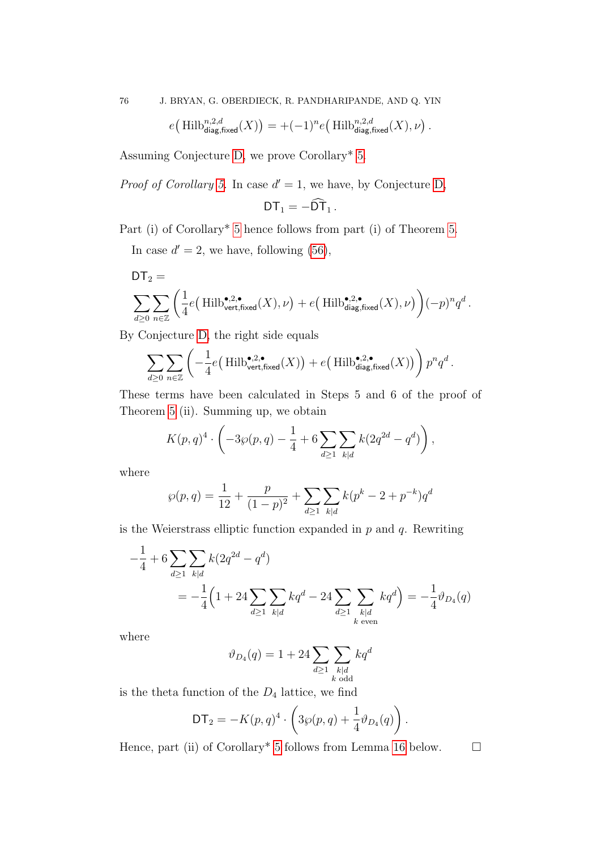76 J. BRYAN, G. OBERDIECK, R. PANDHARIPANDE, AND Q. YIN

$$
e\big(\operatorname{Hilb}_{\operatorname{diag},\operatorname{fixed}}^{n,2,d}(X)\big) = +(-1)^n e\big(\operatorname{Hilb}_{\operatorname{diag},\operatorname{fixed}}^{n,2,d}(X),\nu\big)\,.
$$

Assuming Conjecture [D,](#page-74-1) we prove Corollary\* [5.](#page-11-0)

*Proof of Corollary [5.](#page-11-0)* In case  $d' = 1$ , we have, by Conjecture [D,](#page-74-1)

$$
DT_1=-\widehat{DT}_1.
$$

Part (i) of Corollary\* [5](#page-11-0) hence follows from part (i) of Theorem [5.](#page-10-0)

In case  $d' = 2$ , we have, following [\(56\)](#page-70-0),

$$
\begin{aligned} &\mathsf{DT}_2 = \\ & \sum_{d \geq 0} \sum_{n \in \mathbb{Z}} \bigg( \frac{1}{4} e\big(\operatorname{Hilb}_{\operatorname{vert,fixed}}^{\bullet,2,\bullet}(X),\nu \big) + e\big(\operatorname{Hilb}_{\operatorname{diag,fixed}}^{\bullet,2,\bullet}(X),\nu \big) \bigg) (-p)^n q^d \,. \end{aligned}
$$

By Conjecture [D,](#page-74-1) the right side equals

$$
\sum_{d\geq 0}\sum_{n\in\mathbb{Z}}\left(-\frac{1}{4}e\big(\operatorname{Hilb}_{\mathsf{vert,fixed}}^{\bullet,2,\bullet}(X)\big)+e\big(\operatorname{Hilb}_{\operatorname{diag,fixed}}^{\bullet,2,\bullet}(X)\big)\right)p^nq^d.
$$

These terms have been calculated in Steps 5 and 6 of the proof of Theorem [5](#page-10-0) (ii). Summing up, we obtain

$$
K(p,q)^4 \cdot \left(-3\wp(p,q) - \frac{1}{4} + 6 \sum_{d \ge 1} \sum_{k|d} k(2q^{2d} - q^d)\right)
$$
,

where

$$
\wp(p,q) = \frac{1}{12} + \frac{p}{(1-p)^2} + \sum_{d \ge 1} \sum_{k|d} k(p^k - 2 + p^{-k}) q^d
$$

is the Weierstrass elliptic function expanded in  $p$  and  $q$ . Rewriting

$$
-\frac{1}{4} + 6 \sum_{d \ge 1} \sum_{k|d} k(2q^{2d} - q^d)
$$
  
=  $-\frac{1}{4} \Big( 1 + 24 \sum_{d \ge 1} \sum_{k|d} kq^d - 24 \sum_{d \ge 1} \sum_{\substack{k|d \text{even}}} kq^d \Big) = -\frac{1}{4} \vartheta_{D_4}(q)$ 

where

$$
\vartheta_{D_4}(q) = 1 + 24 \sum_{d \ge 1} \sum_{\substack{k | d \\ k \text{ odd}}} k q^d
$$

is the theta function of the  $D_4$  lattice, we find

$$
\mathsf{DT}_2 = -K(p,q)^4 \cdot \left(3\wp(p,q) + \frac{1}{4}\vartheta_{D_4}(q)\right).
$$

Hence, part (ii) of Corollary<sup>\*</sup> [5](#page-11-0) follows from Lemma [16](#page-76-0) below.  $\square$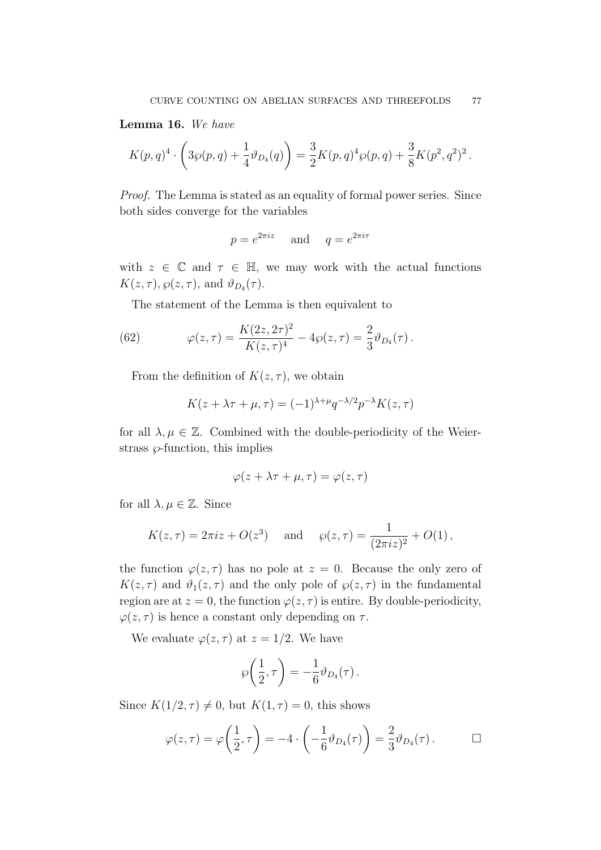<span id="page-76-0"></span>Lemma 16. We have

$$
K(p,q)^4 \cdot \left(3\wp(p,q) + \frac{1}{4}\vartheta_{D_4}(q)\right) = \frac{3}{2}K(p,q)^4\wp(p,q) + \frac{3}{8}K(p^2,q^2)^2.
$$

Proof. The Lemma is stated as an equality of formal power series. Since both sides converge for the variables

$$
p = e^{2\pi i z}
$$
 and  $q = e^{2\pi i \tau}$ 

with  $z \in \mathbb{C}$  and  $\tau \in \mathbb{H}$ , we may work with the actual functions  $K(z,\tau), \wp(z,\tau)$ , and  $\vartheta_{D_4}(\tau)$ .

The statement of the Lemma is then equivalent to

(62) 
$$
\varphi(z,\tau) = \frac{K(2z,2\tau)^2}{K(z,\tau)^4} - 4\wp(z,\tau) = \frac{2}{3}\vartheta_{D_4}(\tau).
$$

From the definition of  $K(z, \tau)$ , we obtain

$$
K(z + \lambda \tau + \mu, \tau) = (-1)^{\lambda + \mu} q^{-\lambda/2} p^{-\lambda} K(z, \tau)
$$

for all  $\lambda, \mu \in \mathbb{Z}$ . Combined with the double-periodicity of the Weierstrass  $\wp$ -function, this implies

$$
\varphi(z + \lambda \tau + \mu, \tau) = \varphi(z, \tau)
$$

for all  $\lambda, \mu \in \mathbb{Z}$ . Since

$$
K(z,\tau) = 2\pi i z + O(z^3)
$$
 and  $\wp(z,\tau) = \frac{1}{(2\pi i z)^2} + O(1)$ ,

the function  $\varphi(z,\tau)$  has no pole at  $z=0$ . Because the only zero of  $K(z, \tau)$  and  $\vartheta_1(z, \tau)$  and the only pole of  $\varphi(z, \tau)$  in the fundamental region are at  $z = 0$ , the function  $\varphi(z, \tau)$  is entire. By double-periodicity,  $\varphi(z,\tau)$  is hence a constant only depending on  $\tau$ .

We evaluate  $\varphi(z,\tau)$  at  $z=1/2$ . We have

$$
\wp\bigg(\frac{1}{2},\tau\bigg)=-\frac{1}{6}\vartheta_{D_4}(\tau)\,.
$$

Since  $K(1/2, \tau) \neq 0$ , but  $K(1, \tau) = 0$ , this shows

$$
\varphi(z,\tau) = \varphi\left(\frac{1}{2},\tau\right) = -4 \cdot \left(-\frac{1}{6}\vartheta_{D_4}(\tau)\right) = \frac{2}{3}\vartheta_{D_4}(\tau). \qquad \Box
$$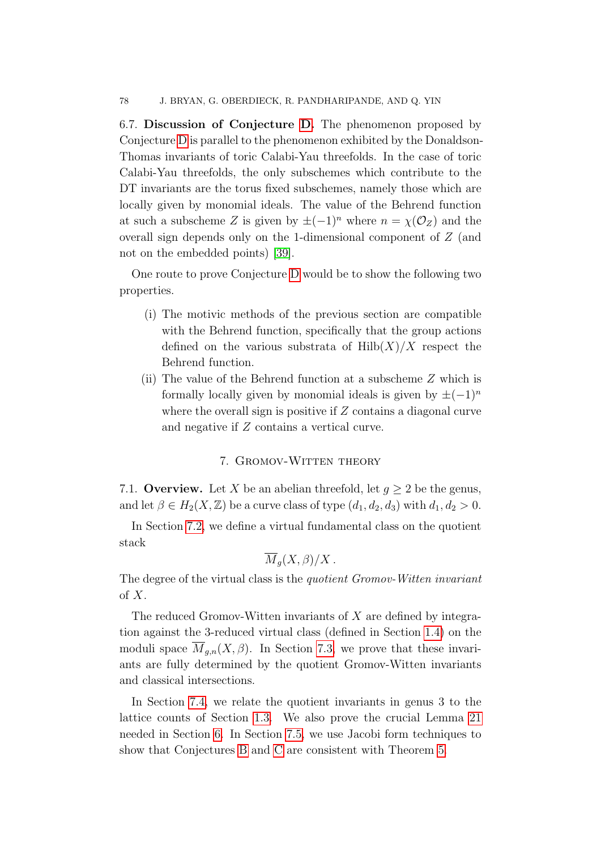6.7. Discussion of Conjecture [D.](#page-74-1) The phenomenon proposed by Conjecture [D](#page-74-1) is parallel to the phenomenon exhibited by the Donaldson-Thomas invariants of toric Calabi-Yau threefolds. In the case of toric Calabi-Yau threefolds, the only subschemes which contribute to the DT invariants are the torus fixed subschemes, namely those which are locally given by monomial ideals. The value of the Behrend function at such a subscheme Z is given by  $\pm(-1)^n$  where  $n = \chi(\mathcal{O}_Z)$  and the overall sign depends only on the 1-dimensional component of Z (and not on the embedded points) [\[39\]](#page-90-0).

One route to prove Conjecture [D](#page-74-1) would be to show the following two properties.

- (i) The motivic methods of the previous section are compatible with the Behrend function, specifically that the group actions defined on the various substrata of  $Hilb(X)/X$  respect the Behrend function.
- (ii) The value of the Behrend function at a subscheme Z which is formally locally given by monomial ideals is given by  $\pm(-1)^n$ where the overall sign is positive if  $Z$  contains a diagonal curve and negative if Z contains a vertical curve.

## 7. Gromov-Witten theory

7.1. Overview. Let X be an abelian threefold, let  $g \geq 2$  be the genus, and let  $\beta \in H_2(X, \mathbb{Z})$  be a curve class of type  $(d_1, d_2, d_3)$  with  $d_1, d_2 > 0$ .

In Section [7.2,](#page-78-0) we define a virtual fundamental class on the quotient stack

$$
\overline{M}_g(X,\beta)/X.
$$

The degree of the virtual class is the quotient Gromov-Witten invariant of X.

The reduced Gromov-Witten invariants of  $X$  are defined by integration against the 3-reduced virtual class (defined in Section [1.4\)](#page-18-0) on the moduli space  $\overline{M}_{g,n}(X,\beta)$ . In Section [7.3,](#page-79-0) we prove that these invariants are fully determined by the quotient Gromov-Witten invariants and classical intersections.

In Section [7.4,](#page-83-0) we relate the quotient invariants in genus 3 to the lattice counts of Section [1.3.](#page-16-0) We also prove the crucial Lemma [21](#page-84-0) needed in Section [6.](#page-63-0) In Section [7.5,](#page-86-0) we use Jacobi form techniques to show that Conjectures [B](#page-12-0) and [C](#page-12-1) are consistent with Theorem [5.](#page-10-0)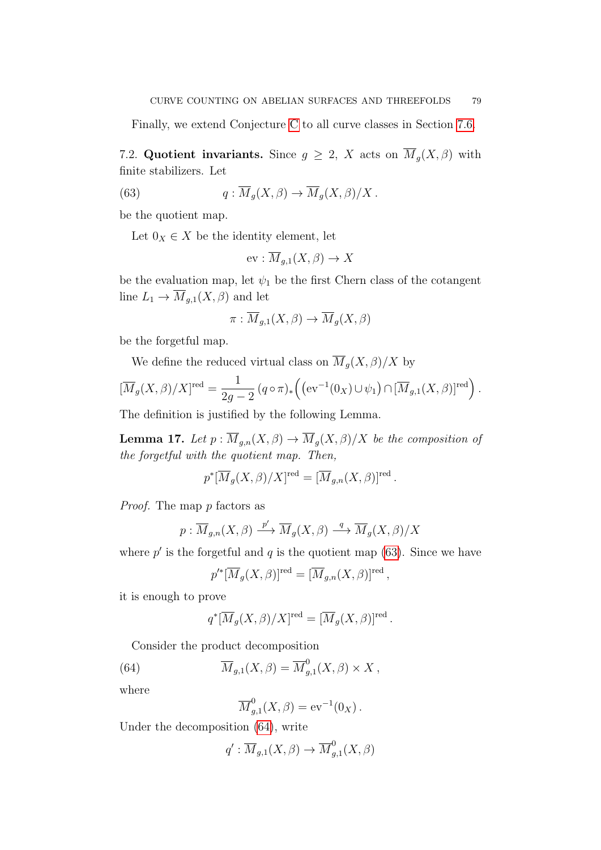Finally, we extend Conjecture [C](#page-12-1) to all curve classes in Section [7.6.](#page-88-0)

<span id="page-78-0"></span>7.2. Quotient invariants. Since  $g \geq 2$ , X acts on  $\overline{M}_g(X,\beta)$  with finite stabilizers. Let

(63) 
$$
q: \overline{M}_g(X,\beta) \to \overline{M}_g(X,\beta)/X.
$$

be the quotient map.

Let  $0_X \in X$  be the identity element, let

<span id="page-78-1"></span>
$$
\text{ev}: \overline{M}_{g,1}(X,\beta) \to X
$$

be the evaluation map, let  $\psi_1$  be the first Chern class of the cotangent line  $L_1 \to \overline{M}_{g,1}(X,\beta)$  and let

$$
\pi: \overline{M}_{g,1}(X,\beta) \to \overline{M}_g(X,\beta)
$$

be the forgetful map.

We define the reduced virtual class on  $\overline{M}_g(X,\beta)/X$  by

$$
[\overline{M}_g(X,\beta)/X]^{\text{red}} = \frac{1}{2g-2} (q \circ \pi)_* ((ev^{-1}(0_X) \cup \psi_1) \cap [\overline{M}_{g,1}(X,\beta)]^{\text{red}}).
$$

The definition is justified by the following Lemma.

<span id="page-78-3"></span>**Lemma 17.** Let  $p : \overline{M}_{g,n}(X,\beta) \to \overline{M}_g(X,\beta)/X$  be the composition of the forgetful with the quotient map. Then,

$$
p^*[\overline{M}_g(X,\beta)/X]^{\text{red}} = [\overline{M}_{g,n}(X,\beta)]^{\text{red}}.
$$

Proof. The map p factors as

$$
p: \overline{M}_{g,n}(X,\beta) \xrightarrow{p'} \overline{M}_g(X,\beta) \xrightarrow{q} \overline{M}_g(X,\beta)/X
$$

where  $p'$  is the forgetful and  $q$  is the quotient map [\(63\)](#page-78-1). Since we have

$$
p'^*[\overline{M}_g(X,\beta)]^{\text{red}} = [\overline{M}_{g,n}(X,\beta)]^{\text{red}},
$$

it is enough to prove

$$
q^*[\overline{M}_g(X,\beta)/X]^{\text{red}} = [\overline{M}_g(X,\beta)]^{\text{red}}.
$$

Consider the product decomposition

(64) 
$$
\overline{M}_{g,1}(X,\beta) = \overline{M}_{g,1}^0(X,\beta) \times X,
$$

where

<span id="page-78-2"></span>
$$
\overline{M}_{g,1}^0(X,\beta) = \mathrm{ev}^{-1}(0_X) .
$$

Under the decomposition [\(64\)](#page-78-2), write

$$
q': \overline{M}_{g,1}(X,\beta) \to \overline{M}_{g,1}^0(X,\beta)
$$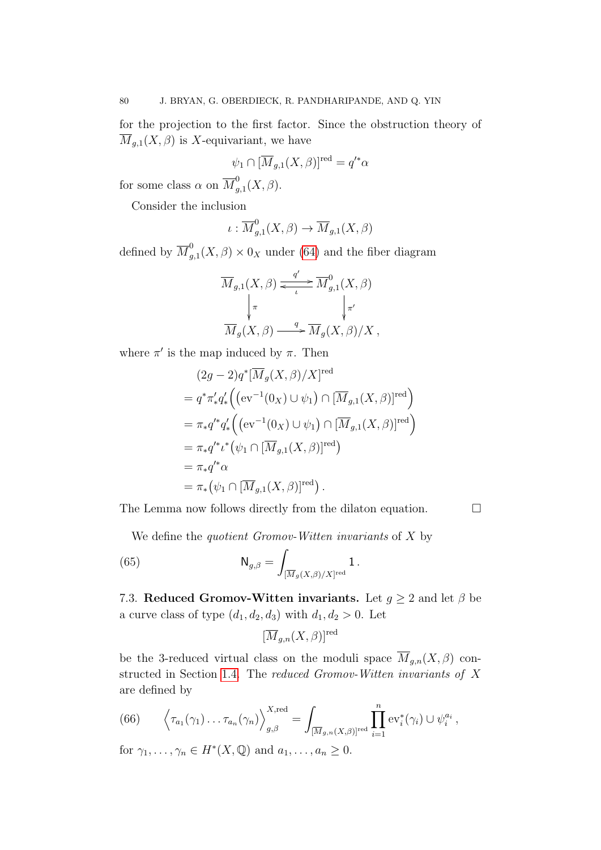for the projection to the first factor. Since the obstruction theory of  $\overline{M}_{g,1}(X,\beta)$  is X-equivariant, we have

$$
\psi_1 \cap [\overline{M}_{g,1}(X,\beta)]^{\text{red}} = q'^*\alpha
$$

for some class  $\alpha$  on  $\overline{M}_{a}^{0}$  $G_{g,1}^{\circ}(X,\beta).$ 

Consider the inclusion

$$
\iota: \overline{M}^0_{g,1}(X,\beta) \to \overline{M}_{g,1}(X,\beta)
$$

defined by  $\overline{M}_a^0$  $g_{g,1}^{\sigma}(X,\beta) \times 0_X$  under [\(64\)](#page-78-2) and the fiber diagram

$$
\overline{M}_{g,1}(X,\beta) \xleftarrow{i} \overline{M}_{g,1}^{0}(X,\beta)
$$
\n
$$
\downarrow_{\pi}^{T}
$$
\n
$$
\overline{M}_{g}(X,\beta) \xrightarrow{q} \overline{M}_{g}(X,\beta)/X,
$$

where  $\pi'$  is the map induced by  $\pi$ . Then

$$
(2g - 2)q^* [\overline{M}_g(X, \beta)/X]^{\text{red}}
$$
  
=  $q^* \pi'_* q'_* ((\text{ev}^{-1}(0_X) \cup \psi_1) \cap [\overline{M}_{g,1}(X, \beta)]^{\text{red}})$   
=  $\pi_* q'^* q'_* ((\text{ev}^{-1}(0_X) \cup \psi_1) \cap [\overline{M}_{g,1}(X, \beta)]^{\text{red}})$   
=  $\pi_* q'^* \iota^* (\psi_1 \cap [\overline{M}_{g,1}(X, \beta)]^{\text{red}})$   
=  $\pi_* q'^* \alpha$   
=  $\pi_* (\psi_1 \cap [\overline{M}_{g,1}(X, \beta)]^{\text{red}}).$ 

The Lemma now follows directly from the dilaton equation.  $\Box$ 

We define the *quotient Gromov-Witten invariants* of  $X$  by

(65) 
$$
\mathsf{N}_{g,\beta} = \int_{[\overline{M}_g(X,\beta)/X]^{\text{red}}} 1.
$$

<span id="page-79-0"></span>7.3. Reduced Gromov-Witten invariants. Let  $g \geq 2$  and let  $\beta$  be a curve class of type  $(d_1, d_2, d_3)$  with  $d_1, d_2 > 0$ . Let

<span id="page-79-1"></span>
$$
[\overline{M}_{g,n}(X,\beta)]^{\text{red}}
$$

be the 3-reduced virtual class on the moduli space  $\overline{M}_{g,n}(X,\beta)$  constructed in Section [1.4.](#page-18-0) The reduced Gromov-Witten invariants of X are defined by

<span id="page-79-2"></span>(66) 
$$
\left\langle \tau_{a_1}(\gamma_1) \ldots \tau_{a_n}(\gamma_n) \right\rangle_{g,\beta}^{X,\text{red}} = \int_{[\overline{M}_{g,n}(X,\beta)]^{\text{red}}} \prod_{i=1}^n \text{ev}_i^*(\gamma_i) \cup \psi_i^{a_i},
$$

for  $\gamma_1, \ldots, \gamma_n \in H^*(X, \mathbb{Q})$  and  $a_1, \ldots, a_n \geq 0$ .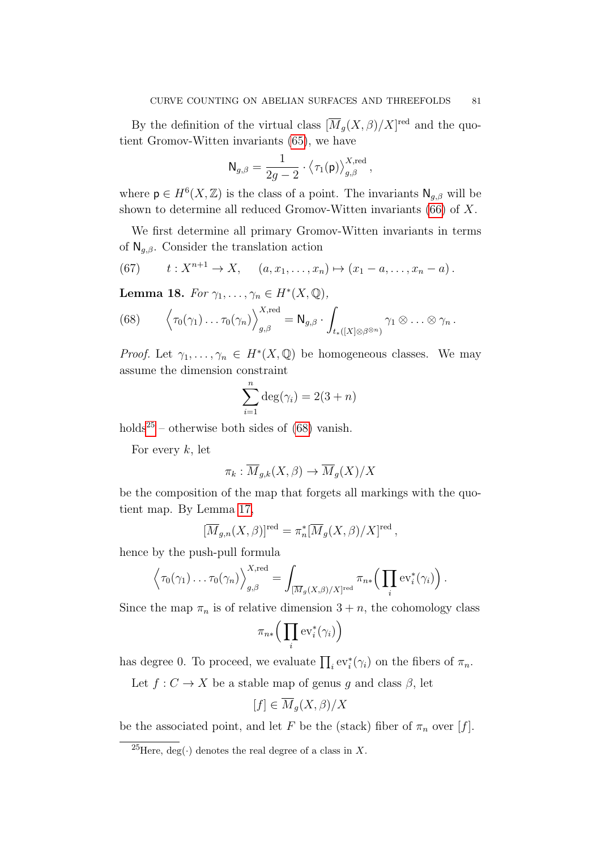By the definition of the virtual class  $\left[\overline{M}_g(X,\beta)/X\right]^{\text{red}}$  and the quotient Gromov-Witten invariants [\(65\)](#page-79-1), we have

$$
\mathsf{N}_{g,\beta} = \frac{1}{2g-2} \cdot \big\langle \tau_1(\mathsf{p}) \big\rangle_{g,\beta}^{X,\mathrm{red}} \,,
$$

where  $p \in H^{6}(X,\mathbb{Z})$  is the class of a point. The invariants  $\mathsf{N}_{g,\beta}$  will be shown to determine all reduced Gromov-Witten invariants [\(66\)](#page-79-2) of X.

We first determine all primary Gromov-Witten invariants in terms of  $\mathsf{N}_{g,\beta}$ . Consider the translation action

<span id="page-80-2"></span>(67) 
$$
t: X^{n+1} \to X
$$
,  $(a, x_1,...,x_n) \mapsto (x_1 - a,...,x_n - a)$ .

<span id="page-80-3"></span>Lemma 18. For  $\gamma_1, \ldots, \gamma_n \in H^*(X, \mathbb{Q}),$ 

<span id="page-80-1"></span>(68) 
$$
\left\langle \tau_0(\gamma_1) \ldots \tau_0(\gamma_n) \right\rangle_{g,\beta}^{X,\text{red}} = \mathsf{N}_{g,\beta} \cdot \int_{t_*([X]\otimes \beta^{\otimes n})} \gamma_1 \otimes \ldots \otimes \gamma_n.
$$

*Proof.* Let  $\gamma_1, \ldots, \gamma_n \in H^*(X, \mathbb{Q})$  be homogeneous classes. We may assume the dimension constraint

$$
\sum_{i=1}^{n} \deg(\gamma_i) = 2(3+n)
$$

holds<sup>[25](#page-80-0)</sup> – otherwise both sides of  $(68)$  vanish.

For every  $k$ , let

$$
\pi_k : \overline{M}_{g,k}(X,\beta) \to \overline{M}_g(X)/X
$$

be the composition of the map that forgets all markings with the quotient map. By Lemma [17,](#page-78-3)

$$
[\overline{M}_{g,n}(X,\beta)]^{\text{red}} = \pi_n^*[\overline{M}_g(X,\beta)/X]^{\text{red}},
$$

hence by the push-pull formula

$$
\left\langle \tau_0(\gamma_1) \ldots \tau_0(\gamma_n) \right\rangle_{g,\beta}^{X,\text{red}} = \int_{\left[\overline{M}_g(X,\beta)/X\right]^{red}} \pi_{n*}\left(\prod_i \text{ev}_i^*(\gamma_i)\right).
$$

Since the map  $\pi_n$  is of relative dimension  $3 + n$ , the cohomology class

$$
\pi_{n*}\Big(\prod_i \mathrm{ev}_i^*(\gamma_i)\Big)
$$

has degree 0. To proceed, we evaluate  $\prod_i \text{ev}_i^*(\gamma_i)$  on the fibers of  $\pi_n$ .

Let  $f: C \to X$  be a stable map of genus q and class  $\beta$ , let

$$
[f] \in \overline{M}_g(X,\beta)/X
$$

be the associated point, and let F be the (stack) fiber of  $\pi_n$  over [f].

<span id="page-80-0"></span> $\overline{^{25}$ Here, deg(·) denotes the real degree of a class in X.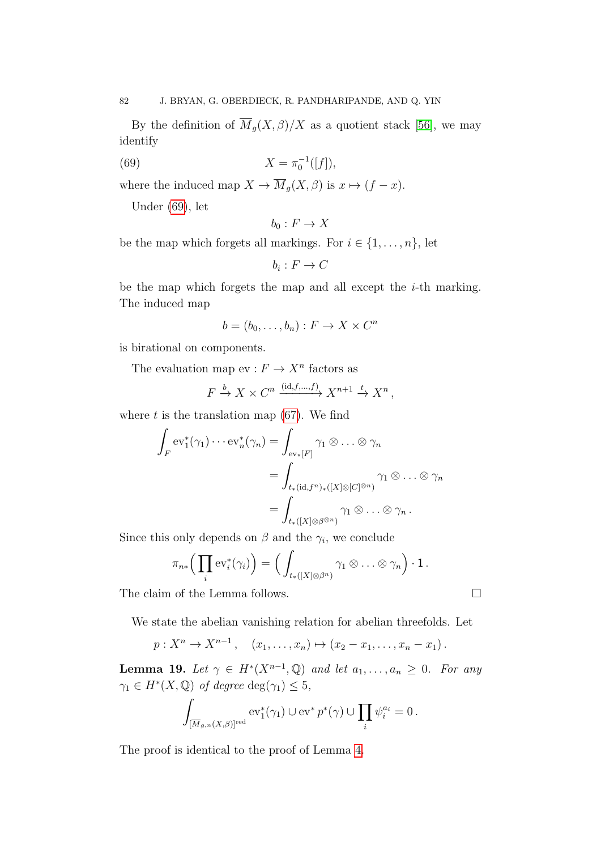By the definition of  $\overline{M}_g(X,\beta)/X$  as a quotient stack [\[56\]](#page-91-0), we may identify

(69) 
$$
X = \pi_0^{-1}([f]),
$$

where the induced map  $X \to \overline{M}_g(X,\beta)$  is  $x \mapsto (f - x)$ .

Under [\(69\)](#page-81-0), let

<span id="page-81-0"></span>
$$
b_0: F \to X
$$

be the map which forgets all markings. For  $i \in \{1, \ldots, n\}$ , let

$$
b_i: F \to C
$$

be the map which forgets the map and all except the i-th marking. The induced map

$$
b = (b_0, \dots, b_n) : F \to X \times C^n
$$

is birational on components.

The evaluation map  $ev : F \to X^n$  factors as

$$
F \xrightarrow{b} X \times C^n \xrightarrow{(\text{id}, f, \dots, f)} X^{n+1} \xrightarrow{t} X^n,
$$

where  $t$  is the translation map  $(67)$ . We find

$$
\int_{F} \mathrm{ev}_{1}^{*}(\gamma_{1}) \cdots \mathrm{ev}_{n}^{*}(\gamma_{n}) = \int_{\mathrm{ev}_{*}[F]} \gamma_{1} \otimes \ldots \otimes \gamma_{n}
$$
\n
$$
= \int_{t_{*}(\mathrm{id}, f^{n})_{*}([X] \otimes [C]^{\otimes n})} \gamma_{1} \otimes \ldots \otimes \gamma_{n}
$$
\n
$$
= \int_{t_{*}([X] \otimes \beta^{\otimes n})} \gamma_{1} \otimes \ldots \otimes \gamma_{n}.
$$

Since this only depends on  $\beta$  and the  $\gamma_i$ , we conclude

$$
\pi_{n*}\Big(\prod_i \mathrm{ev}_i^*(\gamma_i)\Big)=\Big(\int_{t_*([X]\otimes\beta^n)}\gamma_1\otimes\ldots\otimes\gamma_n\Big)\cdot 1\,.
$$

The claim of the Lemma follows.  $\Box$ 

We state the abelian vanishing relation for abelian threefolds. Let

$$
p: X^n \to X^{n-1}
$$
,  $(x_1, ..., x_n) \mapsto (x_2 - x_1, ..., x_n - x_1)$ .

<span id="page-81-1"></span>**Lemma 19.** Let  $\gamma \in H^*(X^{n-1}, \mathbb{Q})$  and let  $a_1, \ldots, a_n \geq 0$ . For any  $\gamma_1 \in H^*(X, \mathbb{Q})$  of degree  $\deg(\gamma_1) \leq 5$ ,

$$
\int_{[\overline{M}_{g,n}(X,\beta)]^{\text{red}}} \mathrm{ev}_1^*(\gamma_1) \cup \mathrm{ev}^* p^*(\gamma) \cup \prod_i \psi_i^{a_i} = 0.
$$

The proof is identical to the proof of Lemma [4.](#page-29-0)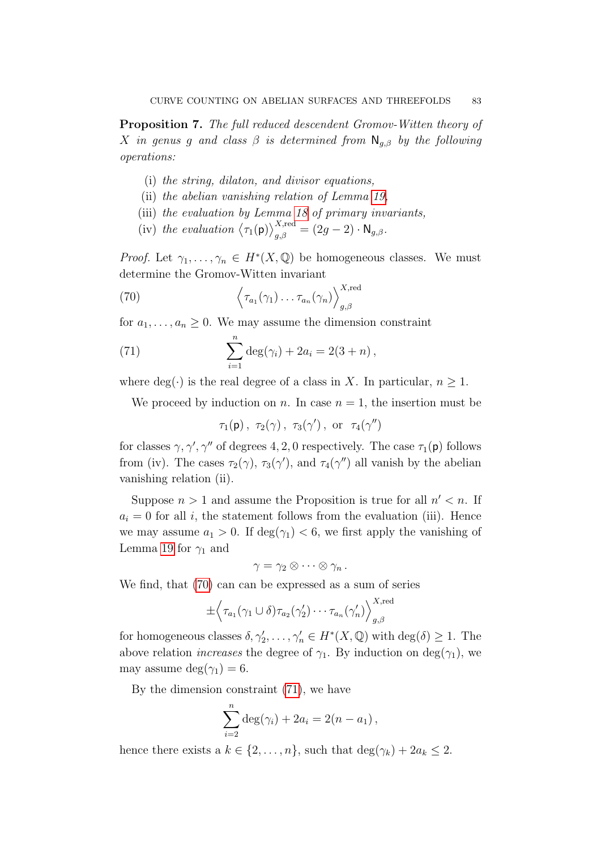Proposition 7. The full reduced descendent Gromov-Witten theory of X in genus g and class  $\beta$  is determined from  $\mathsf{N}_{g,\beta}$  by the following operations:

- (i) the string, dilaton, and divisor equations,
- (ii) the abelian vanishing relation of Lemma [19,](#page-81-1)
- (iii) the evaluation by Lemma [18](#page-80-3) of primary invariants,
- <span id="page-82-0"></span>(iv) the evaluation  $\langle \tau_1(\mathsf{p}) \rangle^{\text{X,red}}_{g,\beta} = (2g-2) \cdot \mathsf{N}_{g,\beta}$ .

*Proof.* Let  $\gamma_1, \ldots, \gamma_n \in H^*(X, \mathbb{Q})$  be homogeneous classes. We must determine the Gromov-Witten invariant

(70) 
$$
\left\langle \tau_{a_1}(\gamma_1) \ldots \tau_{a_n}(\gamma_n) \right\rangle_{g,\beta}^{X,\text{red}}
$$

for  $a_1, \ldots, a_n \geq 0$ . We may assume the dimension constraint

(71) 
$$
\sum_{i=1}^{n} \deg(\gamma_i) + 2a_i = 2(3+n),
$$

where  $deg(\cdot)$  is the real degree of a class in X. In particular,  $n \geq 1$ .

We proceed by induction on n. In case  $n = 1$ , the insertion must be

<span id="page-82-1"></span>
$$
\tau_1(p)\,,\,\,\tau_2(\gamma)\,,\,\,\tau_3(\gamma')\,,\,\,{\rm or}\ \ \, \tau_4(\gamma'')
$$

for classes  $\gamma$ ,  $\gamma'$ ,  $\gamma''$  of degrees 4, 2, 0 respectively. The case  $\tau_1(\mathsf{p})$  follows from (iv). The cases  $\tau_2(\gamma)$ ,  $\tau_3(\gamma')$ , and  $\tau_4(\gamma'')$  all vanish by the abelian vanishing relation (ii).

Suppose  $n > 1$  and assume the Proposition is true for all  $n' < n$ . If  $a_i = 0$  for all i, the statement follows from the evaluation (iii). Hence we may assume  $a_1 > 0$ . If  $\deg(\gamma_1) < 6$ , we first apply the vanishing of Lemma [19](#page-81-1) for  $\gamma_1$  and

$$
\gamma=\gamma_2\otimes\cdots\otimes\gamma_n.
$$

We find, that [\(70\)](#page-82-0) can can be expressed as a sum of series

$$
\pm \left\langle \tau_{a_1}(\gamma_1 \cup \delta) \tau_{a_2}(\gamma_2') \cdots \tau_{a_n}(\gamma_n') \right\rangle_{g,\beta}^{X,\text{red}}
$$

for homogeneous classes  $\delta, \gamma'_2, \ldots, \gamma'_n \in H^*(X, \mathbb{Q})$  with  $\deg(\delta) \geq 1$ . The above relation *increases* the degree of  $\gamma_1$ . By induction on deg( $\gamma_1$ ), we may assume deg( $\gamma_1$ ) = 6.

By the dimension constraint [\(71\)](#page-82-1), we have

$$
\sum_{i=2}^{n} \deg(\gamma_i) + 2a_i = 2(n - a_1),
$$

hence there exists a  $k \in \{2, ..., n\}$ , such that  $\deg(\gamma_k) + 2a_k \leq 2$ .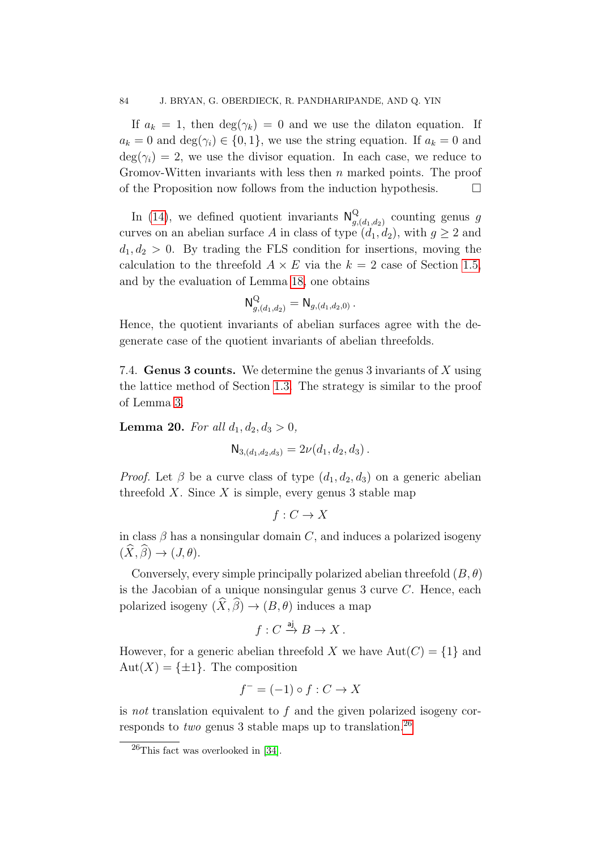If  $a_k = 1$ , then  $\deg(\gamma_k) = 0$  and we use the dilaton equation. If  $a_k = 0$  and  $\deg(\gamma_i) \in \{0, 1\}$ , we use the string equation. If  $a_k = 0$  and  $deg(\gamma_i) = 2$ , we use the divisor equation. In each case, we reduce to Gromov-Witten invariants with less then  $n$  marked points. The proof of the Proposition now follows from the induction hypothesis.  $\Box$ 

In [\(14\)](#page-23-0), we defined quotient invariants  $N_a^Q$  $g$ <sub> $g$ </sub> $(d_1, d_2)$  counting genus g curves on an abelian surface A in class of type  $(d_1, d_2)$ , with  $g \geq 2$  and  $d_1, d_2 > 0$ . By trading the FLS condition for insertions, moving the calculation to the threefold  $A \times E$  via the  $k = 2$  case of Section [1.5,](#page-19-0) and by the evaluation of Lemma [18,](#page-80-3) one obtains

$$
\mathsf{N}_{g,(d_1,d_2)}^{\mathsf{Q}} = \mathsf{N}_{g,(d_1,d_2,0)}\,.
$$

Hence, the quotient invariants of abelian surfaces agree with the degenerate case of the quotient invariants of abelian threefolds.

<span id="page-83-0"></span>7.4. Genus 3 counts. We determine the genus 3 invariants of X using the lattice method of Section [1.3.](#page-16-0) The strategy is similar to the proof of Lemma [3.](#page-23-1)

<span id="page-83-2"></span>**Lemma 20.** For all  $d_1, d_2, d_3 > 0$ ,

$$
\mathsf{N}_{3,(d_1,d_2,d_3)} = 2\nu(d_1,d_2,d_3).
$$

*Proof.* Let  $\beta$  be a curve class of type  $(d_1, d_2, d_3)$  on a generic abelian threefold X. Since X is simple, every genus 3 stable map

$$
f: C \to X
$$

in class  $\beta$  has a nonsingular domain C, and induces a polarized isogeny  $(\widehat{X}, \widehat{\beta}) \rightarrow (J, \theta).$ 

Conversely, every simple principally polarized abelian threefold  $(B, \theta)$ is the Jacobian of a unique nonsingular genus  $3$  curve  $C$ . Hence, each polarized isogeny  $(\widehat{X}, \widehat{\beta}) \to (B, \theta)$  induces a map

$$
f: C \xrightarrow{\text{aj}} B \to X.
$$

However, for a generic abelian threefold X we have  $Aut(C) = \{1\}$  and  $Aut(X) = \{\pm 1\}.$  The composition

$$
f^- = (-1) \circ f : C \to X
$$

is not translation equivalent to f and the given polarized isogeny corresponds to *two* genus 3 stable maps up to translation.<sup>[26](#page-83-1)</sup>

<span id="page-83-1"></span> $^{26}$ This fact was overlooked in [\[34\]](#page-90-1).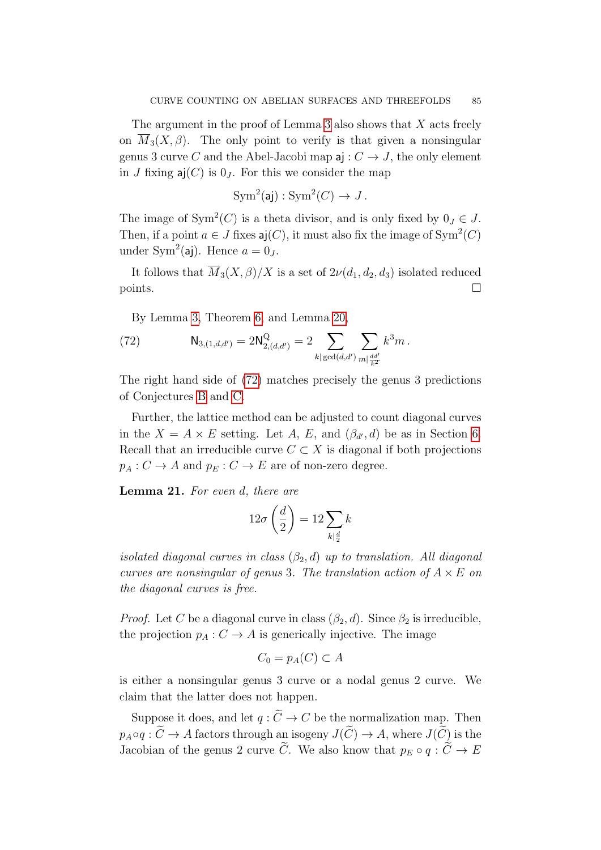The argument in the proof of Lemma [3](#page-23-1) also shows that X acts freely on  $\overline{M}_3(X,\beta)$ . The only point to verify is that given a nonsingular genus 3 curve C and the Abel-Jacobi map  $a: C \rightarrow J$ , the only element in J fixing  $\mathsf{a}$ j(C) is  $0_J$ . For this we consider the map

$$
Sym^2(\mathsf{aj}): \mathrm{Sym}^2(C) \to J.
$$

The image of  $Sym^2(C)$  is a theta divisor, and is only fixed by  $0_J \in J$ . Then, if a point  $a \in J$  fixes  $aj(C)$ , it must also fix the image of  $Sym^2(C)$ under Sym<sup>2</sup>(aj). Hence  $a = 0_J$ .

It follows that  $\overline{M}_3(X,\beta)/X$  is a set of  $2\nu(d_1,d_2,d_3)$  isolated reduced points.

<span id="page-84-1"></span>By Lemma [3,](#page-23-1) Theorem [6,](#page-25-0) and Lemma [20,](#page-83-2)

(72) 
$$
N_{3,(1,d,d')} = 2N_{2,(d,d')}^{Q} = 2 \sum_{k | \gcd(d,d')}\sum_{m \mid \frac{dd'}{k^2}} k^3 m.
$$

The right hand side of [\(72\)](#page-84-1) matches precisely the genus 3 predictions of Conjectures [B](#page-12-0) and [C.](#page-12-1)

Further, the lattice method can be adjusted to count diagonal curves in the  $X = A \times E$  setting. Let A, E, and  $(\beta_{d'}, d)$  be as in Section [6.](#page-63-0) Recall that an irreducible curve  $C \subset X$  is diagonal if both projections  $p_A : C \to A$  and  $p_E : C \to E$  are of non-zero degree.

<span id="page-84-0"></span>Lemma 21. For even d, there are

$$
12\sigma\left(\frac{d}{2}\right) = 12\sum_{k|\frac{d}{2}}k
$$

isolated diagonal curves in class  $(\beta_2, d)$  up to translation. All diagonal curves are nonsingular of genus 3. The translation action of  $A \times E$  on the diagonal curves is free.

*Proof.* Let C be a diagonal curve in class  $(\beta_2, d)$ . Since  $\beta_2$  is irreducible, the projection  $p_A : C \to A$  is generically injective. The image

$$
C_0 = p_A(C) \subset A
$$

is either a nonsingular genus 3 curve or a nodal genus 2 curve. We claim that the latter does not happen.

Suppose it does, and let  $q : \widetilde{C} \to C$  be the normalization map. Then  $p_A \circ q : \widetilde{C} \to A$  factors through an isogeny  $J(\widetilde{C}) \to A$ , where  $J(\widetilde{C})$  is the Jacobian of the genus 2 curve  $\widetilde{C}$ . We also know that  $p_E \circ q : \widetilde{C} \to E$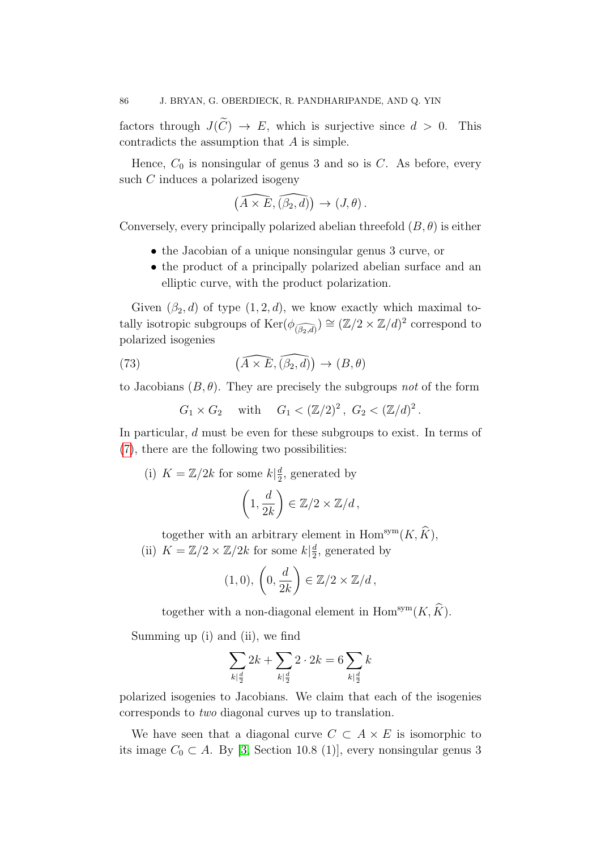factors through  $J(\widetilde{C}) \to E$ , which is surjective since  $d > 0$ . This contradicts the assumption that A is simple.

Hence,  $C_0$  is nonsingular of genus 3 and so is  $C$ . As before, every such C induces a polarized isogeny

$$
\left(\widehat{A \times E}, \widehat{(\beta_2, d)}\right) \to (J, \theta).
$$

Conversely, every principally polarized abelian threefold  $(B, \theta)$  is either

- the Jacobian of a unique nonsingular genus 3 curve, or
- the product of a principally polarized abelian surface and an elliptic curve, with the product polarization.

Given  $(\beta_2, d)$  of type  $(1, 2, d)$ , we know exactly which maximal totally isotropic subgroups of  $\text{Ker}(\phi_{\widehat{(\beta_2,d)}}) \cong (\mathbb{Z}/2 \times \mathbb{Z}/d)^2$  correspond to polarized isogenies

(73) 
$$
(\widehat{A \times E}, \widehat{(\beta_2, d)}) \to (B, \theta)
$$

to Jacobians  $(B, \theta)$ . They are precisely the subgroups not of the form

<span id="page-85-0"></span> $G_1 \times G_2$  with  $G_1 < (\mathbb{Z}/2)^2$ ,  $G_2 < (\mathbb{Z}/d)^2$ .

In particular, d must be even for these subgroups to exist. In terms of [\(7\)](#page-17-0), there are the following two possibilities:

(i) 
$$
K = \mathbb{Z}/2k
$$
 for some  $k|\frac{d}{2}$ , generated by  
\n
$$
\left(1, \frac{d}{2k}\right) \in \mathbb{Z}/2 \times \mathbb{Z}/d,
$$

together with an arbitrary element in  $\text{Hom}^{\text{sym}}(K, \widehat{K}),$ 

(ii)  $K = \mathbb{Z}/2 \times \mathbb{Z}/2k$  for some  $k\left|\frac{d}{2}\right|$  $\frac{d}{2}$ , generated by

$$
(1,0), \left(0, \frac{d}{2k}\right) \in \mathbb{Z}/2 \times \mathbb{Z}/d,
$$

together with a non-diagonal element in  $\mathrm{Hom}^{\mathrm{sym}}(K,\widehat{K})$ .

Summing up (i) and (ii), we find

$$
\sum_{k|\frac{d}{2}}2k+\sum_{k|\frac{d}{2}}2\cdot 2k=6\sum_{k|\frac{d}{2}}k
$$

polarized isogenies to Jacobians. We claim that each of the isogenies corresponds to two diagonal curves up to translation.

We have seen that a diagonal curve  $C \subset A \times E$  is isomorphic to its image  $C_0 \subset A$ . By [\[3,](#page-89-2) Section 10.8 (1)], every nonsingular genus 3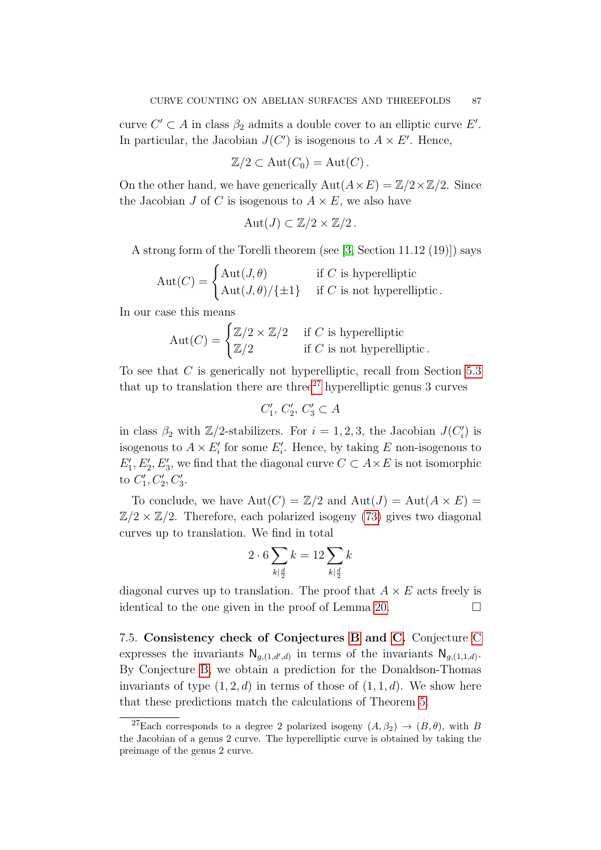curve  $C' \subset A$  in class  $\beta_2$  admits a double cover to an elliptic curve E'. In particular, the Jacobian  $J(C')$  is isogenous to  $A \times E'$ . Hence,

$$
\mathbb{Z}/2 \subset \mathrm{Aut}(C_0) = \mathrm{Aut}(C) .
$$

On the other hand, we have generically  $Aut(A \times E) = \mathbb{Z}/2 \times \mathbb{Z}/2$ . Since the Jacobian J of C is isogenous to  $A \times E$ , we also have

$$
Aut(J) \subset \mathbb{Z}/2 \times \mathbb{Z}/2.
$$

A strong form of the Torelli theorem (see [\[3,](#page-89-2) Section 11.12 (19)]) says

$$
Aut(C) = \begin{cases} Aut(J, \theta) & \text{if } C \text{ is hyperelliptic} \\ Aut(J, \theta) / \{\pm 1\} & \text{if } C \text{ is not hyperelliptic.} \end{cases}
$$

In our case this means

$$
Aut(C) = \begin{cases} \mathbb{Z}/2 \times \mathbb{Z}/2 & \text{if } C \text{ is hyperelliptic} \\ \mathbb{Z}/2 & \text{if } C \text{ is not hyperelliptic.} \end{cases}
$$

To see that C is generically not hyperelliptic, recall from Section [5.3](#page-56-0) that up to translation there are three<sup>[27](#page-86-1)</sup> hyperelliptic genus  $3$  curves

$$
C_1', C_2', C_3' \subset A
$$

in class  $\beta_2$  with  $\mathbb{Z}/2$ -stabilizers. For  $i = 1, 2, 3$ , the Jacobian  $J(C_i')$  is isogenous to  $A \times E'_i$  for some  $E'_i$ . Hence, by taking E non-isogenous to  $E'_1, E'_2, E'_3$ , we find that the diagonal curve  $C \subset A \times E$  is not isomorphic to  $C_1', C_2', C_3'$ .

To conclude, we have  $Aut(C) = \mathbb{Z}/2$  and  $Aut(J) = Aut(A \times E) =$  $\mathbb{Z}/2 \times \mathbb{Z}/2$ . Therefore, each polarized isogeny [\(73\)](#page-85-0) gives two diagonal curves up to translation. We find in total

$$
2 \cdot 6 \sum_{k|\frac{d}{2}} k = 12 \sum_{k|\frac{d}{2}} k
$$

diagonal curves up to translation. The proof that  $A \times E$  acts freely is identical to the one given in the proof of Lemma [20.](#page-83-2)  $\Box$ 

<span id="page-86-0"></span>7.5. Consistency check of Conjectures [B](#page-12-0) and [C.](#page-12-1) Conjecture [C](#page-12-1) expresses the invariants  $N_{g,(1,d',d)}$  in terms of the invariants  $N_{g,(1,1,d)}$ . By Conjecture [B,](#page-12-0) we obtain a prediction for the Donaldson-Thomas invariants of type  $(1, 2, d)$  in terms of those of  $(1, 1, d)$ . We show here that these predictions match the calculations of Theorem [5.](#page-10-0)

<span id="page-86-1"></span><sup>&</sup>lt;sup>27</sup>Each corresponds to a degree 2 polarized isogeny  $(A, \beta_2) \rightarrow (B, \theta)$ , with B the Jacobian of a genus 2 curve. The hyperelliptic curve is obtained by taking the preimage of the genus 2 curve.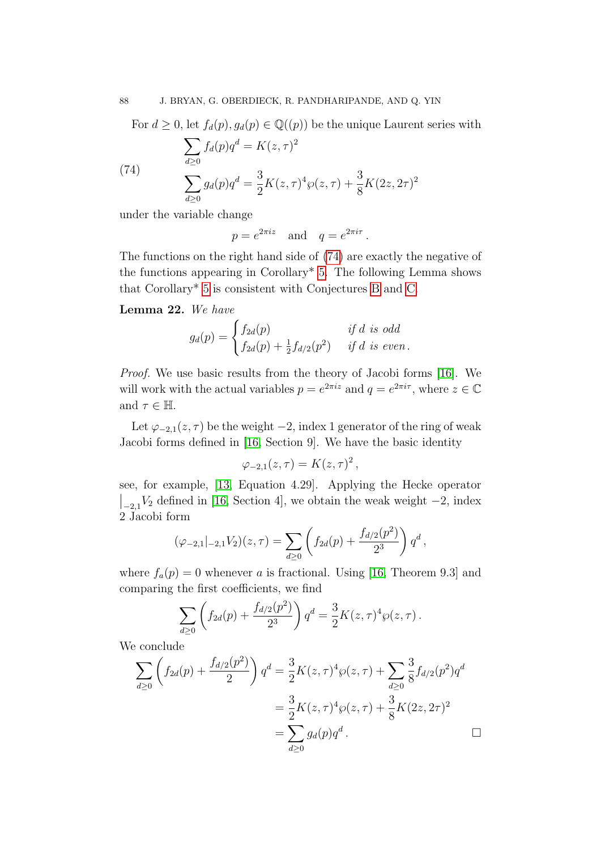<span id="page-87-0"></span>For  $d \geq 0$ , let  $f_d(p), g_d(p) \in \mathbb{Q}((p))$  be the unique Laurent series with

(74)  
\n
$$
\sum_{d\geq 0} f_d(p)q^d = K(z,\tau)^2
$$
\n
$$
\sum_{d\geq 0} g_d(p)q^d = \frac{3}{2}K(z,\tau)^4 \wp(z,\tau) + \frac{3}{8}K(2z,2\tau)^2
$$

under the variable change

 $p = e^{2\pi i z}$  and  $q = e^{2\pi i \tau}$ .

The functions on the right hand side of [\(74\)](#page-87-0) are exactly the negative of the functions appearing in Corollary\* [5.](#page-11-0) The following Lemma shows that Corollary\* [5](#page-11-0) is consistent with Conjectures [B](#page-12-0) and [C.](#page-12-1)

## Lemma 22. We have

$$
g_d(p) = \begin{cases} f_{2d}(p) & \text{if } d \text{ is odd} \\ f_{2d}(p) + \frac{1}{2}f_{d/2}(p^2) & \text{if } d \text{ is even.} \end{cases}
$$

Proof. We use basic results from the theory of Jacobi forms [\[16\]](#page-89-3). We will work with the actual variables  $p = e^{2\pi i z}$  and  $q = e^{2\pi i \tau}$ , where  $z \in \mathbb{C}$ and  $\tau \in \mathbb{H}$ .

Let  $\varphi_{-2,1}(z,\tau)$  be the weight  $-2$ , index 1 generator of the ring of weak Jacobi forms defined in [\[16,](#page-89-3) Section 9]. We have the basic identity

$$
\varphi_{-2,1}(z,\tau)=K(z,\tau)^2\,,
$$

see, for example, [\[13,](#page-89-4) Equation 4.29]. Applying the Hecke operator  $\left| \begin{array}{c} 1 \\ -2.1 \end{array} \right|$  are left  $\left| \begin{array}{c} 16 \\ 4 \end{array} \right|$ , we obtain the weak weight  $-2$ , index 2 Jacobi form

$$
(\varphi_{-2,1}|_{-2,1}V_2)(z,\tau)=\sum_{d\geq 0}\left(f_{2d}(p)+\frac{f_{d/2}(p^2)}{2^3}\right)q^d,
$$

where  $f_a(p) = 0$  whenever a is fractional. Using [\[16,](#page-89-3) Theorem 9.3] and comparing the first coefficients, we find

$$
\sum_{d\geq 0} \left( f_{2d}(p) + \frac{f_{d/2}(p^2)}{2^3} \right) q^d = \frac{3}{2} K(z, \tau)^4 \wp(z, \tau).
$$

We conclude

$$
\sum_{d\geq 0} \left( f_{2d}(p) + \frac{f_{d/2}(p^2)}{2} \right) q^d = \frac{3}{2} K(z, \tau)^4 \wp(z, \tau) + \sum_{d\geq 0} \frac{3}{8} f_{d/2}(p^2) q^d
$$

$$
= \frac{3}{2} K(z, \tau)^4 \wp(z, \tau) + \frac{3}{8} K(2z, 2\tau)^2
$$

$$
= \sum_{d\geq 0} g_d(p) q^d.
$$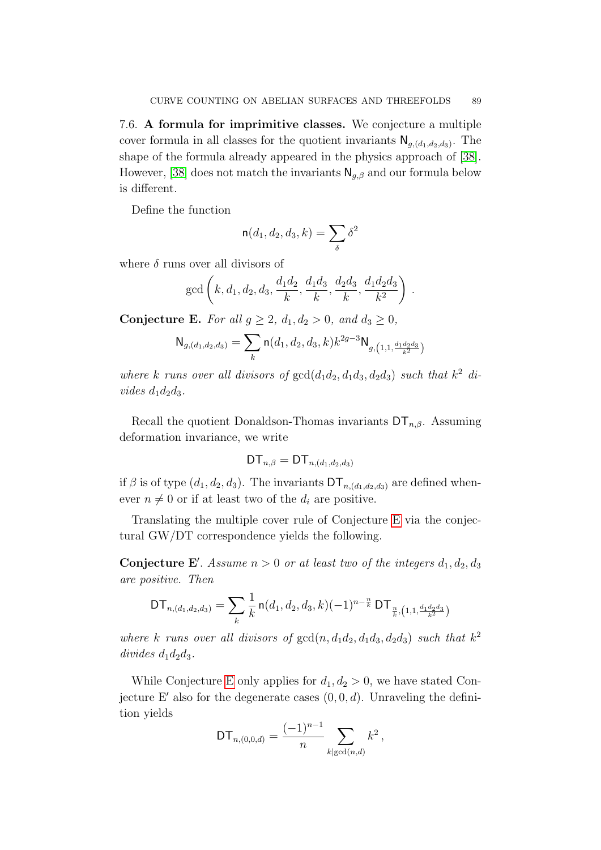<span id="page-88-0"></span>7.6. A formula for imprimitive classes. We conjecture a multiple cover formula in all classes for the quotient invariants  $\mathsf{N}_{g,(d_1,d_2,d_3)}$ . The shape of the formula already appeared in the physics approach of [\[38\]](#page-90-2). However, [\[38\]](#page-90-2) does not match the invariants  $\mathsf{N}_{q,\beta}$  and our formula below is different.

Define the function

$$
\mathsf{n}(d_1,d_2,d_3,k) = \sum_{\delta} \delta^2
$$

where  $\delta$  runs over all divisors of

$$
gcd\left(k, d_1, d_2, d_3, \frac{d_1d_2}{k}, \frac{d_1d_3}{k}, \frac{d_2d_3}{k}, \frac{d_1d_2d_3}{k^2}\right).
$$

<span id="page-88-1"></span>Conjecture E. For all  $g \geq 2$ ,  $d_1, d_2 > 0$ , and  $d_3 \geq 0$ ,

$$
\mathsf{N}_{g,(d_1,d_2,d_3)} = \sum_{k} \mathsf{n}(d_1,d_2,d_3,k) k^{2g-3} \mathsf{N}_{g,\left(1,1,\frac{d_1d_2d_3}{k^2}\right)}
$$

where k runs over all divisors of  $gcd(d_1d_2, d_1d_3, d_2d_3)$  such that  $k^2$  divides  $d_1d_2d_3$ .

Recall the quotient Donaldson-Thomas invariants  $DT_{n,\beta}$ . Assuming deformation invariance, we write

$$
\mathsf{DT}_{n,\beta}=\mathsf{DT}_{n,(d_1,d_2,d_3)}
$$

if  $\beta$  is of type  $(d_1, d_2, d_3)$ . The invariants  $DT_{n,(d_1,d_2,d_3)}$  are defined whenever  $n \neq 0$  or if at least two of the  $d_i$  are positive.

Translating the multiple cover rule of Conjecture [E](#page-88-1) via the conjectural GW/DT correspondence yields the following.

**Conjecture E'**. Assume  $n > 0$  or at least two of the integers  $d_1, d_2, d_3$ are positive. Then

$$
\mathsf{DT}_{n,(d_1,d_2,d_3)} = \sum_{k} \frac{1}{k} \, \mathsf{n}(d_1,d_2,d_3,k) (-1)^{n-\frac{n}{k}} \, \mathsf{DT}_{\frac{n}{k},(1,1,\frac{d_1d_2d_3}{k^2})}
$$

where k runs over all divisors of  $gcd(n, d_1d_2, d_1d_3, d_2d_3)$  such that  $k^2$  $divides\ d_1d_2d_3.$ 

While Conjecture [E](#page-88-1) only applies for  $d_1, d_2 > 0$ , we have stated Conjecture E' also for the degenerate cases  $(0, 0, d)$ . Unraveling the definition yields

$$
\mathsf{DT}_{n,(0,0,d)} = \frac{(-1)^{n-1}}{n} \sum_{k \mid \gcd(n,d)} k^2,
$$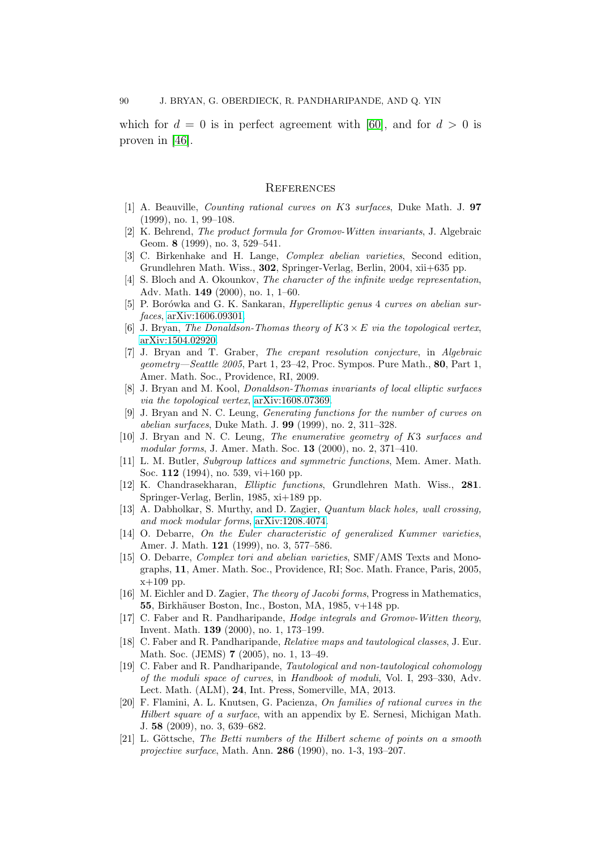which for  $d = 0$  is in perfect agreement with [\[60\]](#page-91-1), and for  $d > 0$  is proven in [\[46\]](#page-91-2).

## **REFERENCES**

- [1] A. Beauville, Counting rational curves on K3 surfaces, Duke Math. J. 97 (1999), no. 1, 99–108.
- [2] K. Behrend, The product formula for Gromov-Witten invariants, J. Algebraic Geom. 8 (1999), no. 3, 529–541.
- <span id="page-89-2"></span>[3] C. Birkenhake and H. Lange, Complex abelian varieties, Second edition, Grundlehren Math. Wiss., 302, Springer-Verlag, Berlin, 2004, xii+635 pp.
- <span id="page-89-1"></span>[4] S. Bloch and A. Okounkov, The character of the infinite wedge representation, Adv. Math. 149 (2000), no. 1, 1–60.
- [5] P. Borówka and G. K. Sankaran, *Hyperelliptic genus* 4 curves on abelian surfaces, [arXiv:1606.09301.](http://arxiv.org/abs/1606.09301)
- <span id="page-89-0"></span>[6] J. Bryan, The Donaldson-Thomas theory of  $K3 \times E$  via the topological vertex, [arXiv:1504.02920.](http://arxiv.org/abs/1504.02920)
- [7] J. Bryan and T. Graber, The crepant resolution conjecture, in Algebraic geometry—Seattle 2005, Part 1, 23–42, Proc. Sympos. Pure Math., 80, Part 1, Amer. Math. Soc., Providence, RI, 2009.
- [8] J. Bryan and M. Kool, Donaldson-Thomas invariants of local elliptic surfaces via the topological vertex, [arXiv:1608.07369.](http://arxiv.org/abs/1608.07369)
- [9] J. Bryan and N. C. Leung, Generating functions for the number of curves on abelian surfaces, Duke Math. J. 99 (1999), no. 2, 311–328.
- [10] J. Bryan and N. C. Leung, The enumerative geometry of K3 surfaces and modular forms, J. Amer. Math. Soc. 13 (2000), no. 2, 371–410.
- [11] L. M. Butler, Subgroup lattices and symmetric functions, Mem. Amer. Math. Soc. 112 (1994), no. 539, vi+160 pp.
- [12] K. Chandrasekharan, Elliptic functions, Grundlehren Math. Wiss., 281. Springer-Verlag, Berlin, 1985, xi+189 pp.
- <span id="page-89-4"></span>[13] A. Dabholkar, S. Murthy, and D. Zagier, Quantum black holes, wall crossing, and mock modular forms, [arXiv:1208.4074.](http://arxiv.org/abs/1208.4074)
- [14] O. Debarre, On the Euler characteristic of generalized Kummer varieties, Amer. J. Math. 121 (1999), no. 3, 577–586.
- [15] O. Debarre, Complex tori and abelian varieties, SMF/AMS Texts and Monographs, 11, Amer. Math. Soc., Providence, RI; Soc. Math. France, Paris, 2005,  $x+109$  pp.
- <span id="page-89-3"></span>[16] M. Eichler and D. Zagier, The theory of Jacobi forms, Progress in Mathematics, 55, Birkhäuser Boston, Inc., Boston, MA, 1985,  $v+148$  pp.
- [17] C. Faber and R. Pandharipande, Hodge integrals and Gromov-Witten theory, Invent. Math. 139 (2000), no. 1, 173–199.
- [18] C. Faber and R. Pandharipande, Relative maps and tautological classes, J. Eur. Math. Soc. (JEMS) 7 (2005), no. 1, 13–49.
- [19] C. Faber and R. Pandharipande, Tautological and non-tautological cohomology of the moduli space of curves, in Handbook of moduli, Vol. I, 293–330, Adv. Lect. Math. (ALM), 24, Int. Press, Somerville, MA, 2013.
- [20] F. Flamini, A. L. Knutsen, G. Pacienza, On families of rational curves in the Hilbert square of a surface, with an appendix by E. Sernesi, Michigan Math. J. 58 (2009), no. 3, 639–682.
- $[21]$  L. Göttsche, The Betti numbers of the Hilbert scheme of points on a smooth projective surface, Math. Ann. 286 (1990), no. 1-3, 193–207.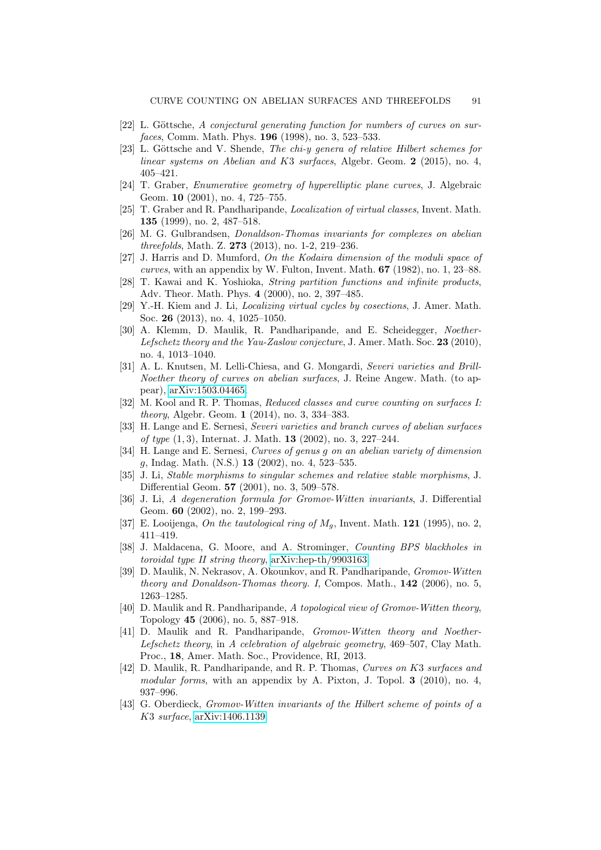- $[22]$  L. Göttsche, A conjectural generating function for numbers of curves on surfaces, Comm. Math. Phys. 196 (1998), no. 3, 523–533.
- [23] L. Göttsche and V. Shende, The chi-y genera of relative Hilbert schemes for linear systems on Abelian and K3 surfaces, Algebr. Geom. 2 (2015), no. 4, 405–421.
- [24] T. Graber, Enumerative geometry of hyperelliptic plane curves, J. Algebraic Geom. 10 (2001), no. 4, 725–755.
- [25] T. Graber and R. Pandharipande, Localization of virtual classes, Invent. Math. 135 (1999), no. 2, 487–518.
- [26] M. G. Gulbrandsen, Donaldson-Thomas invariants for complexes on abelian threefolds, Math. Z. 273 (2013), no. 1-2, 219–236.
- [27] J. Harris and D. Mumford, On the Kodaira dimension of the moduli space of curves, with an appendix by W. Fulton, Invent. Math. 67 (1982), no. 1, 23–88.
- [28] T. Kawai and K. Yoshioka, String partition functions and infinite products, Adv. Theor. Math. Phys. 4 (2000), no. 2, 397–485.
- [29] Y.-H. Kiem and J. Li, Localizing virtual cycles by cosections, J. Amer. Math. Soc. 26 (2013), no. 4, 1025–1050.
- [30] A. Klemm, D. Maulik, R. Pandharipande, and E. Scheidegger, Noether-Lefschetz theory and the Yau-Zaslow conjecture, J. Amer. Math. Soc. 23 (2010). no. 4, 1013–1040.
- [31] A. L. Knutsen, M. Lelli-Chiesa, and G. Mongardi, Severi varieties and Brill-Noether theory of curves on abelian surfaces, J. Reine Angew. Math. (to appear), [arXiv:1503.04465.](http://arxiv.org/abs/1503.04465)
- [32] M. Kool and R. P. Thomas, Reduced classes and curve counting on surfaces I: theory, Algebr. Geom. 1 (2014), no. 3, 334–383.
- [33] H. Lange and E. Sernesi, Severi varieties and branch curves of abelian surfaces of type  $(1, 3)$ , Internat. J. Math. **13**  $(2002)$ , no. 3,  $227-244$ .
- <span id="page-90-1"></span>[34] H. Lange and E. Sernesi, Curves of genus g on an abelian variety of dimension g, Indag. Math. (N.S.) 13 (2002), no. 4, 523–535.
- [35] J. Li, Stable morphisms to singular schemes and relative stable morphisms, J. Differential Geom. 57 (2001), no. 3, 509–578.
- [36] J. Li, A degeneration formula for Gromov-Witten invariants, J. Differential Geom. 60 (2002), no. 2, 199–293.
- [37] E. Looijenga, On the tautological ring of  $M<sub>g</sub>$ , Invent. Math. 121 (1995), no. 2, 411–419.
- <span id="page-90-2"></span>[38] J. Maldacena, G. Moore, and A. Strominger, *Counting BPS blackholes in* toroidal type II string theory, [arXiv:hep-th/9903163.](http://arxiv.org/abs/hep-th/9903163)
- <span id="page-90-0"></span>[39] D. Maulik, N. Nekrasov, A. Okounkov, and R. Pandharipande, Gromov-Witten theory and Donaldson-Thomas theory. I, Compos. Math., 142 (2006), no. 5, 1263–1285.
- [40] D. Maulik and R. Pandharipande, A topological view of Gromov-Witten theory, Topology 45 (2006), no. 5, 887–918.
- [41] D. Maulik and R. Pandharipande, Gromov-Witten theory and Noether-Lefschetz theory, in A celebration of algebraic geometry, 469–507, Clay Math. Proc., 18, Amer. Math. Soc., Providence, RI, 2013.
- [42] D. Maulik, R. Pandharipande, and R. P. Thomas, Curves on K3 surfaces and modular forms, with an appendix by A. Pixton, J. Topol.  $3$  (2010), no. 4, 937–996.
- [43] G. Oberdieck, Gromov-Witten invariants of the Hilbert scheme of points of a K3 surface, [arXiv:1406.1139.](http://arxiv.org/abs/1406.1139)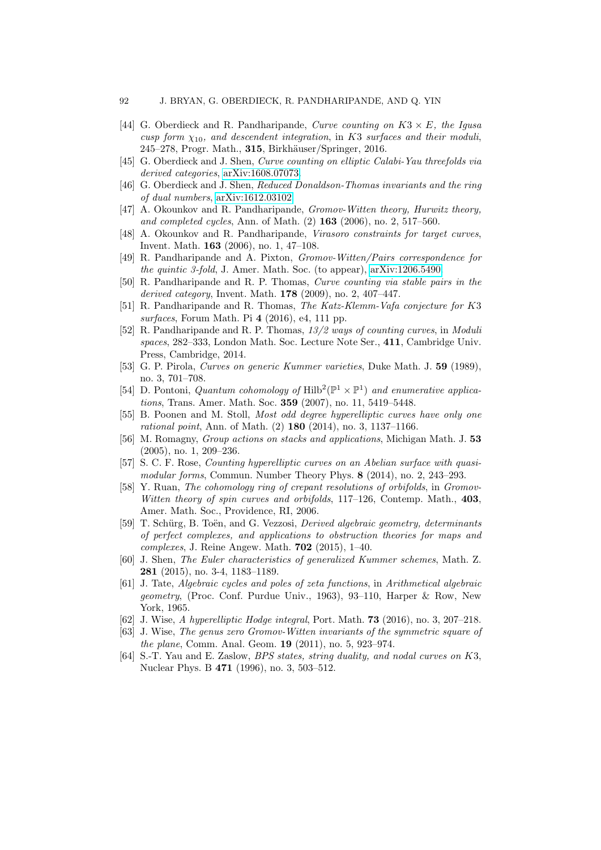- [44] G. Oberdieck and R. Pandharipande, Curve counting on  $K3 \times E$ , the Igusa cusp form  $\chi_{10}$ , and descendent integration, in K3 surfaces and their moduli, 245–278, Progr. Math., 315, Birkhäuser/Springer, 2016.
- [45] G. Oberdieck and J. Shen, Curve counting on elliptic Calabi-Yau threefolds via derived categories, [arXiv:1608.07073.](http://arxiv.org/abs/1608.07073)
- <span id="page-91-2"></span>[46] G. Oberdieck and J. Shen, Reduced Donaldson-Thomas invariants and the ring of dual numbers, [arXiv:1612.03102.](http://arxiv.org/abs/1612.03102)
- [47] A. Okounkov and R. Pandharipande, Gromov-Witten theory, Hurwitz theory, and completed cycles, Ann. of Math. (2) 163 (2006), no. 2, 517–560.
- [48] A. Okounkov and R. Pandharipande, Virasoro constraints for target curves, Invent. Math. 163 (2006), no. 1, 47–108.
- [49] R. Pandharipande and A. Pixton, Gromov-Witten/Pairs correspondence for the quintic 3-fold, J. Amer. Math. Soc. (to appear), [arXiv:1206.5490.](http://arxiv.org/abs/1206.5490)
- [50] R. Pandharipande and R. P. Thomas, Curve counting via stable pairs in the derived category, Invent. Math. 178 (2009), no. 2, 407–447.
- [51] R. Pandharipande and R. Thomas, The Katz-Klemm-Vafa conjecture for K3 surfaces, Forum Math. Pi 4 (2016), e4, 111 pp.
- [52] R. Pandharipande and R. P. Thomas, 13/2 ways of counting curves, in Moduli spaces, 282–333, London Math. Soc. Lecture Note Ser., 411, Cambridge Univ. Press, Cambridge, 2014.
- [53] G. P. Pirola, Curves on generic Kummer varieties, Duke Math. J. 59 (1989), no. 3, 701–708.
- [54] D. Pontoni, Quantum cohomology of Hilb<sup>2</sup>( $\mathbb{P}^1 \times \mathbb{P}^1$ ) and enumerative applications, Trans. Amer. Math. Soc. 359 (2007), no. 11, 5419–5448.
- [55] B. Poonen and M. Stoll, Most odd degree hyperelliptic curves have only one rational point, Ann. of Math. (2) 180 (2014), no. 3, 1137–1166.
- <span id="page-91-0"></span>[56] M. Romagny, Group actions on stacks and applications, Michigan Math. J. 53 (2005), no. 1, 209–236.
- [57] S. C. F. Rose, Counting hyperelliptic curves on an Abelian surface with quasimodular forms, Commun. Number Theory Phys. 8 (2014), no. 2, 243–293.
- [58] Y. Ruan, The cohomology ring of crepant resolutions of orbifolds, in Gromov-Witten theory of spin curves and orbifolds, 117–126, Contemp. Math., 403. Amer. Math. Soc., Providence, RI, 2006.
- [59] T. Schürg, B. Toën, and G. Vezzosi, *Derived algebraic geometry, determinants* of perfect complexes, and applications to obstruction theories for maps and complexes, J. Reine Angew. Math. 702 (2015), 1–40.
- <span id="page-91-1"></span>[60] J. Shen, The Euler characteristics of generalized Kummer schemes, Math. Z. 281 (2015), no. 3-4, 1183–1189.
- [61] J. Tate, Algebraic cycles and poles of zeta functions, in Arithmetical algebraic geometry, (Proc. Conf. Purdue Univ., 1963), 93–110, Harper & Row, New York, 1965.
- [62] J. Wise, A hyperelliptic Hodge integral, Port. Math. **73** (2016), no. 3, 207–218.
- [63] J. Wise, The genus zero Gromov-Witten invariants of the symmetric square of the plane, Comm. Anal. Geom. 19 (2011), no. 5, 923–974.
- [64] S.-T. Yau and E. Zaslow, BPS states, string duality, and nodal curves on K3, Nuclear Phys. B 471 (1996), no. 3, 503–512.